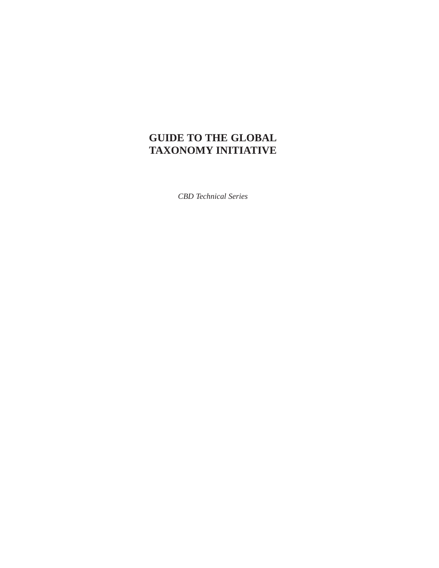# **GUIDE TO THE GLOBAL TAXONOMY INITIATIVE**

*CBD Technical Series*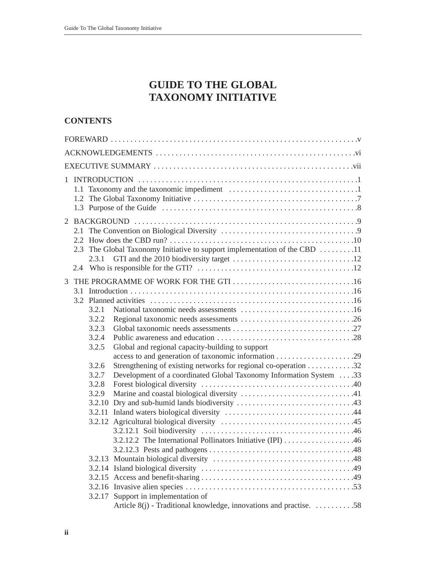# **GUIDE TO THE GLOBAL TAXONOMY INITIATIVE**

# **CONTENTS**

| 2.1<br>The Global Taxonomy Initiative to support implementation of the CBD 11<br>2.3                                                                                     |  |  |  |  |
|--------------------------------------------------------------------------------------------------------------------------------------------------------------------------|--|--|--|--|
| 3<br>3.1<br>3.2.1<br>3.2.2<br>3.2.3<br>3.2.4<br>3.2.5<br>Global and regional capacity-building to support                                                                |  |  |  |  |
| Strengthening of existing networks for regional co-operation 32<br>3.2.6<br>Development of a coordinated Global Taxonomy Information System33<br>3.2.7<br>3.2.8<br>3.2.9 |  |  |  |  |
| 3.2.17 Support in implementation of<br>Article 8(j) - Traditional knowledge, innovations and practise. 58                                                                |  |  |  |  |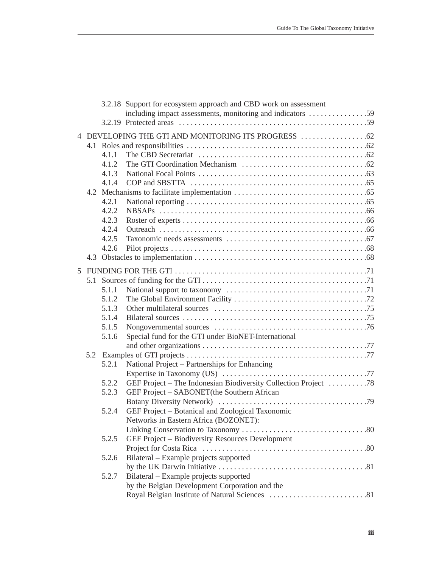|     |       | 3.2.18 Support for ecosystem approach and CBD work on assessment |  |
|-----|-------|------------------------------------------------------------------|--|
|     |       | including impact assessments, monitoring and indicators 59       |  |
|     |       |                                                                  |  |
|     |       |                                                                  |  |
|     |       |                                                                  |  |
|     | 4.1.1 |                                                                  |  |
|     | 4.1.2 |                                                                  |  |
|     | 4.1.3 |                                                                  |  |
|     | 4.1.4 |                                                                  |  |
|     |       |                                                                  |  |
|     | 4.2.1 |                                                                  |  |
|     | 4.2.2 |                                                                  |  |
|     | 4.2.3 |                                                                  |  |
|     | 4.2.4 |                                                                  |  |
|     | 4.2.5 |                                                                  |  |
|     | 4.2.6 |                                                                  |  |
|     |       |                                                                  |  |
|     |       |                                                                  |  |
|     |       |                                                                  |  |
|     | 5.1.1 |                                                                  |  |
|     | 5.1.2 |                                                                  |  |
|     | 5.1.3 |                                                                  |  |
|     | 5.1.4 |                                                                  |  |
|     | 5.1.5 |                                                                  |  |
|     | 5.1.6 | Special fund for the GTI under BioNET-International              |  |
|     |       |                                                                  |  |
| 5.2 |       |                                                                  |  |
|     | 5.2.1 | National Project – Partnerships for Enhancing                    |  |
|     |       |                                                                  |  |
|     | 5.2.2 | GEF Project – The Indonesian Biodiversity Collection Project 78  |  |
|     | 5.2.3 | GEF Project – SABONET(the Southern African                       |  |
|     |       |                                                                  |  |
|     | 5.2.4 | GEF Project - Botanical and Zoological Taxonomic                 |  |
|     |       | Networks in Eastern Africa (BOZONET):                            |  |
|     |       |                                                                  |  |
|     | 5.2.5 | GEF Project - Biodiversity Resources Development                 |  |
|     |       |                                                                  |  |
|     | 5.2.6 | Bilateral – Example projects supported                           |  |
|     |       |                                                                  |  |
|     | 5.2.7 | Bilateral - Example projects supported                           |  |
|     |       | by the Belgian Development Corporation and the                   |  |
|     |       |                                                                  |  |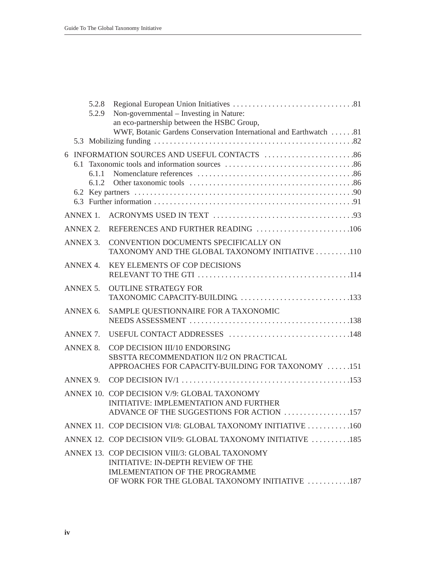|     | 5.2.8<br>5.2.9  | Non-governmental – Investing in Nature:<br>an eco-partnership between the HSBC Group,<br>WWF, Botanic Gardens Conservation International and Earthwatch 81                             |
|-----|-----------------|----------------------------------------------------------------------------------------------------------------------------------------------------------------------------------------|
|     |                 |                                                                                                                                                                                        |
| 6.1 | 6.1.1<br>6.1.2  |                                                                                                                                                                                        |
|     | ANNEX 1.        |                                                                                                                                                                                        |
|     | <b>ANNEX 2.</b> | REFERENCES AND FURTHER READING 106                                                                                                                                                     |
|     | ANNEX 3.        | CONVENTION DOCUMENTS SPECIFICALLY ON<br>TAXONOMY AND THE GLOBAL TAXONOMY INITIATIVE 110                                                                                                |
|     | ANNEX 4.        | <b>KEY ELEMENTS OF COP DECISIONS</b>                                                                                                                                                   |
|     | ANNEX 5.        | <b>OUTLINE STRATEGY FOR</b>                                                                                                                                                            |
|     | ANNEX 6.        | SAMPLE QUESTIONNAIRE FOR A TAXONOMIC                                                                                                                                                   |
|     | ANNEX 7.        |                                                                                                                                                                                        |
|     | <b>ANNEX 8.</b> | COP DECISION III/10 ENDORSING<br>SBSTTA RECOMMENDATION II/2 ON PRACTICAL<br>APPROACHES FOR CAPACITY-BUILDING FOR TAXONOMY 151                                                          |
|     | ANNEX 9.        |                                                                                                                                                                                        |
|     |                 | ANNEX 10. COP DECISION V/9: GLOBAL TAXONOMY<br><b>INITIATIVE: IMPLEMENTATION AND FURTHER</b><br>ADVANCE OF THE SUGGESTIONS FOR ACTION 157                                              |
|     |                 | ANNEX 11. COP DECISION VI/8: GLOBAL TAXONOMY INITIATIVE 160                                                                                                                            |
|     |                 | ANNEX 12. COP DECISION VII/9: GLOBAL TAXONOMY INITIATIVE 185                                                                                                                           |
|     |                 | ANNEX 13. COP DECISION VIII/3: GLOBAL TAXONOMY<br><b>INITIATIVE: IN-DEPTH REVIEW OF THE</b><br><b>IMLEMENTATION OF THE PROGRAMME</b><br>OF WORK FOR THE GLOBAL TAXONOMY INITIATIVE 187 |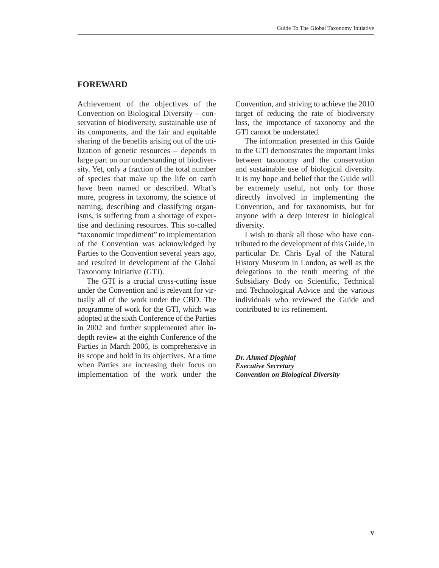# **FOREWARD**

Achievement of the objectives of the Convention on Biological Diversity – conservation of biodiversity, sustainable use of its components, and the fair and equitable sharing of the benefits arising out of the utilization of genetic resources – depends in large part on our understanding of biodiversity. Yet, only a fraction of the total number of species that make up the life on earth have been named or described. What's more, progress in taxonomy, the science of naming, describing and classifying organisms, is suffering from a shortage of expertise and declining resources. This so-called "taxonomic impediment" to implementation of the Convention was acknowledged by Parties to the Convention several years ago, and resulted in development of the Global Taxonomy Initiative (GTI).

The GTI is a crucial cross-cutting issue under the Convention and is relevant for virtually all of the work under the CBD. The programme of work for the GTI, which was adopted at the sixth Conference of the Parties in 2002 and further supplemented after indepth review at the eighth Conference of the Parties in March 2006, is comprehensive in its scope and bold in its objectives. At a time when Parties are increasing their focus on implementation of the work under the

Convention, and striving to achieve the 2010 target of reducing the rate of biodiversity loss, the importance of taxonomy and the GTI cannot be understated.

The information presented in this Guide to the GTI demonstrates the important links between taxonomy and the conservation and sustainable use of biological diversity. It is my hope and belief that the Guide will be extremely useful, not only for those directly involved in implementing the Convention, and for taxonomists, but for anyone with a deep interest in biological diversity.

I wish to thank all those who have contributed to the development of this Guide, in particular Dr. Chris Lyal of the Natural History Museum in London, as well as the delegations to the tenth meeting of the Subsidiary Body on Scientific, Technical and Technological Advice and the various individuals who reviewed the Guide and contributed to its refinement.

*Dr. Ahmed Djoghlaf Executive Secretary Convention on Biological Diversity*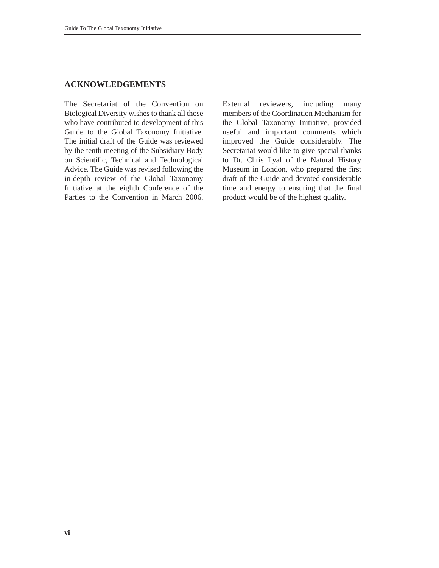# **ACKNOWLEDGEMENTS**

The Secretariat of the Convention on Biological Diversity wishes to thank all those who have contributed to development of this Guide to the Global Taxonomy Initiative. The initial draft of the Guide was reviewed by the tenth meeting of the Subsidiary Body on Scientific, Technical and Technological Advice. The Guide was revised following the in-depth review of the Global Taxonomy Initiative at the eighth Conference of the Parties to the Convention in March 2006. External reviewers, including many members of the Coordination Mechanism for the Global Taxonomy Initiative, provided useful and important comments which improved the Guide considerably. The Secretariat would like to give special thanks to Dr. Chris Lyal of the Natural History Museum in London, who prepared the first draft of the Guide and devoted considerable time and energy to ensuring that the final product would be of the highest quality.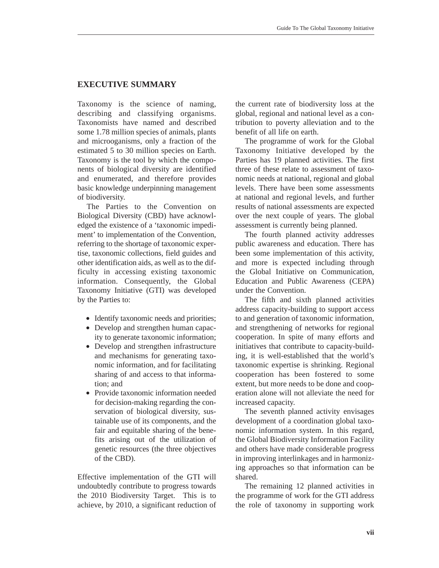# **EXECUTIVE SUMMARY**

Taxonomy is the science of naming, describing and classifying organisms. Taxonomists have named and described some 1.78 million species of animals, plants and microoganisms, only a fraction of the estimated 5 to 30 million species on Earth. Taxonomy is the tool by which the components of biological diversity are identified and enumerated, and therefore provides basic knowledge underpinning management of biodiversity.

The Parties to the Convention on Biological Diversity (CBD) have acknowledged the existence of a 'taxonomic impediment' to implementation of the Convention, referring to the shortage of taxonomic expertise, taxonomic collections, field guides and other identification aids, as well as to the difficulty in accessing existing taxonomic information. Consequently, the Global Taxonomy Initiative (GTI) was developed by the Parties to:

- Identify taxonomic needs and priorities;
- Develop and strengthen human capacity to generate taxonomic information;
- Develop and strengthen infrastructure and mechanisms for generating taxonomic information, and for facilitating sharing of and access to that information; and
- Provide taxonomic information needed for decision-making regarding the conservation of biological diversity, sustainable use of its components, and the fair and equitable sharing of the benefits arising out of the utilization of genetic resources (the three objectives of the CBD).

Effective implementation of the GTI will undoubtedly contribute to progress towards the 2010 Biodiversity Target. This is to achieve, by 2010, a significant reduction of the current rate of biodiversity loss at the global, regional and national level as a contribution to poverty alleviation and to the benefit of all life on earth.

The programme of work for the Global Taxonomy Initiative developed by the Parties has 19 planned activities. The first three of these relate to assessment of taxonomic needs at national, regional and global levels. There have been some assessments at national and regional levels, and further results of national assessments are expected over the next couple of years. The global assessment is currently being planned.

The fourth planned activity addresses public awareness and education. There has been some implementation of this activity, and more is expected including through the Global Initiative on Communication, Education and Public Awareness (CEPA) under the Convention.

The fifth and sixth planned activities address capacity-building to support access to and generation of taxonomic information, and strengthening of networks for regional cooperation. In spite of many efforts and initiatives that contribute to capacity-building, it is well-established that the world's taxonomic expertise is shrinking. Regional cooperation has been fostered to some extent, but more needs to be done and cooperation alone will not alleviate the need for increased capacity.

The seventh planned activity envisages development of a coordination global taxonomic information system. In this regard, the Global Biodiversity Information Facility and others have made considerable progress in improving interlinkages and in harmonizing approaches so that information can be shared.

The remaining 12 planned activities in the programme of work for the GTI address the role of taxonomy in supporting work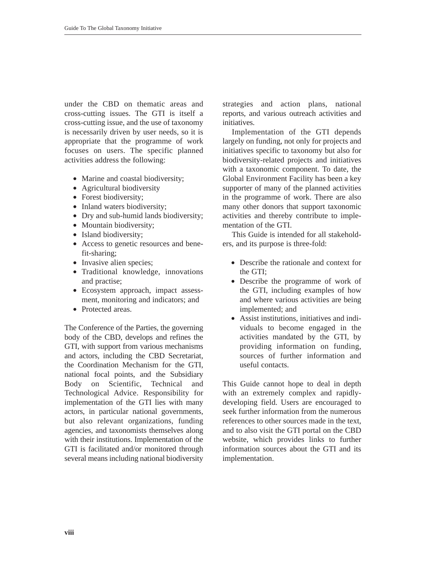under the CBD on thematic areas and cross-cutting issues. The GTI is itself a cross-cutting issue, and the use of taxonomy is necessarily driven by user needs, so it is appropriate that the programme of work focuses on users. The specific planned activities address the following:

- Marine and coastal biodiversity;
- Agricultural biodiversity
- Forest biodiversity;
- Inland waters biodiversity;
- Dry and sub-humid lands biodiversity;
- Mountain biodiversity;
- Island biodiversity;
- Access to genetic resources and benefit-sharing;
- Invasive alien species;
- Traditional knowledge, innovations and practise;
- Ecosystem approach, impact assessment, monitoring and indicators; and
- Protected areas

The Conference of the Parties, the governing body of the CBD, develops and refines the GTI, with support from various mechanisms and actors, including the CBD Secretariat, the Coordination Mechanism for the GTI, national focal points, and the Subsidiary Body on Scientific, Technical and Technological Advice. Responsibility for implementation of the GTI lies with many actors, in particular national governments, but also relevant organizations, funding agencies, and taxonomists themselves along with their institutions. Implementation of the GTI is facilitated and/or monitored through several means including national biodiversity strategies and action plans, national reports, and various outreach activities and initiatives.

Implementation of the GTI depends largely on funding, not only for projects and initiatives specific to taxonomy but also for biodiversity-related projects and initiatives with a taxonomic component. To date, the Global Environment Facility has been a key supporter of many of the planned activities in the programme of work. There are also many other donors that support taxonomic activities and thereby contribute to implementation of the GTI.

This Guide is intended for all stakeholders, and its purpose is three-fold:

- Describe the rationale and context for the GTI;
- Describe the programme of work of the GTI, including examples of how and where various activities are being implemented; and
- Assist institutions, initiatives and individuals to become engaged in the activities mandated by the GTI, by providing information on funding, sources of further information and useful contacts.

This Guide cannot hope to deal in depth with an extremely complex and rapidlydeveloping field. Users are encouraged to seek further information from the numerous references to other sources made in the text and to also visit the GTI portal on the CBD website, which provides links to further information sources about the GTI and its implementation.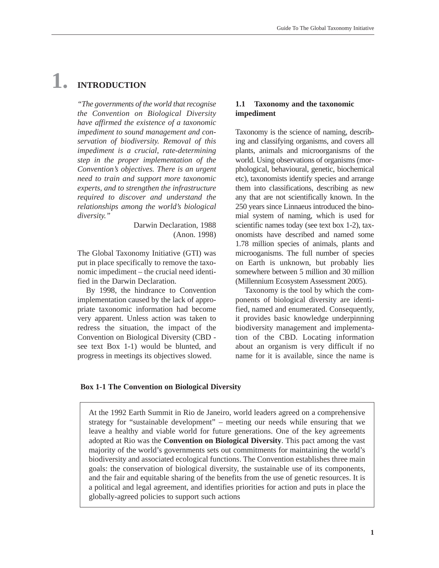# **1. INTRODUCTION**

*"The governments of the world that recognise the Convention on Biological Diversity have affirmed the existence of a taxonomic impediment to sound management and conservation of biodiversity. Removal of this impediment is a crucial, rate-determining step in the proper implementation of the Convention's objectives. There is an urgent need to train and support more taxonomic experts, and to strengthen the infrastructure required to discover and understand the relationships among the world's biological diversity."*

> Darwin Declaration, 1988 (Anon. 1998)

The Global Taxonomy Initiative (GTI) was put in place specifically to remove the taxonomic impediment – the crucial need identified in the Darwin Declaration.

By 1998, the hindrance to Convention implementation caused by the lack of appropriate taxonomic information had become very apparent. Unless action was taken to redress the situation, the impact of the Convention on Biological Diversity (CBD see text Box 1-1) would be blunted, and progress in meetings its objectives slowed.

#### **1.1 Taxonomy and the taxonomic impediment**

Taxonomy is the science of naming, describing and classifying organisms, and covers all plants, animals and microorganisms of the world. Using observations of organisms (morphological, behavioural, genetic, biochemical etc), taxonomists identify species and arrange them into classifications, describing as new any that are not scientifically known. In the 250 years since Linnaeus introduced the binomial system of naming, which is used for scientific names today (see text box 1-2), taxonomists have described and named some 1.78 million species of animals, plants and microoganisms. The full number of species on Earth is unknown, but probably lies somewhere between 5 million and 30 million (Millennium Ecosystem Assessment 2005).

Taxonomy is the tool by which the components of biological diversity are identified, named and enumerated. Consequently, it provides basic knowledge underpinning biodiversity management and implementation of the CBD. Locating information about an organism is very difficult if no name for it is available, since the name is

#### **Box 1-1 The Convention on Biological Diversity**

At the 1992 Earth Summit in Rio de Janeiro, world leaders agreed on a comprehensive strategy for "sustainable development" – meeting our needs while ensuring that we leave a healthy and viable world for future generations. One of the key agreements adopted at Rio was the **Convention on Biological Diversity**. This pact among the vast majority of the world's governments sets out commitments for maintaining the world's biodiversity and associated ecological functions. The Convention establishes three main goals: the conservation of biological diversity, the sustainable use of its components, and the fair and equitable sharing of the benefits from the use of genetic resources. It is a political and legal agreement, and identifies priorities for action and puts in place the globally-agreed policies to support such actions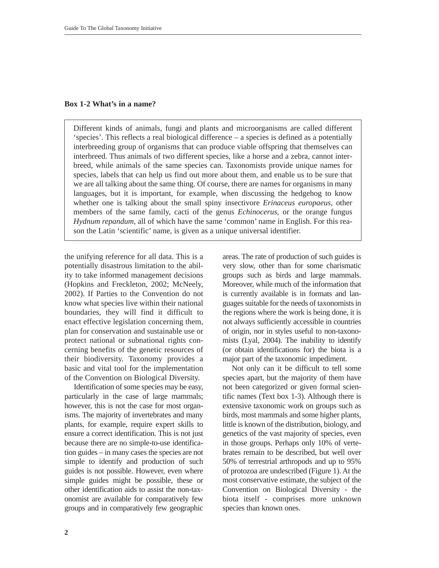#### **Box 1-2 What's in a name?**

Different kinds of animals, fungi and plants and microorganisms are called different 'species'. This reflects a real biological difference – a species is defined as a potentially interbreeding group of organisms that can produce viable offspring that themselves can interbreed. Thus animals of two different species, like a horse and a zebra, cannot interbreed, while animals of the same species can. Taxonomists provide unique names for species, labels that can help us find out more about them, and enable us to be sure that we are all talking about the same thing. Of course, there are names for organisms in many languages, but it is important, for example, when discussing the hedgehog to know whether one is talking about the small spiny insectivore *Erinaceus europaeus*, other members of the same family, cacti of the genus *Echinocerus*, or the orange fungus *Hydnum repandum*, all of which have the same 'common' name in English. For this reason the Latin 'scientific' name, is given as a unique universal identifier.

the unifying reference for all data. This is a potentially disastrous limitation to the ability to take informed management decisions (Hopkins and Freckleton, 2002; McNeely, 2002). If Parties to the Convention do not know what species live within their national boundaries, they will find it difficult to enact effective legislation concerning them, plan for conservation and sustainable use or protect national or subnational rights concerning benefits of the genetic resources of their biodiversity. Taxonomy provides a basic and vital tool for the implementation of the Convention on Biological Diversity.

Identification of some species may be easy, particularly in the case of large mammals; however, this is not the case for most organisms. The majority of invertebrates and many plants, for example, require expert skills to ensure a correct identification. This is not just because there are no simple-to-use identification guides – in many cases the species are not simple to identify and production of such guides is not possible. However, even where simple guides might be possible, these or other identification aids to assist the non-taxonomist are available for comparatively few groups and in comparatively few geographic

areas. The rate of production of such guides is very slow, other than for some charismatic groups such as birds and large mammals. Moreover, while much of the information that is currently available is in formats and languages suitable for the needs of taxonomists in the regions where the work is being done, it is not always sufficiently accessible in countries of origin, nor in styles useful to non-taxonomists (Lyal, 2004). The inability to identify (or obtain identifications for) the biota is a major part of the taxonomic impediment.

Not only can it be difficult to tell some species apart, but the majority of them have not been categorized or given formal scientific names (Text box 1-3). Although there is extensive taxonomic work on groups such as birds, most mammals and some higher plants, little is known of the distribution, biology, and genetics of the vast majority of species, even in those groups. Perhaps only 10% of vertebrates remain to be described, but well over 50% of terrestrial arthropods and up to 95% of protozoa are undescribed (Figure 1). At the most conservative estimate, the subject of the Convention on Biological Diversity - the biota itself - comprises more unknown species than known ones.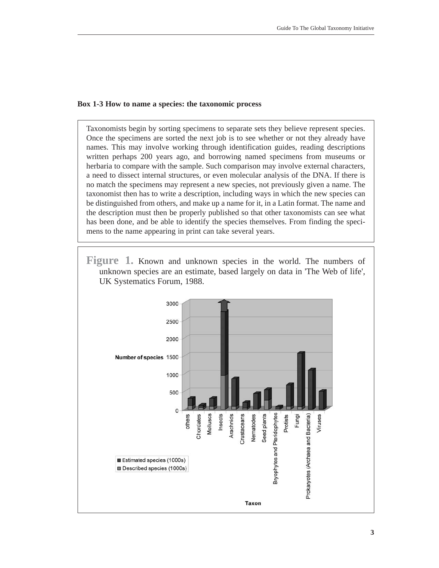#### **Box 1-3 How to name a species: the taxonomic process**

Taxonomists begin by sorting specimens to separate sets they believe represent species. Once the specimens are sorted the next job is to see whether or not they already have names. This may involve working through identification guides, reading descriptions written perhaps 200 years ago, and borrowing named specimens from museums or herbaria to compare with the sample. Such comparison may involve external characters, a need to dissect internal structures, or even molecular analysis of the DNA. If there is no match the specimens may represent a new species, not previously given a name. The taxonomist then has to write a description, including ways in which the new species can be distinguished from others, and make up a name for it, in a Latin format. The name and the description must then be properly published so that other taxonomists can see what has been done, and be able to identify the species themselves. From finding the specimens to the name appearing in print can take several years.

**Figure 1.** Known and unknown species in the world. The numbers of unknown species are an estimate, based largely on data in 'The Web of life', UK Systematics Forum, 1988.

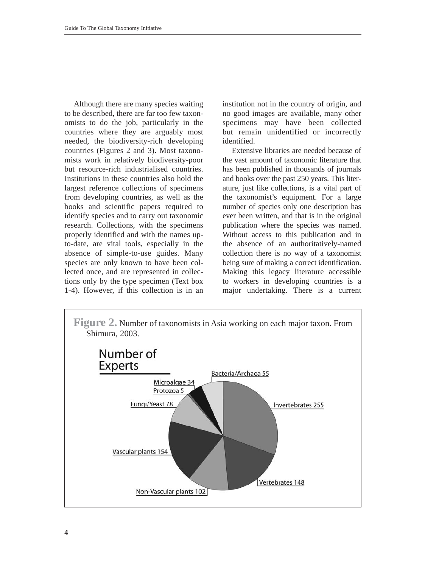Although there are many species waiting to be described, there are far too few taxonomists to do the job, particularly in the countries where they are arguably most needed, the biodiversity-rich developing countries (Figures 2 and 3). Most taxonomists work in relatively biodiversity-poor but resource-rich industrialised countries. Institutions in these countries also hold the largest reference collections of specimens from developing countries, as well as the books and scientific papers required to identify species and to carry out taxonomic research. Collections, with the specimens properly identified and with the names upto-date, are vital tools, especially in the absence of simple-to-use guides. Many species are only known to have been collected once, and are represented in collections only by the type specimen (Text box 1-4). However, if this collection is in an institution not in the country of origin, and no good images are available, many other specimens may have been collected but remain unidentified or incorrectly identified.

Extensive libraries are needed because of the vast amount of taxonomic literature that has been published in thousands of journals and books over the past 250 years. This literature, just like collections, is a vital part of the taxonomist's equipment. For a large number of species only one description has ever been written, and that is in the original publication where the species was named. Without access to this publication and in the absence of an authoritatively-named collection there is no way of a taxonomist being sure of making a correct identification. Making this legacy literature accessible to workers in developing countries is a major undertaking. There is a current

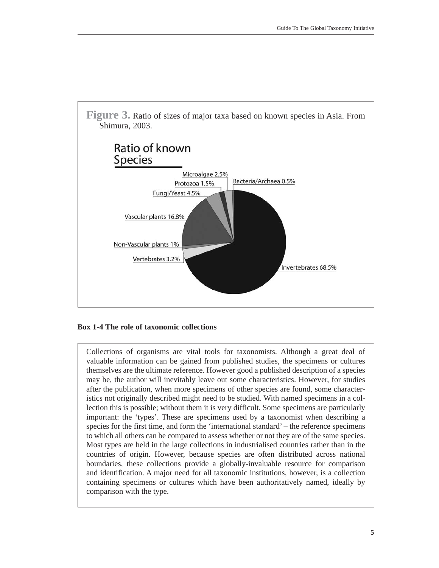

#### **Box 1-4 The role of taxonomic collections**

Collections of organisms are vital tools for taxonomists. Although a great deal of valuable information can be gained from published studies, the specimens or cultures themselves are the ultimate reference. However good a published description of a species may be, the author will inevitably leave out some characteristics. However, for studies after the publication, when more specimens of other species are found, some characteristics not originally described might need to be studied. With named specimens in a collection this is possible; without them it is very difficult. Some specimens are particularly important: the 'types'. These are specimens used by a taxonomist when describing a species for the first time, and form the 'international standard' – the reference specimens to which all others can be compared to assess whether or not they are of the same species. Most types are held in the large collections in industrialised countries rather than in the countries of origin. However, because species are often distributed across national boundaries, these collections provide a globally-invaluable resource for comparison and identification. A major need for all taxonomic institutions, however, is a collection containing specimens or cultures which have been authoritatively named, ideally by comparison with the type.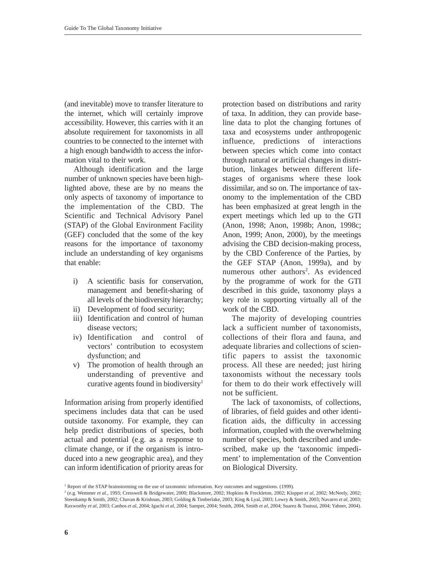(and inevitable) move to transfer literature to the internet, which will certainly improve accessibility. However, this carries with it an absolute requirement for taxonomists in all countries to be connected to the internet with a high enough bandwidth to access the information vital to their work.

Although identification and the large number of unknown species have been highlighted above, these are by no means the only aspects of taxonomy of importance to the implementation of the CBD. The Scientific and Technical Advisory Panel (STAP) of the Global Environment Facility (GEF) concluded that the some of the key reasons for the importance of taxonomy include an understanding of key organisms that enable:

- i) A scientific basis for conservation, management and benefit-sharing of all levels of the biodiversity hierarchy;
- ii) Development of food security;
- iii) Identification and control of human disease vectors;
- iv) Identification and control of vectors' contribution to ecosystem dysfunction; and
- v) The promotion of health through an understanding of preventive and curative agents found in biodiversity<sup>1</sup>

Information arising from properly identified specimens includes data that can be used outside taxonomy. For example, they can help predict distributions of species, both actual and potential (e.g. as a response to climate change, or if the organism is introduced into a new geographic area), and they can inform identification of priority areas for

protection based on distributions and rarity of taxa. In addition, they can provide baseline data to plot the changing fortunes of taxa and ecosystems under anthropogenic influence, predictions of interactions between species which come into contact through natural or artificial changes in distribution, linkages between different lifestages of organisms where these look dissimilar, and so on. The importance of taxonomy to the implementation of the CBD has been emphasized at great length in the expert meetings which led up to the GTI (Anon, 1998; Anon, 1998b; Anon, 1998c; Anon, 1999; Anon, 2000), by the meetings advising the CBD decision-making process, by the CBD Conference of the Parties, by the GEF STAP (Anon, 1999a), and by numerous other authors<sup>2</sup>. As evidenced by the programme of work for the GTI described in this guide, taxonomy plays a key role in supporting virtually all of the work of the CBD.

The majority of developing countries lack a sufficient number of taxonomists, collections of their flora and fauna, and adequate libraries and collections of scientific papers to assist the taxonomic process. All these are needed; just hiring taxonomists without the necessary tools for them to do their work effectively will not be sufficient.

The lack of taxonomists, of collections, of libraries, of field guides and other identification aids, the difficulty in accessing information, coupled with the overwhelming number of species, both described and undescribed, make up the 'taxonomic impediment' to implementation of the Convention on Biological Diversity.

<sup>&</sup>lt;sup>1</sup> Report of the STAP brainstorming on the use of taxonomic information. Key outcomes and suggestions. (1999).

<sup>2</sup> (e.g. Wemmer *et al*., 1993; Cresswell & Bridgewater, 2000; Blackmore, 2002; Hopkins & Freckleton, 2002; Klopper *et al*, 2002; McNeely, 2002; Steenkamp & Smith, 2002; Chavan & Krishnan, 2003; Golding & Timberlake, 2003; King & Lyal, 2003; Lowry & Smith, 2003; Navarro *et al*, 2003; Raxworthy *et al*, 2003; Canhos *et al*, 2004; Iguchi *et al*, 2004; Samper, 2004; Smith, 2004, Smith *et al*, 2004; Suarez & Tsutsui, 2004; Yahner, 2004).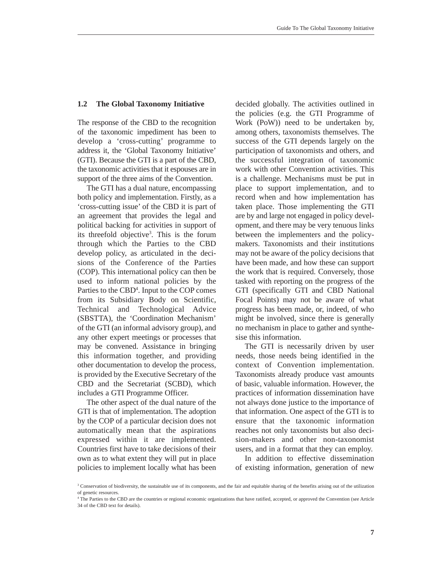#### **1.2 The Global Taxonomy Initiative**

The response of the CBD to the recognition of the taxonomic impediment has been to develop a 'cross-cutting' programme to address it, the 'Global Taxonomy Initiative' (GTI). Because the GTI is a part of the CBD, the taxonomic activities that it espouses are in support of the three aims of the Convention.

The GTI has a dual nature, encompassing both policy and implementation. Firstly, as a 'cross-cutting issue' of the CBD it is part of an agreement that provides the legal and political backing for activities in support of its threefold objective<sup>3</sup>. This is the forum through which the Parties to the CBD develop policy, as articulated in the decisions of the Conference of the Parties (COP). This international policy can then be used to inform national policies by the Parties to the CBD<sup>4</sup>. Input to the COP comes from its Subsidiary Body on Scientific, Technical and Technological Advice (SBSTTA), the 'Coordination Mechanism' of the GTI (an informal advisory group), and any other expert meetings or processes that may be convened. Assistance in bringing this information together, and providing other documentation to develop the process, is provided by the Executive Secretary of the CBD and the Secretariat (SCBD), which includes a GTI Programme Officer.

The other aspect of the dual nature of the GTI is that of implementation. The adoption by the COP of a particular decision does not automatically mean that the aspirations expressed within it are implemented. Countries first have to take decisions of their own as to what extent they will put in place policies to implement locally what has been decided globally. The activities outlined in the policies (e.g. the GTI Programme of Work (PoW)) need to be undertaken by, among others, taxonomists themselves. The success of the GTI depends largely on the participation of taxonomists and others, and the successful integration of taxonomic work with other Convention activities. This is a challenge. Mechanisms must be put in place to support implementation, and to record when and how implementation has taken place. Those implementing the GTI are by and large not engaged in policy development, and there may be very tenuous links between the implementers and the policymakers. Taxonomists and their institutions may not be aware of the policy decisions that have been made, and how these can support the work that is required. Conversely, those tasked with reporting on the progress of the GTI (specifically GTI and CBD National Focal Points) may not be aware of what progress has been made, or, indeed, of who might be involved, since there is generally no mechanism in place to gather and synthesise this information.

The GTI is necessarily driven by user needs, those needs being identified in the context of Convention implementation. Taxonomists already produce vast amounts of basic, valuable information. However, the practices of information dissemination have not always done justice to the importance of that information. One aspect of the GTI is to ensure that the taxonomic information reaches not only taxonomists but also decision-makers and other non-taxonomist users, and in a format that they can employ.

In addition to effective dissemination of existing information, generation of new

<sup>3</sup> Conservation of biodiversity, the sustainable use of its components, and the fair and equitable sharing of the benefits arising out of the utilization of genetic resources.

<sup>4</sup> The Parties to the CBD are the countries or regional economic organizations that have ratified, accepted, or approved the Convention (see Article 34 of the CBD text for details).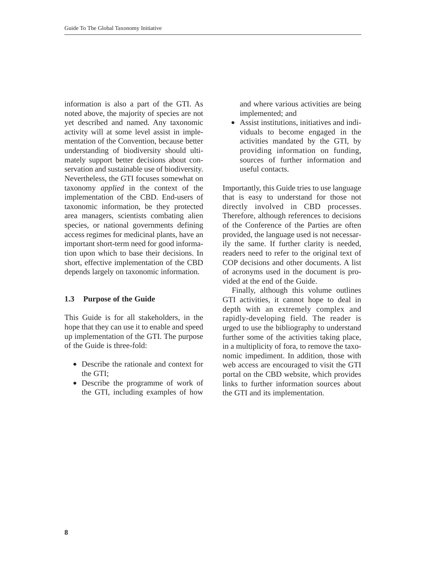information is also a part of the GTI. As noted above, the majority of species are not yet described and named. Any taxonomic activity will at some level assist in implementation of the Convention, because better understanding of biodiversity should ultimately support better decisions about conservation and sustainable use of biodiversity. Nevertheless, the GTI focuses somewhat on taxonomy *applied* in the context of the implementation of the CBD. End-users of taxonomic information, be they protected area managers, scientists combating alien species, or national governments defining access regimes for medicinal plants, have an important short-term need for good information upon which to base their decisions. In short, effective implementation of the CBD depends largely on taxonomic information.

# **1.3 Purpose of the Guide**

This Guide is for all stakeholders, in the hope that they can use it to enable and speed up implementation of the GTI. The purpose of the Guide is three-fold:

- Describe the rationale and context for the GTI;
- Describe the programme of work of the GTI, including examples of how

and where various activities are being implemented; and

• Assist institutions, initiatives and individuals to become engaged in the activities mandated by the GTI, by providing information on funding, sources of further information and useful contacts.

Importantly, this Guide tries to use language that is easy to understand for those not directly involved in CBD processes. Therefore, although references to decisions of the Conference of the Parties are often provided, the language used is not necessarily the same. If further clarity is needed, readers need to refer to the original text of COP decisions and other documents. A list of acronyms used in the document is provided at the end of the Guide.

Finally, although this volume outlines GTI activities, it cannot hope to deal in depth with an extremely complex and rapidly-developing field. The reader is urged to use the bibliography to understand further some of the activities taking place, in a multiplicity of fora, to remove the taxonomic impediment. In addition, those with web access are encouraged to visit the GTI portal on the CBD website, which provides links to further information sources about the GTI and its implementation.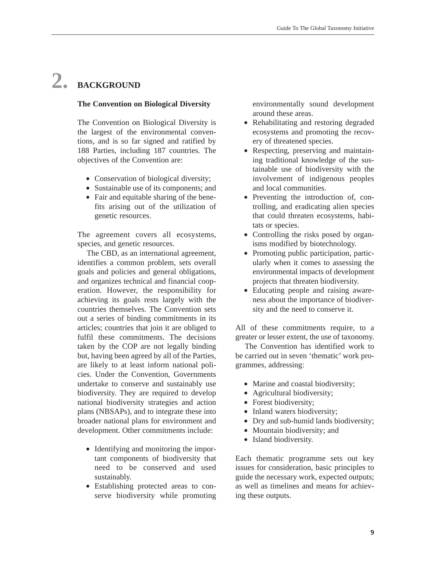# **2. BACKGROUND**

#### **The Convention on Biological Diversity**

The Convention on Biological Diversity is the largest of the environmental conventions, and is so far signed and ratified by 188 Parties, including 187 countries. The objectives of the Convention are:

- Conservation of biological diversity;
- Sustainable use of its components; and
- Fair and equitable sharing of the benefits arising out of the utilization of genetic resources.

The agreement covers all ecosystems, species, and genetic resources.

The CBD, as an international agreement, identifies a common problem, sets overall goals and policies and general obligations, and organizes technical and financial cooperation. However, the responsibility for achieving its goals rests largely with the countries themselves. The Convention sets out a series of binding commitments in its articles; countries that join it are obliged to fulfil these commitments. The decisions taken by the COP are not legally binding but, having been agreed by all of the Parties, are likely to at least inform national policies. Under the Convention, Governments undertake to conserve and sustainably use biodiversity. They are required to develop national biodiversity strategies and action plans (NBSAPs), and to integrate these into broader national plans for environment and development. Other commitments include:

- Identifying and monitoring the important components of biodiversity that need to be conserved and used sustainably.
- Establishing protected areas to conserve biodiversity while promoting

environmentally sound development around these areas.

- Rehabilitating and restoring degraded ecosystems and promoting the recovery of threatened species.
- Respecting, preserving and maintaining traditional knowledge of the sustainable use of biodiversity with the involvement of indigenous peoples and local communities.
- Preventing the introduction of, controlling, and eradicating alien species that could threaten ecosystems, habitats or species.
- Controlling the risks posed by organisms modified by biotechnology.
- Promoting public participation, particularly when it comes to assessing the environmental impacts of development projects that threaten biodiversity.
- Educating people and raising awareness about the importance of biodiversity and the need to conserve it.

All of these commitments require, to a greater or lesser extent, the use of taxonomy.

The Convention has identified work to be carried out in seven 'thematic' work programmes, addressing:

- Marine and coastal biodiversity;
- Agricultural biodiversity;
- Forest biodiversity;
- Inland waters biodiversity;
- Dry and sub-humid lands biodiversity;
- Mountain biodiversity; and
- Island biodiversity.

Each thematic programme sets out key issues for consideration, basic principles to guide the necessary work, expected outputs; as well as timelines and means for achieving these outputs.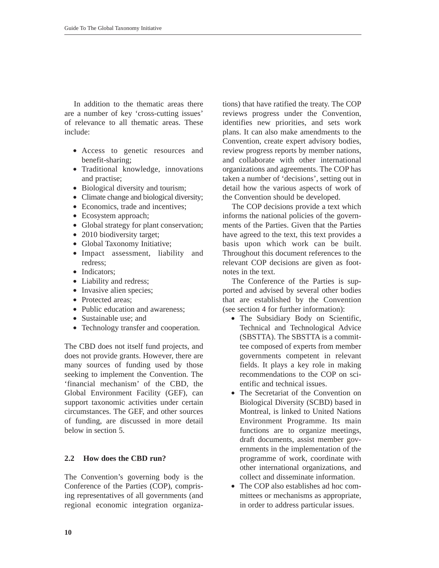In addition to the thematic areas there are a number of key 'cross-cutting issues' of relevance to all thematic areas. These include:

- Access to genetic resources and benefit-sharing;
- Traditional knowledge, innovations and practise;
- Biological diversity and tourism;
- Climate change and biological diversity;
- Economics, trade and incentives;
- Ecosystem approach;
- Global strategy for plant conservation;
- 2010 biodiversity target;
- Global Taxonomy Initiative;
- Impact assessment, liability and redress;
- Indicators:
- Liability and redress;
- Invasive alien species;
- Protected areas:
- Public education and awareness:
- Sustainable use: and
- Technology transfer and cooperation.

The CBD does not itself fund projects, and does not provide grants. However, there are many sources of funding used by those seeking to implement the Convention. The 'financial mechanism' of the CBD, the Global Environment Facility (GEF), can support taxonomic activities under certain circumstances. The GEF, and other sources of funding, are discussed in more detail below in section 5.

# **2.2 How does the CBD run?**

The Convention's governing body is the Conference of the Parties (COP), comprising representatives of all governments (and regional economic integration organiza-

tions) that have ratified the treaty. The COP reviews progress under the Convention, identifies new priorities, and sets work plans. It can also make amendments to the Convention, create expert advisory bodies, review progress reports by member nations, and collaborate with other international organizations and agreements. The COP has taken a number of 'decisions', setting out in detail how the various aspects of work of the Convention should be developed.

The COP decisions provide a text which informs the national policies of the governments of the Parties. Given that the Parties have agreed to the text, this text provides a basis upon which work can be built. Throughout this document references to the relevant COP decisions are given as footnotes in the text.

The Conference of the Parties is supported and advised by several other bodies that are established by the Convention (see section 4 for further information):

- The Subsidiary Body on Scientific, Technical and Technological Advice (SBSTTA). The SBSTTA is a committee composed of experts from member governments competent in relevant fields. It plays a key role in making recommendations to the COP on scientific and technical issues.
- The Secretariat of the Convention on Biological Diversity (SCBD) based in Montreal, is linked to United Nations Environment Programme. Its main functions are to organize meetings, draft documents, assist member governments in the implementation of the programme of work, coordinate with other international organizations, and collect and disseminate information.
- The COP also establishes ad hoc committees or mechanisms as appropriate, in order to address particular issues.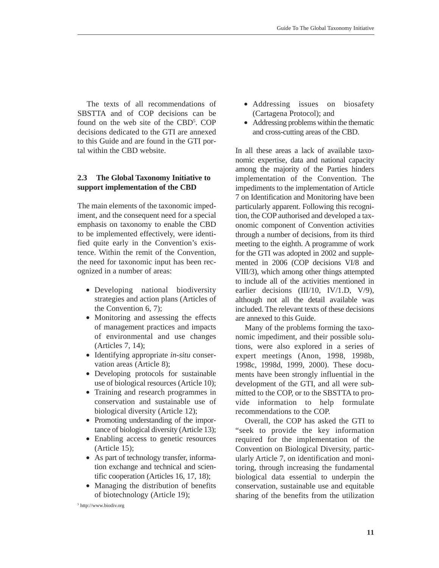The texts of all recommendations of SBSTTA and of COP decisions can be found on the web site of the CBD<sup>5</sup>. COP decisions dedicated to the GTI are annexed to this Guide and are found in the GTI portal within the CBD website.

# **2.3 The Global Taxonomy Initiative to support implementation of the CBD**

The main elements of the taxonomic impediment, and the consequent need for a special emphasis on taxonomy to enable the CBD to be implemented effectively, were identified quite early in the Convention's existence. Within the remit of the Convention, the need for taxonomic input has been recognized in a number of areas:

- Developing national biodiversity strategies and action plans (Articles of the Convention 6, 7);
- Monitoring and assessing the effects of management practices and impacts of environmental and use changes (Articles 7, 14);
- Identifying appropriate *in-situ* conservation areas (Article 8);
- Developing protocols for sustainable use of biological resources (Article 10);
- Training and research programmes in conservation and sustainable use of biological diversity (Article 12);
- Promoting understanding of the importance of biological diversity (Article 13);
- Enabling access to genetic resources (Article 15);
- As part of technology transfer, information exchange and technical and scientific cooperation (Articles 16, 17, 18);
- Managing the distribution of benefits of biotechnology (Article 19);
- Addressing issues on biosafety (Cartagena Protocol); and
- Addressing problems within the thematic and cross-cutting areas of the CBD.

In all these areas a lack of available taxonomic expertise, data and national capacity among the majority of the Parties hinders implementation of the Convention. The impediments to the implementation of Article 7 on Identification and Monitoring have been particularly apparent. Following this recognition, the COP authorised and developed a taxonomic component of Convention activities through a number of decisions, from its third meeting to the eighth. A programme of work for the GTI was adopted in 2002 and supplemented in 2006 (COP decisions VI/8 and VIII/3), which among other things attempted to include all of the activities mentioned in earlier decisions (III/10, IV/1.D, V/9), although not all the detail available was included. The relevant texts of these decisions are annexed to this Guide.

Many of the problems forming the taxonomic impediment, and their possible solutions, were also explored in a series of expert meetings (Anon, 1998, 1998b, 1998c, 1998d, 1999, 2000). These documents have been strongly influential in the development of the GTI, and all were submitted to the COP, or to the SBSTTA to provide information to help formulate recommendations to the COP.

Overall, the COP has asked the GTI to "seek to provide the key information required for the implementation of the Convention on Biological Diversity, particularly Article 7, on identification and monitoring, through increasing the fundamental biological data essential to underpin the conservation, sustainable use and equitable sharing of the benefits from the utilization

<sup>5</sup> http://www.biodiv.org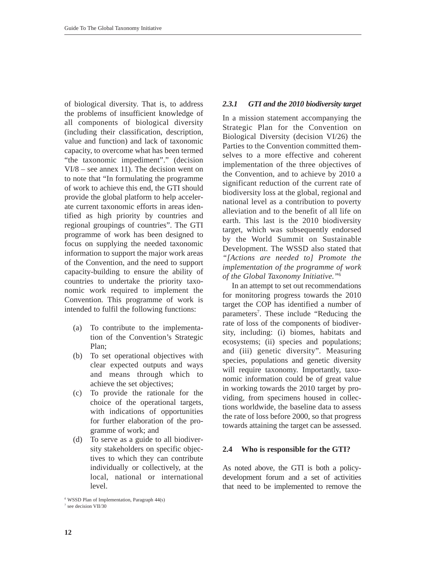of biological diversity. That is, to address the problems of insufficient knowledge of all components of biological diversity (including their classification, description, value and function) and lack of taxonomic capacity, to overcome what has been termed "the taxonomic impediment"." (decision VI/8 – see annex 11). The decision went on to note that "In formulating the programme of work to achieve this end, the GTI should provide the global platform to help accelerate current taxonomic efforts in areas identified as high priority by countries and regional groupings of countries". The GTI programme of work has been designed to focus on supplying the needed taxonomic information to support the major work areas of the Convention, and the need to support capacity-building to ensure the ability of countries to undertake the priority taxonomic work required to implement the Convention. This programme of work is intended to fulfil the following functions:

- (a) To contribute to the implementation of the Convention's Strategic Plan;
- (b) To set operational objectives with clear expected outputs and ways and means through which to achieve the set objectives;
- (c) To provide the rationale for the choice of the operational targets, with indications of opportunities for further elaboration of the programme of work; and
- (d) To serve as a guide to all biodiversity stakeholders on specific objectives to which they can contribute individually or collectively, at the local, national or international level.

*<sup>6</sup>* WSSD Plan of Implementation, Paragraph 44(s)

#### <sup>7</sup> see decision VII/30

# *2.3.1 GTI and the 2010 biodiversity target*

In a mission statement accompanying the Strategic Plan for the Convention on Biological Diversity (decision VI/26) the Parties to the Convention committed themselves to a more effective and coherent implementation of the three objectives of the Convention, and to achieve by 2010 a significant reduction of the current rate of biodiversity loss at the global, regional and national level as a contribution to poverty alleviation and to the benefit of all life on earth. This last is the 2010 biodiversity target, which was subsequently endorsed by the World Summit on Sustainable Development. The WSSD also stated that *"[Actions are needed to] Promote the implementation of the programme of work of the Global Taxonomy Initiative."*<sup>6</sup>

In an attempt to set out recommendations for monitoring progress towards the 2010 target the COP has identified a number of parameters<sup>7</sup>. These include "Reducing the rate of loss of the components of biodiversity, including: (i) biomes, habitats and ecosystems; (ii) species and populations; and (iii) genetic diversity". Measuring species, populations and genetic diversity will require taxonomy. Importantly, taxonomic information could be of great value in working towards the 2010 target by providing, from specimens housed in collections worldwide, the baseline data to assess the rate of loss before 2000, so that progress towards attaining the target can be assessed.

# **2.4 Who is responsible for the GTI?**

As noted above, the GTI is both a policydevelopment forum and a set of activities that need to be implemented to remove the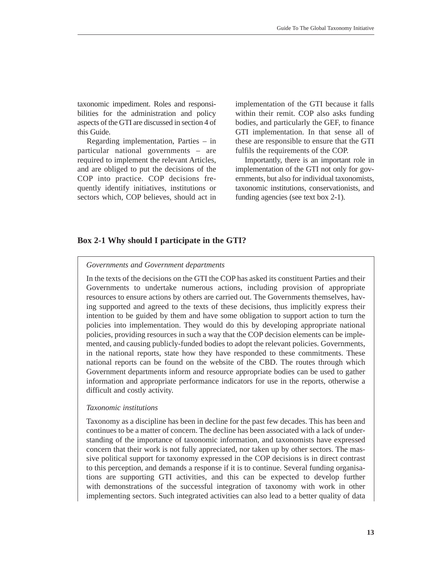taxonomic impediment. Roles and responsibilities for the administration and policy aspects of the GTI are discussed in section 4 of this Guide.

Regarding implementation, Parties – in particular national governments – are required to implement the relevant Articles, and are obliged to put the decisions of the COP into practice. COP decisions frequently identify initiatives, institutions or sectors which, COP believes, should act in implementation of the GTI because it falls within their remit. COP also asks funding bodies, and particularly the GEF, to finance GTI implementation. In that sense all of these are responsible to ensure that the GTI fulfils the requirements of the COP.

Importantly, there is an important role in implementation of the GTI not only for governments, but also for individual taxonomists, taxonomic institutions, conservationists, and funding agencies (see text box 2-1).

# **Box 2-1 Why should I participate in the GTI?**

#### *Governments and Government departments*

In the texts of the decisions on the GTI the COP has asked its constituent Parties and their Governments to undertake numerous actions, including provision of appropriate resources to ensure actions by others are carried out. The Governments themselves, having supported and agreed to the texts of these decisions, thus implicitly express their intention to be guided by them and have some obligation to support action to turn the policies into implementation. They would do this by developing appropriate national policies, providing resources in such a way that the COP decision elements can be implemented, and causing publicly-funded bodies to adopt the relevant policies. Governments, in the national reports, state how they have responded to these commitments. These national reports can be found on the website of the CBD. The routes through which Government departments inform and resource appropriate bodies can be used to gather information and appropriate performance indicators for use in the reports, otherwise a difficult and costly activity.

#### *Taxonomic institutions*

Taxonomy as a discipline has been in decline for the past few decades. This has been and continues to be a matter of concern. The decline has been associated with a lack of understanding of the importance of taxonomic information, and taxonomists have expressed concern that their work is not fully appreciated, nor taken up by other sectors. The massive political support for taxonomy expressed in the COP decisions is in direct contrast to this perception, and demands a response if it is to continue. Several funding organisations are supporting GTI activities, and this can be expected to develop further with demonstrations of the successful integration of taxonomy with work in other implementing sectors. Such integrated activities can also lead to a better quality of data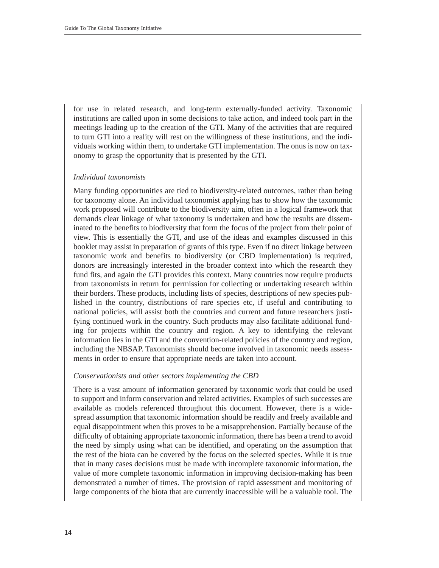for use in related research, and long-term externally-funded activity. Taxonomic institutions are called upon in some decisions to take action, and indeed took part in the meetings leading up to the creation of the GTI. Many of the activities that are required to turn GTI into a reality will rest on the willingness of these institutions, and the individuals working within them, to undertake GTI implementation. The onus is now on taxonomy to grasp the opportunity that is presented by the GTI.

#### *Individual taxonomists*

Many funding opportunities are tied to biodiversity-related outcomes, rather than being for taxonomy alone. An individual taxonomist applying has to show how the taxonomic work proposed will contribute to the biodiversity aim, often in a logical framework that demands clear linkage of what taxonomy is undertaken and how the results are disseminated to the benefits to biodiversity that form the focus of the project from their point of view. This is essentially the GTI, and use of the ideas and examples discussed in this booklet may assist in preparation of grants of this type. Even if no direct linkage between taxonomic work and benefits to biodiversity (or CBD implementation) is required, donors are increasingly interested in the broader context into which the research they fund fits, and again the GTI provides this context. Many countries now require products from taxonomists in return for permission for collecting or undertaking research within their borders. These products, including lists of species, descriptions of new species published in the country, distributions of rare species etc, if useful and contributing to national policies, will assist both the countries and current and future researchers justifying continued work in the country. Such products may also facilitate additional funding for projects within the country and region. A key to identifying the relevant information lies in the GTI and the convention-related policies of the country and region, including the NBSAP. Taxonomists should become involved in taxonomic needs assessments in order to ensure that appropriate needs are taken into account.

#### *Conservationists and other sectors implementing the CBD*

There is a vast amount of information generated by taxonomic work that could be used to support and inform conservation and related activities. Examples of such successes are available as models referenced throughout this document. However, there is a widespread assumption that taxonomic information should be readily and freely available and equal disappointment when this proves to be a misapprehension. Partially because of the difficulty of obtaining appropriate taxonomic information, there has been a trend to avoid the need by simply using what can be identified, and operating on the assumption that the rest of the biota can be covered by the focus on the selected species. While it is true that in many cases decisions must be made with incomplete taxonomic information, the value of more complete taxonomic information in improving decision-making has been demonstrated a number of times. The provision of rapid assessment and monitoring of large components of the biota that are currently inaccessible will be a valuable tool. The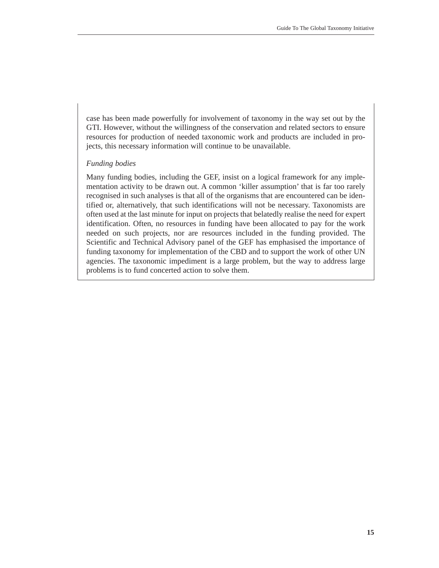case has been made powerfully for involvement of taxonomy in the way set out by the GTI. However, without the willingness of the conservation and related sectors to ensure resources for production of needed taxonomic work and products are included in projects, this necessary information will continue to be unavailable.

#### *Funding bodies*

Many funding bodies, including the GEF, insist on a logical framework for any implementation activity to be drawn out. A common 'killer assumption' that is far too rarely recognised in such analyses is that all of the organisms that are encountered can be identified or, alternatively, that such identifications will not be necessary. Taxonomists are often used at the last minute for input on projects that belatedly realise the need for expert identification. Often, no resources in funding have been allocated to pay for the work needed on such projects, nor are resources included in the funding provided. The Scientific and Technical Advisory panel of the GEF has emphasised the importance of funding taxonomy for implementation of the CBD and to support the work of other UN agencies. The taxonomic impediment is a large problem, but the way to address large problems is to fund concerted action to solve them.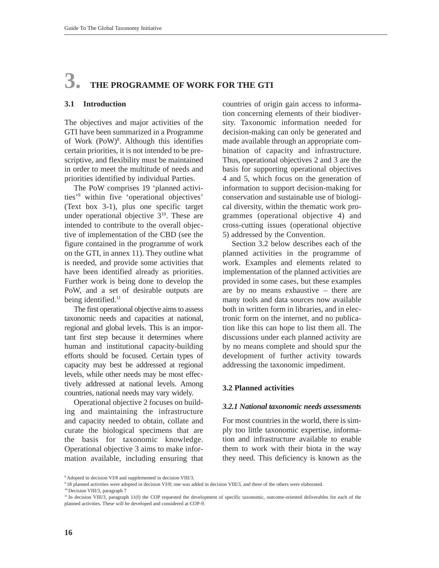# **3. THE PROGRAMME OF WORK FOR THE GTI**

#### **3.1 Introduction**

The objectives and major activities of the GTI have been summarized in a Programme of Work (PoW)<sup>8</sup>. Although this identifies certain priorities, it is not intended to be prescriptive, and flexibility must be maintained in order to meet the multitude of needs and priorities identified by individual Parties.

The PoW comprises 19 'planned activities'9 within five 'operational objectives' (Text box 3-1), plus one specific target under operational objective  $3^{10}$ . These are intended to contribute to the overall objective of implementation of the CBD (see the figure contained in the programme of work on the GTI, in annex 11). They outline what is needed, and provide some activities that have been identified already as priorities. Further work is being done to develop the PoW, and a set of desirable outputs are being identified.<sup>11</sup>

The first operational objective aims to assess taxonomic needs and capacities at national, regional and global levels. This is an important first step because it determines where human and institutional capacity-building efforts should be focused. Certain types of capacity may best be addressed at regional levels, while other needs may be most effectively addressed at national levels. Among countries, national needs may vary widely.

Operational objective 2 focuses on building and maintaining the infrastructure and capacity needed to obtain, collate and curate the biological specimens that are the basis for taxonomic knowledge. Operational objective 3 aims to make information available, including ensuring that countries of origin gain access to information concerning elements of their biodiversity. Taxonomic information needed for decision-making can only be generated and made available through an appropriate combination of capacity and infrastructure. Thus, operational objectives 2 and 3 are the basis for supporting operational objectives 4 and 5, which focus on the generation of information to support decision-making for conservation and sustainable use of biological diversity, within the thematic work programmes (operational objective 4) and cross-cutting issues (operational objective 5) addressed by the Convention.

Section 3.2 below describes each of the planned activities in the programme of work. Examples and elements related to implementation of the planned activities are provided in some cases, but these examples are by no means exhaustive – there are many tools and data sources now available both in written form in libraries, and in electronic form on the internet, and no publication like this can hope to list them all. The discussions under each planned activity are by no means complete and should spur the development of further activity towards addressing the taxonomic impediment.

#### **3.2 Planned activities**

#### *3.2.1 National taxonomic needs assessments*

For most countries in the world, there is simply too little taxonomic expertise, information and infrastructure available to enable them to work with their biota in the way they need. This deficiency is known as the

<sup>8</sup> Adopted in decision VI/8 and supplemented in decision VIII/3.

<sup>9 18</sup> planned activities were adopted in decision VI/8; one was added in decision VIII/3, and three of the others were elaborated.

<sup>10</sup> Decision VIII/3, paragraph 7

<sup>&</sup>lt;sup>11</sup> In decision VIII/3, paragraph 11(f) the COP requested the development of specific taxonomic, outcome-oriented deliverables for each of the planned activities. These will be developed and considered at COP-9.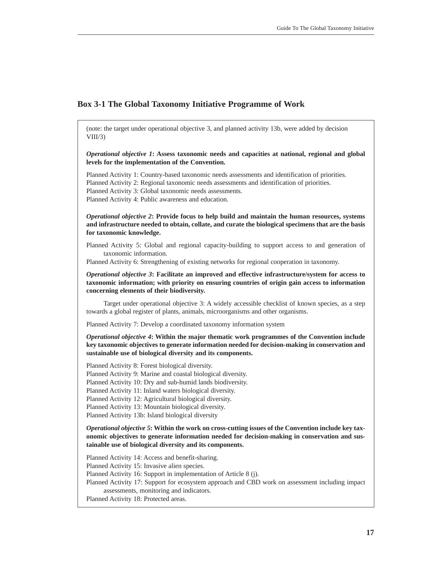#### **Box 3-1 The Global Taxonomy Initiative Programme of Work**

(note: the target under operational objective 3, and planned activity 13b, were added by decision  $VIII/3$ 

*Operational objective 1***: Assess taxonomic needs and capacities at national, regional and global levels for the implementation of the Convention.**

Planned Activity 1: Country-based taxonomic needs assessments and identification of priorities. Planned Activity 2: Regional taxonomic needs assessments and identification of priorities. Planned Activity 3: Global taxonomic needs assessments. Planned Activity 4: Public awareness and education.

*Operational objective 2***: Provide focus to help build and maintain the human resources, systems and infrastructure needed to obtain, collate, and curate the biological specimens that are the basis for taxonomic knowledge.**

Planned Activity 5: Global and regional capacity-building to support access to and generation of taxonomic information.

Planned Activity 6: Strengthening of existing networks for regional cooperation in taxonomy.

*Operational objective 3***: Facilitate an improved and effective infrastructure/system for access to taxonomic information; with priority on ensuring countries of origin gain access to information concerning elements of their biodiversity.**

Target under operational objective 3: A widely accessible checklist of known species, as a step towards a global register of plants, animals, microorganisms and other organisms.

Planned Activity 7: Develop a coordinated taxonomy information system

*Operational objective 4***: Within the major thematic work programmes of the Convention include key taxonomic objectives to generate information needed for decision-making in conservation and sustainable use of biological diversity and its components.** 

Planned Activity 8: Forest biological diversity.

Planned Activity 9: Marine and coastal biological diversity.

Planned Activity 10: Dry and sub-humid lands biodiversity.

Planned Activity 11: Inland waters biological diversity.

Planned Activity 12: Agricultural biological diversity.

Planned Activity 13: Mountain biological diversity.

Planned Activity 13b: Island biological diversity

*Operational objective 5***: Within the work on cross-cutting issues of the Convention include key taxonomic objectives to generate information needed for decision-making in conservation and sustainable use of biological diversity and its components.**

Planned Activity 14: Access and benefit-sharing. Planned Activity 15: Invasive alien species. Planned Activity 16: Support in implementation of Article 8 (j). Planned Activity 17: Support for ecosystem approach and CBD work on assessment including impact assessments, monitoring and indicators. Planned Activity 18: Protected areas.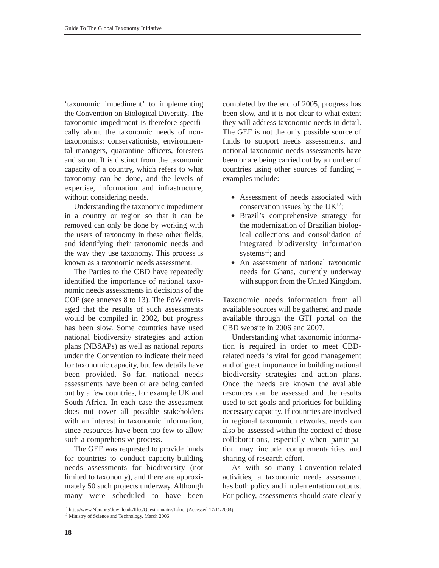'taxonomic impediment' to implementing the Convention on Biological Diversity. The taxonomic impediment is therefore specifically about the taxonomic needs of nontaxonomists: conservationists, environmental managers, quarantine officers, foresters and so on. It is distinct from the taxonomic capacity of a country, which refers to what taxonomy can be done, and the levels of expertise, information and infrastructure, without considering needs.

Understanding the taxonomic impediment in a country or region so that it can be removed can only be done by working with the users of taxonomy in these other fields, and identifying their taxonomic needs and the way they use taxonomy. This process is known as a taxonomic needs assessment.

The Parties to the CBD have repeatedly identified the importance of national taxonomic needs assessments in decisions of the COP (see annexes 8 to 13). The PoW envisaged that the results of such assessments would be compiled in 2002, but progress has been slow. Some countries have used national biodiversity strategies and action plans (NBSAPs) as well as national reports under the Convention to indicate their need for taxonomic capacity, but few details have been provided. So far, national needs assessments have been or are being carried out by a few countries, for example UK and South Africa. In each case the assessment does not cover all possible stakeholders with an interest in taxonomic information. since resources have been too few to allow such a comprehensive process.

The GEF was requested to provide funds for countries to conduct capacity-building needs assessments for biodiversity (not limited to taxonomy), and there are approximately 50 such projects underway. Although many were scheduled to have been

completed by the end of 2005, progress has been slow, and it is not clear to what extent they will address taxonomic needs in detail. The GEF is not the only possible source of funds to support needs assessments, and national taxonomic needs assessments have been or are being carried out by a number of countries using other sources of funding – examples include:

- Assessment of needs associated with conservation issues by the  $UK^{12}$ ;
- Brazil's comprehensive strategy for the modernization of Brazilian biological collections and consolidation of integrated biodiversity information systems $^{13}$ ; and
- An assessment of national taxonomic needs for Ghana, currently underway with support from the United Kingdom.

Taxonomic needs information from all available sources will be gathered and made available through the GTI portal on the CBD website in 2006 and 2007.

Understanding what taxonomic information is required in order to meet CBDrelated needs is vital for good management and of great importance in building national biodiversity strategies and action plans. Once the needs are known the available resources can be assessed and the results used to set goals and priorities for building necessary capacity. If countries are involved in regional taxonomic networks, needs can also be assessed within the context of those collaborations, especially when participation may include complementarities and sharing of research effort.

As with so many Convention-related activities, a taxonomic needs assessment has both policy and implementation outputs. For policy, assessments should state clearly

<sup>12</sup> http://www.Nbn.org/downloads/files/Questionnaire.1.doc (Accessed 17/11/2004)

<sup>13</sup> Ministry of Science and Technology, March 2006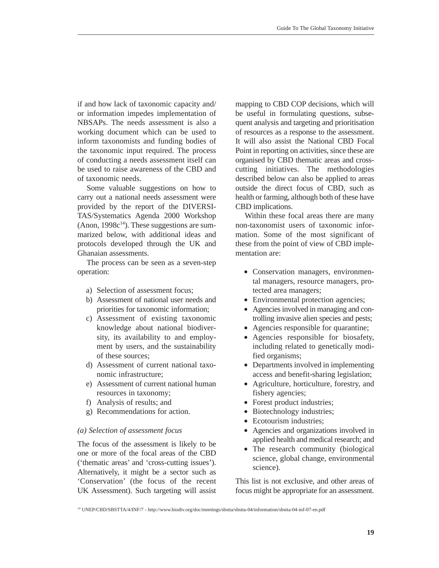if and how lack of taxonomic capacity and/ or information impedes implementation of NBSAPs. The needs assessment is also a working document which can be used to inform taxonomists and funding bodies of the taxonomic input required. The process of conducting a needs assessment itself can be used to raise awareness of the CBD and of taxonomic needs.

Some valuable suggestions on how to carry out a national needs assessment were provided by the report of the DIVERSI-TAS/Systematics Agenda 2000 Workshop  $($ Anon, 1998 $c<sup>14</sup>$ ). These suggestions are summarized below, with additional ideas and protocols developed through the UK and Ghanaian assessments.

The process can be seen as a seven-step operation:

- a) Selection of assessment focus;
- b) Assessment of national user needs and priorities for taxonomic information;
- c) Assessment of existing taxonomic knowledge about national biodiversity, its availability to and employment by users, and the sustainability of these sources;
- d) Assessment of current national taxonomic infrastructure;
- e) Assessment of current national human resources in taxonomy;
- f) Analysis of results; and
- g) Recommendations for action.

#### *(a) Selection of assessment focus*

The focus of the assessment is likely to be one or more of the focal areas of the CBD ('thematic areas' and 'cross-cutting issues'). Alternatively, it might be a sector such as 'Conservation' (the focus of the recent UK Assessment). Such targeting will assist

mapping to CBD COP decisions, which will be useful in formulating questions, subsequent analysis and targeting and prioritisation of resources as a response to the assessment. It will also assist the National CBD Focal Point in reporting on activities, since these are organised by CBD thematic areas and crosscutting initiatives. The methodologies described below can also be applied to areas outside the direct focus of CBD, such as health or farming, although both of these have CBD implications.

Within these focal areas there are many non-taxonomist users of taxonomic information. Some of the most significant of these from the point of view of CBD implementation are:

- Conservation managers, environmental managers, resource managers, protected area managers;
- Environmental protection agencies;
- Agencies involved in managing and controlling invasive alien species and pests;
- Agencies responsible for quarantine;
- Agencies responsible for biosafety, including related to genetically modified organisms;
- Departments involved in implementing access and benefit-sharing legislation;
- Agriculture, horticulture, forestry, and fishery agencies;
- Forest product industries;
- Biotechnology industries;
- Ecotourism industries:
- Agencies and organizations involved in applied health and medical research; and
- The research community (biological science, global change, environmental science).

This list is not exclusive, and other areas of focus might be appropriate for an assessment.

<sup>14</sup> UNEP/CBD/SBSTTA/4/INF/7 - http://www.biodiv.org/doc/meetings/sbstta/sbstta-04/information/sbstta-04-inf-07-en.pdf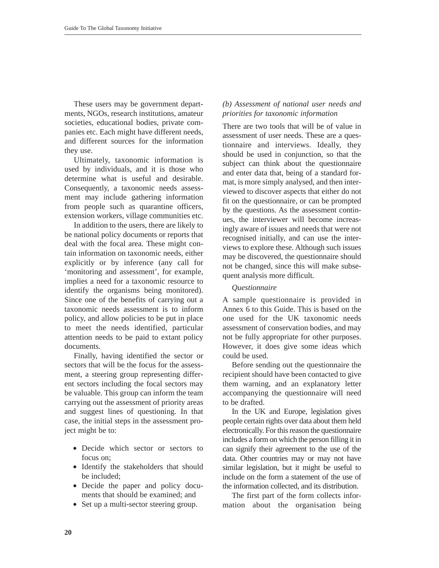These users may be government departments, NGOs, research institutions, amateur societies, educational bodies, private companies etc. Each might have different needs, and different sources for the information they use.

Ultimately, taxonomic information is used by individuals, and it is those who determine what is useful and desirable. Consequently, a taxonomic needs assessment may include gathering information from people such as quarantine officers, extension workers, village communities etc.

In addition to the users, there are likely to be national policy documents or reports that deal with the focal area. These might contain information on taxonomic needs, either explicitly or by inference (any call for 'monitoring and assessment', for example, implies a need for a taxonomic resource to identify the organisms being monitored). Since one of the benefits of carrying out a taxonomic needs assessment is to inform policy, and allow policies to be put in place to meet the needs identified, particular attention needs to be paid to extant policy documents.

Finally, having identified the sector or sectors that will be the focus for the assessment, a steering group representing different sectors including the focal sectors may be valuable. This group can inform the team carrying out the assessment of priority areas and suggest lines of questioning. In that case, the initial steps in the assessment project might be to:

- Decide which sector or sectors to focus on;
- Identify the stakeholders that should be included;
- Decide the paper and policy documents that should be examined; and
- Set up a multi-sector steering group.

### *(b) Assessment of national user needs and priorities for taxonomic information*

There are two tools that will be of value in assessment of user needs. These are a questionnaire and interviews. Ideally, they should be used in conjunction, so that the subject can think about the questionnaire and enter data that, being of a standard format, is more simply analysed, and then interviewed to discover aspects that either do not fit on the questionnaire, or can be prompted by the questions. As the assessment continues, the interviewer will become increasingly aware of issues and needs that were not recognised initially, and can use the interviews to explore these. Although such issues may be discovered, the questionnaire should not be changed, since this will make subsequent analysis more difficult.

### *Questionnaire*

A sample questionnaire is provided in Annex 6 to this Guide. This is based on the one used for the UK taxonomic needs assessment of conservation bodies, and may not be fully appropriate for other purposes. However, it does give some ideas which could be used.

Before sending out the questionnaire the recipient should have been contacted to give them warning, and an explanatory letter accompanying the questionnaire will need to be drafted.

In the UK and Europe, legislation gives people certain rights over data about them held electronically. For this reason the questionnaire includes a form on which the person filling it in can signify their agreement to the use of the data. Other countries may or may not have similar legislation, but it might be useful to include on the form a statement of the use of the information collected, and its distribution.

The first part of the form collects information about the organisation being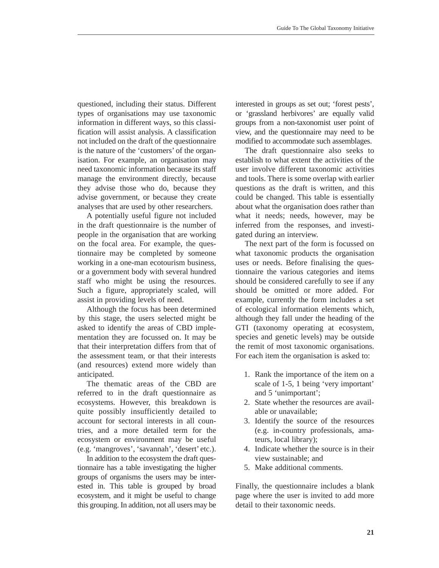questioned, including their status. Different types of organisations may use taxonomic information in different ways, so this classification will assist analysis. A classification not included on the draft of the questionnaire is the nature of the 'customers' of the organisation. For example, an organisation may need taxonomic information because its staff manage the environment directly, because they advise those who do, because they advise government, or because they create analyses that are used by other researchers.

A potentially useful figure not included in the draft questionnaire is the number of people in the organisation that are working on the focal area. For example, the questionnaire may be completed by someone working in a one-man ecotourism business, or a government body with several hundred staff who might be using the resources. Such a figure, appropriately scaled, will assist in providing levels of need.

Although the focus has been determined by this stage, the users selected might be asked to identify the areas of CBD implementation they are focussed on. It may be that their interpretation differs from that of the assessment team, or that their interests (and resources) extend more widely than anticipated.

The thematic areas of the CBD are referred to in the draft questionnaire as ecosystems. However, this breakdown is quite possibly insufficiently detailed to account for sectoral interests in all countries, and a more detailed term for the ecosystem or environment may be useful (e.g. 'mangroves', 'savannah', 'desert' etc.).

In addition to the ecosystem the draft questionnaire has a table investigating the higher groups of organisms the users may be interested in. This table is grouped by broad ecosystem, and it might be useful to change this grouping. In addition, not all users may be interested in groups as set out; 'forest pests', or 'grassland herbivores' are equally valid groups from a non-taxonomist user point of view, and the questionnaire may need to be modified to accommodate such assemblages.

The draft questionnaire also seeks to establish to what extent the activities of the user involve different taxonomic activities and tools. There is some overlap with earlier questions as the draft is written, and this could be changed. This table is essentially about what the organisation does rather than what it needs; needs, however, may be inferred from the responses, and investigated during an interview.

The next part of the form is focussed on what taxonomic products the organisation uses or needs. Before finalising the questionnaire the various categories and items should be considered carefully to see if any should be omitted or more added. For example, currently the form includes a set of ecological information elements which, although they fall under the heading of the GTI (taxonomy operating at ecosystem, species and genetic levels) may be outside the remit of most taxonomic organisations. For each item the organisation is asked to:

- 1. Rank the importance of the item on a scale of 1-5, 1 being 'very important' and 5 'unimportant';
- 2. State whether the resources are available or unavailable;
- 3. Identify the source of the resources (e.g. in-country professionals, amateurs, local library);
- 4. Indicate whether the source is in their view sustainable; and
- 5. Make additional comments.

Finally, the questionnaire includes a blank page where the user is invited to add more detail to their taxonomic needs.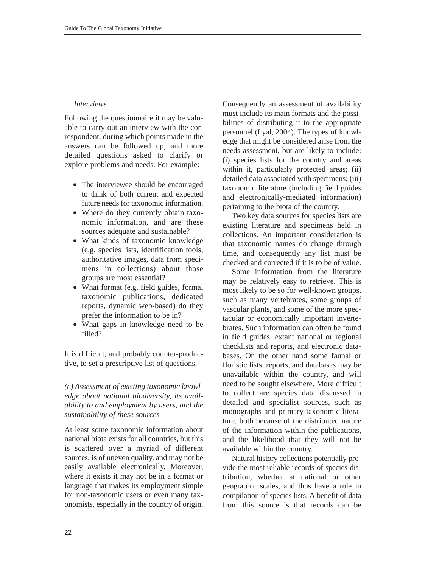#### *Interviews*

Following the questionnaire it may be valuable to carry out an interview with the correspondent, during which points made in the answers can be followed up, and more detailed questions asked to clarify or explore problems and needs. For example:

- The interviewee should be encouraged to think of both current and expected future needs for taxonomic information.
- Where do they currently obtain taxonomic information, and are these sources adequate and sustainable?
- What kinds of taxonomic knowledge (e.g. species lists, identification tools, authoritative images, data from specimens in collections) about those groups are most essential?
- What format (e.g. field guides, formal taxonomic publications, dedicated reports, dynamic web-based) do they prefer the information to be in?
- What gaps in knowledge need to be filled?

It is difficult, and probably counter-productive, to set a prescriptive list of questions.

# *(c) Assessment of existing taxonomic knowledge about national biodiversity, its availability to and employment by users, and the sustainability of these sources*

At least some taxonomic information about national biota exists for all countries, but this is scattered over a myriad of different sources, is of uneven quality, and may not be easily available electronically. Moreover, where it exists it may not be in a format or language that makes its employment simple for non-taxonomic users or even many taxonomists, especially in the country of origin. Consequently an assessment of availability must include its main formats and the possibilities of distributing it to the appropriate personnel (Lyal, 2004). The types of knowledge that might be considered arise from the needs assessment, but are likely to include: (i) species lists for the country and areas within it, particularly protected areas; (ii) detailed data associated with specimens; (iii) taxonomic literature (including field guides and electronically-mediated information) pertaining to the biota of the country.

Two key data sources for species lists are existing literature and specimens held in collections. An important consideration is that taxonomic names do change through time, and consequently any list must be checked and corrected if it is to be of value.

Some information from the literature may be relatively easy to retrieve. This is most likely to be so for well-known groups, such as many vertebrates, some groups of vascular plants, and some of the more spectacular or economically important invertebrates. Such information can often be found in field guides, extant national or regional checklists and reports, and electronic databases. On the other hand some faunal or floristic lists, reports, and databases may be unavailable within the country, and will need to be sought elsewhere. More difficult to collect are species data discussed in detailed and specialist sources, such as monographs and primary taxonomic literature, both because of the distributed nature of the information within the publications, and the likelihood that they will not be available within the country.

Natural history collections potentially provide the most reliable records of species distribution, whether at national or other geographic scales, and thus have a role in compilation of species lists. A benefit of data from this source is that records can be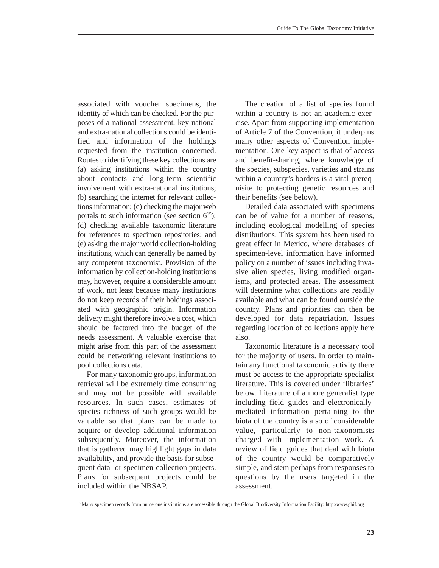associated with voucher specimens, the identity of which can be checked. For the purposes of a national assessment, key national and extra-national collections could be identified and information of the holdings requested from the institution concerned. Routes to identifying these key collections are (a) asking institutions within the country about contacts and long-term scientific involvement with extra-national institutions; (b) searching the internet for relevant collections information; (c) checking the major web portals to such information (see section  $6^{15}$ ); (d) checking available taxonomic literature for references to specimen repositories; and (e) asking the major world collection-holding institutions, which can generally be named by any competent taxonomist. Provision of the information by collection-holding institutions may, however, require a considerable amount of work, not least because many institutions do not keep records of their holdings associated with geographic origin. Information delivery might therefore involve a cost, which should be factored into the budget of the needs assessment. A valuable exercise that might arise from this part of the assessment could be networking relevant institutions to pool collections data.

For many taxonomic groups, information retrieval will be extremely time consuming and may not be possible with available resources. In such cases, estimates of species richness of such groups would be valuable so that plans can be made to acquire or develop additional information subsequently. Moreover, the information that is gathered may highlight gaps in data availability, and provide the basis for subsequent data- or specimen-collection projects. Plans for subsequent projects could be included within the NBSAP.

The creation of a list of species found within a country is not an academic exercise. Apart from supporting implementation of Article 7 of the Convention, it underpins many other aspects of Convention implementation. One key aspect is that of access and benefit-sharing, where knowledge of the species, subspecies, varieties and strains within a country's borders is a vital prerequisite to protecting genetic resources and their benefits (see below).

Detailed data associated with specimens can be of value for a number of reasons, including ecological modelling of species distributions. This system has been used to great effect in Mexico, where databases of specimen-level information have informed policy on a number of issues including invasive alien species, living modified organisms, and protected areas. The assessment will determine what collections are readily available and what can be found outside the country. Plans and priorities can then be developed for data repatriation. Issues regarding location of collections apply here also.

Taxonomic literature is a necessary tool for the majority of users. In order to maintain any functional taxonomic activity there must be access to the appropriate specialist literature. This is covered under 'libraries' below. Literature of a more generalist type including field guides and electronicallymediated information pertaining to the biota of the country is also of considerable value, particularly to non-taxonomists charged with implementation work. A review of field guides that deal with biota of the country would be comparatively simple, and stem perhaps from responses to questions by the users targeted in the assessment.

<sup>&</sup>lt;sup>15</sup> Many specimen records from numerous institutions are accessible through the Global Biodiversity Information Facility: http:/www.gbif.org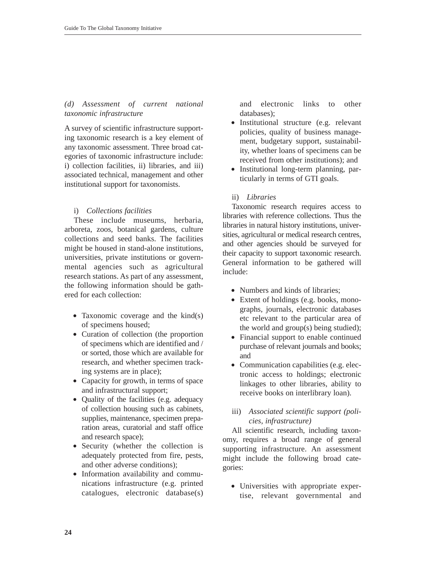# *(d) Assessment of current national taxonomic infrastructure*

A survey of scientific infrastructure supporting taxonomic research is a key element of any taxonomic assessment. Three broad categories of taxonomic infrastructure include: i) collection facilities, ii) libraries, and iii) associated technical, management and other institutional support for taxonomists.

# i) *Collections facilities*

These include museums, herbaria, arboreta, zoos, botanical gardens, culture collections and seed banks. The facilities might be housed in stand-alone institutions, universities, private institutions or governmental agencies such as agricultural research stations. As part of any assessment, the following information should be gathered for each collection:

- Taxonomic coverage and the kind(s) of specimens housed;
- Curation of collection (the proportion of specimens which are identified and / or sorted, those which are available for research, and whether specimen tracking systems are in place);
- Capacity for growth, in terms of space and infrastructural support;
- Quality of the facilities (e.g. adequacy of collection housing such as cabinets, supplies, maintenance, specimen preparation areas, curatorial and staff office and research space);
- Security (whether the collection is adequately protected from fire, pests, and other adverse conditions);
- Information availability and communications infrastructure (e.g. printed catalogues, electronic database(s)

and electronic links to other databases);

- Institutional structure (e.g. relevant policies, quality of business management, budgetary support, sustainability, whether loans of specimens can be received from other institutions); and
- Institutional long-term planning, particularly in terms of GTI goals.

# ii) *Libraries*

Taxonomic research requires access to libraries with reference collections. Thus the libraries in natural history institutions, universities, agricultural or medical research centres, and other agencies should be surveyed for their capacity to support taxonomic research. General information to be gathered will include:

- Numbers and kinds of libraries:
- Extent of holdings (e.g. books, monographs, journals, electronic databases etc relevant to the particular area of the world and  $group(s)$  being studied);
- Financial support to enable continued purchase of relevant journals and books; and
- Communication capabilities (e.g. electronic access to holdings; electronic linkages to other libraries, ability to receive books on interlibrary loan).

# iii) *Associated scientific support (policies, infrastructure)*

All scientific research, including taxonomy, requires a broad range of general supporting infrastructure. An assessment might include the following broad categories:

• Universities with appropriate expertise, relevant governmental and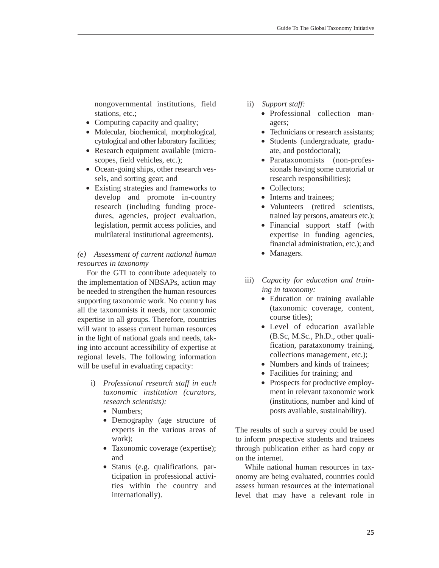nongovernmental institutions, field stations, etc.;

- Computing capacity and quality;
- Molecular, biochemical, morphological, cytological and other laboratory facilities;
- Research equipment available (microscopes, field vehicles, etc.);
- Ocean-going ships, other research vessels, and sorting gear; and
- Existing strategies and frameworks to develop and promote in-country research (including funding procedures, agencies, project evaluation, legislation, permit access policies, and multilateral institutional agreements).

# *(e) Assessment of current national human resources in taxonomy*

For the GTI to contribute adequately to the implementation of NBSAPs, action may be needed to strengthen the human resources supporting taxonomic work. No country has all the taxonomists it needs, nor taxonomic expertise in all groups. Therefore, countries will want to assess current human resources in the light of national goals and needs, taking into account accessibility of expertise at regional levels. The following information will be useful in evaluating capacity:

- i) *Professional research staff in each taxonomic institution (curators, research scientists):*
	- Numbers:
	- Demography (age structure of experts in the various areas of work);
	- Taxonomic coverage (expertise); and
	- Status (e.g. qualifications, participation in professional activities within the country and internationally).
- ii) *Support staff:*
	- Professional collection managers;
	- Technicians or research assistants;
	- Students (undergraduate, graduate, and postdoctoral);
	- Parataxonomists (non-professionals having some curatorial or research responsibilities);
	- Collectors:
	- Interns and trainees:
	- Volunteers (retired scientists, trained lay persons, amateurs etc.);
	- Financial support staff (with expertise in funding agencies, financial administration, etc.); and
	- Managers.
- iii) *Capacity for education and training in taxonomy:*
	- Education or training available (taxonomic coverage, content, course titles);
	- Level of education available (B.Sc, M.Sc., Ph.D., other qualification, parataxonomy training, collections management, etc.);
	- Numbers and kinds of trainees:
	- Facilities for training; and
	- Prospects for productive employment in relevant taxonomic work (institutions, number and kind of posts available, sustainability).

The results of such a survey could be used to inform prospective students and trainees through publication either as hard copy or on the internet.

While national human resources in taxonomy are being evaluated, countries could assess human resources at the international level that may have a relevant role in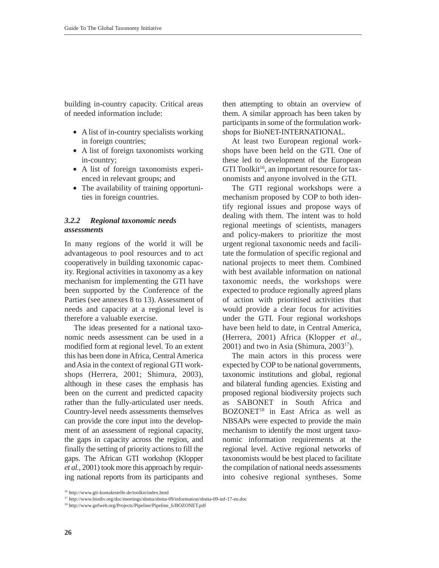building in-country capacity. Critical areas of needed information include:

- A list of in-country specialists working in foreign countries;
- A list of foreign taxonomists working in-country;
- A list of foreign taxonomists experienced in relevant groups; and
- The availability of training opportunities in foreign countries.

### *3.2.2 Regional taxonomic needs assessments*

In many regions of the world it will be advantageous to pool resources and to act cooperatively in building taxonomic capacity. Regional activities in taxonomy as a key mechanism for implementing the GTI have been supported by the Conference of the Parties (see annexes 8 to 13). Assessment of needs and capacity at a regional level is therefore a valuable exercise.

The ideas presented for a national taxonomic needs assessment can be used in a modified form at regional level. To an extent this has been done in Africa, Central America and Asia in the context of regional GTI workshops (Herrera, 2001; Shimura, 2003), although in these cases the emphasis has been on the current and predicted capacity rather than the fully-articulated user needs. Country-level needs assessments themselves can provide the core input into the development of an assessment of regional capacity, the gaps in capacity across the region, and finally the setting of priority actions to fill the gaps. The African GTI workshop (Klopper *et al.,* 2001) took more this approach by requiring national reports from its participants and

then attempting to obtain an overview of them. A similar approach has been taken by participants in some of the formulation workshops for BioNET-INTERNATIONAL.

At least two European regional workshops have been held on the GTI. One of these led to development of the European GTI Toolkit<sup>16</sup>, an important resource for taxonomists and anyone involved in the GTI.

The GTI regional workshops were a mechanism proposed by COP to both identify regional issues and propose ways of dealing with them. The intent was to hold regional meetings of scientists, managers and policy-makers to prioritize the most urgent regional taxonomic needs and facilitate the formulation of specific regional and national projects to meet them. Combined with best available information on national taxonomic needs, the workshops were expected to produce regionally agreed plans of action with prioritised activities that would provide a clear focus for activities under the GTI. Four regional workshops have been held to date, in Central America, (Herrera, 2001) Africa (Klopper *et al.*,  $2001$ ) and two in Asia (Shimura,  $2003<sup>17</sup>$ ).

The main actors in this process were expected by COP to be national governments, taxonomic institutions and global, regional and bilateral funding agencies. Existing and proposed regional biodiversity projects such as SABONET in South Africa and BOZONET<sup>18</sup> in East Africa as well as NBSAPs were expected to provide the main mechanism to identify the most urgent taxonomic information requirements at the regional level. Active regional networks of taxonomists would be best placed to facilitate the compilation of national needs assessments into cohesive regional syntheses. Some

<sup>16</sup> http://www.gti-kontaktstelle.de/toolkit/index.html

<sup>17</sup> http://www.biodiv.org/doc/meetings/sbstta/sbstta-09/information/sbstta-09-inf-17-en.doc

<sup>18</sup> http://www.gefweb.org/Projects/Pipeline/Pipeline\_6/BOZONET.pdf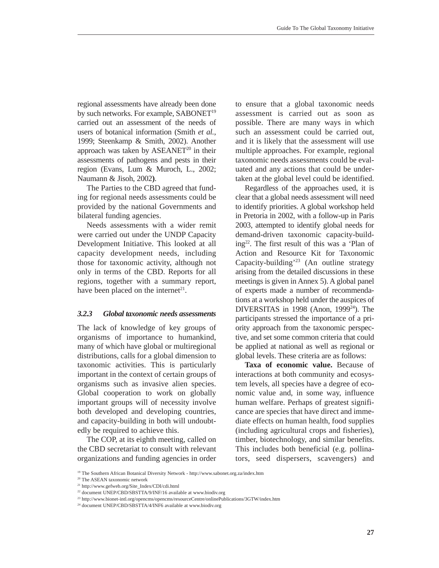regional assessments have already been done by such networks. For example, SABONET<sup>19</sup> carried out an assessment of the needs of users of botanical information (Smith *et al.*, 1999; Steenkamp & Smith, 2002). Another approach was taken by  $ASEANET^{20}$  in their assessments of pathogens and pests in their region (Evans, Lum & Muroch, L., 2002; Naumann & Jisoh, 2002**)**.

The Parties to the CBD agreed that funding for regional needs assessments could be provided by the national Governments and bilateral funding agencies.

Needs assessments with a wider remit were carried out under the UNDP Capacity Development Initiative. This looked at all capacity development needs, including those for taxonomic activity, although not only in terms of the CBD. Reports for all regions, together with a summary report, have been placed on the internet<sup>21</sup>.

#### *3.2.3 Global taxonomic needs assessments*

The lack of knowledge of key groups of organisms of importance to humankind, many of which have global or multiregional distributions, calls for a global dimension to taxonomic activities. This is particularly important in the context of certain groups of organisms such as invasive alien species. Global cooperation to work on globally important groups will of necessity involve both developed and developing countries, and capacity-building in both will undoubtedly be required to achieve this.

The COP, at its eighth meeting, called on the CBD secretariat to consult with relevant organizations and funding agencies in order to ensure that a global taxonomic needs assessment is carried out as soon as possible. There are many ways in which such an assessment could be carried out, and it is likely that the assessment will use multiple approaches. For example, regional taxonomic needs assessments could be evaluated and any actions that could be undertaken at the global level could be identified.

Regardless of the approaches used, it is clear that a global needs assessment will need to identify priorities. A global workshop held in Pretoria in 2002, with a follow-up in Paris 2003, attempted to identify global needs for demand-driven taxonomic capacity-build $ing<sup>22</sup>$ . The first result of this was a 'Plan of Action and Resource Kit for Taxonomic Capacity-building'23 (An outline strategy arising from the detailed discussions in these meetings is given in Annex 5). A global panel of experts made a number of recommendations at a workshop held under the auspices of DIVERSITAS in 1998 (Anon,  $1999^{24}$ ). The participants stressed the importance of a priority approach from the taxonomic perspective, and set some common criteria that could be applied at national as well as regional or global levels. These criteria are as follows:

**Taxa of economic value.** Because of interactions at both community and ecosystem levels, all species have a degree of economic value and, in some way, influence human welfare. Perhaps of greatest significance are species that have direct and immediate effects on human health, food supplies (including agricultural crops and fisheries), timber, biotechnology, and similar benefits. This includes both beneficial (e.g. pollinators, seed dispersers, scavengers) and

<sup>20</sup> The ASEAN taxonomic network

<sup>19</sup> The Southern African Botanical Diversity Network - http://www.sabonet.org.za/index.htm

<sup>21</sup> http://www.gefweb.org/Site\_Index/CDI/cdi.html

<sup>22</sup> document UNEP/CBD/SBSTTA/9/INF/16 available at www.biodiv.org

<sup>23</sup> http://www.bionet-intl.org/opencms/opencms/resourceCentre/onlinePublications/3GTW/index.htm

<sup>&</sup>lt;sup>24</sup> document UNEP/CBD/SBSTTA/4/INF6 available at www.biodiv.org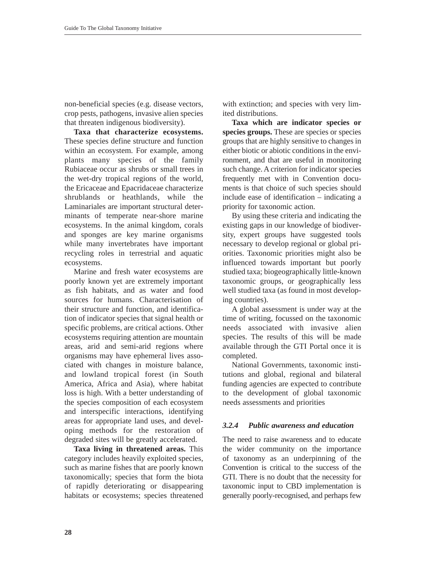non-beneficial species (e.g. disease vectors, crop pests, pathogens, invasive alien species that threaten indigenous biodiversity).

**Taxa that characterize ecosystems.** These species define structure and function within an ecosystem. For example, among plants many species of the family Rubiaceae occur as shrubs or small trees in the wet-dry tropical regions of the world, the Ericaceae and Epacridaceae characterize shrublands or heathlands, while the Laminariales are important structural determinants of temperate near-shore marine ecosystems. In the animal kingdom, corals and sponges are key marine organisms while many invertebrates have important recycling roles in terrestrial and aquatic ecosystems.

Marine and fresh water ecosystems are poorly known yet are extremely important as fish habitats, and as water and food sources for humans. Characterisation of their structure and function, and identification of indicator species that signal health or specific problems, are critical actions. Other ecosystems requiring attention are mountain areas, arid and semi-arid regions where organisms may have ephemeral lives associated with changes in moisture balance, and lowland tropical forest (in South America, Africa and Asia), where habitat loss is high. With a better understanding of the species composition of each ecosystem and interspecific interactions, identifying areas for appropriate land uses, and developing methods for the restoration of degraded sites will be greatly accelerated.

**Taxa living in threatened areas.** This category includes heavily exploited species, such as marine fishes that are poorly known taxonomically; species that form the biota of rapidly deteriorating or disappearing habitats or ecosystems; species threatened

with extinction; and species with very limited distributions.

**Taxa which are indicator species or species groups.** These are species or species groups that are highly sensitive to changes in either biotic or abiotic conditions in the environment, and that are useful in monitoring such change. A criterion for indicator species frequently met with in Convention documents is that choice of such species should include ease of identification – indicating a priority for taxonomic action.

By using these criteria and indicating the existing gaps in our knowledge of biodiversity, expert groups have suggested tools necessary to develop regional or global priorities. Taxonomic priorities might also be influenced towards important but poorly studied taxa; biogeographically little-known taxonomic groups, or geographically less well studied taxa (as found in most developing countries).

A global assessment is under way at the time of writing, focussed on the taxonomic needs associated with invasive alien species. The results of this will be made available through the GTI Portal once it is completed.

National Governments, taxonomic institutions and global, regional and bilateral funding agencies are expected to contribute to the development of global taxonomic needs assessments and priorities

## *3.2.4 Public awareness and education*

The need to raise awareness and to educate the wider community on the importance of taxonomy as an underpinning of the Convention is critical to the success of the GTI. There is no doubt that the necessity for taxonomic input to CBD implementation is generally poorly-recognised, and perhaps few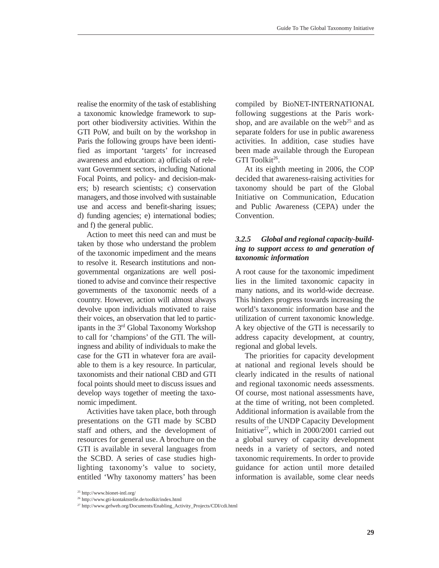realise the enormity of the task of establishing a taxonomic knowledge framework to support other biodiversity activities. Within the GTI PoW, and built on by the workshop in Paris the following groups have been identified as important 'targets' for increased awareness and education: a) officials of relevant Government sectors, including National Focal Points, and policy- and decision-makers; b) research scientists; c) conservation managers, and those involved with sustainable use and access and benefit-sharing issues; d) funding agencies; e) international bodies; and f) the general public.

Action to meet this need can and must be taken by those who understand the problem of the taxonomic impediment and the means to resolve it. Research institutions and nongovernmental organizations are well positioned to advise and convince their respective governments of the taxonomic needs of a country. However, action will almost always devolve upon individuals motivated to raise their voices, an observation that led to participants in the 3rd Global Taxonomy Workshop to call for 'champions' of the GTI. The willingness and ability of individuals to make the case for the GTI in whatever fora are available to them is a key resource. In particular, taxonomists and their national CBD and GTI focal points should meet to discuss issues and develop ways together of meeting the taxonomic impediment.

Activities have taken place, both through presentations on the GTI made by SCBD staff and others, and the development of resources for general use. A brochure on the GTI is available in several languages from the SCBD. A series of case studies highlighting taxonomy's value to society, entitled 'Why taxonomy matters' has been compiled by BioNET-INTERNATIONAL following suggestions at the Paris workshop, and are available on the web<sup>25</sup> and as separate folders for use in public awareness activities. In addition, case studies have been made available through the European GTI Toolkit<sup>26</sup>.

At its eighth meeting in 2006, the COP decided that awareness-raising activities for taxonomy should be part of the Global Initiative on Communication, Education and Public Awareness (CEPA) under the Convention.

# *3.2.5 Global and regional capacity-building to support access to and generation of taxonomic information*

A root cause for the taxonomic impediment lies in the limited taxonomic capacity in many nations, and its world-wide decrease. This hinders progress towards increasing the world's taxonomic information base and the utilization of current taxonomic knowledge. A key objective of the GTI is necessarily to address capacity development, at country, regional and global levels.

The priorities for capacity development at national and regional levels should be clearly indicated in the results of national and regional taxonomic needs assessments. Of course, most national assessments have, at the time of writing, not been completed. Additional information is available from the results of the UNDP Capacity Development Initiative<sup>27</sup>, which in 2000/2001 carried out a global survey of capacity development needs in a variety of sectors, and noted taxonomic requirements. In order to provide guidance for action until more detailed information is available, some clear needs

<sup>25</sup> http://www.bionet-intl.org/

<sup>26</sup> http://www.gti-kontaktstelle.de/toolkit/index.html

<sup>27</sup> http://www.gefweb.org/Documents/Enabling\_Activity\_Projects/CDI/cdi.html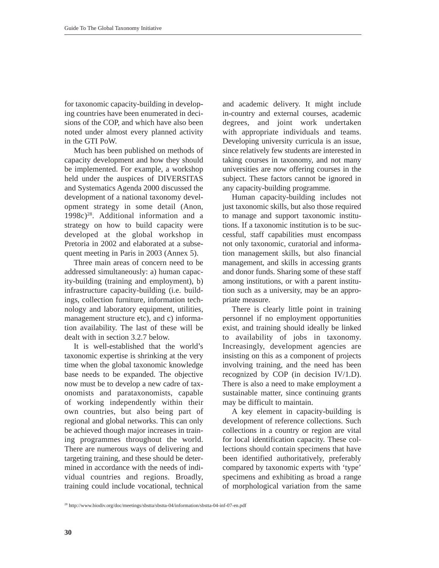for taxonomic capacity-building in developing countries have been enumerated in decisions of the COP, and which have also been noted under almost every planned activity in the GTI PoW.

Much has been published on methods of capacity development and how they should be implemented. For example, a workshop held under the auspices of DIVERSITAS and Systematics Agenda 2000 discussed the development of a national taxonomy development strategy in some detail (Anon,  $1998c<sup>28</sup>$ . Additional information and a strategy on how to build capacity were developed at the global workshop in Pretoria in 2002 and elaborated at a subsequent meeting in Paris in 2003 (Annex 5).

Three main areas of concern need to be addressed simultaneously: a) human capacity-building (training and employment), b) infrastructure capacity-building (i.e. buildings, collection furniture, information technology and laboratory equipment, utilities, management structure etc), and c) information availability. The last of these will be dealt with in section 3.2.7 below.

It is well-established that the world's taxonomic expertise is shrinking at the very time when the global taxonomic knowledge base needs to be expanded. The objective now must be to develop a new cadre of taxonomists and parataxonomists, capable of working independently within their own countries, but also being part of regional and global networks. This can only be achieved though major increases in training programmes throughout the world. There are numerous ways of delivering and targeting training, and these should be determined in accordance with the needs of individual countries and regions. Broadly, training could include vocational, technical

and academic delivery. It might include in-country and external courses, academic degrees, and joint work undertaken with appropriate individuals and teams. Developing university curricula is an issue, since relatively few students are interested in taking courses in taxonomy, and not many universities are now offering courses in the subject. These factors cannot be ignored in any capacity-building programme.

Human capacity-building includes not just taxonomic skills, but also those required to manage and support taxonomic institutions. If a taxonomic institution is to be successful, staff capabilities must encompass not only taxonomic, curatorial and information management skills, but also financial management, and skills in accessing grants and donor funds. Sharing some of these staff among institutions, or with a parent institution such as a university, may be an appropriate measure.

There is clearly little point in training personnel if no employment opportunities exist, and training should ideally be linked to availability of jobs in taxonomy. Increasingly, development agencies are insisting on this as a component of projects involving training, and the need has been recognized by COP (in decision IV/1.D). There is also a need to make employment a sustainable matter, since continuing grants may be difficult to maintain.

A key element in capacity-building is development of reference collections. Such collections in a country or region are vital for local identification capacity. These collections should contain specimens that have been identified authoritatively, preferably compared by taxonomic experts with 'type' specimens and exhibiting as broad a range of morphological variation from the same

<sup>28</sup> http://www.biodiv.org/doc/meetings/sbstta/sbstta-04/information/sbstta-04-inf-07-en.pdf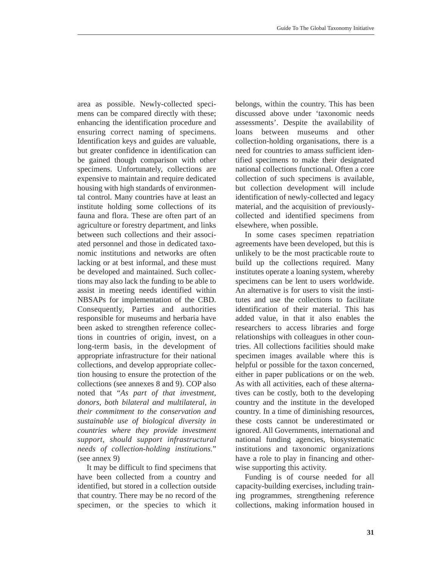area as possible. Newly-collected specimens can be compared directly with these; enhancing the identification procedure and ensuring correct naming of specimens. Identification keys and guides are valuable, but greater confidence in identification can be gained though comparison with other specimens. Unfortunately, collections are expensive to maintain and require dedicated housing with high standards of environmental control. Many countries have at least an institute holding some collections of its fauna and flora. These are often part of an agriculture or forestry department, and links between such collections and their associated personnel and those in dedicated taxonomic institutions and networks are often lacking or at best informal, and these must be developed and maintained. Such collections may also lack the funding to be able to assist in meeting needs identified within NBSAPs for implementation of the CBD. Consequently, Parties and authorities responsible for museums and herbaria have been asked to strengthen reference collections in countries of origin, invest, on a long-term basis, in the development of appropriate infrastructure for their national collections, and develop appropriate collection housing to ensure the protection of the collections (see annexes 8 and 9). COP also noted that "*As part of that investment, donors, both bilateral and multilateral, in their commitment to the conservation and sustainable use of biological diversity in countries where they provide investment support, should support infrastructural needs of collection-holding institutions*." (see annex 9)

It may be difficult to find specimens that have been collected from a country and identified, but stored in a collection outside that country. There may be no record of the specimen, or the species to which it belongs, within the country. This has been discussed above under 'taxonomic needs assessments'. Despite the availability of loans between museums and other collection-holding organisations, there is a need for countries to amass sufficient identified specimens to make their designated national collections functional. Often a core collection of such specimens is available, but collection development will include identification of newly-collected and legacy material, and the acquisition of previouslycollected and identified specimens from elsewhere, when possible.

In some cases specimen repatriation agreements have been developed, but this is unlikely to be the most practicable route to build up the collections required. Many institutes operate a loaning system, whereby specimens can be lent to users worldwide. An alternative is for users to visit the institutes and use the collections to facilitate identification of their material. This has added value, in that it also enables the researchers to access libraries and forge relationships with colleagues in other countries. All collections facilities should make specimen images available where this is helpful or possible for the taxon concerned, either in paper publications or on the web. As with all activities, each of these alternatives can be costly, both to the developing country and the institute in the developed country. In a time of diminishing resources, these costs cannot be underestimated or ignored. All Governments, international and national funding agencies, biosystematic institutions and taxonomic organizations have a role to play in financing and otherwise supporting this activity.

Funding is of course needed for all capacity-building exercises, including training programmes, strengthening reference collections, making information housed in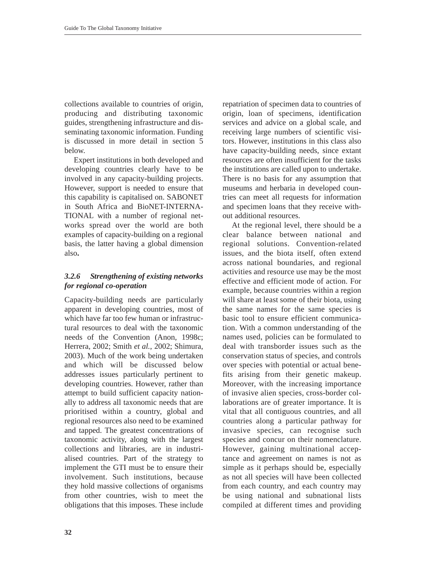collections available to countries of origin, producing and distributing taxonomic guides, strengthening infrastructure and disseminating taxonomic information. Funding is discussed in more detail in section 5 below.

Expert institutions in both developed and developing countries clearly have to be involved in any capacity-building projects. However, support is needed to ensure that this capability is capitalised on. SABONET in South Africa and BioNET-INTERNA-TIONAL with a number of regional networks spread over the world are both examples of capacity-building on a regional basis, the latter having a global dimension also**.**

# *3.2.6 Strengthening of existing networks for regional co-operation*

Capacity-building needs are particularly apparent in developing countries, most of which have far too few human or infrastructural resources to deal with the taxonomic needs of the Convention (Anon, 1998c; Herrera, 2002; Smith *et al.*, 2002; Shimura, 2003). Much of the work being undertaken and which will be discussed below addresses issues particularly pertinent to developing countries. However, rather than attempt to build sufficient capacity nationally to address all taxonomic needs that are prioritised within a country, global and regional resources also need to be examined and tapped. The greatest concentrations of taxonomic activity, along with the largest collections and libraries, are in industrialised countries. Part of the strategy to implement the GTI must be to ensure their involvement. Such institutions, because they hold massive collections of organisms from other countries, wish to meet the obligations that this imposes. These include repatriation of specimen data to countries of origin, loan of specimens, identification services and advice on a global scale, and receiving large numbers of scientific visitors. However, institutions in this class also have capacity-building needs, since extant resources are often insufficient for the tasks the institutions are called upon to undertake. There is no basis for any assumption that museums and herbaria in developed countries can meet all requests for information and specimen loans that they receive without additional resources.

At the regional level, there should be a clear balance between national and regional solutions. Convention-related issues, and the biota itself, often extend across national boundaries, and regional activities and resource use may be the most effective and efficient mode of action. For example, because countries within a region will share at least some of their biota, using the same names for the same species is basic tool to ensure efficient communication. With a common understanding of the names used, policies can be formulated to deal with transborder issues such as the conservation status of species, and controls over species with potential or actual benefits arising from their genetic makeup. Moreover, with the increasing importance of invasive alien species, cross-border collaborations are of greater importance. It is vital that all contiguous countries, and all countries along a particular pathway for invasive species, can recognise such species and concur on their nomenclature. However, gaining multinational acceptance and agreement on names is not as simple as it perhaps should be, especially as not all species will have been collected from each country, and each country may be using national and subnational lists compiled at different times and providing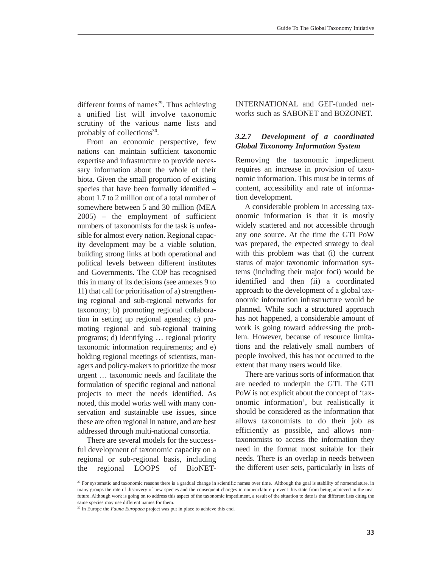different forms of names $29$ . Thus achieving a unified list will involve taxonomic scrutiny of the various name lists and probably of collections<sup>30</sup>.

From an economic perspective, few nations can maintain sufficient taxonomic expertise and infrastructure to provide necessary information about the whole of their biota. Given the small proportion of existing species that have been formally identified – about 1.7 to 2 million out of a total number of somewhere between 5 and 30 million (MEA 2005) – the employment of sufficient numbers of taxonomists for the task is unfeasible for almost every nation. Regional capacity development may be a viable solution, building strong links at both operational and political levels between different institutes and Governments. The COP has recognised this in many of its decisions (see annexes 9 to 11) that call for prioritisation of a) strengthening regional and sub-regional networks for taxonomy; b) promoting regional collaboration in setting up regional agendas; c) promoting regional and sub-regional training programs; d) identifying … regional priority taxonomic information requirements; and e) holding regional meetings of scientists, managers and policy-makers to prioritize the most urgent … taxonomic needs and facilitate the formulation of specific regional and national projects to meet the needs identified. As noted, this model works well with many conservation and sustainable use issues, since these are often regional in nature, and are best addressed through multi-national consortia.

There are several models for the successful development of taxonomic capacity on a regional or sub-regional basis, including the regional LOOPS of BioNET-

INTERNATIONAL and GEF-funded networks such as SABONET and BOZONET.

# *3.2.7 Development of a coordinated Global Taxonomy Information System*

Removing the taxonomic impediment requires an increase in provision of taxonomic information. This must be in terms of content, accessibility and rate of information development.

A considerable problem in accessing taxonomic information is that it is mostly widely scattered and not accessible through any one source. At the time the GTI PoW was prepared, the expected strategy to deal with this problem was that (i) the current status of major taxonomic information systems (including their major foci) would be identified and then (ii) a coordinated approach to the development of a global taxonomic information infrastructure would be planned. While such a structured approach has not happened, a considerable amount of work is going toward addressing the problem. However, because of resource limitations and the relatively small numbers of people involved, this has not occurred to the extent that many users would like.

There are various sorts of information that are needed to underpin the GTI. The GTI PoW is not explicit about the concept of 'taxonomic information', but realistically it should be considered as the information that allows taxonomists to do their job as efficiently as possible, and allows nontaxonomists to access the information they need in the format most suitable for their needs. There is an overlap in needs between the different user sets, particularly in lists of

<sup>&</sup>lt;sup>29</sup> For systematic and taxonomic reasons there is a gradual change in scientific names over time. Although the goal is stability of nomenclature, in many groups the rate of discovery of new species and the consequent changes in nomenclature prevent this state from being achieved in the near future. Although work is going on to address this aspect of the taxonomic impediment, a result of the situation to date is that different lists citing the same species may use different names for them.

<sup>&</sup>lt;sup>30</sup> In Europe the *Fauna Europaea* project was put in place to achieve this end.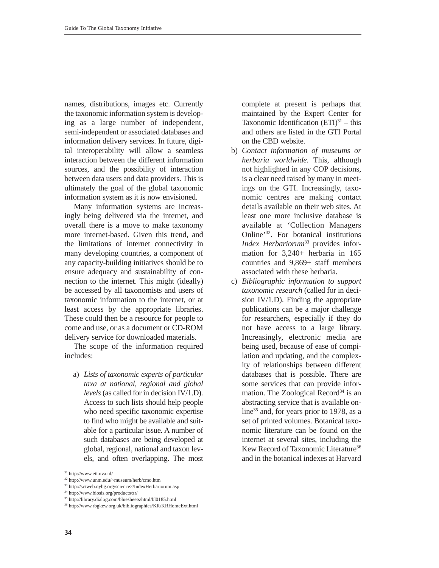names, distributions, images etc. Currently the taxonomic information system is developing as a large number of independent, semi-independent or associated databases and information delivery services. In future, digital interoperability will allow a seamless interaction between the different information sources, and the possibility of interaction between data users and data providers. This is ultimately the goal of the global taxonomic information system as it is now envisioned.

Many information systems are increasingly being delivered via the internet, and overall there is a move to make taxonomy more internet-based. Given this trend, and the limitations of internet connectivity in many developing countries, a component of any capacity-building initiatives should be to ensure adequacy and sustainability of connection to the internet. This might (ideally) be accessed by all taxonomists and users of taxonomic information to the internet, or at least access by the appropriate libraries. These could then be a resource for people to come and use, or as a document or CD-ROM delivery service for downloaded materials.

The scope of the information required includes:

a) *Lists of taxonomic experts of particular taxa at national, regional and global levels* (as called for in decision IV/1.D). Access to such lists should help people who need specific taxonomic expertise to find who might be available and suitable for a particular issue. A number of such databases are being developed at global, regional, national and taxon levels, and often overlapping. The most complete at present is perhaps that maintained by the Expert Center for Taxonomic Identification  $(ETI)<sup>31</sup> - this$ and others are listed in the GTI Portal on the CBD website.

- b) *Contact information of museums or herbaria worldwide.* This, although not highlighted in any COP decisions, is a clear need raised by many in meetings on the GTI. Increasingly, taxonomic centres are making contact details available on their web sites. At least one more inclusive database is available at 'Collection Managers Online'32. For botanical institutions *Index Herbariorum*<sup>33</sup> provides information for 3,240+ herbaria in 165 countries and 9,869+ staff members associated with these herbaria.
- c) *Bibliographic information to support taxonomic research* (called for in decision IV/1.D). Finding the appropriate publications can be a major challenge for researchers, especially if they do not have access to a large library. Increasingly, electronic media are being used, because of ease of compilation and updating, and the complexity of relationships between different databases that is possible. There are some services that can provide information. The Zoological Record<sup>34</sup> is an abstracting service that is available online<sup>35</sup> and, for years prior to 1978, as a set of printed volumes. Botanical taxonomic literature can be found on the internet at several sites, including the Kew Record of Taxonomic Literature<sup>36</sup> and in the botanical indexes at Harvard

<sup>31</sup> http://www.eti.uva.nl/

<sup>32</sup> http://www.unm.edu/~museum/herb/cmo.htm

<sup>33</sup> http://sciweb.nybg.org/science2/IndexHerbariorum.asp

<sup>34</sup> http://www.biosis.org/products/zr/

<sup>35</sup> http://library.dialog.com/bluesheets/html/bl0185.html

<sup>36</sup> http://www.rbgkew.org.uk/bibliographies/KR/KRHomeExt.html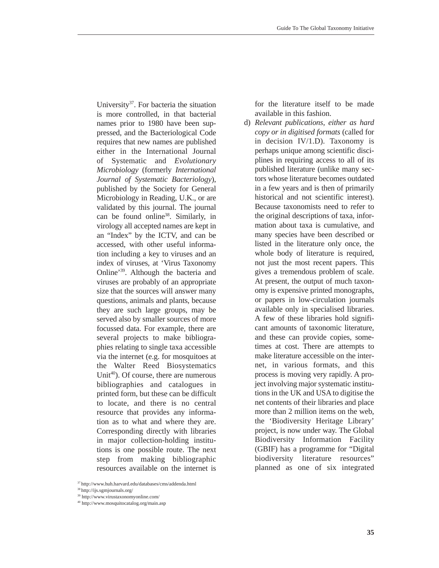University<sup>37</sup>. For bacteria the situation is more controlled, in that bacterial names prior to 1980 have been suppressed, and the Bacteriological Code requires that new names are published either in the International Journal of Systematic and *Evolutionary Microbiology* (formerly *International Journal of Systematic Bacteriology*), published by the Society for General Microbiology in Reading, U.K., or are validated by this journal. The journal can be found online<sup>38</sup>. Similarly, in virology all accepted names are kept in an "Index" by the ICTV, and can be accessed, with other useful information including a key to viruses and an index of viruses, at 'Virus Taxonomy Online'39. Although the bacteria and viruses are probably of an appropriate size that the sources will answer many questions, animals and plants, because they are such large groups, may be served also by smaller sources of more focussed data. For example, there are several projects to make bibliographies relating to single taxa accessible via the internet (e.g. for mosquitoes at the Walter Reed Biosystematics Unit<sup>40</sup>). Of course, there are numerous bibliographies and catalogues in printed form, but these can be difficult to locate, and there is no central resource that provides any information as to what and where they are. Corresponding directly with libraries in major collection-holding institutions is one possible route. The next step from making bibliographic resources available on the internet is

37 http://www.huh.harvard.edu/databases/cms/addenda.html

for the literature itself to be made available in this fashion.

d) *Relevant publications, either as hard copy or in digitised formats* (called for in decision IV/1.D). Taxonomy is perhaps unique among scientific disciplines in requiring access to all of its published literature (unlike many sectors whose literature becomes outdated in a few years and is then of primarily historical and not scientific interest). Because taxonomists need to refer to the original descriptions of taxa, information about taxa is cumulative, and many species have been described or listed in the literature only once, the whole body of literature is required, not just the most recent papers. This gives a tremendous problem of scale. At present, the output of much taxonomy is expensive printed monographs, or papers in low-circulation journals available only in specialised libraries. A few of these libraries hold significant amounts of taxonomic literature, and these can provide copies, sometimes at cost. There are attempts to make literature accessible on the internet, in various formats, and this process is moving very rapidly. A project involving major systematic institutions in the UK and USA to digitise the net contents of their libraries and place more than 2 million items on the web, the 'Biodiversity Heritage Library' project, is now under way. The Global Biodiversity Information Facility (GBIF) has a programme for "Digital biodiversity literature resources" planned as one of six integrated

<sup>38</sup> http://ijs.sgmjournals.org/

<sup>39</sup> http://www.virustaxonomyonline.com/

<sup>40</sup> http://www.mosquitocatalog.org/main.asp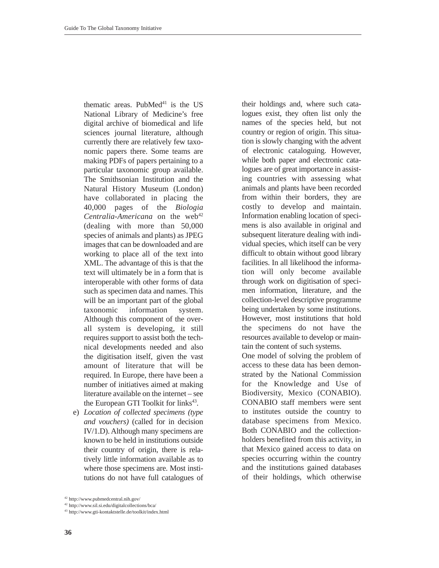thematic areas. PubMed $41$  is the US National Library of Medicine's free digital archive of biomedical and life sciences journal literature, although currently there are relatively few taxonomic papers there. Some teams are making PDFs of papers pertaining to a particular taxonomic group available. The Smithsonian Institution and the Natural History Museum (London) have collaborated in placing the 40,000 pages of the *Biologia Centralia-Americana* on the web<sup>42</sup> (dealing with more than 50,000 species of animals and plants) as JPEG images that can be downloaded and are working to place all of the text into XML. The advantage of this is that the text will ultimately be in a form that is interoperable with other forms of data such as specimen data and names. This will be an important part of the global taxonomic information system. Although this component of the overall system is developing, it still requires support to assist both the technical developments needed and also the digitisation itself, given the vast amount of literature that will be required. In Europe, there have been a number of initiatives aimed at making literature available on the internet – see the European GTI Toolkit for links<sup>43</sup>.

e) *Location of collected specimens (type and vouchers)* (called for in decision IV/1.D). Although many specimens are known to be held in institutions outside their country of origin, there is relatively little information available as to where those specimens are. Most institutions do not have full catalogues of their holdings and, where such catalogues exist, they often list only the names of the species held, but not country or region of origin. This situation is slowly changing with the advent of electronic cataloguing. However, while both paper and electronic catalogues are of great importance in assisting countries with assessing what animals and plants have been recorded from within their borders, they are costly to develop and maintain. Information enabling location of specimens is also available in original and subsequent literature dealing with individual species, which itself can be very difficult to obtain without good library facilities. In all likelihood the information will only become available through work on digitisation of specimen information, literature, and the collection-level descriptive programme being undertaken by some institutions. However, most institutions that hold the specimens do not have the resources available to develop or maintain the content of such systems.

One model of solving the problem of access to these data has been demonstrated by the National Commission for the Knowledge and Use of Biodiversity, Mexico (CONABIO). CONABIO staff members were sent to institutes outside the country to database specimens from Mexico. Both CONABIO and the collectionholders benefited from this activity, in that Mexico gained access to data on species occurring within the country and the institutions gained databases of their holdings, which otherwise

<sup>42</sup> http://www.pubmedcentral.nih.gov/

<sup>42</sup> http://www.sil.si.edu/digitalcollections/bca/

<sup>43</sup> http://www.gti-kontaktstelle.de/toolkit/index.html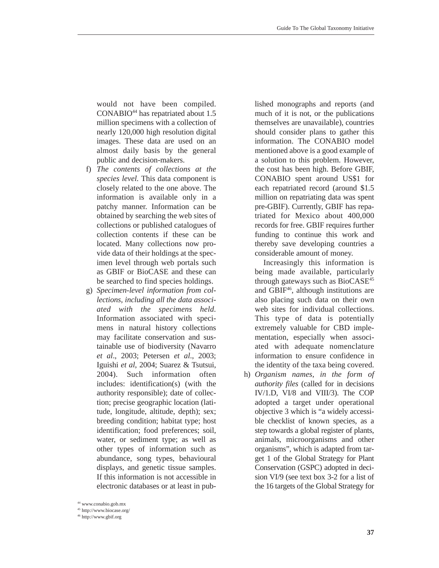would not have been compiled. CONABIO<sup>44</sup> has repatriated about 1.5 million specimens with a collection of nearly 120,000 high resolution digital images. These data are used on an almost daily basis by the general public and decision-makers.

- f) *The contents of collections at the species level.* This data component is closely related to the one above. The information is available only in a patchy manner. Information can be obtained by searching the web sites of collections or published catalogues of collection contents if these can be located. Many collections now provide data of their holdings at the specimen level through web portals such as GBIF or BioCASE and these can be searched to find species holdings.
- g) *Specimen-level information from collections, including all the data associated with the specimens held.* Information associated with specimens in natural history collections may facilitate conservation and sustainable use of biodiversity (Navarro *et al*., 2003; Petersen *et al*., 2003; Iguishi *et al*, 2004; Suarez & Tsutsui, 2004). Such information often includes: identification(s) (with the authority responsible); date of collection; precise geographic location (latitude, longitude, altitude, depth); sex; breeding condition; habitat type; host identification; food preferences; soil, water, or sediment type; as well as other types of information such as abundance, song types, behavioural displays, and genetic tissue samples. If this information is not accessible in electronic databases or at least in pub-

lished monographs and reports (and much of it is not, or the publications themselves are unavailable), countries should consider plans to gather this information. The CONABIO model mentioned above is a good example of a solution to this problem. However, the cost has been high. Before GBIF, CONABIO spent around US\$1 for each repatriated record (around \$1.5 million on repatriating data was spent pre-GBIF). Currently, GBIF has repatriated for Mexico about 400,000 records for free. GBIF requires further funding to continue this work and thereby save developing countries a considerable amount of money.

Increasingly this information is being made available, particularly through gateways such as BioCASE<sup>45</sup> and GBIF<sup>46</sup>, although institutions are also placing such data on their own web sites for individual collections. This type of data is potentially extremely valuable for CBD implementation, especially when associated with adequate nomenclature information to ensure confidence in the identity of the taxa being covered.

h) *Organism names, in the form of authority files* (called for in decisions IV/1.D, VI/8 and VIII/3). The COP adopted a target under operational objective 3 which is "a widely accessible checklist of known species, as a step towards a global register of plants, animals, microorganisms and other organisms", which is adapted from target 1 of the Global Strategy for Plant Conservation (GSPC) adopted in decision VI/9 (see text box 3-2 for a list of the 16 targets of the Global Strategy for

<sup>44</sup> www.conabio.gob.mx

<sup>45</sup> http://www.biocase.org/

<sup>46</sup> http://www.gbif.org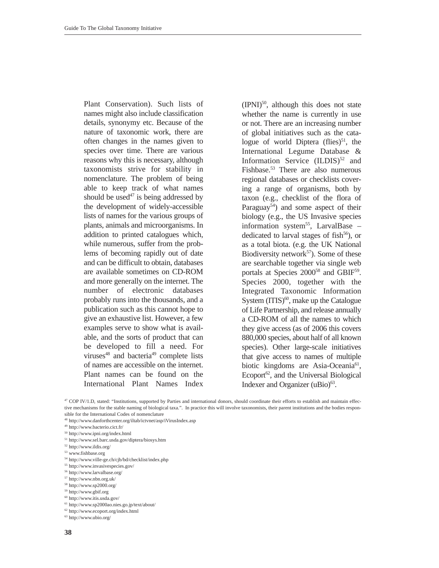Plant Conservation). Such lists of names might also include classification details, synonymy etc. Because of the nature of taxonomic work, there are often changes in the names given to species over time. There are various reasons why this is necessary, although taxonomists strive for stability in nomenclature. The problem of being able to keep track of what names should be used<sup>47</sup> is being addressed by the development of widely-accessible lists of names for the various groups of plants, animals and microorganisms. In addition to printed catalogues which, while numerous, suffer from the problems of becoming rapidly out of date and can be difficult to obtain, databases are available sometimes on CD-ROM and more generally on the internet. The number of electronic databases probably runs into the thousands, and a publication such as this cannot hope to give an exhaustive list. However, a few examples serve to show what is available, and the sorts of product that can be developed to fill a need. For viruses $48$  and bacteria<sup>49</sup> complete lists of names are accessible on the internet. Plant names can be found on the International Plant Names Index  $(IPNI)^{50}$ , although this does not state whether the name is currently in use or not. There are an increasing number of global initiatives such as the catalogue of world Diptera (flies) $51$ , the International Legume Database & Information Service  $(ILDIS)^{52}$  and Fishbase.53 There are also numerous regional databases or checklists covering a range of organisms, both by taxon (e.g., checklist of the flora of Paraguay<sup>54</sup>) and some aspect of their biology (e.g., the US Invasive species information system<sup>55</sup>, LarvalBase – dedicated to larval stages of fish $56$ , or as a total biota. (e.g. the UK National Biodiversity network $57$ ). Some of these are searchable together via single web portals at Species 2000<sup>58</sup> and GBIF<sup>59</sup>. Species 2000, together with the Integrated Taxonomic Information System  $(TTIS)^{60}$ , make up the Catalogue of Life Partnership, and release annually a CD-ROM of all the names to which they give access (as of 2006 this covers 880,000 species, about half of all known species). Other large-scale initiatives that give access to names of multiple biotic kingdoms are Asia-Oceania<sup>61</sup>, Ecoport<sup>62</sup>, and the Universal Biological Indexer and Organizer (uBio)<sup>63</sup>.

<sup>47</sup> COP IV/1.D, stated: "Institutions, supported by Parties and international donors, should coordinate their efforts to establish and maintain effective mechanisms for the stable naming of biological taxa.". In practice this will involve taxonomists, their parent institutions and the bodies responsible for the International Codes of nomenclature

- <sup>48</sup> http://www.danforthcenter.org/iltab/ictvnet/asp/iVirusIndex.asp
- <sup>49</sup> http://www.bacterio.cict.fr/
- <sup>50</sup> http://www.ipni.org/index.html
- $^{\rm 51}$ http://www.sel.barc.usda.gov/diptera/biosys.htm
- <sup>52</sup> http://www.ildis.org/
- <sup>53</sup> www.fishbase.org
- $^{54}$ http://www.ville-ge.ch/cjb/bd/checklist/index.php
- <sup>55</sup> http://www.invasivespecies.gov/
- <sup>56</sup> http://www.larvalbase.org/
- $\rm ^{57}$ http://www.nbn.org.uk/
- <sup>58</sup> http://www.sp2000.org/
- <sup>59</sup> http://www.gbif.org
- <sup>60</sup> http://www.itis.usda.gov/
- <sup>61</sup> http://www.sp2000ao.nies.go.jp/text/about/
- <sup>62</sup> http://www.ecoport.org/index.html
- <sup>63</sup> http://www.ubio.org/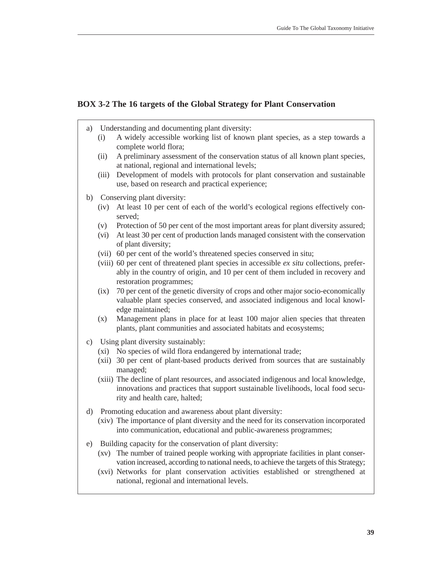# **BOX 3-2 The 16 targets of the Global Strategy for Plant Conservation**

- a) Understanding and documenting plant diversity:
	- (i) A widely accessible working list of known plant species, as a step towards a complete world flora;
	- (ii) A preliminary assessment of the conservation status of all known plant species, at national, regional and international levels;
	- (iii) Development of models with protocols for plant conservation and sustainable use, based on research and practical experience;
- b) Conserving plant diversity:
	- (iv) At least 10 per cent of each of the world's ecological regions effectively conserved;
	- (v) Protection of 50 per cent of the most important areas for plant diversity assured;
	- (vi) At least 30 per cent of production lands managed consistent with the conservation of plant diversity;
	- (vii) 60 per cent of the world's threatened species conserved in situ;
	- (viii) 60 per cent of threatened plant species in accessible *ex situ* collections, preferably in the country of origin, and 10 per cent of them included in recovery and restoration programmes;
	- (ix) 70 per cent of the genetic diversity of crops and other major socio-economically valuable plant species conserved, and associated indigenous and local knowledge maintained;
	- (x) Management plans in place for at least 100 major alien species that threaten plants, plant communities and associated habitats and ecosystems;
- c) Using plant diversity sustainably:
	- (xi) No species of wild flora endangered by international trade;
	- (xii) 30 per cent of plant-based products derived from sources that are sustainably managed;
	- (xiii) The decline of plant resources, and associated indigenous and local knowledge, innovations and practices that support sustainable livelihoods, local food security and health care, halted;
- d) Promoting education and awareness about plant diversity:
	- (xiv) The importance of plant diversity and the need for its conservation incorporated into communication, educational and public-awareness programmes;
- e) Building capacity for the conservation of plant diversity:
	- (xv) The number of trained people working with appropriate facilities in plant conservation increased, according to national needs, to achieve the targets of this Strategy;
	- (xvi) Networks for plant conservation activities established or strengthened at national, regional and international levels.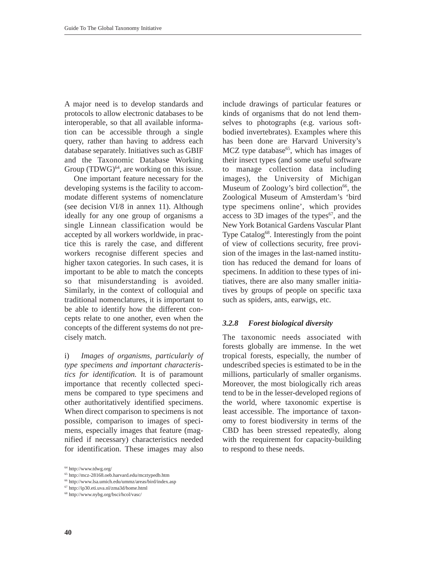A major need is to develop standards and protocols to allow electronic databases to be interoperable, so that all available information can be accessible through a single query, rather than having to address each database separately. Initiatives such as GBIF and the Taxonomic Database Working Group  $(TDWG)^{64}$ , are working on this issue.

One important feature necessary for the developing systems is the facility to accommodate different systems of nomenclature (see decision VI/8 in annex 11). Although ideally for any one group of organisms a single Linnean classification would be accepted by all workers worldwide, in practice this is rarely the case, and different workers recognise different species and higher taxon categories. In such cases, it is important to be able to match the concepts so that misunderstanding is avoided. Similarly, in the context of colloquial and traditional nomenclatures, it is important to be able to identify how the different concepts relate to one another, even when the concepts of the different systems do not precisely match.

i) *Images of organisms, particularly of type specimens and important characteristics for identification.* It is of paramount importance that recently collected specimens be compared to type specimens and other authoritatively identified specimens. When direct comparison to specimens is not possible, comparison to images of specimens, especially images that feature (magnified if necessary) characteristics needed for identification. These images may also

include drawings of particular features or kinds of organisms that do not lend themselves to photographs (e.g. various softbodied invertebrates). Examples where this has been done are Harvard University's MCZ type database $^{65}$ , which has images of their insect types (and some useful software to manage collection data including images), the University of Michigan Museum of Zoology's bird collection $66$ , the Zoological Museum of Amsterdam's 'bird type specimens online', which provides access to 3D images of the types $67$ , and the New York Botanical Gardens Vascular Plant Type Catalog<sup>68</sup>. Interestingly from the point of view of collections security, free provision of the images in the last-named institution has reduced the demand for loans of specimens. In addition to these types of initiatives, there are also many smaller initiatives by groups of people on specific taxa such as spiders, ants, earwigs, etc.

#### *3.2.8 Forest biological diversity*

The taxonomic needs associated with forests globally are immense. In the wet tropical forests, especially, the number of undescribed species is estimated to be in the millions, particularly of smaller organisms. Moreover, the most biologically rich areas tend to be in the lesser-developed regions of the world, where taxonomic expertise is least accessible. The importance of taxonomy to forest biodiversity in terms of the CBD has been stressed repeatedly, along with the requirement for capacity-building to respond to these needs.

<sup>64</sup> http://www.tdwg.org/

<sup>65</sup> http://mcz-28168.oeb.harvard.edu/mcztypedb.htm

<sup>66</sup> http://www.lsa.umich.edu/ummz/areas/bird/index.asp

<sup>67</sup> http://ip30.eti.uva.nl/zma3d/home.html

<sup>68</sup> http://www.nybg.org/bsci/hcol/vasc/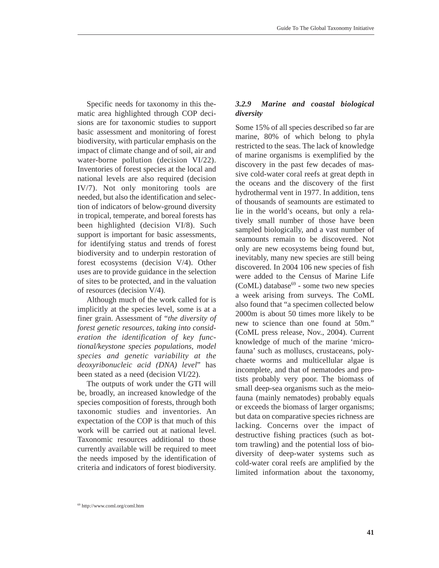Specific needs for taxonomy in this thematic area highlighted through COP decisions are for taxonomic studies to support basic assessment and monitoring of forest biodiversity, with particular emphasis on the impact of climate change and of soil, air and water-borne pollution (decision VI/22). Inventories of forest species at the local and national levels are also required (decision IV/7). Not only monitoring tools are needed, but also the identification and selection of indicators of below-ground diversity in tropical, temperate, and boreal forests has been highlighted (decision VI/8). Such support is important for basic assessments, for identifying status and trends of forest biodiversity and to underpin restoration of forest ecosystems (decision V/4). Other uses are to provide guidance in the selection of sites to be protected, and in the valuation of resources (decision V/4).

Although much of the work called for is implicitly at the species level, some is at a finer grain. Assessment of "*the diversity of forest genetic resources, taking into consideration the identification of key functional/keystone species populations, model species and genetic variability at the deoxyribonucleic acid (DNA) level*" has been stated as a need (decision VI/22).

The outputs of work under the GTI will be, broadly, an increased knowledge of the species composition of forests, through both taxonomic studies and inventories. An expectation of the COP is that much of this work will be carried out at national level. Taxonomic resources additional to those currently available will be required to meet the needs imposed by the identification of criteria and indicators of forest biodiversity.

# *3.2.9 Marine and coastal biological diversity*

Some 15% of all species described so far are marine, 80% of which belong to phyla restricted to the seas. The lack of knowledge of marine organisms is exemplified by the discovery in the past few decades of massive cold-water coral reefs at great depth in the oceans and the discovery of the first hydrothermal vent in 1977. In addition, tens of thousands of seamounts are estimated to lie in the world's oceans, but only a relatively small number of those have been sampled biologically, and a vast number of seamounts remain to be discovered. Not only are new ecosystems being found but, inevitably, many new species are still being discovered. In 2004 106 new species of fish were added to the Census of Marine Life  $(CoML)$  database<sup>69</sup> - some two new species a week arising from surveys. The CoML also found that "a specimen collected below 2000m is about 50 times more likely to be new to science than one found at 50m." (CoML press release, Nov., 2004). Current knowledge of much of the marine 'microfauna' such as molluscs, crustaceans, polychaete worms and multicellular algae is incomplete, and that of nematodes and protists probably very poor. The biomass of small deep-sea organisms such as the meiofauna (mainly nematodes) probably equals or exceeds the biomass of larger organisms; but data on comparative species richness are lacking. Concerns over the impact of destructive fishing practices (such as bottom trawling) and the potential loss of biodiversity of deep-water systems such as cold-water coral reefs are amplified by the limited information about the taxonomy,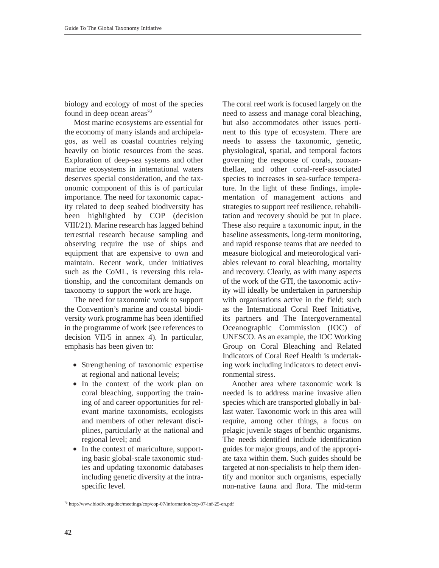biology and ecology of most of the species found in deep ocean areas<sup>70</sup>

Most marine ecosystems are essential for the economy of many islands and archipelagos, as well as coastal countries relying heavily on biotic resources from the seas. Exploration of deep-sea systems and other marine ecosystems in international waters deserves special consideration, and the taxonomic component of this is of particular importance. The need for taxonomic capacity related to deep seabed biodiversity has been highlighted by COP (decision VIII/21). Marine research has lagged behind terrestrial research because sampling and observing require the use of ships and equipment that are expensive to own and maintain. Recent work, under initiatives such as the CoML, is reversing this relationship, and the concomitant demands on taxonomy to support the work are huge.

The need for taxonomic work to support the Convention's marine and coastal biodiversity work programme has been identified in the programme of work (see references to decision VII/5 in annex 4). In particular, emphasis has been given to:

- Strengthening of taxonomic expertise at regional and national levels;
- In the context of the work plan on coral bleaching, supporting the training of and career opportunities for relevant marine taxonomists, ecologists and members of other relevant disciplines, particularly at the national and regional level; and
- In the context of mariculture, supporting basic global-scale taxonomic studies and updating taxonomic databases including genetic diversity at the intraspecific level.

The coral reef work is focused largely on the need to assess and manage coral bleaching, but also accommodates other issues pertinent to this type of ecosystem. There are needs to assess the taxonomic, genetic, physiological, spatial, and temporal factors governing the response of corals, zooxanthellae, and other coral-reef-associated species to increases in sea-surface temperature. In the light of these findings, implementation of management actions and strategies to support reef resilience, rehabilitation and recovery should be put in place. These also require a taxonomic input, in the baseline assessments, long-term monitoring, and rapid response teams that are needed to measure biological and meteorological variables relevant to coral bleaching, mortality and recovery. Clearly, as with many aspects of the work of the GTI, the taxonomic activity will ideally be undertaken in partnership with organisations active in the field; such as the International Coral Reef Initiative, its partners and The Intergovernmental Oceanographic Commission (IOC) of UNESCO. As an example, the IOC Working Group on Coral Bleaching and Related Indicators of Coral Reef Health is undertaking work including indicators to detect environmental stress.

Another area where taxonomic work is needed is to address marine invasive alien species which are transported globally in ballast water. Taxonomic work in this area will require, among other things, a focus on pelagic juvenile stages of benthic organisms. The needs identified include identification guides for major groups, and of the appropriate taxa within them. Such guides should be targeted at non-specialists to help them identify and monitor such organisms, especially non-native fauna and flora. The mid-term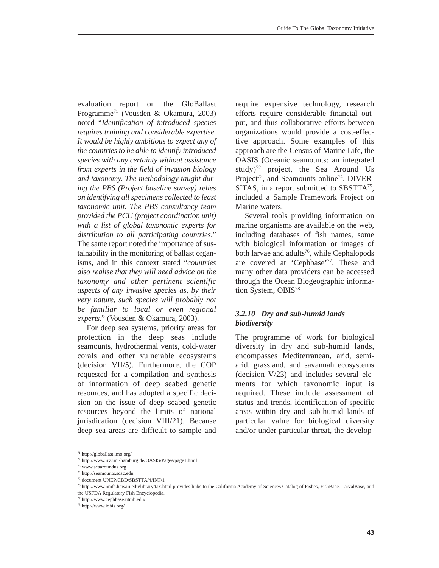evaluation report on the GloBallast Programme71 (Vousden & Okamura, 2003) noted "*Identification of introduced species requires training and considerable expertise. It would be highly ambitious to expect any of the countries to be able to identify introduced species with any certainty without assistance from experts in the field of invasion biology and taxonomy. The methodology taught during the PBS (Project baseline survey) relies on identifying all specimens collected to least taxonomic unit. The PBS consultancy team provided the PCU (project coordination unit) with a list of global taxonomic experts for distribution to all participating countries*." The same report noted the importance of sustainability in the monitoring of ballast organisms, and in this context stated "*countries also realise that they will need advice on the taxonomy and other pertinent scientific aspects of any invasive species as, by their very nature, such species will probably not be familiar to local or even regional experts*." (Vousden & Okamura, 2003).

For deep sea systems, priority areas for protection in the deep seas include seamounts, hydrothermal vents, cold-water corals and other vulnerable ecosystems (decision VII/5). Furthermore, the COP requested for a compilation and synthesis of information of deep seabed genetic resources, and has adopted a specific decision on the issue of deep seabed genetic resources beyond the limits of national jurisdication (decision VIII/21). Because deep sea areas are difficult to sample and

require expensive technology, research efforts require considerable financial output, and thus collaborative efforts between organizations would provide a cost-effective approach. Some examples of this approach are the Census of Marine Life, the OASIS (Oceanic seamounts: an integrated study)<sup>72</sup> project, the Sea Around Us Project<sup>73</sup>, and Seamounts online<sup>74</sup>. DIVER-SITAS, in a report submitted to SBSTTA $^{75}$ , included a Sample Framework Project on Marine waters.

Several tools providing information on marine organisms are available on the web, including databases of fish names, some with biological information or images of both larvae and adults<sup>76</sup>, while Cephalopods are covered at 'Cephbase'77. These and many other data providers can be accessed through the Ocean Biogeographic information System, OBIS<sup>78</sup>

# *3.2.10 Dry and sub-humid lands biodiversity*

The programme of work for biological diversity in dry and sub-humid lands, encompasses Mediterranean, arid, semiarid, grassland, and savannah ecosystems (decision V/23) and includes several elements for which taxonomic input is required. These include assessment of status and trends, identification of specific areas within dry and sub-humid lands of particular value for biological diversity and/or under particular threat, the develop-

<sup>71</sup> http://globallast.imo.org/

<sup>72</sup> http://www.rrz.uni-hamburg.de/OASIS/Pages/page1.html

<sup>73</sup> www.seaaroundus.org

<sup>74</sup> http://seamounts.sdsc.edu

<sup>75</sup> document UNEP/CBD/SBSTTA/4/INF/1

<sup>76</sup> http://www.nmfs.hawaii.edu/library/tax.html provides links to the California Academy of Sciences Catalog of Fishes, FishBase, LarvalBase, and the USFDA Regulatory Fish Encyclopedia.

<sup>77</sup> http://www.cephbase.utmb.edu/

<sup>78</sup> http://www.iobis.org/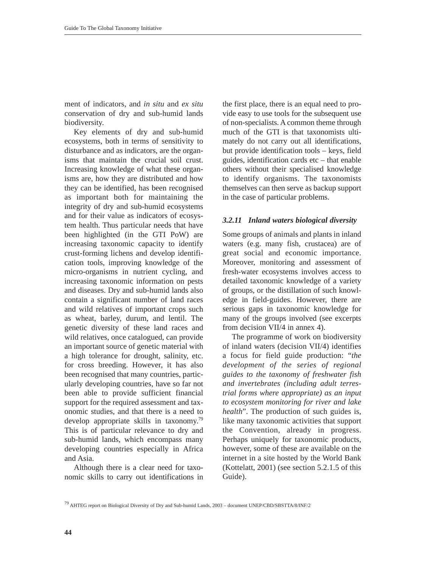ment of indicators, and *in situ* and *ex situ* conservation of dry and sub-humid lands biodiversity.

Key elements of dry and sub-humid ecosystems, both in terms of sensitivity to disturbance and as indicators, are the organisms that maintain the crucial soil crust. Increasing knowledge of what these organisms are, how they are distributed and how they can be identified, has been recognised as important both for maintaining the integrity of dry and sub-humid ecosystems and for their value as indicators of ecosystem health. Thus particular needs that have been highlighted (in the GTI PoW) are increasing taxonomic capacity to identify crust-forming lichens and develop identification tools, improving knowledge of the micro-organisms in nutrient cycling, and increasing taxonomic information on pests and diseases. Dry and sub-humid lands also contain a significant number of land races and wild relatives of important crops such as wheat, barley, durum, and lentil. The genetic diversity of these land races and wild relatives, once catalogued, can provide an important source of genetic material with a high tolerance for drought, salinity, etc. for cross breeding. However, it has also been recognised that many countries, particularly developing countries, have so far not been able to provide sufficient financial support for the required assessment and taxonomic studies, and that there is a need to develop appropriate skills in taxonomy.79 This is of particular relevance to dry and sub-humid lands, which encompass many developing countries especially in Africa and Asia.

Although there is a clear need for taxonomic skills to carry out identifications in

the first place, there is an equal need to provide easy to use tools for the subsequent use of non-specialists. A common theme through much of the GTI is that taxonomists ultimately do not carry out all identifications, but provide identification tools – keys, field guides, identification cards etc – that enable others without their specialised knowledge to identify organisms. The taxonomists themselves can then serve as backup support in the case of particular problems.

#### *3.2.11 Inland waters biological diversity*

Some groups of animals and plants in inland waters (e.g. many fish, crustacea) are of great social and economic importance. Moreover, monitoring and assessment of fresh-water ecosystems involves access to detailed taxonomic knowledge of a variety of groups, or the distillation of such knowledge in field-guides. However, there are serious gaps in taxonomic knowledge for many of the groups involved (see excerpts from decision VII/4 in annex 4).

The programme of work on biodiversity of inland waters (decision VII/4) identifies a focus for field guide production: "*the development of the series of regional guides to the taxonomy of freshwater fish and invertebrates (including adult terrestrial forms where appropriate) as an input to ecosystem monitoring for river and lake health*". The production of such guides is, like many taxonomic activities that support the Convention, already in progress. Perhaps uniquely for taxonomic products, however, some of these are available on the internet in a site hosted by the World Bank (Kottelatt, 2001) (see section 5.2.1.5 of this Guide).

<sup>79</sup> AHTEG report on Biological Diversity of Dry and Sub-humid Lands, 2003 – document UNEP/CBD/SBSTTA/8/INF/2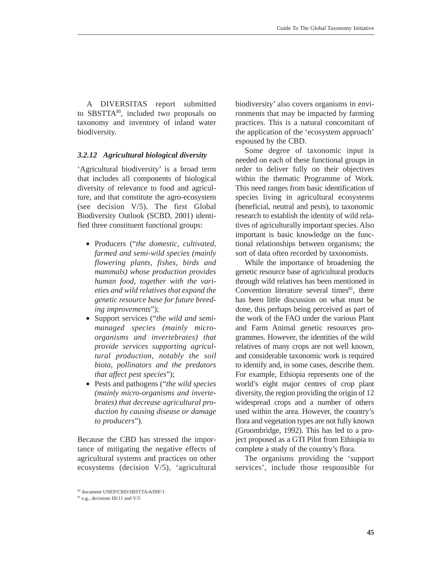A DIVERSITAS report submitted to SBSTTA<sup>80</sup>, included two proposals on taxonomy and inventory of inland water biodiversity.

#### *3.2.12 Agricultural biological diversity*

'Agricultural biodiversity' is a broad term that includes all components of biological diversity of relevance to food and agriculture, and that constitute the agro-ecosystem (see decision V/5). The first Global Biodiversity Outlook (SCBD, 2001) identified three constituent functional groups:

- Producers ("*the domestic, cultivated, farmed and semi-wild species (mainly flowering plants, fishes, birds and mammals) whose production provides human food, together with the varieties and wild relatives that expand the genetic resource base for future breeding improvements*");
- Support services ("*the wild and semimanaged species (mainly microorganisms and invertebrates) that provide services supporting agricultural production, notably the soil biota, pollinators and the predators that affect pest species*");
- Pests and pathogens ("*the wild species (mainly micro-organisms and invertebrates) that decrease agricultural production by causing disease or damage to producers*").

Because the CBD has stressed the importance of mitigating the negative effects of agricultural systems and practices on other ecosystems (decision V/5), 'agricultural biodiversity' also covers organisms in environments that may be impacted by farming practices. This is a natural concomitant of the application of the 'ecosystem approach' espoused by the CBD.

Some degree of taxonomic input is needed on each of these functional groups in order to deliver fully on their objectives within the thematic Programme of Work. This need ranges from basic identification of species living in agricultural ecosystems (beneficial, neutral and pests), to taxonomic research to establish the identity of wild relatives of agriculturally important species. Also important is basic knowledge on the functional relationships between organisms; the sort of data often recorded by taxonomists.

While the importance of broadening the genetic resource base of agricultural products through wild relatives has been mentioned in Convention literature several times $81$ , there has been little discussion on what must be done, this perhaps being perceived as part of the work of the FAO under the various Plant and Farm Animal genetic resources programmes. However, the identities of the wild relatives of many crops are not well known, and considerable taxonomic work is required to identify and, in some cases, describe them. For example, Ethiopia represents one of the world's eight major centres of crop plant diversity, the region providing the origin of 12 widespread crops and a number of others used within the area. However, the country's flora and vegetation types are not fully known (Groombridge, 1992). This has led to a project proposed as a GTI Pilot from Ethiopia to complete a study of the country's flora.

The organisms providing the 'support services', include those responsible for

<sup>80</sup> document UNEP/CBD/SBSTTA/4/INF/1

<sup>81</sup> e.g., decisions III/11 and V/5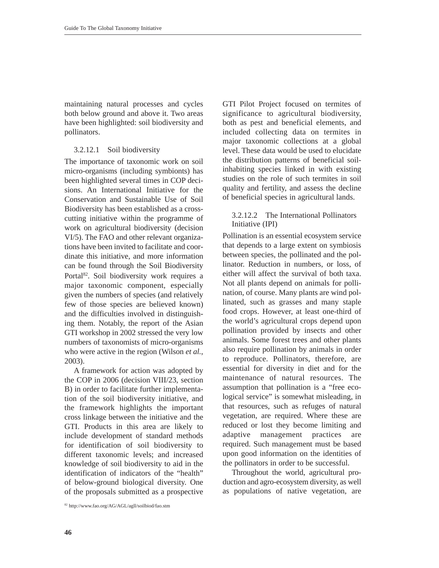maintaining natural processes and cycles both below ground and above it. Two areas have been highlighted: soil biodiversity and pollinators.

#### 3.2.12.1 Soil biodiversity

The importance of taxonomic work on soil micro-organisms (including symbionts) has been highlighted several times in COP decisions. An International Initiative for the Conservation and Sustainable Use of Soil Biodiversity has been established as a crosscutting initiative within the programme of work on agricultural biodiversity (decision VI/5). The FAO and other relevant organizations have been invited to facilitate and coordinate this initiative, and more information can be found through the Soil Biodiversity Portal<sup>82</sup>. Soil biodiversity work requires a major taxonomic component, especially given the numbers of species (and relatively few of those species are believed known) and the difficulties involved in distinguishing them. Notably, the report of the Asian GTI workshop in 2002 stressed the very low numbers of taxonomists of micro-organisms who were active in the region (Wilson *et al.*, 2003).

A framework for action was adopted by the COP in 2006 (decision VIII/23, section B) in order to facilitate further implementation of the soil biodiversity initiative, and the framework highlights the important cross linkage between the initiative and the GTI. Products in this area are likely to include development of standard methods for identification of soil biodiversity to different taxonomic levels; and increased knowledge of soil biodiversity to aid in the identification of indicators of the "health" of below-ground biological diversity. One of the proposals submitted as a prospective

GTI Pilot Project focused on termites of significance to agricultural biodiversity, both as pest and beneficial elements, and included collecting data on termites in major taxonomic collections at a global level. These data would be used to elucidate the distribution patterns of beneficial soilinhabiting species linked in with existing studies on the role of such termites in soil quality and fertility, and assess the decline of beneficial species in agricultural lands.

## 3.2.12.2 The International Pollinators Initiative (IPI)

Pollination is an essential ecosystem service that depends to a large extent on symbiosis between species, the pollinated and the pollinator. Reduction in numbers, or loss, of either will affect the survival of both taxa. Not all plants depend on animals for pollination, of course. Many plants are wind pollinated, such as grasses and many staple food crops. However, at least one-third of the world's agricultural crops depend upon pollination provided by insects and other animals. Some forest trees and other plants also require pollination by animals in order to reproduce. Pollinators, therefore, are essential for diversity in diet and for the maintenance of natural resources. The assumption that pollination is a "free ecological service" is somewhat misleading, in that resources, such as refuges of natural vegetation, are required. Where these are reduced or lost they become limiting and adaptive management practices are required. Such management must be based upon good information on the identities of the pollinators in order to be successful.

Throughout the world, agricultural production and agro-ecosystem diversity, as well as populations of native vegetation, are

<sup>82</sup> http://www.fao.org/AG/AGL/agll/soilbiod/fao.stm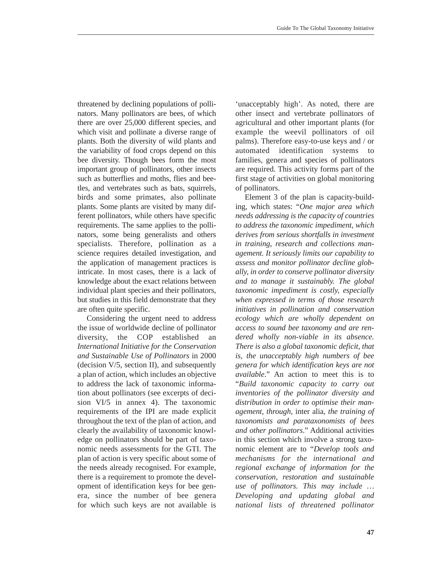threatened by declining populations of pollinators. Many pollinators are bees, of which there are over 25,000 different species, and which visit and pollinate a diverse range of plants. Both the diversity of wild plants and the variability of food crops depend on this bee diversity. Though bees form the most important group of pollinators, other insects such as butterflies and moths, flies and beetles, and vertebrates such as bats, squirrels, birds and some primates, also pollinate plants. Some plants are visited by many different pollinators, while others have specific requirements. The same applies to the pollinators, some being generalists and others specialists. Therefore, pollination as a science requires detailed investigation, and the application of management practices is intricate. In most cases, there is a lack of knowledge about the exact relations between individual plant species and their pollinators, but studies in this field demonstrate that they are often quite specific.

Considering the urgent need to address the issue of worldwide decline of pollinator diversity, the COP established an *International Initiative for the Conservation and Sustainable Use of Pollinators* in 2000 (decision V/5, section II), and subsequently a plan of action, which includes an objective to address the lack of taxonomic information about pollinators (see excerpts of decision VI/5 in annex 4). The taxonomic requirements of the IPI are made explicit throughout the text of the plan of action, and clearly the availability of taxonomic knowledge on pollinators should be part of taxonomic needs assessments for the GTI. The plan of action is very specific about some of the needs already recognised. For example, there is a requirement to promote the development of identification keys for bee genera, since the number of bee genera for which such keys are not available is

'unacceptably high'. As noted, there are other insect and vertebrate pollinators of agricultural and other important plants (for example the weevil pollinators of oil palms). Therefore easy-to-use keys and / or automated identification systems to families, genera and species of pollinators are required. This activity forms part of the first stage of activities on global monitoring of pollinators.

Element 3 of the plan is capacity-building, which states: "*One major area which needs addressing is the capacity of countries to address the taxonomic impediment, which derives from serious shortfalls in investment in training, research and collections management. It seriously limits our capability to assess and monitor pollinator decline globally, in order to conserve pollinator diversity and to manage it sustainably. The global taxonomic impediment is costly, especially when expressed in terms of those research initiatives in pollination and conservation ecology which are wholly dependent on access to sound bee taxonomy and are rendered wholly non-viable in its absence. There is also a global taxonomic deficit, that is, the unacceptably high numbers of bee genera for which identification keys are not available*." An action to meet this is to "*Build taxonomic capacity to carry out inventories of the pollinator diversity and distribution in order to optimise their management, through,* inter alia*, the training of taxonomists and parataxonomists of bees and other pollinators*." Additional activities in this section which involve a strong taxonomic element are to "*Develop tools and mechanisms for the international and regional exchange of information for the conservation, restoration and sustainable use of pollinators. This may include … Developing and updating global and national lists of threatened pollinator*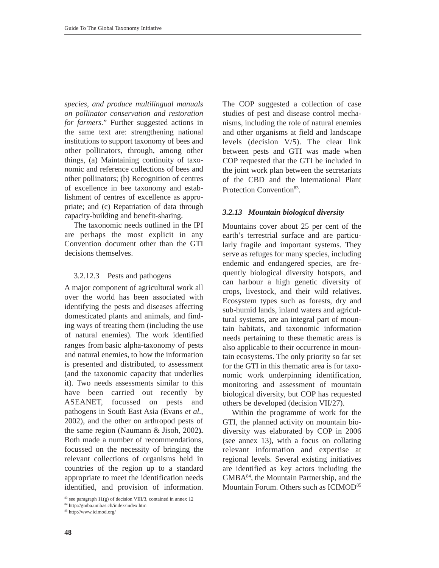*species, and produce multilingual manuals on pollinator conservation and restoration for farmers.*" Further suggested actions in the same text are: strengthening national institutions to support taxonomy of bees and other pollinators, through, among other things, (a) Maintaining continuity of taxonomic and reference collections of bees and other pollinators; (b) Recognition of centres of excellence in bee taxonomy and establishment of centres of excellence as appropriate; and (c) Repatriation of data through capacity-building and benefit-sharing.

The taxonomic needs outlined in the IPI are perhaps the most explicit in any Convention document other than the GTI decisions themselves.

#### 3.2.12.3 Pests and pathogens

A major component of agricultural work all over the world has been associated with identifying the pests and diseases affecting domesticated plants and animals, and finding ways of treating them (including the use of natural enemies). The work identified ranges from basic alpha-taxonomy of pests and natural enemies, to how the information is presented and distributed, to assessment (and the taxonomic capacity that underlies it). Two needs assessments similar to this have been carried out recently by ASEANET, focussed on pests and pathogens in South East Asia (Evans *et al.*, 2002), and the other on arthropod pests of the same region (Naumann & Jisoh, 2002**).** Both made a number of recommendations, focussed on the necessity of bringing the relevant collections of organisms held in countries of the region up to a standard appropriate to meet the identification needs identified, and provision of information.

<sup>84</sup> http://gmba.unibas.ch/index/index.htm

The COP suggested a collection of case studies of pest and disease control mechanisms, including the role of natural enemies and other organisms at field and landscape levels (decision V/5). The clear link between pests and GTI was made when COP requested that the GTI be included in the joint work plan between the secretariats of the CBD and the International Plant Protection Convention<sup>83</sup>.

#### *3.2.13 Mountain biological diversity*

Mountains cover about 25 per cent of the earth's terrestrial surface and are particularly fragile and important systems. They serve as refuges for many species, including endemic and endangered species, are frequently biological diversity hotspots, and can harbour a high genetic diversity of crops, livestock, and their wild relatives. Ecosystem types such as forests, dry and sub-humid lands, inland waters and agricultural systems, are an integral part of mountain habitats, and taxonomic information needs pertaining to these thematic areas is also applicable to their occurrence in mountain ecosystems. The only priority so far set for the GTI in this thematic area is for taxonomic work underpinning identification, monitoring and assessment of mountain biological diversity, but COP has requested others be developed (decision VII/27).

Within the programme of work for the GTI, the planned activity on mountain biodiversity was elaborated by COP in 2006 (see annex 13), with a focus on collating relevant information and expertise at regional levels. Several existing initiatives are identified as key actors including the GMBA84, the Mountain Partnership, and the Mountain Forum. Others such as ICIMOD<sup>85</sup>

<sup>&</sup>lt;sup>83</sup> see paragraph  $11(g)$  of decision VIII/3, contained in annex 12

<sup>85</sup> http://www.icimod.org/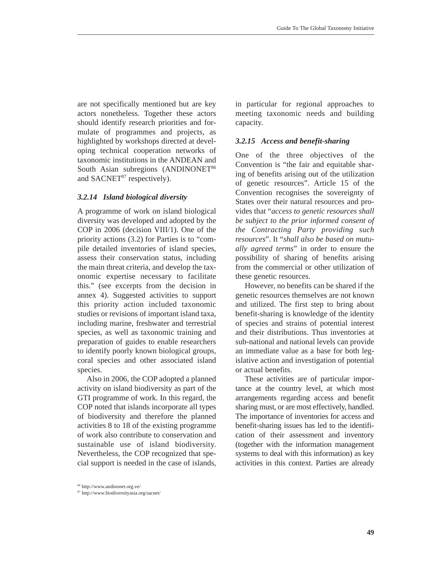are not specifically mentioned but are key actors nonetheless. Together these actors should identify research priorities and formulate of programmes and projects, as highlighted by workshops directed at developing technical cooperation networks of taxonomic institutions in the ANDEAN and South Asian subregions (ANDINONET<sup>86</sup> and  $SACNET<sup>87</sup>$  respectively).

#### *3.2.14 Island biological diversity*

A programme of work on island biological diversity was developed and adopted by the COP in 2006 (decision VIII/1). One of the priority actions (3.2) for Parties is to "compile detailed inventories of island species, assess their conservation status, including the main threat criteria, and develop the taxonomic expertise necessary to facilitate this." (see excerpts from the decision in annex 4). Suggested activities to support this priority action included taxonomic studies or revisions of important island taxa, including marine, freshwater and terrestrial species, as well as taxonomic training and preparation of guides to enable researchers to identify poorly known biological groups, coral species and other associated island species.

Also in 2006, the COP adopted a planned activity on island biodiversity as part of the GTI programme of work. In this regard, the COP noted that islands incorporate all types of biodiversity and therefore the planned activities 8 to 18 of the existing programme of work also contribute to conservation and sustainable use of island biodiversity. Nevertheless, the COP recognized that special support is needed in the case of islands,

in particular for regional approaches to meeting taxonomic needs and building capacity.

## *3.2.15 Access and benefit-sharing*

One of the three objectives of the Convention is "the fair and equitable sharing of benefits arising out of the utilization of genetic resources". Article 15 of the Convention recognises the sovereignty of States over their natural resources and provides that "*access to genetic resources shall be subject to the prior informed consent of the Contracting Party providing such resources*". It "*shall also be based on mutually agreed terms*" in order to ensure the possibility of sharing of benefits arising from the commercial or other utilization of these genetic resources.

However, no benefits can be shared if the genetic resources themselves are not known and utilized. The first step to bring about benefit-sharing is knowledge of the identity of species and strains of potential interest and their distributions. Thus inventories at sub-national and national levels can provide an immediate value as a base for both legislative action and investigation of potential or actual benefits.

These activities are of particular importance at the country level, at which most arrangements regarding access and benefit sharing must, or are most effectively, handled. The importance of inventories for access and benefit-sharing issues has led to the identification of their assessment and inventory (together with the information management systems to deal with this information) as key activities in this context. Parties are already

<sup>86</sup> http://www.andinonet.org.ve/

<sup>87</sup> http://www.biodiversityasia.org/sacnet/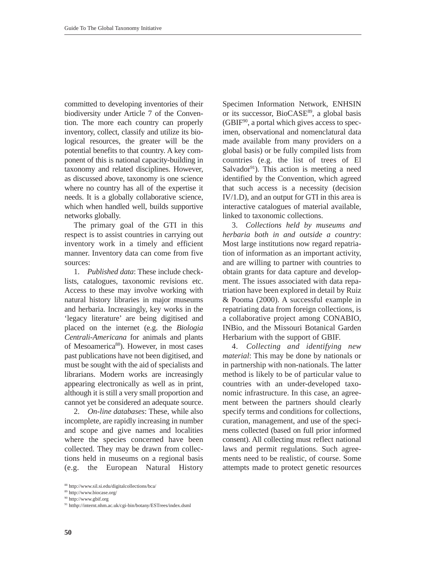committed to developing inventories of their biodiversity under Article 7 of the Convention. The more each country can properly inventory, collect, classify and utilize its biological resources, the greater will be the potential benefits to that country. A key component of this is national capacity-building in taxonomy and related disciplines. However, as discussed above, taxonomy is one science where no country has all of the expertise it needs. It is a globally collaborative science, which when handled well, builds supportive networks globally.

The primary goal of the GTI in this respect is to assist countries in carrying out inventory work in a timely and efficient manner. Inventory data can come from five sources:

1. *Published data*: These include checklists, catalogues, taxonomic revisions etc. Access to these may involve working with natural history libraries in major museums and herbaria. Increasingly, key works in the 'legacy literature' are being digitised and placed on the internet (e.g. the *Biologia Centrali-Americana* for animals and plants of Mesoamerica<sup>88</sup>). However, in most cases past publications have not been digitised, and must be sought with the aid of specialists and librarians. Modern works are increasingly appearing electronically as well as in print, although it is still a very small proportion and cannot yet be considered an adequate source.

2. *On-line databases*: These, while also incomplete, are rapidly increasing in number and scope and give names and localities where the species concerned have been collected. They may be drawn from collections held in museums on a regional basis (e.g. the European Natural History

Specimen Information Network, ENHSIN or its successor, BioCASE<sup>89</sup>, a global basis  $(GBIF<sup>90</sup>)$ , a portal which gives access to specimen, observational and nomenclatural data made available from many providers on a global basis) or be fully compiled lists from countries (e.g. the list of trees of El Salvador<sup>91</sup>). This action is meeting a need identified by the Convention, which agreed that such access is a necessity (decision IV/1.D), and an output for GTI in this area is interactive catalogues of material available, linked to taxonomic collections.

3. *Collections held by museums and herbaria both in and outside a country*: Most large institutions now regard repatriation of information as an important activity, and are willing to partner with countries to obtain grants for data capture and development. The issues associated with data repatriation have been explored in detail by Ruiz & Pooma (2000). A successful example in repatriating data from foreign collections, is a collaborative project among CONABIO, INBio, and the Missouri Botanical Garden Herbarium with the support of GBIF.

4. *Collecting and identifying new material*: This may be done by nationals or in partnership with non-nationals. The latter method is likely to be of particular value to countries with an under-developed taxonomic infrastructure. In this case, an agreement between the partners should clearly specify terms and conditions for collections, curation, management, and use of the specimens collected (based on full prior informed consent). All collecting must reflect national laws and permit regulations. Such agreements need to be realistic, of course. Some attempts made to protect genetic resources

<sup>88</sup> http://www.sil.si.edu/digitalcollections/bca/

<sup>89</sup> http://www.biocase.org/

<sup>90</sup> http://www.gbif.org

<sup>91</sup> htthp://internt.nhm.ac.uk/cgi-bin/botany/ESTrees/index.dsml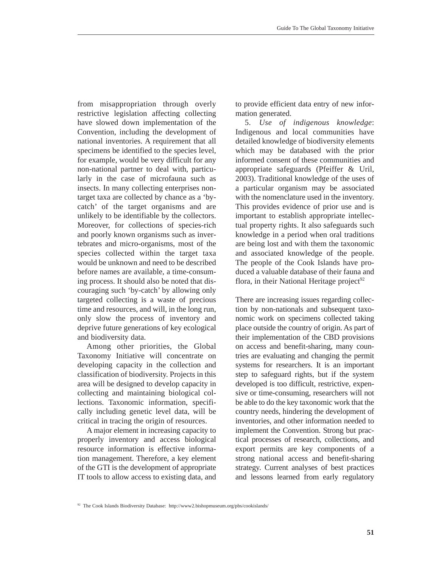from misappropriation through overly restrictive legislation affecting collecting have slowed down implementation of the Convention, including the development of national inventories. A requirement that all specimens be identified to the species level, for example, would be very difficult for any non-national partner to deal with, particularly in the case of microfauna such as insects. In many collecting enterprises nontarget taxa are collected by chance as a 'bycatch' of the target organisms and are unlikely to be identifiable by the collectors. Moreover, for collections of species-rich and poorly known organisms such as invertebrates and micro-organisms, most of the species collected within the target taxa would be unknown and need to be described before names are available, a time-consuming process. It should also be noted that discouraging such 'by-catch' by allowing only targeted collecting is a waste of precious time and resources, and will, in the long run, only slow the process of inventory and deprive future generations of key ecological and biodiversity data.

Among other priorities, the Global Taxonomy Initiative will concentrate on developing capacity in the collection and classification of biodiversity. Projects in this area will be designed to develop capacity in collecting and maintaining biological collections. Taxonomic information, specifically including genetic level data, will be critical in tracing the origin of resources.

A major element in increasing capacity to properly inventory and access biological resource information is effective information management. Therefore, a key element of the GTI is the development of appropriate IT tools to allow access to existing data, and to provide efficient data entry of new information generated.

5. *Use of indigenous knowledge*: Indigenous and local communities have detailed knowledge of biodiversity elements which may be databased with the prior informed consent of these communities and appropriate safeguards (Pfeiffer & Uril, 2003). Traditional knowledge of the uses of a particular organism may be associated with the nomenclature used in the inventory. This provides evidence of prior use and is important to establish appropriate intellectual property rights. It also safeguards such knowledge in a period when oral traditions are being lost and with them the taxonomic and associated knowledge of the people. The people of the Cook Islands have produced a valuable database of their fauna and flora, in their National Heritage project<sup>92</sup>

There are increasing issues regarding collection by non-nationals and subsequent taxonomic work on specimens collected taking place outside the country of origin. As part of their implementation of the CBD provisions on access and benefit-sharing, many countries are evaluating and changing the permit systems for researchers. It is an important step to safeguard rights, but if the system developed is too difficult, restrictive, expensive or time-consuming, researchers will not be able to do the key taxonomic work that the country needs, hindering the development of inventories, and other information needed to implement the Convention. Strong but practical processes of research, collections, and export permits are key components of a strong national access and benefit-sharing strategy. Current analyses of best practices and lessons learned from early regulatory

<sup>92</sup> The Cook Islands Biodiversity Database: http://www2.bishopmuseum.org/pbs/cookislands/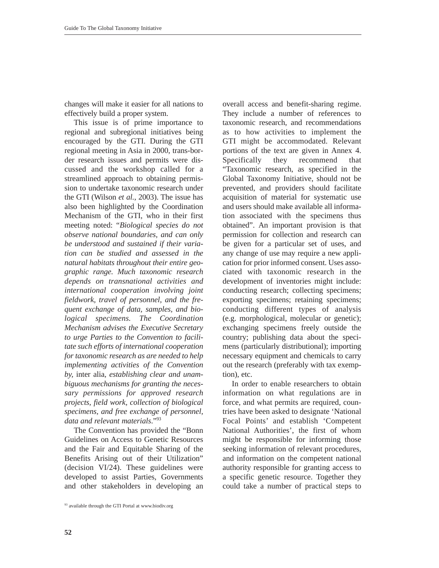changes will make it easier for all nations to effectively build a proper system.

This issue is of prime importance to regional and subregional initiatives being encouraged by the GTI. During the GTI regional meeting in Asia in 2000, trans-border research issues and permits were discussed and the workshop called for a streamlined approach to obtaining permission to undertake taxonomic research under the GTI (Wilson *et al.*, 2003). The issue has also been highlighted by the Coordination Mechanism of the GTI, who in their first meeting noted: "*Biological species do not observe national boundaries, and can only be understood and sustained if their variation can be studied and assessed in the natural habitats throughout their entire geographic range. Much taxonomic research depends on transnational activities and international cooperation involving joint fieldwork, travel of personnel, and the frequent exchange of data, samples, and biological specimens. The Coordination Mechanism advises the Executive Secretary to urge Parties to the Convention to facilitate such efforts of international cooperation for taxonomic research as are needed to help implementing activities of the Convention by,* inter alia*, establishing clear and unambiguous mechanisms for granting the necessary permissions for approved research projects, field work, collection of biological specimens, and free exchange of personnel, data and relevant materials*."93

The Convention has provided the "Bonn Guidelines on Access to Genetic Resources and the Fair and Equitable Sharing of the Benefits Arising out of their Utilization" (decision VI/24). These guidelines were developed to assist Parties, Governments and other stakeholders in developing an

overall access and benefit-sharing regime. They include a number of references to taxonomic research, and recommendations as to how activities to implement the GTI might be accommodated. Relevant portions of the text are given in Annex 4. Specifically they recommend that "Taxonomic research, as specified in the Global Taxonomy Initiative, should not be prevented, and providers should facilitate acquisition of material for systematic use and users should make available all information associated with the specimens thus obtained". An important provision is that permission for collection and research can be given for a particular set of uses, and any change of use may require a new application for prior informed consent. Uses associated with taxonomic research in the development of inventories might include: conducting research; collecting specimens; exporting specimens; retaining specimens; conducting different types of analysis (e.g. morphological, molecular or genetic); exchanging specimens freely outside the country; publishing data about the specimens (particularly distributional); importing necessary equipment and chemicals to carry out the research (preferably with tax exemption), etc.

In order to enable researchers to obtain information on what regulations are in force, and what permits are required, countries have been asked to designate 'National Focal Points' and establish 'Competent National Authorities', the first of whom might be responsible for informing those seeking information of relevant procedures, and information on the competent national authority responsible for granting access to a specific genetic resource. Together they could take a number of practical steps to

<sup>93</sup> available through the GTI Portal at www.biodiv.org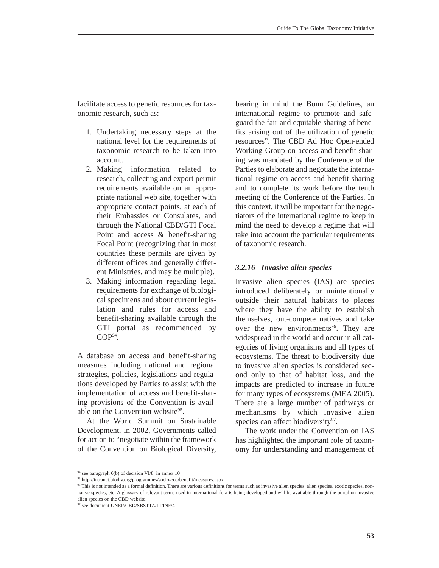facilitate access to genetic resources for taxonomic research, such as:

- 1. Undertaking necessary steps at the national level for the requirements of taxonomic research to be taken into account.
- 2. Making information related to research, collecting and export permit requirements available on an appropriate national web site, together with appropriate contact points, at each of their Embassies or Consulates, and through the National CBD/GTI Focal Point and access & benefit-sharing Focal Point (recognizing that in most countries these permits are given by different offices and generally different Ministries, and may be multiple).
- 3. Making information regarding legal requirements for exchange of biological specimens and about current legislation and rules for access and benefit-sharing available through the GTI portal as recommended by  $COP<sup>94</sup>$ .

A database on access and benefit-sharing measures including national and regional strategies, policies, legislations and regulations developed by Parties to assist with the implementation of access and benefit-sharing provisions of the Convention is available on the Convention website<sup>95</sup>.

At the World Summit on Sustainable Development, in 2002, Governments called for action to "negotiate within the framework of the Convention on Biological Diversity, bearing in mind the Bonn Guidelines, an international regime to promote and safeguard the fair and equitable sharing of benefits arising out of the utilization of genetic resources". The CBD Ad Hoc Open-ended Working Group on access and benefit-sharing was mandated by the Conference of the Parties to elaborate and negotiate the international regime on access and benefit-sharing and to complete its work before the tenth meeting of the Conference of the Parties. In this context, it will be important for the negotiators of the international regime to keep in mind the need to develop a regime that will take into account the particular requirements of taxonomic research.

## *3.2.16 Invasive alien species*

Invasive alien species (IAS) are species introduced deliberately or unintentionally outside their natural habitats to places where they have the ability to establish themselves, out-compete natives and take over the new environments<sup>96</sup>. They are widespread in the world and occur in all categories of living organisms and all types of ecosystems. The threat to biodiversity due to invasive alien species is considered second only to that of habitat loss, and the impacts are predicted to increase in future for many types of ecosystems (MEA 2005). There are a large number of pathways or mechanisms by which invasive alien species can affect biodiversity $97$ .

The work under the Convention on IAS has highlighted the important role of taxonomy for understanding and management of

<sup>94</sup> see paragraph 6(b) of decision VI/8, in annex 10

<sup>95</sup> http://intranet.biodiv.org/programmes/socio-eco/benefit/measures.aspx

<sup>96</sup> This is not intended as a formal definition. There are various definitions for terms such as invasive alien species, alien species, exotic species, nonnative species, etc. A glossary of relevant terms used in international fora is being developed and will be available through the portal on invasive alien species on the CBD website.

<sup>97</sup> see document UNEP/CBD/SBSTTA/11/INF/4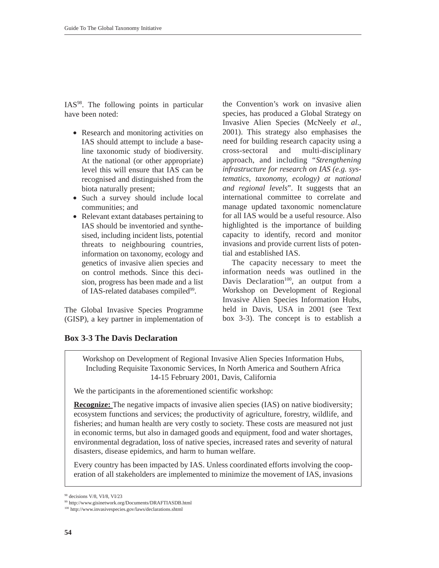IAS98. The following points in particular have been noted:

- Research and monitoring activities on IAS should attempt to include a baseline taxonomic study of biodiversity. At the national (or other appropriate) level this will ensure that IAS can be recognised and distinguished from the biota naturally present;
- Such a survey should include local communities; and
- Relevant extant databases pertaining to IAS should be inventoried and synthesised, including incident lists, potential threats to neighbouring countries, information on taxonomy, ecology and genetics of invasive alien species and on control methods. Since this decision, progress has been made and a list of IAS-related databases compiled<sup>99</sup>.

The Global Invasive Species Programme (GISP), a key partner in implementation of

**Box 3-3 The Davis Declaration**

the Convention's work on invasive alien species, has produced a Global Strategy on Invasive Alien Species (McNeely *et al*., 2001). This strategy also emphasises the need for building research capacity using a cross-sectoral and multi-disciplinary approach, and including "*Strengthening infrastructure for research on IAS (e.g. systematics, taxonomy, ecology) at national and regional levels*". It suggests that an international committee to correlate and manage updated taxonomic nomenclature for all IAS would be a useful resource. Also highlighted is the importance of building capacity to identify, record and monitor invasions and provide current lists of potential and established IAS.

The capacity necessary to meet the information needs was outlined in the Davis Declaration<sup>100</sup>, an output from a Workshop on Development of Regional Invasive Alien Species Information Hubs, held in Davis, USA in 2001 (see Text box 3-3). The concept is to establish a

Workshop on Development of Regional Invasive Alien Species Information Hubs, Including Requisite Taxonomic Services, In North America and Southern Africa 14-15 February 2001, Davis, California

We the participants in the aforementioned scientific workshop:

**Recognize:** The negative impacts of invasive alien species (IAS) on native biodiversity; ecosystem functions and services; the productivity of agriculture, forestry, wildlife, and fisheries; and human health are very costly to society. These costs are measured not just in economic terms, but also in damaged goods and equipment, food and water shortages, environmental degradation, loss of native species, increased rates and severity of natural disasters, disease epidemics, and harm to human welfare.

Every country has been impacted by IAS. Unless coordinated efforts involving the cooperation of all stakeholders are implemented to minimize the movement of IAS, invasions

<sup>98</sup> decisions V/8, VI/8, VI/23

<sup>99</sup> http://www.gisinetwork.org/Documents/DRAFTIASDB.html

<sup>100</sup> http://www.invasivespecies.gov/laws/declarations.shtml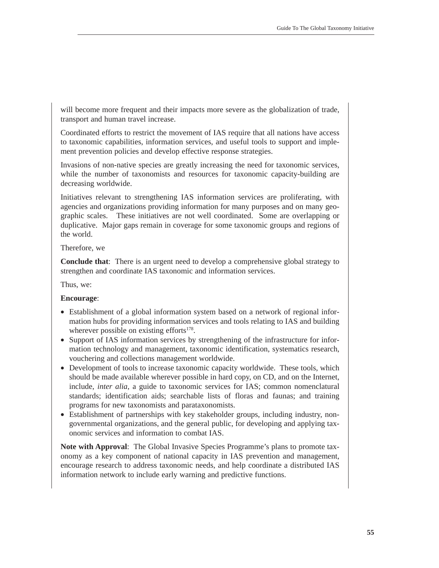will become more frequent and their impacts more severe as the globalization of trade, transport and human travel increase.

Coordinated efforts to restrict the movement of IAS require that all nations have access to taxonomic capabilities, information services, and useful tools to support and implement prevention policies and develop effective response strategies.

Invasions of non-native species are greatly increasing the need for taxonomic services, while the number of taxonomists and resources for taxonomic capacity-building are decreasing worldwide.

Initiatives relevant to strengthening IAS information services are proliferating, with agencies and organizations providing information for many purposes and on many geographic scales. These initiatives are not well coordinated. Some are overlapping or duplicative. Major gaps remain in coverage for some taxonomic groups and regions of the world.

## Therefore, we

**Conclude that**: There is an urgent need to develop a comprehensive global strategy to strengthen and coordinate IAS taxonomic and information services.

Thus, we:

## **Encourage**:

- Establishment of a global information system based on a network of regional information hubs for providing information services and tools relating to IAS and building wherever possible on existing efforts $178$ .
- Support of IAS information services by strengthening of the infrastructure for information technology and management, taxonomic identification, systematics research, vouchering and collections management worldwide.
- Development of tools to increase taxonomic capacity worldwide. These tools, which should be made available wherever possible in hard copy, on CD, and on the Internet, include, *inter alia*, a guide to taxonomic services for IAS; common nomenclatural standards; identification aids; searchable lists of floras and faunas; and training programs for new taxonomists and parataxonomists.
- Establishment of partnerships with key stakeholder groups, including industry, nongovernmental organizations, and the general public, for developing and applying taxonomic services and information to combat IAS.

**Note with Approval**: The Global Invasive Species Programme's plans to promote taxonomy as a key component of national capacity in IAS prevention and management, encourage research to address taxonomic needs, and help coordinate a distributed IAS information network to include early warning and predictive functions.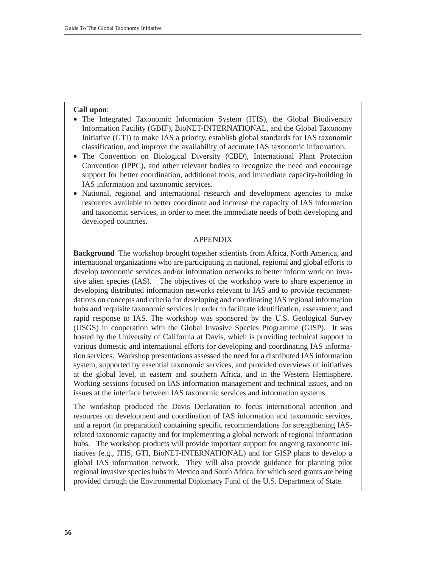## **Call upon**:

- The Integrated Taxonomic Information System (ITIS), the Global Biodiversity Information Facility (GBIF), BioNET-INTERNATIONAL, and the Global Taxonomy Initiative (GTI) to make IAS a priority, establish global standards for IAS taxonomic classification, and improve the availability of accurate IAS taxonomic information.
- The Convention on Biological Diversity (CBD), International Plant Protection Convention (IPPC), and other relevant bodies to recognize the need and encourage support for better coordination, additional tools, and immediate capacity-building in IAS information and taxonomic services.
- National, regional and international research and development agencies to make resources available to better coordinate and increase the capacity of IAS information and taxonomic services, in order to meet the immediate needs of both developing and developed countries.

#### APPENDIX

**Background** The workshop brought together scientists from Africa, North America, and international organizations who are participating in national, regional and global efforts to develop taxonomic services and/or information networks to better inform work on invasive alien species (IAS). The objectives of the workshop were to share experience in developing distributed information networks relevant to IAS and to provide recommendations on concepts and criteria for developing and coordinating IAS regional information hubs and requisite taxonomic services in order to facilitate identification, assessment, and rapid response to IAS. The workshop was sponsored by the U.S. Geological Survey (USGS) in cooperation with the Global Invasive Species Programme (GISP). It was hosted by the University of California at Davis, which is providing technical support to various domestic and international efforts for developing and coordinating IAS information services. Workshop presentations assessed the need for a distributed IAS information system, supported by essential taxonomic services, and provided overviews of initiatives at the global level, in eastern and southern Africa, and in the Western Hemisphere. Working sessions focused on IAS information management and technical issues, and on issues at the interface between IAS taxonomic services and information systems.

The workshop produced the Davis Declaration to focus international attention and resources on development and coordination of IAS information and taxonomic services, and a report (in preparation) containing specific recommendations for strengthening IASrelated taxonomic capacity and for implementing a global network of regional information hubs. The workshop products will provide important support for ongoing taxonomic initiatives (e.g., ITIS, GTI, BioNET-INTERNATIONAL) and for GISP plans to develop a global IAS information network. They will also provide guidance for planning pilot regional invasive species hubs in Mexico and South Africa, for which seed grants are being provided through the Environmental Diplomacy Fund of the U.S. Department of State.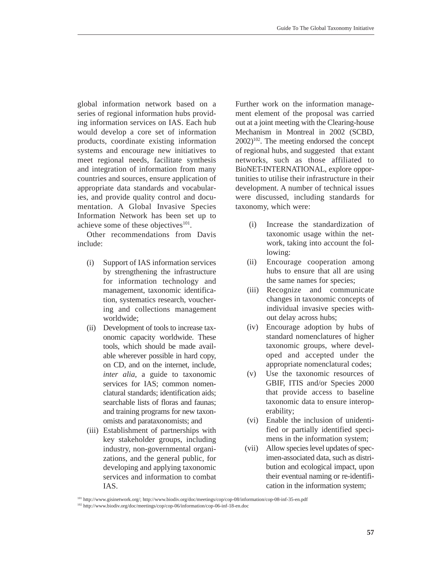global information network based on a series of regional information hubs providing information services on IAS. Each hub would develop a core set of information products, coordinate existing information systems and encourage new initiatives to meet regional needs, facilitate synthesis and integration of information from many countries and sources, ensure application of appropriate data standards and vocabularies, and provide quality control and documentation. A Global Invasive Species Information Network has been set up to achieve some of these objectives $101$ .

Other recommendations from Davis include:

- (i) Support of IAS information services by strengthening the infrastructure for information technology and management, taxonomic identification, systematics research, vouchering and collections management worldwide;
- (ii) Development of tools to increase taxonomic capacity worldwide. These tools, which should be made available wherever possible in hard copy, on CD, and on the internet, include, *inter alia*, a guide to taxonomic services for IAS; common nomenclatural standards; identification aids; searchable lists of floras and faunas; and training programs for new taxonomists and parataxonomists; and
- (iii) Establishment of partnerships with key stakeholder groups, including industry, non-governmental organizations, and the general public, for developing and applying taxonomic services and information to combat IAS.

Further work on the information management element of the proposal was carried out at a joint meeting with the Clearing-house Mechanism in Montreal in 2002 (SCBD,  $2002$ <sup>102</sup>. The meeting endorsed the concept of regional hubs, and suggested that extant networks, such as those affiliated to BioNET-INTERNATIONAL, explore opportunities to utilise their infrastructure in their development. A number of technical issues were discussed, including standards for taxonomy, which were:

- (i) Increase the standardization of taxonomic usage within the network, taking into account the following:
- (ii) Encourage cooperation among hubs to ensure that all are using the same names for species;
- (iii) Recognize and communicate changes in taxonomic concepts of individual invasive species without delay across hubs;
- (iv) Encourage adoption by hubs of standard nomenclatures of higher taxonomic groups, where developed and accepted under the appropriate nomenclatural codes;
- (v) Use the taxonomic resources of GBIF, ITIS and/or Species 2000 that provide access to baseline taxonomic data to ensure interoperability;
- (vi) Enable the inclusion of unidentified or partially identified specimens in the information system;
- (vii) Allow species level updates of specimen-associated data, such as distribution and ecological impact, upon their eventual naming or re-identification in the information system;

<sup>101</sup> http://www.gisinetwork.org/; http://www.biodiv.org/doc/meetings/cop/cop-08/information/cop-08-inf-35-en.pdf

<sup>102</sup> http://www.biodiv.org/doc/meetings/cop/cop-06/information/cop-06-inf-18-en.doc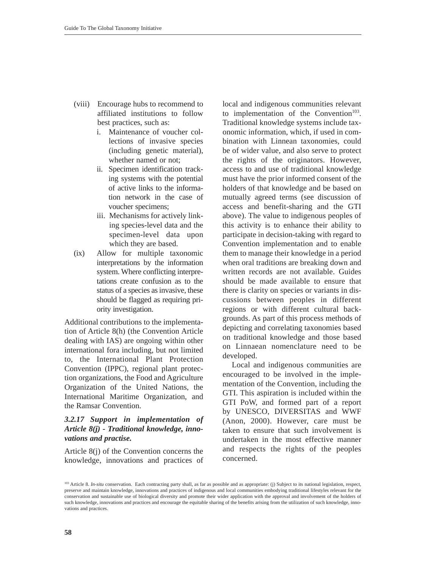- (viii) Encourage hubs to recommend to affiliated institutions to follow best practices, such as:
	- i. Maintenance of voucher collections of invasive species (including genetic material), whether named or not;
	- ii. Specimen identification tracking systems with the potential of active links to the information network in the case of voucher specimens;
	- iii. Mechanisms for actively linking species-level data and the specimen-level data upon which they are based.
- (ix) Allow for multiple taxonomic interpretations by the information system. Where conflicting interpretations create confusion as to the status of a species as invasive, these should be flagged as requiring priority investigation.

Additional contributions to the implementation of Article 8(h) (the Convention Article dealing with IAS) are ongoing within other international fora including, but not limited to, the International Plant Protection Convention (IPPC), regional plant protection organizations, the Food and Agriculture Organization of the United Nations, the International Maritime Organization, and the Ramsar Convention.

## *3.2.17 Support in implementation of Article 8(j) - Traditional knowledge, innovations and practise.*

Article 8(j) of the Convention concerns the knowledge, innovations and practices of

local and indigenous communities relevant to implementation of the Convention<sup>103</sup>. Traditional knowledge systems include taxonomic information, which, if used in combination with Linnean taxonomies, could be of wider value, and also serve to protect the rights of the originators. However, access to and use of traditional knowledge must have the prior informed consent of the holders of that knowledge and be based on mutually agreed terms (see discussion of access and benefit-sharing and the GTI above). The value to indigenous peoples of this activity is to enhance their ability to participate in decision-taking with regard to Convention implementation and to enable them to manage their knowledge in a period when oral traditions are breaking down and written records are not available. Guides should be made available to ensure that there is clarity on species or variants in discussions between peoples in different regions or with different cultural backgrounds. As part of this process methods of depicting and correlating taxonomies based on traditional knowledge and those based on Linnaean nomenclature need to be developed.

Local and indigenous communities are encouraged to be involved in the implementation of the Convention, including the GTI. This aspiration is included within the GTI PoW, and formed part of a report by UNESCO, DIVERSITAS and WWF (Anon, 2000). However, care must be taken to ensure that such involvement is undertaken in the most effective manner and respects the rights of the peoples concerned.

<sup>&</sup>lt;sup>103</sup> Article 8. *In-situ* conservation. Each contracting party shall, as far as possible and as appropriate: (j) Subject to its national legislation, respect, preserve and maintain knowledge, innovations and practices of indigenous and local communities embodying traditional lifestyles relevant for the conservation and sustainable use of biological diversity and promote their wider application with the approval and involvement of the holders of such knowledge, innovations and practices and encourage the equitable sharing of the benefits arising from the utilization of such knowledge, innovations and practices.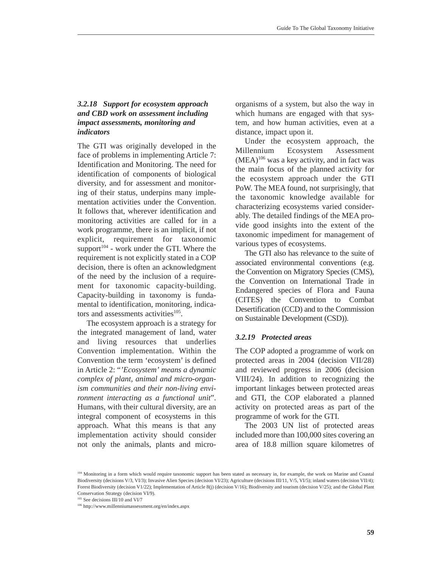# *3.2.18 Support for ecosystem approach and CBD work on assessment including impact assessments, monitoring and indicators*

The GTI was originally developed in the face of problems in implementing Article 7: Identification and Monitoring. The need for identification of components of biological diversity, and for assessment and monitoring of their status, underpins many implementation activities under the Convention. It follows that, wherever identification and monitoring activities are called for in a work programme, there is an implicit, if not explicit, requirement for taxonomic support<sup>104</sup> - work under the GTI. Where the requirement is not explicitly stated in a COP decision, there is often an acknowledgment of the need by the inclusion of a requirement for taxonomic capacity-building. Capacity-building in taxonomy is fundamental to identification, monitoring, indicators and assessments activities $105$ .

The ecosystem approach is a strategy for the integrated management of land, water and living resources that underlies Convention implementation. Within the Convention the term 'ecosystem' is defined in Article 2: "*'Ecosystem' means a dynamic complex of plant, animal and micro-organism communities and their non-living environment interacting as a functional unit*". Humans, with their cultural diversity, are an integral component of ecosystems in this approach. What this means is that any implementation activity should consider not only the animals, plants and microorganisms of a system, but also the way in which humans are engaged with that system, and how human activities, even at a distance, impact upon it.

Under the ecosystem approach, the Millennium Ecosystem Assessment  $(MEA)^{106}$  was a key activity, and in fact was the main focus of the planned activity for the ecosystem approach under the GTI PoW. The MEA found, not surprisingly, that the taxonomic knowledge available for characterizing ecosystems varied considerably. The detailed findings of the MEA provide good insights into the extent of the taxonomic impediment for management of various types of ecosystems.

The GTI also has relevance to the suite of associated environmental conventions (e.g. the Convention on Migratory Species (CMS), the Convention on International Trade in Endangered species of Flora and Fauna (CITES) the Convention to Combat Desertification (CCD) and to the Commission on Sustainable Development (CSD)).

# *3.2.19 Protected areas*

The COP adopted a programme of work on protected areas in 2004 (decision VII/28) and reviewed progress in 2006 (decision VIII/24). In addition to recognizing the important linkages between protected areas and GTI, the COP elaborated a planned activity on protected areas as part of the programme of work for the GTI.

The 2003 UN list of protected areas included more than 100,000 sites covering an area of 18.8 million square kilometres of

<sup>105</sup> See decisions III/10 and VI/7

<sup>&</sup>lt;sup>104</sup> Monitoring in a form which would require taxonomic support has been stated as necessary in, for example, the work on Marine and Coastal Biodiversity (decisions V/3, VI/3); Invasive Alien Species (decision VI/23); Agriculture (decisions III/11, V/5, VI/5); inland waters (decision VII/4); Forest Biodiversity (decision V1/22); Implementation of Article 8(j) (decision V/16); Biodiversity and tourism (decision V/25); and the Global Plant Conservation Strategy (decision VI/9).

<sup>106</sup> http://www.millenniumassessment.org/en/index.aspx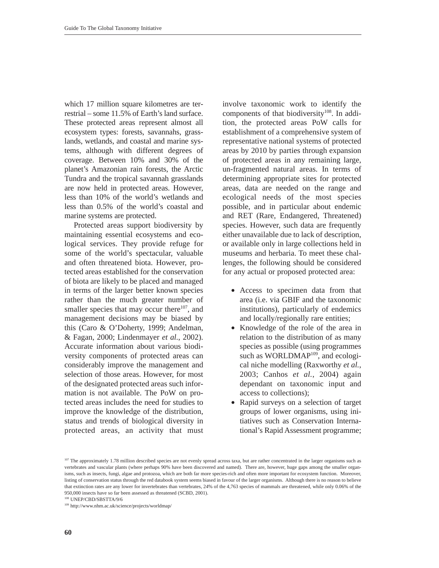which 17 million square kilometres are terrestrial – some 11.5% of Earth's land surface. These protected areas represent almost all ecosystem types: forests, savannahs, grasslands, wetlands, and coastal and marine systems, although with different degrees of coverage. Between 10% and 30% of the planet's Amazonian rain forests, the Arctic Tundra and the tropical savannah grasslands are now held in protected areas. However, less than 10% of the world's wetlands and less than 0.5% of the world's coastal and marine systems are protected.

Protected areas support biodiversity by maintaining essential ecosystems and ecological services. They provide refuge for some of the world's spectacular, valuable and often threatened biota. However, protected areas established for the conservation of biota are likely to be placed and managed in terms of the larger better known species rather than the much greater number of smaller species that may occur there $107$ , and management decisions may be biased by this (Caro & O'Doherty, 1999; Andelman, & Fagan, 2000; Lindenmayer *et al.*, 2002). Accurate information about various biodiversity components of protected areas can considerably improve the management and selection of those areas. However, for most of the designated protected areas such information is not available. The PoW on protected areas includes the need for studies to improve the knowledge of the distribution, status and trends of biological diversity in protected areas, an activity that must

involve taxonomic work to identify the components of that biodiversity<sup>108</sup>. In addition, the protected areas PoW calls for establishment of a comprehensive system of representative national systems of protected areas by 2010 by parties through expansion of protected areas in any remaining large, un-fragmented natural areas. In terms of determining appropriate sites for protected areas, data are needed on the range and ecological needs of the most species possible, and in particular about endemic and RET (Rare, Endangered, Threatened) species. However, such data are frequently either unavailable due to lack of description, or available only in large collections held in museums and herbaria. To meet these challenges, the following should be considered for any actual or proposed protected area:

- Access to specimen data from that area (i.e. via GBIF and the taxonomic institutions), particularly of endemics and locally/regionally rare entities;
- Knowledge of the role of the area in relation to the distribution of as many species as possible (using programmes such as WORLDMAP<sup>109</sup>, and ecological niche modelling (Raxworthy *et al.*, 2003; Canhos *et al.*, 2004) again dependant on taxonomic input and access to collections);
- Rapid surveys on a selection of target groups of lower organisms, using initiatives such as Conservation International's Rapid Assessment programme;

<sup>108</sup> UNEP/CBD/SBSTTA/9/6

<sup>109</sup> http://www.nhm.ac.uk/science/projects/worldmap/

<sup>&</sup>lt;sup>107</sup> The approximately 1.78 million described species are not evenly spread across taxa, but are rather concentrated in the larger organisms such as vertebrates and vascular plants (where perhaps 90% have been discovered and named). There are, however, huge gaps among the smaller organisms, such as insects, fungi, algae and protozoa, which are both far more species-rich and often more important for ecosystem function. Moreover, listing of conservation status through the red databook system seems biased in favour of the larger organisms. Although there is no reason to believe that extinction rates are any lower for invertebrates than vertebrates, 24% of the 4,763 species of mammals are threatened, while only 0.06% of the 950,000 insects have so far been assessed as threatened (SCBD, 2001).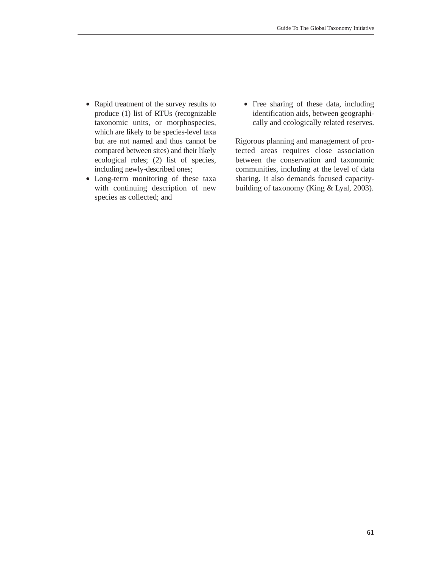- Rapid treatment of the survey results to produce (1) list of RTUs (recognizable taxonomic units, or morphospecies, which are likely to be species-level taxa but are not named and thus cannot be compared between sites) and their likely ecological roles; (2) list of species, including newly-described ones;
- Long-term monitoring of these taxa with continuing description of new species as collected; and
- Free sharing of these data, including identification aids, between geographically and ecologically related reserves.

Rigorous planning and management of protected areas requires close association between the conservation and taxonomic communities, including at the level of data sharing. It also demands focused capacitybuilding of taxonomy (King & Lyal, 2003).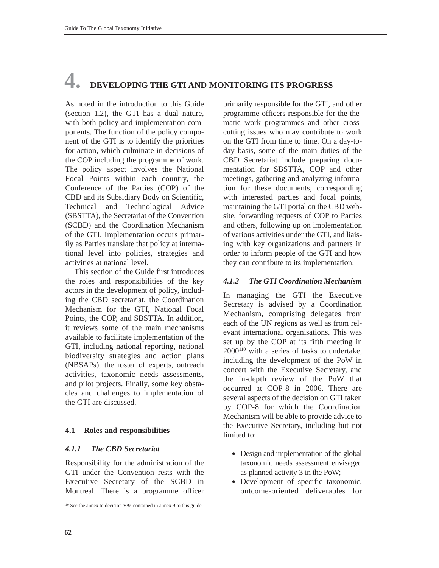# **4. DEVELOPING THE GTI AND MONITORING ITS PROGRESS**

As noted in the introduction to this Guide (section 1.2), the GTI has a dual nature, with both policy and implementation components. The function of the policy component of the GTI is to identify the priorities for action, which culminate in decisions of the COP including the programme of work. The policy aspect involves the National Focal Points within each country, the Conference of the Parties (COP) of the CBD and its Subsidiary Body on Scientific, Technical and Technological Advice (SBSTTA), the Secretariat of the Convention (SCBD) and the Coordination Mechanism of the GTI. Implementation occurs primarily as Parties translate that policy at international level into policies, strategies and activities at national level.

This section of the Guide first introduces the roles and responsibilities of the key actors in the development of policy, including the CBD secretariat, the Coordination Mechanism for the GTI, National Focal Points, the COP, and SBSTTA. In addition, it reviews some of the main mechanisms available to facilitate implementation of the GTI, including national reporting, national biodiversity strategies and action plans (NBSAPs), the roster of experts, outreach activities, taxonomic needs assessments, and pilot projects. Finally, some key obstacles and challenges to implementation of the GTI are discussed.

## **4.1 Roles and responsibilities**

#### *4.1.1 The CBD Secretariat*

Responsibility for the administration of the GTI under the Convention rests with the Executive Secretary of the SCBD in Montreal. There is a programme officer

<sup>110</sup> See the annex to decision V/9, contained in annex 9 to this guide.

primarily responsible for the GTI, and other programme officers responsible for the thematic work programmes and other crosscutting issues who may contribute to work on the GTI from time to time. On a day-today basis, some of the main duties of the CBD Secretariat include preparing documentation for SBSTTA, COP and other meetings, gathering and analyzing information for these documents, corresponding with interested parties and focal points, maintaining the GTI portal on the CBD website, forwarding requests of COP to Parties and others, following up on implementation of various activities under the GTI, and liaising with key organizations and partners in order to inform people of the GTI and how they can contribute to its implementation.

## *4.1.2 The GTI Coordination Mechanism*

In managing the GTI the Executive Secretary is advised by a Coordination Mechanism, comprising delegates from each of the UN regions as well as from relevant international organisations. This was set up by the COP at its fifth meeting in  $2000^{110}$  with a series of tasks to undertake, including the development of the PoW in concert with the Executive Secretary, and the in-depth review of the PoW that occurred at COP-8 in 2006. There are several aspects of the decision on GTI taken by COP-8 for which the Coordination Mechanism will be able to provide advice to the Executive Secretary, including but not limited to;

- Design and implementation of the global taxonomic needs assessment envisaged as planned activity 3 in the PoW;
- Development of specific taxonomic, outcome-oriented deliverables for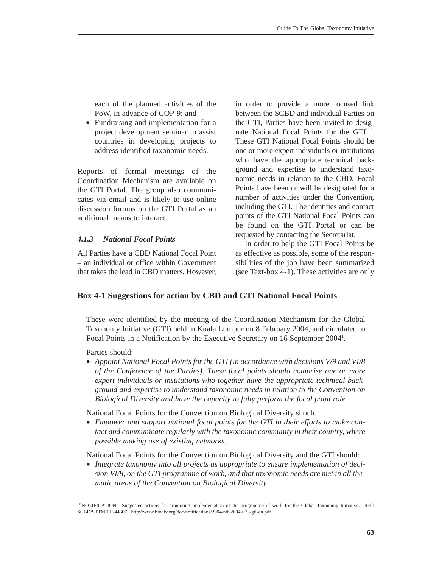each of the planned activities of the PoW, in advance of COP-9; and

• Fundraising and implementation for a project development seminar to assist countries in developing projects to address identified taxonomic needs.

Reports of formal meetings of the Coordination Mechanism are available on the GTI Portal. The group also communicates via email and is likely to use online discussion forums on the GTI Portal as an additional means to interact.

#### *4.1.3 National Focal Points*

All Parties have a CBD National Focal Point – an individual or office within Government that takes the lead in CBD matters. However, in order to provide a more focused link between the SCBD and individual Parties on the GTI, Parties have been invited to designate National Focal Points for the GTI<sup>111</sup>. These GTI National Focal Points should be one or more expert individuals or institutions who have the appropriate technical background and expertise to understand taxonomic needs in relation to the CBD. Focal Points have been or will be designated for a number of activities under the Convention, including the GTI. The identities and contact points of the GTI National Focal Points can be found on the GTI Portal or can be requested by contacting the Secretariat.

In order to help the GTI Focal Points be as effective as possible, some of the responsibilities of the job have been summarized (see Text-box 4-1). These activities are only

## **Box 4-1 Suggestions for action by CBD and GTI National Focal Points**

These were identified by the meeting of the Coordination Mechanism for the Global Taxonomy Initiative (GTI) held in Kuala Lumpur on 8 February 2004, and circulated to Focal Points in a Notification by the Executive Secretary on 16 September 2004<sup>1</sup>.

Parties should:

• *Appoint National Focal Points for the GTI (in accordance with decisions V/9 and VI/8 of the Conference of the Parties). These focal points should comprise one or more expert individuals or institutions who together have the appropriate technical background and expertise to understand taxonomic needs in relation to the Convention on Biological Diversity and have the capacity to fully perform the focal point role.*

National Focal Points for the Convention on Biological Diversity should:

• *Empower and support national focal points for the GTI in their efforts to make contact and communicate regularly with the taxonomic community in their country, where possible making use of existing networks.*

National Focal Points for the Convention on Biological Diversity and the GTI should:

• *Integrate taxonomy into all projects as appropriate to ensure implementation of decision VI/8, on the GTI programme of work, and that taxonomic needs are met in all thematic areas of the Convention on Biological Diversity.*

111NOTIFICATION. Suggested actions for promoting implementation of the programme of work for the Global Taxonomy Initiative. Ref.: SCBD/STTM/LR/44307 http://www.biodiv.org/doc/notifications/2004/ntf-2004-073-gti-en.pdf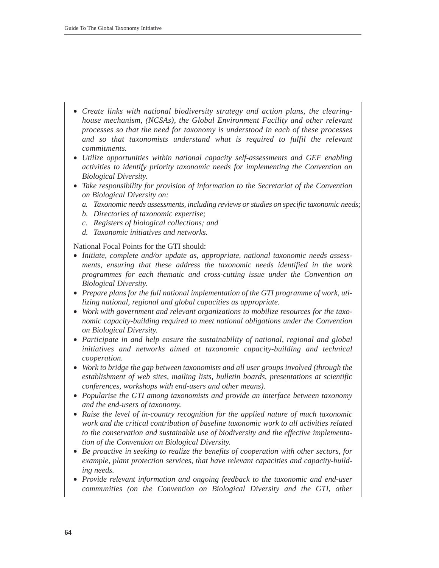- *Create links with national biodiversity strategy and action plans, the clearinghouse mechanism, (NCSAs), the Global Environment Facility and other relevant processes so that the need for taxonomy is understood in each of these processes and so that taxonomists understand what is required to fulfil the relevant commitments.*
- *Utilize opportunities within national capacity self-assessments and GEF enabling activities to identify priority taxonomic needs for implementing the Convention on Biological Diversity.*
- *Take responsibility for provision of information to the Secretariat of the Convention on Biological Diversity on:*
	- *a. Taxonomic needs assessments, including reviews or studies on specific taxonomic needs;*
	- *b. Directories of taxonomic expertise;*
	- *c. Registers of biological collections; and*
	- *d. Taxonomic initiatives and networks.*

National Focal Points for the GTI should:

- *Initiate, complete and/or update as, appropriate, national taxonomic needs assessments, ensuring that these address the taxonomic needs identified in the work programmes for each thematic and cross-cutting issue under the Convention on Biological Diversity.*
- *Prepare plans for the full national implementation of the GTI programme of work, utilizing national, regional and global capacities as appropriate.*
- *Work with government and relevant organizations to mobilize resources for the taxonomic capacity-building required to meet national obligations under the Convention on Biological Diversity.*
- *Participate in and help ensure the sustainability of national, regional and global initiatives and networks aimed at taxonomic capacity-building and technical cooperation.*
- *Work to bridge the gap between taxonomists and all user groups involved (through the establishment of web sites, mailing lists, bulletin boards, presentations at scientific conferences, workshops with end-users and other means).*
- *Popularise the GTI among taxonomists and provide an interface between taxonomy and the end-users of taxonomy.*
- *Raise the level of in-country recognition for the applied nature of much taxonomic work and the critical contribution of baseline taxonomic work to all activities related to the conservation and sustainable use of biodiversity and the effective implementation of the Convention on Biological Diversity.*
- *Be proactive in seeking to realize the benefits of cooperation with other sectors, for example, plant protection services, that have relevant capacities and capacity-building needs.*
- *Provide relevant information and ongoing feedback to the taxonomic and end-user communities (on the Convention on Biological Diversity and the GTI, other*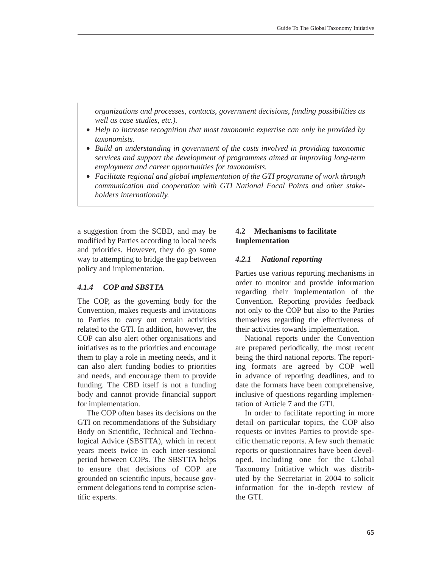*organizations and processes, contacts, government decisions, funding possibilities as well as case studies, etc.).*

- *Help to increase recognition that most taxonomic expertise can only be provided by taxonomists.*
- *Build an understanding in government of the costs involved in providing taxonomic services and support the development of programmes aimed at improving long-term employment and career opportunities for taxonomists.*
- *Facilitate regional and global implementation of the GTI programme of work through communication and cooperation with GTI National Focal Points and other stakeholders internationally.*

a suggestion from the SCBD, and may be modified by Parties according to local needs and priorities. However, they do go some way to attempting to bridge the gap between policy and implementation.

#### *4.1.4 COP and SBSTTA*

The COP, as the governing body for the Convention, makes requests and invitations to Parties to carry out certain activities related to the GTI. In addition, however, the COP can also alert other organisations and initiatives as to the priorities and encourage them to play a role in meeting needs, and it can also alert funding bodies to priorities and needs, and encourage them to provide funding. The CBD itself is not a funding body and cannot provide financial support for implementation.

The COP often bases its decisions on the GTI on recommendations of the Subsidiary Body on Scientific, Technical and Technological Advice (SBSTTA), which in recent years meets twice in each inter-sessional period between COPs. The SBSTTA helps to ensure that decisions of COP are grounded on scientific inputs, because government delegations tend to comprise scientific experts.

## **4.2 Mechanisms to facilitate Implementation**

#### *4.2.1 National reporting*

Parties use various reporting mechanisms in order to monitor and provide information regarding their implementation of the Convention. Reporting provides feedback not only to the COP but also to the Parties themselves regarding the effectiveness of their activities towards implementation.

National reports under the Convention are prepared periodically, the most recent being the third national reports. The reporting formats are agreed by COP well in advance of reporting deadlines, and to date the formats have been comprehensive, inclusive of questions regarding implementation of Article 7 and the GTI.

In order to facilitate reporting in more detail on particular topics, the COP also requests or invites Parties to provide specific thematic reports. A few such thematic reports or questionnaires have been developed, including one for the Global Taxonomy Initiative which was distributed by the Secretariat in 2004 to solicit information for the in-depth review of the GTI.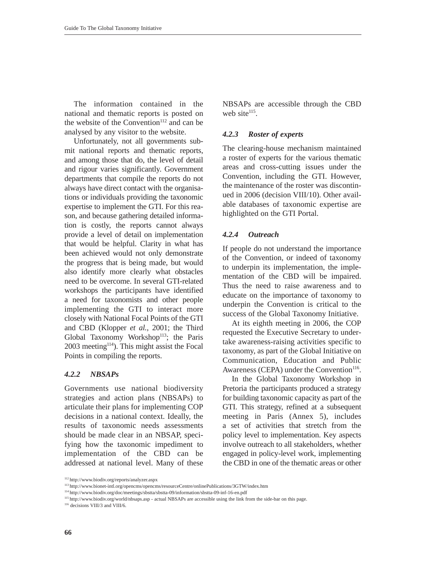The information contained in the national and thematic reports is posted on the website of the Convention $112$  and can be analysed by any visitor to the website.

Unfortunately, not all governments submit national reports and thematic reports, and among those that do, the level of detail and rigour varies significantly. Government departments that compile the reports do not always have direct contact with the organisations or individuals providing the taxonomic expertise to implement the GTI. For this reason, and because gathering detailed information is costly, the reports cannot always provide a level of detail on implementation that would be helpful. Clarity in what has been achieved would not only demonstrate the progress that is being made, but would also identify more clearly what obstacles need to be overcome. In several GTI-related workshops the participants have identified a need for taxonomists and other people implementing the GTI to interact more closely with National Focal Points of the GTI and CBD (Klopper *et al.*, 2001; the Third Global Taxonomy Workshop<sup>113</sup>; the Paris  $2003$  meeting<sup>114</sup>). This might assist the Focal Points in compiling the reports.

#### *4.2.2 NBSAPs*

Governments use national biodiversity strategies and action plans (NBSAPs) to articulate their plans for implementing COP decisions in a national context. Ideally, the results of taxonomic needs assessments should be made clear in an NBSAP, specifying how the taxonomic impediment to implementation of the CBD can be addressed at national level. Many of these NBSAPs are accessible through the CBD web site $115$ .

#### *4.2.3 Roster of experts*

The clearing-house mechanism maintained a roster of experts for the various thematic areas and cross-cutting issues under the Convention, including the GTI. However, the maintenance of the roster was discontinued in 2006 (decision VIII/10). Other available databases of taxonomic expertise are highlighted on the GTI Portal.

#### *4.2.4 Outreach*

If people do not understand the importance of the Convention, or indeed of taxonomy to underpin its implementation, the implementation of the CBD will be impaired. Thus the need to raise awareness and to educate on the importance of taxonomy to underpin the Convention is critical to the success of the Global Taxonomy Initiative.

At its eighth meeting in 2006, the COP requested the Executive Secretary to undertake awareness-raising activities specific to taxonomy, as part of the Global Initiative on Communication, Education and Public Awareness (CEPA) under the Convention<sup>116</sup>.

In the Global Taxonomy Workshop in Pretoria the participants produced a strategy for building taxonomic capacity as part of the GTI. This strategy, refined at a subsequent meeting in Paris (Annex 5), includes a set of activities that stretch from the policy level to implementation. Key aspects involve outreach to all stakeholders, whether engaged in policy-level work, implementing the CBD in one of the thematic areas or other

<sup>112</sup> http://www.biodiv.org/reports/analyzer.aspx

<sup>113</sup> http://www.bionet-intl.org/opencms/opencms/resourceCentre/onlinePublications/3GTW/index.htm

<sup>114</sup> http://www.biodiv.org/doc/meetings/sbstta/sbstta-09/information/sbstta-09-inf-16-en.pdf

<sup>115</sup> http://www.biodiv.org/world/nbsaps.asp - actual NBSAPs are accessible using the link from the side-bar on this page.

<sup>116</sup> decisions VIII/3 and VIII/6.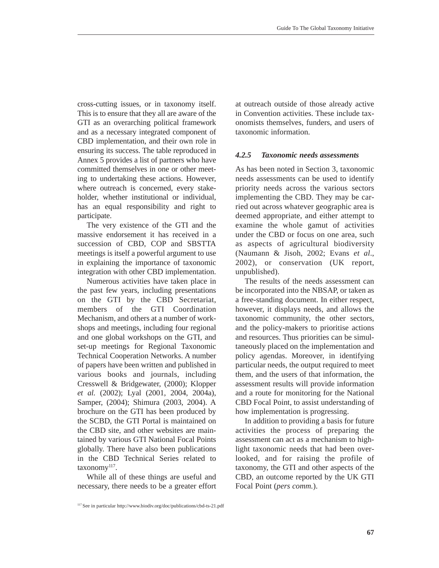cross-cutting issues, or in taxonomy itself. This is to ensure that they all are aware of the GTI as an overarching political framework and as a necessary integrated component of CBD implementation, and their own role in ensuring its success. The table reproduced in Annex 5 provides a list of partners who have committed themselves in one or other meeting to undertaking these actions. However, where outreach is concerned, every stakeholder, whether institutional or individual, has an equal responsibility and right to participate.

The very existence of the GTI and the massive endorsement it has received in a succession of CBD, COP and SBSTTA meetings is itself a powerful argument to use in explaining the importance of taxonomic integration with other CBD implementation.

Numerous activities have taken place in the past few years, including presentations on the GTI by the CBD Secretariat, members of the GTI Coordination Mechanism, and others at a number of workshops and meetings, including four regional and one global workshops on the GTI, and set-up meetings for Regional Taxonomic Technical Cooperation Networks. A number of papers have been written and published in various books and journals, including Cresswell & Bridgewater, (2000); Klopper *et al.* (2002); Lyal (2001, 2004, 2004a), Samper, (2004); Shimura (2003, 2004). A brochure on the GTI has been produced by the SCBD, the GTI Portal is maintained on the CBD site, and other websites are maintained by various GTI National Focal Points globally. There have also been publications in the CBD Technical Series related to taxonomy<sup>117</sup>.

While all of these things are useful and necessary, there needs to be a greater effort at outreach outside of those already active in Convention activities. These include taxonomists themselves, funders, and users of taxonomic information.

### *4.2.5 Taxonomic needs assessments*

As has been noted in Section 3, taxonomic needs assessments can be used to identify priority needs across the various sectors implementing the CBD. They may be carried out across whatever geographic area is deemed appropriate, and either attempt to examine the whole gamut of activities under the CBD or focus on one area, such as aspects of agricultural biodiversity (Naumann & Jisoh, 2002; Evans *et al*., 2002), or conservation (UK report, unpublished).

The results of the needs assessment can be incorporated into the NBSAP, or taken as a free-standing document. In either respect, however, it displays needs, and allows the taxonomic community, the other sectors, and the policy-makers to prioritise actions and resources. Thus priorities can be simultaneously placed on the implementation and policy agendas. Moreover, in identifying particular needs, the output required to meet them, and the users of that information, the assessment results will provide information and a route for monitoring for the National CBD Focal Point, to assist understanding of how implementation is progressing.

In addition to providing a basis for future activities the process of preparing the assessment can act as a mechanism to highlight taxonomic needs that had been overlooked, and for raising the profile of taxonomy, the GTI and other aspects of the CBD, an outcome reported by the UK GTI Focal Point (*pers comm.*).

<sup>117</sup> See in particular http://www.biodiv.org/doc/publications/cbd-ts-21.pdf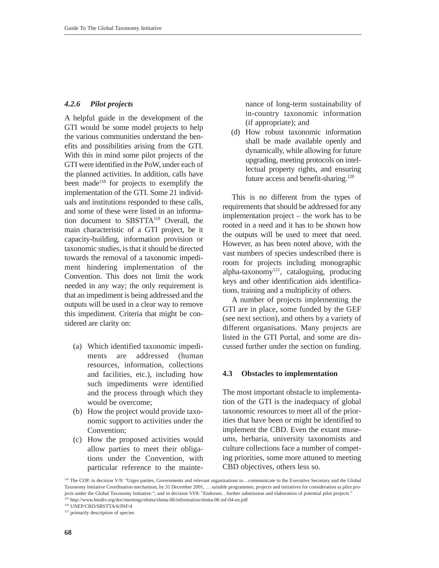#### *4.2.6 Pilot projects*

A helpful guide in the development of the GTI would be some model projects to help the various communities understand the benefits and possibilities arising from the GTI. With this in mind some pilot projects of the GTI were identified in the PoW, under each of the planned activities. In addition, calls have been made<sup>118</sup> for projects to exemplify the implementation of the GTI. Some 21 individuals and institutions responded to these calls, and some of these were listed in an information document to SBSTTA119 Overall, the main characteristic of a GTI project, be it capacity-building, information provision or taxonomic studies, is that it should be directed towards the removal of a taxonomic impediment hindering implementation of the Convention. This does not limit the work needed in any way; the only requirement is that an impediment is being addressed and the outputs will be used in a clear way to remove this impediment. Criteria that might be considered are clarity on:

- (a) Which identified taxonomic impediments are addressed (human resources, information, collections and facilities, etc.), including how such impediments were identified and the process through which they would be overcome;
- (b) How the project would provide taxonomic support to activities under the Convention;
- (c) How the proposed activities would allow parties to meet their obligations under the Convention, with particular reference to the mainte-

nance of long-term sustainability of in-country taxonomic information (if appropriate); and

(d) How robust taxonomic information shall be made available openly and dynamically, while allowing for future upgrading, meeting protocols on intellectual property rights, and ensuring future access and benefit-sharing.<sup>120</sup>

This is no different from the types of requirements that should be addressed for any implementation project – the work has to be rooted in a need and it has to be shown how the outputs will be used to meet that need. However, as has been noted above, with the vast numbers of species undescribed there is room for projects including monographic alpha-taxonomy<sup>121</sup>, cataloguing, producing keys and other identification aids identifications, training and a multiplicity of others.

A number of projects implementing the GTI are in place, some funded by the GEF (see next section), and others by a variety of different organisations. Many projects are listed in the GTI Portal, and some are discussed further under the section on funding.

#### **4.3 Obstacles to implementation**

The most important obstacle to implementation of the GTI is the inadequacy of global taxonomic resources to meet all of the priorities that have been or might be identified to implement the CBD. Even the extant museums, herbaria, university taxonomists and culture collections face a number of competing priorities, some more attuned to meeting CBD objectives, others less so.

<sup>120</sup> UNEP/CBD/SBSTTA/6/INF/4

<sup>&</sup>lt;sup>118</sup> The COP, in decision V/9: "Urges parties, Governments and relevant organizations to...communicate to the Executive Secretary and the Global Taxonomy Initiative Coordination mechanism, by 31 December 2001, … suitable programmes, projects and initiatives for consideration as pilot projects under the Global Taxonomy Initiative."; and in decision VI/8: "Endorses…further submission and elaboration of potential pilot projects." <sup>119</sup> http://www.biodiv.org/doc/meetings/sbstta/sbstta-06/information/sbstta-06-inf-04-en.pdf

<sup>&</sup>lt;sup>121</sup> primarily description of species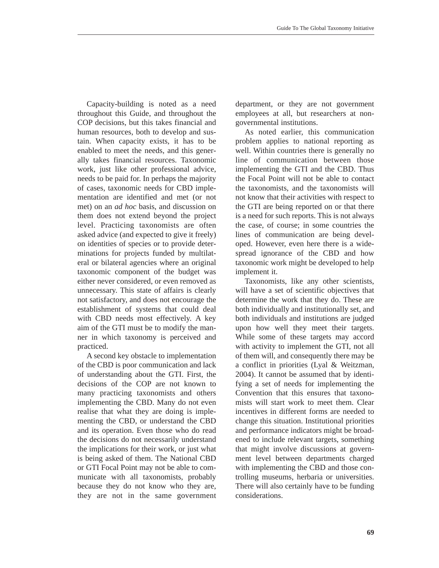Capacity-building is noted as a need throughout this Guide, and throughout the COP decisions, but this takes financial and human resources, both to develop and sustain. When capacity exists, it has to be enabled to meet the needs, and this generally takes financial resources. Taxonomic work, just like other professional advice, needs to be paid for. In perhaps the majority of cases, taxonomic needs for CBD implementation are identified and met (or not met) on an *ad hoc* basis, and discussion on them does not extend beyond the project level. Practicing taxonomists are often asked advice (and expected to give it freely) on identities of species or to provide determinations for projects funded by multilateral or bilateral agencies where an original taxonomic component of the budget was either never considered, or even removed as unnecessary. This state of affairs is clearly not satisfactory, and does not encourage the establishment of systems that could deal with CBD needs most effectively. A key aim of the GTI must be to modify the manner in which taxonomy is perceived and practiced.

A second key obstacle to implementation of the CBD is poor communication and lack of understanding about the GTI. First, the decisions of the COP are not known to many practicing taxonomists and others implementing the CBD. Many do not even realise that what they are doing is implementing the CBD, or understand the CBD and its operation. Even those who do read the decisions do not necessarily understand the implications for their work, or just what is being asked of them. The National CBD or GTI Focal Point may not be able to communicate with all taxonomists, probably because they do not know who they are, they are not in the same government department, or they are not government employees at all, but researchers at nongovernmental institutions.

As noted earlier, this communication problem applies to national reporting as well. Within countries there is generally no line of communication between those implementing the GTI and the CBD. Thus the Focal Point will not be able to contact the taxonomists, and the taxonomists will not know that their activities with respect to the GTI are being reported on or that there is a need for such reports. This is not always the case, of course; in some countries the lines of communication are being developed. However, even here there is a widespread ignorance of the CBD and how taxonomic work might be developed to help implement it.

Taxonomists, like any other scientists, will have a set of scientific objectives that determine the work that they do. These are both individually and institutionally set, and both individuals and institutions are judged upon how well they meet their targets. While some of these targets may accord with activity to implement the GTI, not all of them will, and consequently there may be a conflict in priorities (Lyal & Weitzman, 2004). It cannot be assumed that by identifying a set of needs for implementing the Convention that this ensures that taxonomists will start work to meet them. Clear incentives in different forms are needed to change this situation. Institutional priorities and performance indicators might be broadened to include relevant targets, something that might involve discussions at government level between departments charged with implementing the CBD and those controlling museums, herbaria or universities. There will also certainly have to be funding considerations.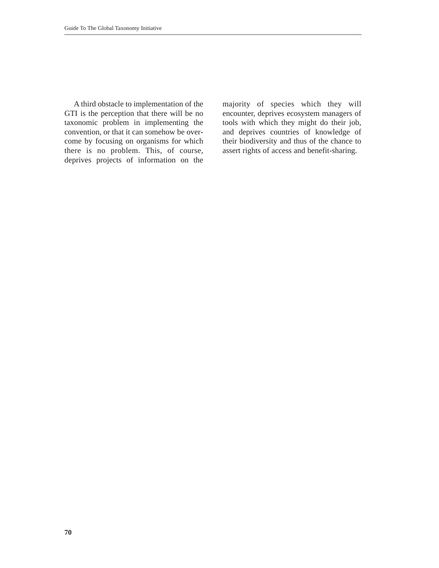A third obstacle to implementation of the GTI is the perception that there will be no taxonomic problem in implementing the convention, or that it can somehow be overcome by focusing on organisms for which there is no problem. This, of course, deprives projects of information on the

majority of species which they will encounter, deprives ecosystem managers of tools with which they might do their job, and deprives countries of knowledge of their biodiversity and thus of the chance to assert rights of access and benefit-sharing.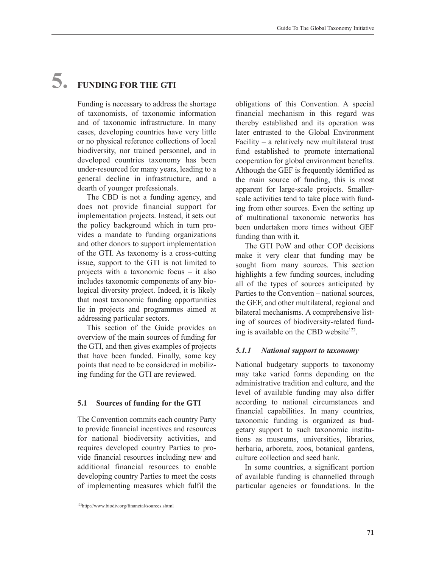# **5. FUNDING FOR THE GTI**

Funding is necessary to address the shortage of taxonomists, of taxonomic information and of taxonomic infrastructure. In many cases, developing countries have very little or no physical reference collections of local biodiversity, nor trained personnel, and in developed countries taxonomy has been under-resourced for many years, leading to a general decline in infrastructure, and a dearth of younger professionals.

The CBD is not a funding agency, and does not provide financial support for implementation projects. Instead, it sets out the policy background which in turn provides a mandate to funding organizations and other donors to support implementation of the GTI. As taxonomy is a cross-cutting issue, support to the GTI is not limited to projects with a taxonomic focus – it also includes taxonomic components of any biological diversity project. Indeed, it is likely that most taxonomic funding opportunities lie in projects and programmes aimed at addressing particular sectors.

This section of the Guide provides an overview of the main sources of funding for the GTI, and then gives examples of projects that have been funded. Finally, some key points that need to be considered in mobilizing funding for the GTI are reviewed.

#### **5.1 Sources of funding for the GTI**

The Convention commits each country Party to provide financial incentives and resources for national biodiversity activities, and requires developed country Parties to provide financial resources including new and additional financial resources to enable developing country Parties to meet the costs of implementing measures which fulfil the

obligations of this Convention. A special financial mechanism in this regard was thereby established and its operation was later entrusted to the Global Environment Facility – a relatively new multilateral trust fund established to promote international cooperation for global environment benefits. Although the GEF is frequently identified as the main source of funding, this is most apparent for large-scale projects. Smallerscale activities tend to take place with funding from other sources. Even the setting up of multinational taxonomic networks has been undertaken more times without GEF funding than with it.

The GTI PoW and other COP decisions make it very clear that funding may be sought from many sources. This section highlights a few funding sources, including all of the types of sources anticipated by Parties to the Convention – national sources, the GEF, and other multilateral, regional and bilateral mechanisms. A comprehensive listing of sources of biodiversity-related funding is available on the CBD website $122$ .

# *5.1.1 National support to taxonomy*

National budgetary supports to taxonomy may take varied forms depending on the administrative tradition and culture, and the level of available funding may also differ according to national circumstances and financial capabilities. In many countries, taxonomic funding is organized as budgetary support to such taxonomic institutions as museums, universities, libraries, herbaria, arboreta, zoos, botanical gardens, culture collection and seed bank.

In some countries, a significant portion of available funding is channelled through particular agencies or foundations. In the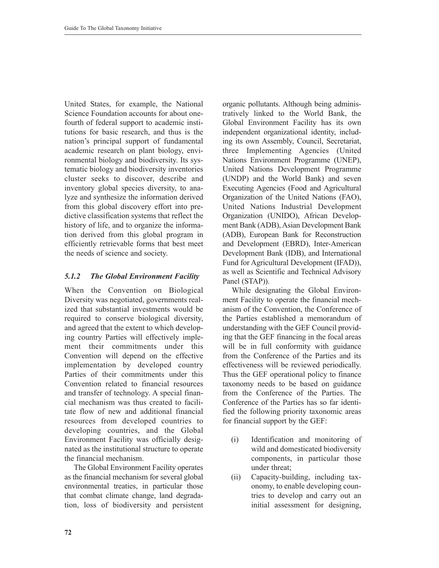United States, for example, the National Science Foundation accounts for about onefourth of federal support to academic institutions for basic research, and thus is the nation's principal support of fundamental academic research on plant biology, environmental biology and biodiversity. Its systematic biology and biodiversity inventories cluster seeks to discover, describe and inventory global species diversity, to analyze and synthesize the information derived from this global discovery effort into predictive classification systems that reflect the history of life, and to organize the information derived from this global program in efficiently retrievable forms that best meet the needs of science and society.

# *5.1.2 The Global Environment Facility*

When the Convention on Biological Diversity was negotiated, governments realized that substantial investments would be required to conserve biological diversity, and agreed that the extent to which developing country Parties will effectively implement their commitments under this Convention will depend on the effective implementation by developed country Parties of their commitments under this Convention related to financial resources and transfer of technology. A special financial mechanism was thus created to facilitate flow of new and additional financial resources from developed countries to developing countries, and the Global Environment Facility was officially designated as the institutional structure to operate the financial mechanism.

The Global Environment Facility operates as the financial mechanism for several global environmental treaties, in particular those that combat climate change, land degradation, loss of biodiversity and persistent

organic pollutants. Although being administratively linked to the World Bank, the Global Environment Facility has its own independent organizational identity, including its own Assembly, Council, Secretariat, three Implementing Agencies (United Nations Environment Programme (UNEP), United Nations Development Programme (UNDP) and the World Bank) and seven Executing Agencies (Food and Agricultural Organization of the United Nations (FAO), United Nations Industrial Development Organization (UNIDO), African Development Bank (ADB), Asian Development Bank (ADB), European Bank for Reconstruction and Development (EBRD), Inter-American Development Bank (IDB), and International Fund for Agricultural Development (IFAD)), as well as Scientific and Technical Advisory Panel (STAP)).

While designating the Global Environment Facility to operate the financial mechanism of the Convention, the Conference of the Parties established a memorandum of understanding with the GEF Council providing that the GEF financing in the focal areas will be in full conformity with guidance from the Conference of the Parties and its effectiveness will be reviewed periodically. Thus the GEF operational policy to finance taxonomy needs to be based on guidance from the Conference of the Parties. The Conference of the Parties has so far identified the following priority taxonomic areas for financial support by the GEF:

- (i) Identification and monitoring of wild and domesticated biodiversity components, in particular those under threat;
- (ii) Capacity-building, including taxonomy, to enable developing countries to develop and carry out an initial assessment for designing,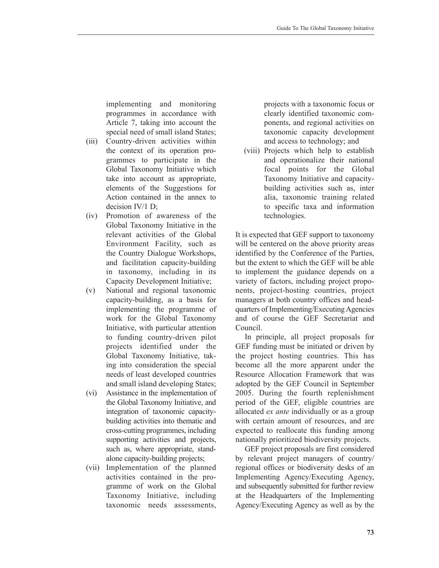implementing and monitoring programmes in accordance with Article 7, taking into account the special need of small island States;

- (iii) Country-driven activities within the context of its operation programmes to participate in the Global Taxonomy Initiative which take into account as appropriate, elements of the Suggestions for Action contained in the annex to decision IV/1 D;
- (iv) Promotion of awareness of the Global Taxonomy Initiative in the relevant activities of the Global Environment Facility, such as the Country Dialogue Workshops, and facilitation capacity-building in taxonomy, including in its Capacity Development Initiative;
- (v) National and regional taxonomic capacity-building, as a basis for implementing the programme of work for the Global Taxonomy Initiative, with particular attention to funding country-driven pilot projects identified under the Global Taxonomy Initiative, taking into consideration the special needs of least developed countries and small island developing States;
- (vi) Assistance in the implementation of the Global Taxonomy Initiative, and integration of taxonomic capacitybuilding activities into thematic and cross-cutting programmes, including supporting activities and projects, such as, where appropriate, standalone capacity-building projects;
- (vii) Implementation of the planned activities contained in the programme of work on the Global Taxonomy Initiative, including taxonomic needs assessments,

projects with a taxonomic focus or clearly identified taxonomic components, and regional activities on taxonomic capacity development and access to technology; and

(viii) Projects which help to establish and operationalize their national focal points for the Global Taxonomy Initiative and capacitybuilding activities such as, inter alia, taxonomic training related to specific taxa and information technologies.

It is expected that GEF support to taxonomy will be centered on the above priority areas identified by the Conference of the Parties, but the extent to which the GEF will be able to implement the guidance depends on a variety of factors, including project proponents, project-hosting countries, project managers at both country offices and headquarters of Implementing/Executing Agencies and of course the GEF Secretariat and Council.

In principle, all project proposals for GEF funding must be initiated or driven by the project hosting countries. This has become all the more apparent under the Resource Allocation Framework that was adopted by the GEF Council in September 2005. During the fourth replenishment period of the GEF, eligible countries are allocated *ex ante* individually or as a group with certain amount of resources, and are expected to reallocate this funding among nationally prioritized biodiversity projects.

GEF project proposals are first considered by relevant project managers of country/ regional offices or biodiversity desks of an Implementing Agency/Executing Agency, and subsequently submitted for further review at the Headquarters of the Implementing Agency/Executing Agency as well as by the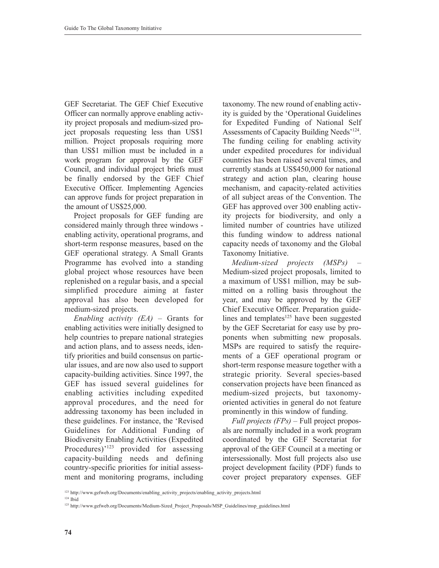GEF Secretariat. The GEF Chief Executive Officer can normally approve enabling activity project proposals and medium-sized project proposals requesting less than US\$1 million. Project proposals requiring more than US\$1 million must be included in a work program for approval by the GEF Council, and individual project briefs must be finally endorsed by the GEF Chief Executive Officer. Implementing Agencies can approve funds for project preparation in the amount of US\$25,000.

Project proposals for GEF funding are considered mainly through three windows enabling activity, operational programs, and short-term response measures, based on the GEF operational strategy. A Small Grants Programme has evolved into a standing global project whose resources have been replenished on a regular basis, and a special simplified procedure aiming at faster approval has also been developed for medium-sized projects.

*Enabling activity (EA)* – Grants for enabling activities were initially designed to help countries to prepare national strategies and action plans, and to assess needs, identify priorities and build consensus on particular issues, and are now also used to support capacity-building activities. Since 1997, the GEF has issued several guidelines for enabling activities including expedited approval procedures, and the need for addressing taxonomy has been included in these guidelines. For instance, the 'Revised Guidelines for Additional Funding of Biodiversity Enabling Activities (Expedited Procedures)'<sup>123</sup> provided for assessing capacity-building needs and defining country-specific priorities for initial assessment and monitoring programs, including

taxonomy. The new round of enabling activity is guided by the 'Operational Guidelines for Expedited Funding of National Self Assessments of Capacity Building Needs<sup>'124</sup>. The funding ceiling for enabling activity under expedited procedures for individual countries has been raised several times, and currently stands at US\$450,000 for national strategy and action plan, clearing house mechanism, and capacity-related activities of all subject areas of the Convention. The GEF has approved over 300 enabling activity projects for biodiversity, and only a limited number of countries have utilized this funding window to address national capacity needs of taxonomy and the Global Taxonomy Initiative.

*Medium-sized projects (MSPs)* – Medium-sized project proposals, limited to a maximum of US\$1 million, may be submitted on a rolling basis throughout the year, and may be approved by the GEF Chief Executive Officer. Preparation guidelines and templates $125$  have been suggested by the GEF Secretariat for easy use by proponents when submitting new proposals. MSPs are required to satisfy the requirements of a GEF operational program or short-term response measure together with a strategic priority. Several species-based conservation projects have been financed as medium-sized projects, but taxonomyoriented activities in general do not feature prominently in this window of funding.

*Full projects (FPs)* – Full project proposals are normally included in a work program coordinated by the GEF Secretariat for approval of the GEF Council at a meeting or intersessionally. Most full projects also use project development facility (PDF) funds to cover project preparatory expenses. GEF

<sup>&</sup>lt;sup>123</sup> http://www.gefweb.org/Documents/enabling\_activity\_projects/enabling\_activity\_projects.html

 $124$  Ibid

<sup>125</sup> http://www.gefweb.org/Documents/Medium-Sized\_Project\_Proposals/MSP\_Guidelines/msp\_guidelines.html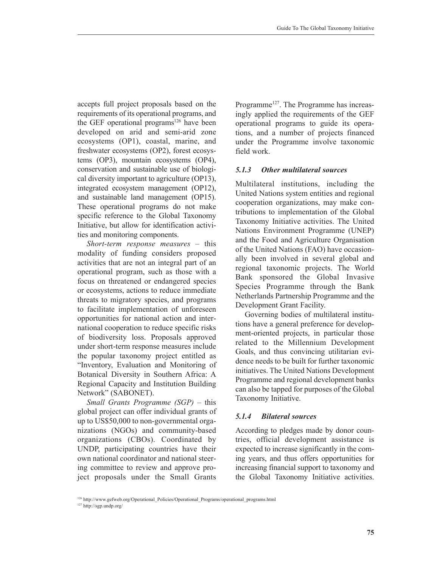accepts full project proposals based on the requirements of its operational programs, and the GEF operational programs<sup>126</sup> have been developed on arid and semi-arid zone ecosystems (OP1), coastal, marine, and freshwater ecosystems (OP2), forest ecosystems (OP3), mountain ecosystems (OP4), conservation and sustainable use of biological diversity important to agriculture (OP13), integrated ecosystem management (OP12), and sustainable land management (OP15). These operational programs do not make specific reference to the Global Taxonomy Initiative, but allow for identification activities and monitoring components.

*Short-term response measures* – this modality of funding considers proposed activities that are not an integral part of an operational program, such as those with a focus on threatened or endangered species or ecosystems, actions to reduce immediate threats to migratory species, and programs to facilitate implementation of unforeseen opportunities for national action and international cooperation to reduce specific risks of biodiversity loss. Proposals approved under short-term response measures include the popular taxonomy project entitled as "Inventory, Evaluation and Monitoring of Botanical Diversity in Southern Africa: A Regional Capacity and Institution Building Network" (SABONET).

*Small Grants Programme (SGP)* – this global project can offer individual grants of up to US\$50,000 to non-governmental organizations (NGOs) and community-based organizations (CBOs). Coordinated by UNDP, participating countries have their own national coordinator and national steering committee to review and approve project proposals under the Small Grants Programme<sup>127</sup>. The Programme has increasingly applied the requirements of the GEF operational programs to guide its operations, and a number of projects financed under the Programme involve taxonomic field work.

### *5.1.3 Other multilateral sources*

Multilateral institutions, including the United Nations system entities and regional cooperation organizations, may make contributions to implementation of the Global Taxonomy Initiative activities. The United Nations Environment Programme (UNEP) and the Food and Agriculture Organisation of the United Nations (FAO) have occasionally been involved in several global and regional taxonomic projects. The World Bank sponsored the Global Invasive Species Programme through the Bank Netherlands Partnership Programme and the Development Grant Facility.

Governing bodies of multilateral institutions have a general preference for development-oriented projects, in particular those related to the Millennium Development Goals, and thus convincing utilitarian evidence needs to be built for further taxonomic initiatives. The United Nations Development Programme and regional development banks can also be tapped for purposes of the Global Taxonomy Initiative.

# *5.1.4 Bilateral sources*

According to pledges made by donor countries, official development assistance is expected to increase significantly in the coming years, and thus offers opportunities for increasing financial support to taxonomy and the Global Taxonomy Initiative activities.

<sup>&</sup>lt;sup>126</sup> http://www.gefweb.org/Operational\_Policies/Operational\_Programs/operational\_programs.html

<sup>127</sup> http://sgp.undp.org/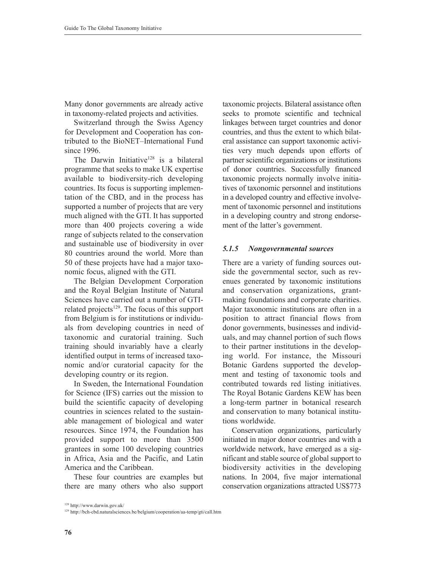Many donor governments are already active in taxonomy-related projects and activities.

Switzerland through the Swiss Agency for Development and Cooperation has contributed to the BioNET–International Fund since 1996

The Darwin Initiative<sup>128</sup> is a bilateral programme that seeks to make UK expertise available to biodiversity-rich developing countries. Its focus is supporting implementation of the CBD, and in the process has supported a number of projects that are very much aligned with the GTI. It has supported more than 400 projects covering a wide range of subjects related to the conservation and sustainable use of biodiversity in over 80 countries around the world. More than 50 of these projects have had a major taxonomic focus, aligned with the GTI.

The Belgian Development Corporation and the Royal Belgian Institute of Natural Sciences have carried out a number of GTIrelated projects $129$ . The focus of this support from Belgium is for institutions or individuals from developing countries in need of taxonomic and curatorial training. Such training should invariably have a clearly identified output in terms of increased taxonomic and/or curatorial capacity for the developing country or its region.

In Sweden, the International Foundation for Science (IFS) carries out the mission to build the scientific capacity of developing countries in sciences related to the sustainable management of biological and water resources. Since 1974, the Foundation has provided support to more than 3500 grantees in some 100 developing countries in Africa, Asia and the Pacific, and Latin America and the Caribbean.

These four countries are examples but there are many others who also support

taxonomic projects. Bilateral assistance often seeks to promote scientific and technical linkages between target countries and donor countries, and thus the extent to which bilateral assistance can support taxonomic activities very much depends upon efforts of partner scientific organizations or institutions of donor countries. Successfully financed taxonomic projects normally involve initiatives of taxonomic personnel and institutions in a developed country and effective involvement of taxonomic personnel and institutions in a developing country and strong endorsement of the latter's government.

#### *5.1.5 Nongovernmental sources*

There are a variety of funding sources outside the governmental sector, such as revenues generated by taxonomic institutions and conservation organizations, grantmaking foundations and corporate charities. Major taxonomic institutions are often in a position to attract financial flows from donor governments, businesses and individuals, and may channel portion of such flows to their partner institutions in the developing world. For instance, the Missouri Botanic Gardens supported the development and testing of taxonomic tools and contributed towards red listing initiatives. The Royal Botanic Gardens KEW has been a long-term partner in botanical research and conservation to many botanical institutions worldwide.

Conservation organizations, particularly initiated in major donor countries and with a worldwide network, have emerged as a significant and stable source of global support to biodiversity activities in the developing nations. In 2004, five major international conservation organizations attracted US\$773

<sup>129</sup> http://bch-cbd.naturalsciences.be/belgium/cooperation/aa-temp/gti/call.htm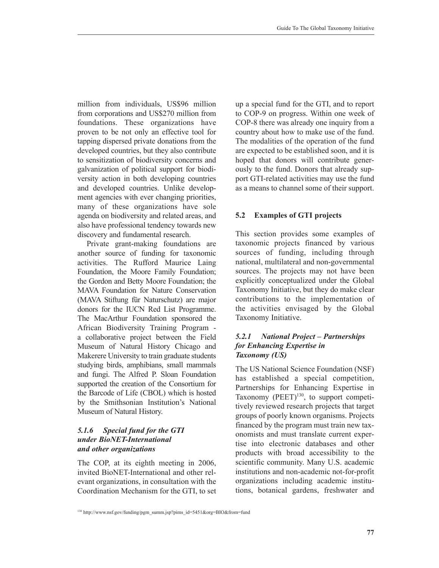million from individuals, US\$96 million from corporations and US\$270 million from foundations. These organizations have proven to be not only an effective tool for tapping dispersed private donations from the developed countries, but they also contribute to sensitization of biodiversity concerns and galvanization of political support for biodiversity action in both developing countries and developed countries. Unlike development agencies with ever changing priorities, many of these organizations have sole agenda on biodiversity and related areas, and also have professional tendency towards new discovery and fundamental research.

Private grant-making foundations are another source of funding for taxonomic activities. The Rufford Maurice Laing Foundation, the Moore Family Foundation; the Gordon and Betty Moore Foundation; the MAVA Foundation for Nature Conservation (MAVA Stiftung für Naturschutz) are major donors for the IUCN Red List Programme. The MacArthur Foundation sponsored the African Biodiversity Training Program a collaborative project between the Field Museum of Natural History Chicago and Makerere University to train graduate students studying birds, amphibians, small mammals and fungi. The Alfred P. Sloan Foundation supported the creation of the Consortium for the Barcode of Life (CBOL) which is hosted by the Smithsonian Institution's National Museum of Natural History.

## *5.1.6 Special fund for the GTI under BioNET-International and other organizations*

The COP, at its eighth meeting in 2006, invited BioNET-International and other relevant organizations, in consultation with the Coordination Mechanism for the GTI, to set up a special fund for the GTI, and to report to COP-9 on progress. Within one week of COP-8 there was already one inquiry from a country about how to make use of the fund. The modalities of the operation of the fund are expected to be established soon, and it is hoped that donors will contribute generously to the fund. Donors that already support GTI-related activities may use the fund as a means to channel some of their support.

# **5.2 Examples of GTI projects**

This section provides some examples of taxonomic projects financed by various sources of funding, including through national, multilateral and non-governmental sources. The projects may not have been explicitly conceptualized under the Global Taxonomy Initiative, but they do make clear contributions to the implementation of the activities envisaged by the Global Taxonomy Initiative.

## *5.2.1 National Project – Partnerships for Enhancing Expertise in Taxonomy (US)*

The US National Science Foundation (NSF) has established a special competition, Partnerships for Enhancing Expertise in Taxonomy  $(PEET)^{130}$ , to support competitively reviewed research projects that target groups of poorly known organisms. Projects financed by the program must train new taxonomists and must translate current expertise into electronic databases and other products with broad accessibility to the scientific community. Many U.S. academic institutions and non-academic not-for-profit organizations including academic institutions, botanical gardens, freshwater and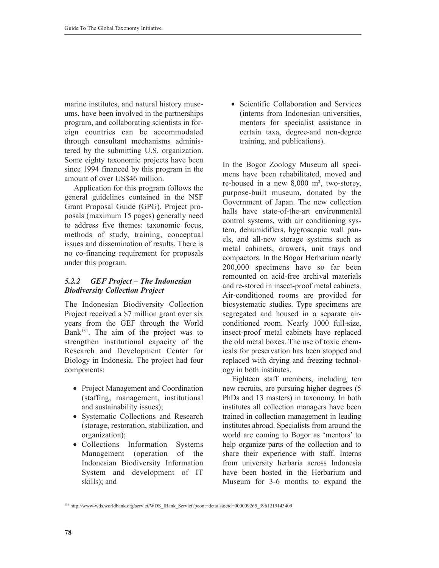marine institutes, and natural history museums, have been involved in the partnerships program, and collaborating scientists in foreign countries can be accommodated through consultant mechanisms administered by the submitting U.S. organization. Some eighty taxonomic projects have been since 1994 financed by this program in the amount of over US\$46 million.

Application for this program follows the general guidelines contained in the NSF Grant Proposal Guide (GPG). Project proposals (maximum 15 pages) generally need to address five themes: taxonomic focus, methods of study, training, conceptual issues and dissemination of results. There is no co-financing requirement for proposals under this program.

# *5.2.2 GEF Project – The Indonesian Biodiversity Collection Project*

The Indonesian Biodiversity Collection Project received a \$7 million grant over six years from the GEF through the World Bank $^{131}$ . The aim of the project was to strengthen institutional capacity of the Research and Development Center for Biology in Indonesia. The project had four components:

- Project Management and Coordination (staffing, management, institutional and sustainability issues);
- Systematic Collections and Research (storage, restoration, stabilization, and organization);
- Collections Information Systems Management (operation of the Indonesian Biodiversity Information System and development of IT skills); and

• Scientific Collaboration and Services (interns from Indonesian universities, mentors for specialist assistance in certain taxa, degree-and non-degree training, and publications).

In the Bogor Zoology Museum all specimens have been rehabilitated, moved and re-housed in a new 8,000 m², two-storey, purpose-built museum, donated by the Government of Japan. The new collection halls have state-of-the-art environmental control systems, with air conditioning system, dehumidifiers, hygroscopic wall panels, and all-new storage systems such as metal cabinets, drawers, unit trays and compactors. In the Bogor Herbarium nearly 200,000 specimens have so far been remounted on acid-free archival materials and re-stored in insect-proof metal cabinets. Air-conditioned rooms are provided for biosystematic studies. Type specimens are segregated and housed in a separate airconditioned room. Nearly 1000 full-size, insect-proof metal cabinets have replaced the old metal boxes. The use of toxic chemicals for preservation has been stopped and replaced with drying and freezing technology in both institutes.

Eighteen staff members, including ten new recruits, are pursuing higher degrees (5 PhDs and 13 masters) in taxonomy. In both institutes all collection managers have been trained in collection management in leading institutes abroad. Specialists from around the world are coming to Bogor as 'mentors' to help organize parts of the collection and to share their experience with staff. Interns from university herbaria across Indonesia have been hosted in the Herbarium and Museum for 3-6 months to expand the

131 http://www-wds.worldbank.org/servlet/WDS\_IBank\_Servlet?pcont=details&eid=000009265\_3961219143409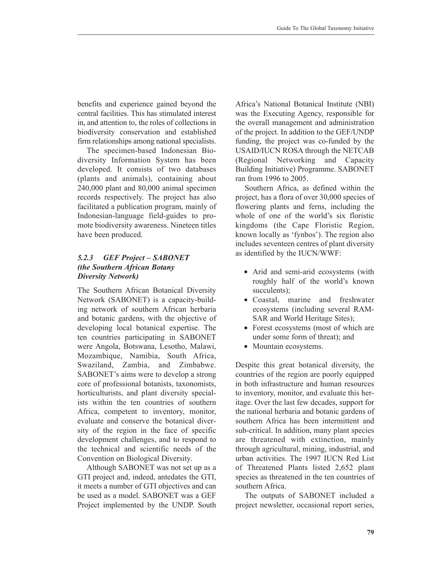benefits and experience gained beyond the central facilities. This has stimulated interest in, and attention to, the roles of collections in biodiversity conservation and established firm relationships among national specialists.

The specimen-based Indonesian Biodiversity Information System has been developed. It consists of two databases (plants and animals), containing about 240,000 plant and 80,000 animal specimen records respectively. The project has also facilitated a publication program, mainly of Indonesian-language field-guides to promote biodiversity awareness. Nineteen titles have been produced.

# *5.2.3 GEF Project – SABONET (the Southern African Botany Diversity Network)*

The Southern African Botanical Diversity Network (SABONET) is a capacity-building network of southern African herbaria and botanic gardens, with the objective of developing local botanical expertise. The ten countries participating in SABONET were Angola, Botswana, Lesotho, Malawi, Mozambique, Namibia, South Africa, Swaziland, Zambia, and Zimbabwe. SABONET's aims were to develop a strong core of professional botanists, taxonomists, horticulturists, and plant diversity specialists within the ten countries of southern Africa, competent to inventory, monitor, evaluate and conserve the botanical diversity of the region in the face of specific development challenges, and to respond to the technical and scientific needs of the Convention on Biological Diversity.

Although SABONET was not set up as a GTI project and, indeed, antedates the GTI, it meets a number of GTI objectives and can be used as a model. SABONET was a GEF Project implemented by the UNDP. South Africa's National Botanical Institute (NBI) was the Executing Agency, responsible for the overall management and administration of the project. In addition to the GEF/UNDP funding, the project was co-funded by the USAID/IUCN ROSA through the NETCAB (Regional Networking and Capacity Building Initiative) Programme. SABONET ran from 1996 to 2005.

Southern Africa, as defined within the project, has a flora of over 30,000 species of flowering plants and ferns, including the whole of one of the world's six floristic kingdoms (the Cape Floristic Region, known locally as 'fynbos'). The region also includes seventeen centres of plant diversity as identified by the IUCN/WWF:

- Arid and semi-arid ecosystems (with roughly half of the world's known succulents);
- Coastal, marine and freshwater ecosystems (including several RAM-SAR and World Heritage Sites);
- Forest ecosystems (most of which are under some form of threat); and
- Mountain ecosystems.

Despite this great botanical diversity, the countries of the region are poorly equipped in both infrastructure and human resources to inventory, monitor, and evaluate this heritage. Over the last few decades, support for the national herbaria and botanic gardens of southern Africa has been intermittent and sub-critical. In addition, many plant species are threatened with extinction, mainly through agricultural, mining, industrial, and urban activities. The 1997 IUCN Red List of Threatened Plants listed 2,652 plant species as threatened in the ten countries of southern Africa.

The outputs of SABONET included a project newsletter, occasional report series,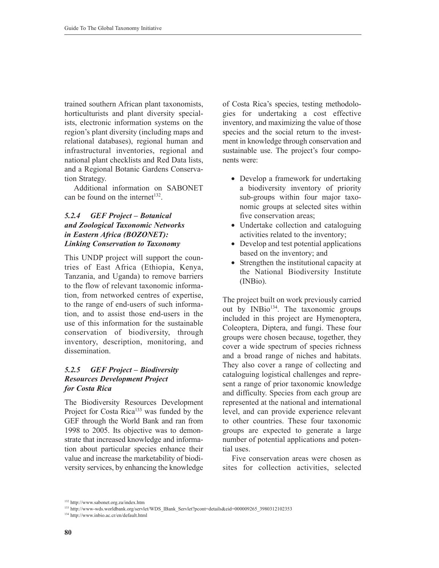trained southern African plant taxonomists, horticulturists and plant diversity specialists, electronic information systems on the region's plant diversity (including maps and relational databases), regional human and infrastructural inventories, regional and national plant checklists and Red Data lists, and a Regional Botanic Gardens Conservation Strategy.

Additional information on SABONET can be found on the internet $132$ .

### *5.2.4 GEF Project – Botanical and Zoological Taxonomic Networks in Eastern Africa (BOZONET): Linking Conservation to Taxonomy*

This UNDP project will support the countries of East Africa (Ethiopia, Kenya, Tanzania, and Uganda) to remove barriers to the flow of relevant taxonomic information, from networked centres of expertise, to the range of end-users of such information, and to assist those end-users in the use of this information for the sustainable conservation of biodiversity, through inventory, description, monitoring, and dissemination.

# *5.2.5 GEF Project – Biodiversity Resources Development Project for Costa Rica*

The Biodiversity Resources Development Project for Costa Rica<sup>133</sup> was funded by the GEF through the World Bank and ran from 1998 to 2005. Its objective was to demonstrate that increased knowledge and information about particular species enhance their value and increase the marketability of biodiversity services, by enhancing the knowledge

of Costa Rica's species, testing methodologies for undertaking a cost effective inventory, and maximizing the value of those species and the social return to the investment in knowledge through conservation and sustainable use. The project's four components were:

- Develop a framework for undertaking a biodiversity inventory of priority sub-groups within four major taxonomic groups at selected sites within five conservation areas:
- Undertake collection and cataloguing activities related to the inventory;
- Develop and test potential applications based on the inventory; and
- Strengthen the institutional capacity at the National Biodiversity Institute (INBio).

The project built on work previously carried out by  $INBio<sup>134</sup>$ . The taxonomic groups included in this project are Hymenoptera, Coleoptera, Diptera, and fungi. These four groups were chosen because, together, they cover a wide spectrum of species richness and a broad range of niches and habitats. They also cover a range of collecting and cataloguing logistical challenges and represent a range of prior taxonomic knowledge and difficulty. Species from each group are represented at the national and international level, and can provide experience relevant to other countries. These four taxonomic groups are expected to generate a large number of potential applications and potential uses.

Five conservation areas were chosen as sites for collection activities, selected

<sup>132</sup> http://www.sabonet.org.za/index.htm

<sup>133</sup> http://www-wds.worldbank.org/servlet/WDS\_IBank\_Servlet?pcont=details&eid=000009265\_3980312102353

<sup>134</sup> http://www.inbio.ac.cr/en/default.html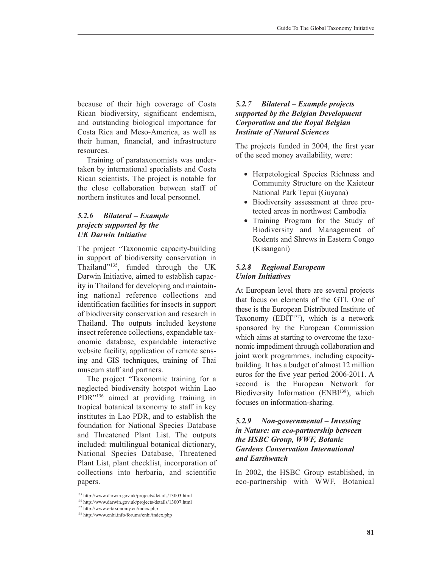because of their high coverage of Costa Rican biodiversity, significant endemism, and outstanding biological importance for Costa Rica and Meso-America, as well as their human, financial, and infrastructure resources.

Training of parataxonomists was undertaken by international specialists and Costa Rican scientists. The project is notable for the close collaboration between staff of northern institutes and local personnel.

### *5.2.6 Bilateral – Example projects supported by the UK Darwin Initiative*

The project "Taxonomic capacity-building in support of biodiversity conservation in Thailand"135, funded through the UK Darwin Initiative, aimed to establish capacity in Thailand for developing and maintaining national reference collections and identification facilities for insects in support of biodiversity conservation and research in Thailand. The outputs included keystone insect reference collections, expandable taxonomic database, expandable interactive website facility, application of remote sensing and GIS techniques, training of Thai museum staff and partners.

The project "Taxonomic training for a neglected biodiversity hotspot within Lao PDR"136 aimed at providing training in tropical botanical taxonomy to staff in key institutes in Lao PDR, and to establish the foundation for National Species Database and Threatened Plant List. The outputs included: multilingual botanical dictionary, National Species Database, Threatened Plant List, plant checklist, incorporation of collections into herbaria, and scientific papers.

## *5.2.7 Bilateral – Example projects supported by the Belgian Development Corporation and the Royal Belgian Institute of Natural Sciences*

The projects funded in 2004, the first year of the seed money availability, were:

- Herpetological Species Richness and Community Structure on the Kaieteur National Park Tepui (Guyana)
- Biodiversity assessment at three protected areas in northwest Cambodia
- Training Program for the Study of Biodiversity and Management of Rodents and Shrews in Eastern Congo (Kisangani)

## *5.2.8 Regional European Union Initiatives*

At European level there are several projects that focus on elements of the GTI. One of these is the European Distributed Institute of Taxonomy (EDIT $137$ ), which is a network sponsored by the European Commission which aims at starting to overcome the taxonomic impediment through collaboration and joint work programmes, including capacitybuilding. It has a budget of almost 12 million euros for the five year period 2006-2011. A second is the European Network for Biodiversity Information (ENBI<sup>138</sup>), which focuses on information-sharing.

## *5.2.9 Non-governmental – Investing in Nature: an eco-partnership between the HSBC Group, WWF, Botanic Gardens Conservation International and Earthwatch*

In 2002, the HSBC Group established, in eco-partnership with WWF, Botanical

<sup>135</sup> http://www.darwin.gov.uk/projects/details/13003.html

<sup>136</sup> http://www.darwin.gov.uk/projects/details/13007.html

<sup>137</sup> http://www.e-taxonomy.eu/index.php

<sup>138</sup> http://www.enbi.info/forums/enbi/index.php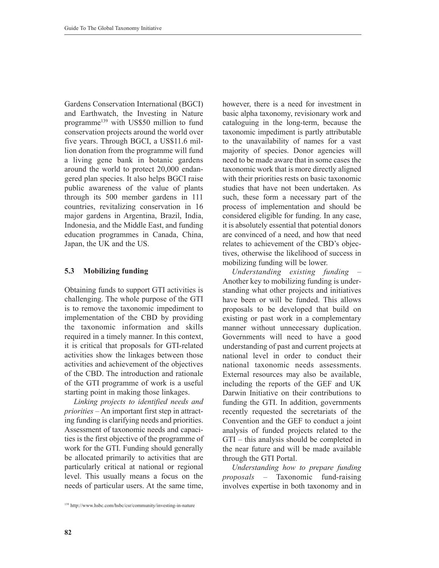Gardens Conservation International (BGCI) and Earthwatch, the Investing in Nature programme<sup>139</sup> with US\$50 million to fund conservation projects around the world over five years. Through BGCI, a US\$11.6 million donation from the programme will fund a living gene bank in botanic gardens around the world to protect 20,000 endangered plan species. It also helps BGCI raise public awareness of the value of plants through its 500 member gardens in 111 countries, revitalizing conservation in 16 major gardens in Argentina, Brazil, India, Indonesia, and the Middle East, and funding education programmes in Canada, China, Japan, the UK and the US.

### **5.3 Mobilizing funding**

Obtaining funds to support GTI activities is challenging. The whole purpose of the GTI is to remove the taxonomic impediment to implementation of the CBD by providing the taxonomic information and skills required in a timely manner. In this context, it is critical that proposals for GTI-related activities show the linkages between those activities and achievement of the objectives of the CBD. The introduction and rationale of the GTI programme of work is a useful starting point in making those linkages.

*Linking projects to identified needs and priorities* – An important first step in attracting funding is clarifying needs and priorities. Assessment of taxonomic needs and capacities is the first objective of the programme of work for the GTI. Funding should generally be allocated primarily to activities that are particularly critical at national or regional level. This usually means a focus on the needs of particular users. At the same time, however, there is a need for investment in basic alpha taxonomy, revisionary work and cataloguing in the long-term, because the taxonomic impediment is partly attributable to the unavailability of names for a vast majority of species. Donor agencies will need to be made aware that in some cases the taxonomic work that is more directly aligned with their priorities rests on basic taxonomic studies that have not been undertaken. As such, these form a necessary part of the process of implementation and should be considered eligible for funding. In any case, it is absolutely essential that potential donors are convinced of a need, and how that need relates to achievement of the CBD's objectives, otherwise the likelihood of success in mobilizing funding will be lower.

*Understanding existing funding* – Another key to mobilizing funding is understanding what other projects and initiatives have been or will be funded. This allows proposals to be developed that build on existing or past work in a complementary manner without unnecessary duplication. Governments will need to have a good understanding of past and current projects at national level in order to conduct their national taxonomic needs assessments. External resources may also be available, including the reports of the GEF and UK Darwin Initiative on their contributions to funding the GTI. In addition, governments recently requested the secretariats of the Convention and the GEF to conduct a joint analysis of funded projects related to the GTI – this analysis should be completed in the near future and will be made available through the GTI Portal.

*Understanding how to prepare funding proposals* – Taxonomic fund-raising involves expertise in both taxonomy and in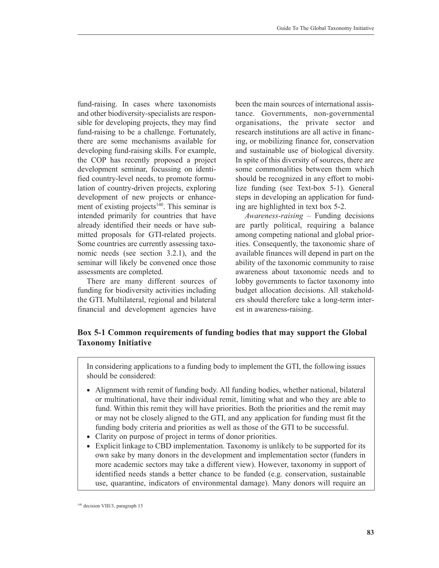fund-raising. In cases where taxonomists and other biodiversity-specialists are responsible for developing projects, they may find fund-raising to be a challenge. Fortunately, there are some mechanisms available for developing fund-raising skills. For example, the COP has recently proposed a project development seminar, focussing on identified country-level needs, to promote formulation of country-driven projects, exploring development of new projects or enhancement of existing projects<sup>140</sup>. This seminar is intended primarily for countries that have already identified their needs or have submitted proposals for GTI-related projects. Some countries are currently assessing taxonomic needs (see section 3.2.1), and the seminar will likely be convened once those assessments are completed.

There are many different sources of funding for biodiversity activities including the GTI. Multilateral, regional and bilateral financial and development agencies have been the main sources of international assistance. Governments, non-governmental organisations, the private sector and research institutions are all active in financing, or mobilizing finance for, conservation and sustainable use of biological diversity. In spite of this diversity of sources, there are some commonalities between them which should be recognized in any effort to mobilize funding (see Text-box 5-1). General steps in developing an application for funding are highlighted in text box 5-2.

*Awareness-raising* – Funding decisions are partly political, requiring a balance among competing national and global priorities. Consequently, the taxonomic share of available finances will depend in part on the ability of the taxonomic community to raise awareness about taxonomic needs and to lobby governments to factor taxonomy into budget allocation decisions. All stakeholders should therefore take a long-term interest in awareness-raising.

# **Box 5-1 Common requirements of funding bodies that may support the Global Taxonomy Initiative**

In considering applications to a funding body to implement the GTI, the following issues should be considered:

- Alignment with remit of funding body. All funding bodies, whether national, bilateral or multinational, have their individual remit, limiting what and who they are able to fund. Within this remit they will have priorities. Both the priorities and the remit may or may not be closely aligned to the GTI, and any application for funding must fit the funding body criteria and priorities as well as those of the GTI to be successful.
- Clarity on purpose of project in terms of donor priorities.
- Explicit linkage to CBD implementation. Taxonomy is unlikely to be supported for its own sake by many donors in the development and implementation sector (funders in more academic sectors may take a different view). However, taxonomy in support of identified needs stands a better chance to be funded (e.g. conservation, sustainable use, quarantine, indicators of environmental damage). Many donors will require an

<sup>140</sup> decision VIII/3, paragraph 15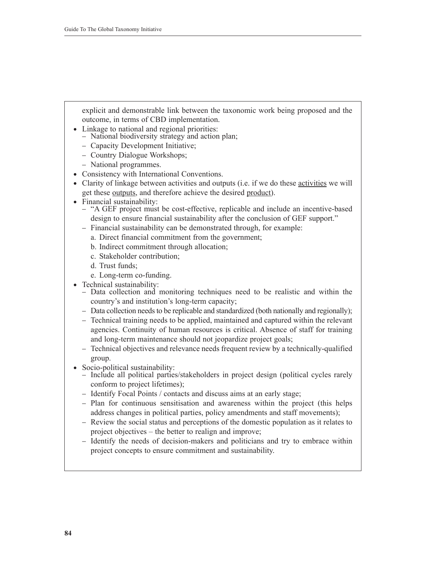explicit and demonstrable link between the taxonomic work being proposed and the outcome, in terms of CBD implementation.

- Linkage to national and regional priorities:
	- − National biodiversity strategy and action plan;
	- − Capacity Development Initiative;
	- − Country Dialogue Workshops;
	- − National programmes.
- Consistency with International Conventions.
- Clarity of linkage between activities and outputs (i.e. if we do these activities we will get these outputs, and therefore achieve the desired product).
- Financial sustainability:
	- − "A GEF project must be cost-effective, replicable and include an incentive-based design to ensure financial sustainability after the conclusion of GEF support."
	- − Financial sustainability can be demonstrated through, for example:
		- a. Direct financial commitment from the government;
		- b. Indirect commitment through allocation;
		- c. Stakeholder contribution;
		- d. Trust funds;
		- e. Long-term co-funding.
- Technical sustainability:
	- − Data collection and monitoring techniques need to be realistic and within the country's and institution's long-term capacity;
	- − Data collection needs to be replicable and standardized (both nationally and regionally);
	- − Technical training needs to be applied, maintained and captured within the relevant agencies. Continuity of human resources is critical. Absence of staff for training and long-term maintenance should not jeopardize project goals;
	- − Technical objectives and relevance needs frequent review by a technically-qualified group.
- Socio-political sustainability:
	- − Include all political parties/stakeholders in project design (political cycles rarely conform to project lifetimes);
	- − Identify Focal Points / contacts and discuss aims at an early stage;
	- − Plan for continuous sensitisation and awareness within the project (this helps address changes in political parties, policy amendments and staff movements);
	- − Review the social status and perceptions of the domestic population as it relates to project objectives – the better to realign and improve;
	- − Identify the needs of decision-makers and politicians and try to embrace within project concepts to ensure commitment and sustainability.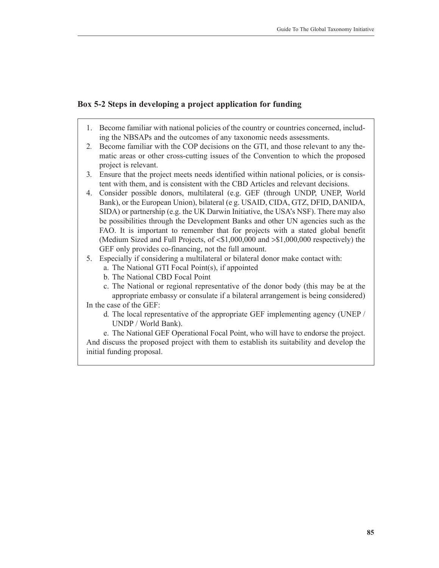# **Box 5-2 Steps in developing a project application for funding**

- 1. Become familiar with national policies of the country or countries concerned, including the NBSAPs and the outcomes of any taxonomic needs assessments.
- 2*.* Become familiar with the COP decisions on the GTI, and those relevant to any thematic areas or other cross-cutting issues of the Convention to which the proposed project is relevant.
- 3*.* Ensure that the project meets needs identified within national policies, or is consistent with them, and is consistent with the CBD Articles and relevant decisions.
- 4. Consider possible donors, multilateral (e.g. GEF (through UNDP, UNEP, World Bank), or the European Union), bilateral (e g. USAID, CIDA, GTZ, DFID, DANIDA, SIDA) or partnership (e.g. the UK Darwin Initiative, the USA's NSF). There may also be possibilities through the Development Banks and other UN agencies such as the FAO. It is important to remember that for projects with a stated global benefit (Medium Sized and Full Projects, of <\$1,000,000 and >\$1,000,000 respectively) the GEF only provides co-financing, not the full amount.
- 5. Especially if considering a multilateral or bilateral donor make contact with:
	- a. The National GTI Focal Point(s), if appointed
	- b. The National CBD Focal Point
	- c. The National or regional representative of the donor body (this may be at the appropriate embassy or consulate if a bilateral arrangement is being considered)

In the case of the GEF:

d*.* The local representative of the appropriate GEF implementing agency (UNEP / UNDP / World Bank).

e. The National GEF Operational Focal Point, who will have to endorse the project. And discuss the proposed project with them to establish its suitability and develop the initial funding proposal.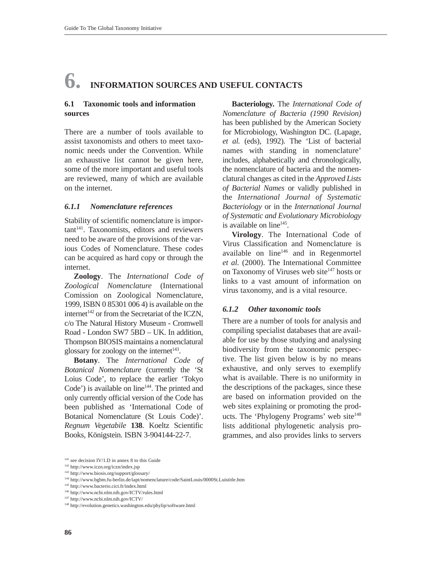# **6. INFORMATION SOURCES AND USEFUL CONTACTS**

#### **6.1 Taxonomic tools and information sources**

There are a number of tools available to assist taxonomists and others to meet taxonomic needs under the Convention. While an exhaustive list cannot be given here, some of the more important and useful tools are reviewed, many of which are available on the internet.

#### *6.1.1 Nomenclature references*

Stability of scientific nomenclature is important<sup>141</sup>. Taxonomists, editors and reviewers need to be aware of the provisions of the various Codes of Nomenclature. These codes can be acquired as hard copy or through the internet.

**Zoology**. The *International Code of Zoological Nomenclature* (International Comission on Zoological Nomenclature, 1999, ISBN 0 85301 006 4) is available on the internet<sup> $142$ </sup> or from the Secretariat of the ICZN, c/o The Natural History Museum - Cromwell Road - London SW7 5BD – UK. In addition, Thompson BIOSIS maintains a nomenclatural glossary for zoology on the internet $143$ .

**Botany**. The *International Code of Botanical Nomenclature* (currently the 'St Loius Code', to replace the earlier 'Tokyo Code') is available on line $144$ . The printed and only currently official version of the Code has been published as 'International Code of Botanical Nomenclature (St Louis Code)'. *Regnum Vegetabile* **138**. Koeltz Scientific Books, Königstein. ISBN 3-904144-22-7.

**Bacteriology.** The *International Code of Nomenclature of Bacteria (1990 Revision)* has been published by the American Society for Microbiology, Washington DC. (Lapage, *et al.* (eds), 1992). The 'List of bacterial names with standing in nomenclature' includes, alphabetically and chronologically, the nomenclature of bacteria and the nomenclatural changes as cited in the *Approved Lists of Bacterial Names* or validly published in the *International Journal of Systematic Bacteriology* or in the *International Journal of Systematic and Evolutionary Microbiology* is available on  $line<sup>145</sup>$ .

**Virology**. The International Code of Virus Classification and Nomenclature is available on  $line<sup>146</sup>$  and in Regenmortel *et al.* (2000). The International Committee on Taxonomy of Viruses web site<sup>147</sup> hosts or links to a vast amount of information on virus taxonomy, and is a vital resource.

#### *6.1.2 Other taxonomic tools*

There are a number of tools for analysis and compiling specialist databases that are available for use by those studying and analysing biodiversity from the taxonomic perspective. The list given below is by no means exhaustive, and only serves to exemplify what is available. There is no uniformity in the descriptions of the packages, since these are based on information provided on the web sites explaining or promoting the products. The 'Phylogeny Programs' web site<sup>148</sup> lists additional phylogenetic analysis programmes, and also provides links to servers

 $141$  see decision IV/1.D in annex 8 to this Guide

<sup>142</sup> http://www.iczn.org/iczn/index.jsp

<sup>143</sup> http://www.biosis.org/support/glossary/

<sup>144</sup> http://www.bgbm.fu-berlin.de/iapt/nomenclature/code/SaintLouis/0000St.Luistitle.htm

<sup>145</sup> http://www.bacterio.cict.fr/index.html

<sup>146</sup> http://www.ncbi.nlm.nih.gov/ICTV/rules.html

<sup>147</sup> http://www.ncbi.nlm.nih.gov/ICTV/

<sup>148</sup> http://evolution.genetics.washington.edu/phylip/software.html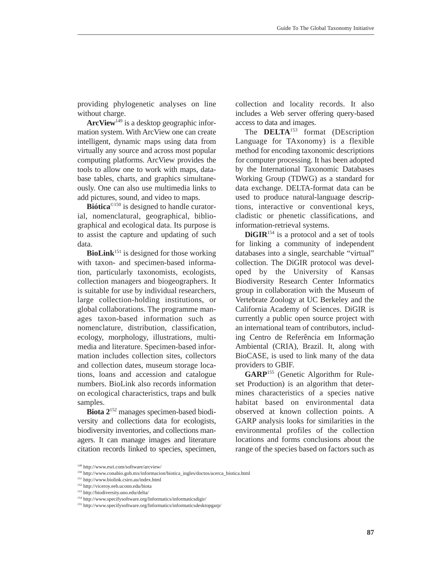providing phylogenetic analyses on line without charge.

**ArcView**<sup>149</sup> is a desktop geographic information system. With ArcView one can create intelligent, dynamic maps using data from virtually any source and across most popular computing platforms. ArcView provides the tools to allow one to work with maps, database tables, charts, and graphics simultaneously. One can also use multimedia links to add pictures, sound, and video to maps.

**Biótica**©150 is designed to handle curatorial, nomenclatural, geographical, bibliographical and ecological data. Its purpose is to assist the capture and updating of such data.

**BioLink**<sup>151</sup> is designed for those working with taxon- and specimen-based information, particularly taxonomists, ecologists, collection managers and biogeographers. It is suitable for use by individual researchers, large collection-holding institutions, or global collaborations. The programme manages taxon-based information such as nomenclature, distribution, classification, ecology, morphology, illustrations, multimedia and literature. Specimen-based information includes collection sites, collectors and collection dates, museum storage locations, loans and accession and catalogue numbers. BioLink also records information on ecological characteristics, traps and bulk samples.

**Biota 2**<sup>152</sup> manages specimen-based biodiversity and collections data for ecologists, biodiversity inventories, and collections managers. It can manage images and literature citation records linked to species, specimen, collection and locality records. It also includes a Web server offering query-based access to data and images.

The **DELTA**<sup>153</sup> format (DEscription Language for TAxonomy) is a flexible method for encoding taxonomic descriptions for computer processing. It has been adopted by the International Taxonomic Databases Working Group (TDWG) as a standard for data exchange. DELTA-format data can be used to produce natural-language descriptions, interactive or conventional keys, cladistic or phenetic classifications, and information-retrieval systems.

**DiGIR**<sup>154</sup> is a protocol and a set of tools for linking a community of independent databases into a single, searchable "virtual" collection. The DiGIR protocol was developed by the University of Kansas Biodiversity Research Center Informatics group in collaboration with the Museum of Vertebrate Zoology at UC Berkeley and the California Academy of Sciences. DiGIR is currently a public open source project with an international team of contributors, including Centro de Referência em Informação Ambiental (CRIA), Brazil. It, along with BioCASE, is used to link many of the data providers to GBIF.

**GARP**<sup>155</sup> (Genetic Algorithm for Ruleset Production) is an algorithm that determines characteristics of a species native habitat based on environmental data observed at known collection points. A GARP analysis looks for similarities in the environmental profiles of the collection locations and forms conclusions about the range of the species based on factors such as

<sup>149</sup> http://www.esri.com/software/arcview/

<sup>150</sup> http://www.conabio.gob.mx/informacion/biotica\_ingles/doctos/acerca\_biotica.html

<sup>151</sup> http://www.biolink.csiro.au/index.html

<sup>152</sup> http://viceroy.eeb.uconn.edu/biota

<sup>153</sup> http://biodiversity.uno.edu/delta/

<sup>154</sup> http://www.specifysoftware.org/Informatics/informaticsdigir/

<sup>155</sup> http://www.specifysoftware.org/Informatics/informaticsdesktopgarp/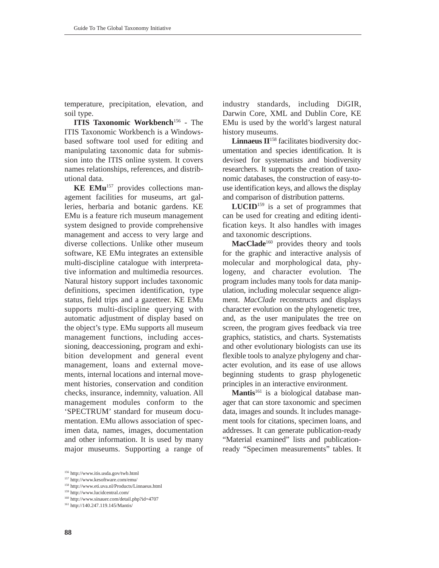temperature, precipitation, elevation, and soil type.

**ITIS Taxonomic Workbench<sup>156</sup> - The** ITIS Taxonomic Workbench is a Windowsbased software tool used for editing and manipulating taxonomic data for submission into the ITIS online system. It covers names relationships, references, and distributional data.

**KE EMu**<sup>157</sup> provides collections management facilities for museums, art galleries, herbaria and botanic gardens. KE EMu is a feature rich museum management system designed to provide comprehensive management and access to very large and diverse collections. Unlike other museum software, KE EMu integrates an extensible multi-discipline catalogue with interpretative information and multimedia resources. Natural history support includes taxonomic definitions, specimen identification, type status, field trips and a gazetteer. KE EMu supports multi-discipline querying with automatic adjustment of display based on the object's type. EMu supports all museum management functions, including accessioning, deaccessioning, program and exhibition development and general event management, loans and external movements, internal locations and internal movement histories, conservation and condition checks, insurance, indemnity, valuation. All management modules conform to the 'SPECTRUM' standard for museum documentation. EMu allows association of specimen data, names, images, documentation and other information. It is used by many major museums. Supporting a range of

<sup>156</sup> http://www.itis.usda.gov/twb.html

<sup>158</sup> http://www.eti.uva.nl/Products/Linnaeus.html

<sup>160</sup> http://www.sinauer.com/detail.php?id=4707

industry standards, including DiGIR, Darwin Core, XML and Dublin Core, KE EMu is used by the world's largest natural history museums.

Linnaeus  $\mathbf{II}^{158}$  facilitates biodiversity documentation and species identification. It is devised for systematists and biodiversity researchers. It supports the creation of taxonomic databases, the construction of easy-touse identification keys, and allows the display and comparison of distribution patterns.

**LUCID**<sup>159</sup> is a set of programmes that can be used for creating and editing identification keys. It also handles with images and taxonomic descriptions.

MacClade<sup>160</sup> provides theory and tools for the graphic and interactive analysis of molecular and morphological data, phylogeny, and character evolution. The program includes many tools for data manipulation, including molecular sequence alignment. *MacClade* reconstructs and displays character evolution on the phylogenetic tree, and, as the user manipulates the tree on screen, the program gives feedback via tree graphics, statistics, and charts. Systematists and other evolutionary biologists can use its flexible tools to analyze phylogeny and character evolution, and its ease of use allows beginning students to grasp phylogenetic principles in an interactive environment.

Mantis<sup>161</sup> is a biological database manager that can store taxonomic and specimen data, images and sounds. It includes management tools for citations, specimen loans, and addresses. It can generate publication-ready "Material examined" lists and publicationready "Specimen measurements" tables. It

<sup>157</sup> http://www.kesoftware.com/emu/

<sup>159</sup> http://www.lucidcentral.com/

<sup>161</sup> http://140.247.119.145/Mantis/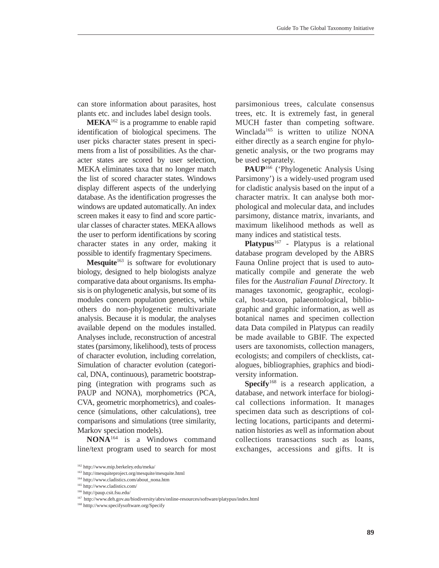can store information about parasites, host plants etc. and includes label design tools.

 $MEXA<sup>162</sup>$  is a programme to enable rapid identification of biological specimens. The user picks character states present in specimens from a list of possibilities. As the character states are scored by user selection, MEKA eliminates taxa that no longer match the list of scored character states. Windows display different aspects of the underlying database. As the identification progresses the windows are updated automatically. An index screen makes it easy to find and score particular classes of character states. MEKA allows the user to perform identifications by scoring character states in any order, making it possible to identify fragmentary Specimens.

**Mesquite**<sup>163</sup> is software for evolutionary biology, designed to help biologists analyze comparative data about organisms. Its emphasis is on phylogenetic analysis, but some of its modules concern population genetics, while others do non-phylogenetic multivariate analysis. Because it is modular, the analyses available depend on the modules installed. Analyses include, reconstruction of ancestral states (parsimony, likelihood), tests of process of character evolution, including correlation, Simulation of character evolution (categorical, DNA, continuous), parametric bootstrapping (integration with programs such as PAUP and NONA), morphometrics (PCA, CVA, geometric morphometrics), and coalescence (simulations, other calculations), tree comparisons and simulations (tree similarity, Markov speciation models).

**NONA**<sup>164</sup> is a Windows command line/text program used to search for most parsimonious trees, calculate consensus trees, etc. It is extremely fast, in general MUCH faster than competing software. Winclada<sup>165</sup> is written to utilize NONA either directly as a search engine for phylogenetic analysis, or the two programs may be used separately.

**PAUP**<sup>166</sup> ('Phylogenetic Analysis Using Parsimony') is a widely-used program used for cladistic analysis based on the input of a character matrix. It can analyse both morphological and molecular data, and includes parsimony, distance matrix, invariants, and maximum likelihood methods as well as many indices and statistical tests.

Platypus<sup>167</sup> - Platypus is a relational database program developed by the ABRS Fauna Online project that is used to automatically compile and generate the web files for the *Australian Faunal Directory*. It manages taxonomic, geographic, ecological, host-taxon, palaeontological, bibliographic and graphic information, as well as botanical names and specimen collection data Data compiled in Platypus can readily be made available to GBIF. The expected users are taxonomists, collection managers, ecologists; and compilers of checklists, catalogues, bibliographies, graphics and biodiversity information.

**Specify**<sup>168</sup> is a research application, a database, and network interface for biological collections information. It manages specimen data such as descriptions of collecting locations, participants and determination histories as well as information about collections transactions such as loans, exchanges, accessions and gifts. It is

<sup>162</sup> http://www.mip.berkeley.edu/meka/

<sup>163</sup> http://mesquiteproject.org/mesquite/mesquite.html

<sup>164</sup> http://www.cladistics.com/about\_nona.htm

<sup>165</sup> http://www.cladistics.com/

<sup>166</sup> http://paup.csit.fsu.edu/

<sup>167</sup> http://www.deh.gov.au/biodiversity/abrs/online-resources/software/platypus/index.html

<sup>168</sup> htttp://www.specifysoftware.org/Specify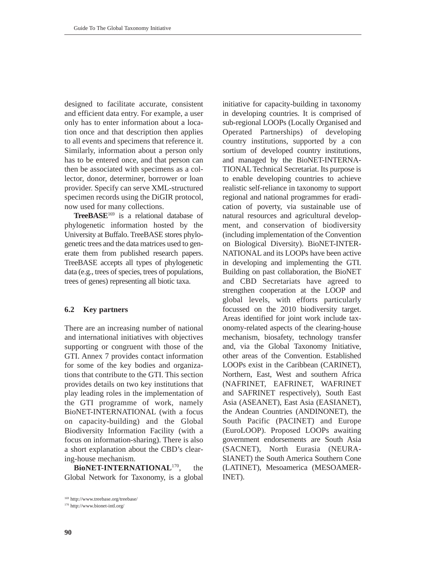designed to facilitate accurate, consistent and efficient data entry. For example, a user only has to enter information about a location once and that description then applies to all events and specimens that reference it. Similarly, information about a person only has to be entered once, and that person can then be associated with specimens as a collector, donor, determiner, borrower or loan provider. Specify can serve XML-structured specimen records using the DiGIR protocol, now used for many collections.

**TreeBASE**<sup>169</sup> is a relational database of phylogenetic information hosted by the University at Buffalo. TreeBASE stores phylogenetic trees and the data matrices used to generate them from published research papers. TreeBASE accepts all types of phylogenetic data (e.g., trees of species, trees of populations, trees of genes) representing all biotic taxa.

#### **6.2 Key partners**

There are an increasing number of national and international initiatives with objectives supporting or congruent with those of the GTI. Annex 7 provides contact information for some of the key bodies and organizations that contribute to the GTI. This section provides details on two key institutions that play leading roles in the implementation of the GTI programme of work, namely BioNET-INTERNATIONAL (with a focus on capacity-building) and the Global Biodiversity Information Facility (with a focus on information-sharing). There is also a short explanation about the CBD's clearing-house mechanism.

**BioNET-INTERNATIONAL**170, the Global Network for Taxonomy, is a global

<sup>170</sup> http://www.bionet-intl.org/

in developing countries. It is comprised of sub-regional LOOPs (Locally Organised and Operated Partnerships) of developing country institutions, supported by a con sortium of developed country institutions, and managed by the BioNET-INTERNA-TIONAL Technical Secretariat. Its purpose is to enable developing countries to achieve realistic self-reliance in taxonomy to support regional and national programmes for eradication of poverty, via sustainable use of natural resources and agricultural development, and conservation of biodiversity (including implementation of the Convention on Biological Diversity). BioNET-INTER-NATIONAL and its LOOPs have been active in developing and implementing the GTI. Building on past collaboration, the BioNET and CBD Secretariats have agreed to strengthen cooperation at the LOOP and global levels, with efforts particularly focussed on the 2010 biodiversity target. Areas identified for joint work include taxonomy-related aspects of the clearing-house mechanism, biosafety, technology transfer and, via the Global Taxonomy Initiative, other areas of the Convention. Established LOOPs exist in the Caribbean (CARINET), Northern, East, West and southern Africa (NAFRINET, EAFRINET, WAFRINET and SAFRINET respectively), South East Asia (ASEANET), East Asia (EASIANET), the Andean Countries (ANDINONET), the South Pacific (PACINET) and Europe (EuroLOOP). Proposed LOOPs awaiting government endorsements are South Asia (SACNET), North Eurasia (NEURA-SIANET) the South America Southern Cone (LATINET), Mesoamerica (MESOAMER-INET).

initiative for capacity-building in taxonomy

<sup>169</sup> http://www.treebase.org/treebase/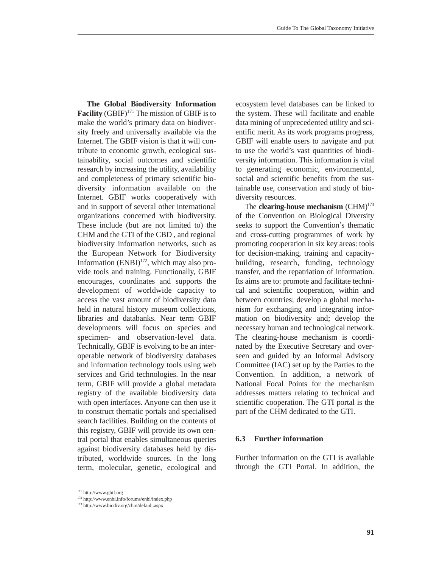**The Global Biodiversity Information Facility** (GBIF)<sup>171</sup> The mission of GBIF is to make the world's primary data on biodiversity freely and universally available via the Internet. The GBIF vision is that it will contribute to economic growth, ecological sustainability, social outcomes and scientific research by increasing the utility, availability and completeness of primary scientific biodiversity information available on the Internet. GBIF works cooperatively with and in support of several other international organizations concerned with biodiversity. These include (but are not limited to) the CHM and the GTI of the CBD , and regional biodiversity information networks, such as the European Network for Biodiversity Information  $(ENBI)^{172}$ , which may also provide tools and training. Functionally, GBIF encourages, coordinates and supports the development of worldwide capacity to access the vast amount of biodiversity data held in natural history museum collections, libraries and databanks. Near term GBIF developments will focus on species and specimen- and observation-level data. Technically, GBIF is evolving to be an interoperable network of biodiversity databases and information technology tools using web services and Grid technologies. In the near term, GBIF will provide a global metadata registry of the available biodiversity data with open interfaces. Anyone can then use it to construct thematic portals and specialised search facilities. Building on the contents of this registry, GBIF will provide its own central portal that enables simultaneous queries against biodiversity databases held by distributed, worldwide sources. In the long term, molecular, genetic, ecological and ecosystem level databases can be linked to the system. These will facilitate and enable data mining of unprecedented utility and scientific merit. As its work programs progress, GBIF will enable users to navigate and put to use the world's vast quantities of biodiversity information. This information is vital to generating economic, environmental, social and scientific benefits from the sustainable use, conservation and study of biodiversity resources. The **clearing-house mechanism** (CHM)<sup>173</sup>

of the Convention on Biological Diversity seeks to support the Convention's thematic and cross-cutting programmes of work by promoting cooperation in six key areas: tools for decision-making, training and capacitybuilding, research, funding, technology transfer, and the repatriation of information. Its aims are to: promote and facilitate technical and scientific cooperation, within and between countries; develop a global mechanism for exchanging and integrating information on biodiversity and; develop the necessary human and technological network. The clearing-house mechanism is coordinated by the Executive Secretary and overseen and guided by an Informal Advisory Committee (IAC) set up by the Parties to the Convention. In addition, a network of National Focal Points for the mechanism addresses matters relating to technical and scientific cooperation. The GTI portal is the part of the CHM dedicated to the GTI.

# **6.3 Further information**

Further information on the GTI is available through the GTI Portal. In addition, the

 $171$  http://www.gbif.org<br>  $172$  http://www.enbi.info/forums/enbi/index.php

<sup>173</sup> http://www.biodiv.org/chm/default.aspx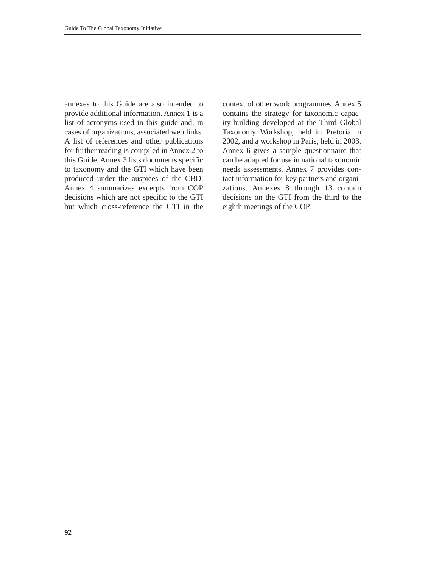annexes to this Guide are also intended to provide additional information. Annex 1 is a list of acronyms used in this guide and, in cases of organizations, associated web links. A list of references and other publications for further reading is compiled in Annex 2 to this Guide. Annex 3 lists documents specific to taxonomy and the GTI which have been produced under the auspices of the CBD. Annex 4 summarizes excerpts from COP decisions which are not specific to the GTI but which cross-reference the GTI in the context of other work programmes. Annex 5 contains the strategy for taxonomic capacity-building developed at the Third Global Taxonomy Workshop, held in Pretoria in 2002, and a workshop in Paris, held in 2003. Annex 6 gives a sample questionnaire that can be adapted for use in national taxonomic needs assessments. Annex 7 provides contact information for key partners and organizations. Annexes 8 through 13 contain decisions on the GTI from the third to the eighth meetings of the COP.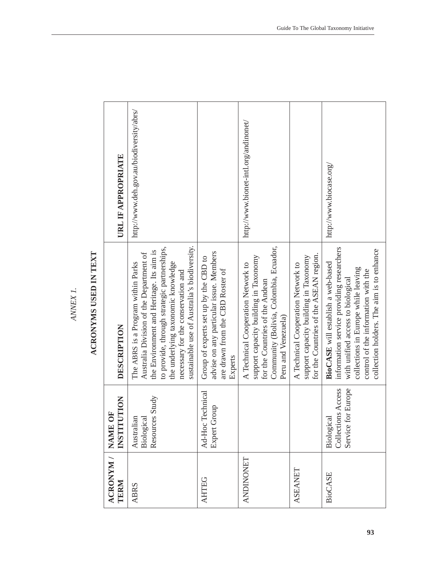| Ŗ |
|---|
|   |
|   |
|   |
|   |
|   |
|   |
|   |
|   |
|   |
|   |

# ACRONYMS USED IN TEXT **ACRONYMS USED IN TEXT**

| ACRONYM /<br>TERM | MOLLL<br>片<br>INSTITU<br><b>NAME</b>                         | DESCRIPTION                                                                                                                                                                                                                                                                                          | URL IF APPROPRIATE                       |
|-------------------|--------------------------------------------------------------|------------------------------------------------------------------------------------------------------------------------------------------------------------------------------------------------------------------------------------------------------------------------------------------------------|------------------------------------------|
| <b>ABRS</b>       | Study<br>Resources<br>Australian<br>Biological               | sustainable use of Australia's biodiversity.<br>to provide, through strategic partnerships,<br>the Environment and Heritage. Its aim is<br>Australia Division of the Department of<br>the underlying taxonomic knowledge<br>The ABRS is a Program within Parks<br>necessary for the conservation and | http://www.deh.gov.au/biodiversity/abrs/ |
| <b>AHTEG</b>      | <b>rechnical</b><br>Expert Group<br>Ad-Hoc <sup>-</sup>      | advise on any particular issue. Members<br>Group of experts set up by the CBD to<br>are drawn from the CBD Roster of<br>Experts                                                                                                                                                                      |                                          |
| <b>ANDINONET</b>  |                                                              | Community (Bolivia, Colombia, Ecuador,<br>support capacity building in Taxonomy<br>A Technical Cooperation Network to<br>for the Countries of the Andean<br>Peru and Venezuela)                                                                                                                      | http://www.bionet-intl.org/andinonet/    |
| <b>ASEANET</b>    |                                                              | for the Countries of the ASEAN region.<br>support capacity building in Taxonomy<br>A Technical Cooperation Network to                                                                                                                                                                                |                                          |
| <b>BioCASE</b>    | <b>Collections Access</b><br>Service for Europe<br>Biologica | information service providing researchers<br>collection holders. The aim is to enhance<br>BioCASE will establish a web-based<br>collections in Europe while leaving<br>control of the information with the<br>with unified access to biological                                                      | http://www.biocase.org/                  |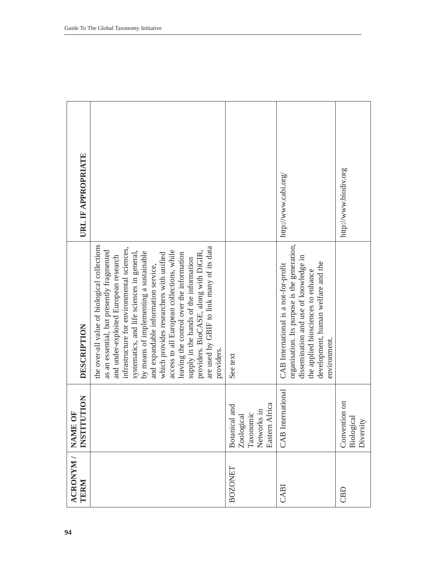| ACRONYM /<br>TERM | <b>NOLLLO</b><br><b>FO</b><br><b>NAME</b><br><b>INSTIT</b>                   | DESCRIPTION                                                                                                                                                                                                                                                                                                                                                                                                                                                                                                                                                                                       | URL IF APPROPRIATE    |
|-------------------|------------------------------------------------------------------------------|---------------------------------------------------------------------------------------------------------------------------------------------------------------------------------------------------------------------------------------------------------------------------------------------------------------------------------------------------------------------------------------------------------------------------------------------------------------------------------------------------------------------------------------------------------------------------------------------------|-----------------------|
|                   |                                                                              | the over-all value of biological collections<br>are used by GBIF to link many of its data<br>infrastructure for environmental sciences,<br>as an essential, but presently fragmented<br>access to all European collections, while<br>systematics, and life sciences in general,<br>by means of implementing a sustainable<br>providers. BioCASE, along with DiGIR,<br>leaving the control over the information<br>which provides researchers with unified<br>and under-exploited European research<br>supply in the hands of the information<br>and expandable information service,<br>providers. |                       |
| BOZONET           | Africa<br>Botanical and<br>Networks in<br>Taxonomic<br>Zoological<br>Eastern | See text                                                                                                                                                                                                                                                                                                                                                                                                                                                                                                                                                                                          |                       |
| CABI              | <b>CAB</b> International                                                     | organisation. Its purpose is the generation,<br>dissemination and use of knowledge in<br>development, human welfare and the<br>CAB International is a not-for-profit<br>the applied biosciences to enhance<br>environment.                                                                                                                                                                                                                                                                                                                                                                        | http://www.cabi.org/  |
| CBD               | Convention on<br>Biological<br>Diversity                                     |                                                                                                                                                                                                                                                                                                                                                                                                                                                                                                                                                                                                   | http://www.biodiv.org |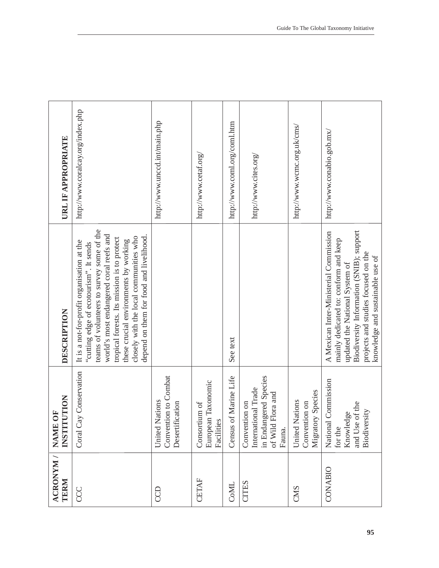| ACRONYM /<br>TERM | <b>UTION</b><br>5<br><b>INSTIT</b><br><b>NAME</b>                                                 | DESCRIPTION                                                                                                                                                                                                                                                                                                                                               | URL IF APPROPRIATE                |
|-------------------|---------------------------------------------------------------------------------------------------|-----------------------------------------------------------------------------------------------------------------------------------------------------------------------------------------------------------------------------------------------------------------------------------------------------------------------------------------------------------|-----------------------------------|
| CCC               | Coral Cay Conservation                                                                            | teams of volunteers to survey some of the<br>world's most endangered coral reefs and<br>depend on them for food and livelihood.<br>closely with the local communities who<br>tropical forests. Its mission is to protect<br>these crucial environments by working<br>It is a not-for-profit organisation at the<br>"cutting edge of ecotourism". It sends | http://www.coralcay.org/index.php |
| CCD               | Convention to Combat<br><b>United Nations</b><br>Desertification                                  |                                                                                                                                                                                                                                                                                                                                                           | http://www.unccd.int/main.php     |
| CETAF             | European Taxonomic<br>Consortium of<br>Facilities                                                 |                                                                                                                                                                                                                                                                                                                                                           | http://www.cetaf.org/             |
| CoML              | Census of Marine Life                                                                             | See text                                                                                                                                                                                                                                                                                                                                                  | http://www.coml.org/coml.htm      |
| <b>CITES</b>      | in Endangered Species<br>International Trade<br>Flora and<br>Convention on<br>of Wild I<br>Fauna. |                                                                                                                                                                                                                                                                                                                                                           | http://www.cites.org/             |
| CMS               | Migratory Species<br>United Nations<br>Convention on                                              |                                                                                                                                                                                                                                                                                                                                                           | http://www.wcmc.org.uk/cms/       |
| CONABIO           | Commission<br>of the<br>Biodiversity<br>Knowledge<br>and Use<br>National<br>for the               | Biodiversity Information (SNIB); support<br>A Mexican Inter-Ministerial Commission<br>mainly dedicated to: conform and keep<br>projects and studies focused on the<br>knowledge and sustainable use of<br>updated the National System of                                                                                                                  | http://www.conabio.gob.mx/        |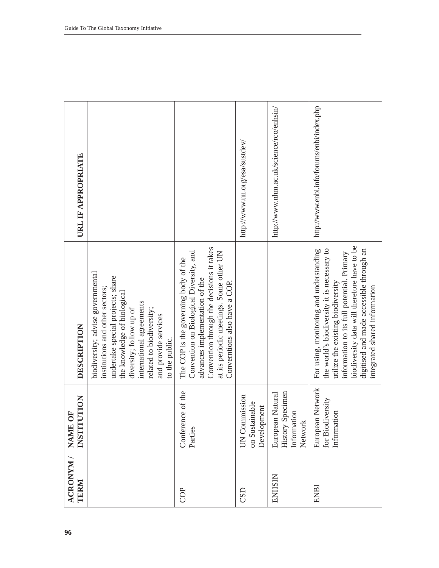| ACRONYM /<br>TERM | NOLLOI<br>ŌF<br><b>NAME</b><br><b>INSTIT</b>                          | DESCRIPTION                                                                                                                                                                                                                                                                                           | URL IF APPROPRIATE                         |
|-------------------|-----------------------------------------------------------------------|-------------------------------------------------------------------------------------------------------------------------------------------------------------------------------------------------------------------------------------------------------------------------------------------------------|--------------------------------------------|
|                   |                                                                       | biodiversity; advise governmental<br>undertake special projects; share<br>institutions and other sectors;<br>the knowledge of biological<br>international agreements<br>related to biodiversity;<br>diversity; follow up of<br>and provide services<br>to the public.                                 |                                            |
| COP               | Conference of the<br>Parties                                          | Convention through the decisions it takes<br>Convention on Biological Diversity, and<br>at its periodic meetings. Some other UN<br>The COP is the governing body of the<br>advances implementation of the<br>Converntions also have a COP.                                                            |                                            |
| CSD               | <b>UN Commission</b><br>on Sustainable<br>Development                 |                                                                                                                                                                                                                                                                                                       | http://www.un.org/esa/sustdev/             |
| ENHSIN            | <b>History Specimen</b><br>European Natural<br>Information<br>Network |                                                                                                                                                                                                                                                                                                       | http://www.nhm.ac.uk/science/rco/enhsin/   |
| ENBI              | European Network<br>for Biodiversity<br>Information                   | biodiversity data will therefore have to be<br>the world's biodiversity it is necessary to<br>digitised and made accessible through an<br>For using, monitoring and understanding<br>information to its full potential. Primary<br>utilize the existing biodiversity<br>integrated shared information | http://www.enbi.info/forums/enbi/index.php |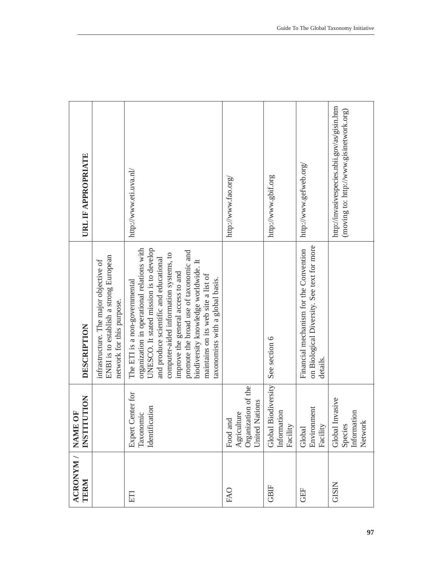| <b>URL IF APPROPRIATE</b>                            |                                                                                                               | http://www.eti.uva.nl/                                                                                                                                                                                                                                                                                                                                                                                       | http://www.fao.org/                                                 | http://www.gbif.org                               | http://www.gefweb.org/                                                                           | http://invasivespecies.nbii.gov/as/gisin.htm<br>(moving to: http://www.gisinetwork.org) |
|------------------------------------------------------|---------------------------------------------------------------------------------------------------------------|--------------------------------------------------------------------------------------------------------------------------------------------------------------------------------------------------------------------------------------------------------------------------------------------------------------------------------------------------------------------------------------------------------------|---------------------------------------------------------------------|---------------------------------------------------|--------------------------------------------------------------------------------------------------|-----------------------------------------------------------------------------------------|
| DESCRIPTION                                          | ENBI is to establish a strong European<br>infrastructure. The major objective of<br>network for this purpose. | organization in operational relations with<br>UNESCO. It stated mission is to develop<br>promote the broad use of taxonomic and<br>computer-aided information systems, to<br>and produce scientific and educational<br>biodiversity knowledge worldwide. It<br>improve the general access to and<br>maintains on its web site a list of<br>taxonomists with a global basis.<br>The ETI is a non-governmental |                                                                     | See section 6                                     | on Biological Diversity. See text for more<br>Financial mechanism for the Convention<br>details. |                                                                                         |
| <b>NOLLLON</b><br>Č<br><b>NAME</b><br><b>TISSTIT</b> |                                                                                                               | Center for<br>cation<br>Taxonomic<br>Identific<br>Expert                                                                                                                                                                                                                                                                                                                                                     | Organization of the<br>Nations<br>Agriculture<br>Food and<br>United | Biodiversity<br>Information<br>Facility<br>Global | Environment<br>Facility<br>Global                                                                | Invasive<br>Information<br>Network<br>Species<br>Global                                 |
| ACRONYM /<br>TERM                                    |                                                                                                               | ETI                                                                                                                                                                                                                                                                                                                                                                                                          | FAO                                                                 | <b>GBIF</b>                                       | <b>GEF</b>                                                                                       | <b>GISIN</b>                                                                            |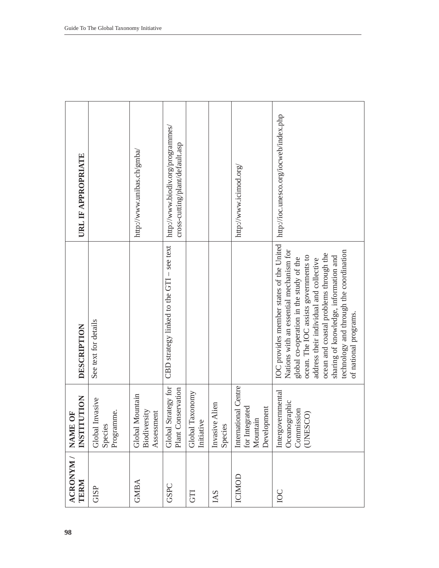| ACRONYM / NAME<br>TERM | <b>NOLLO.</b><br>Ō<br><b>INSTIT</b>                               | DESCRIPTION                                                                                                                                                                                                                                                                                                                                                               | URL IF APPROPRIATE                                                   |
|------------------------|-------------------------------------------------------------------|---------------------------------------------------------------------------------------------------------------------------------------------------------------------------------------------------------------------------------------------------------------------------------------------------------------------------------------------------------------------------|----------------------------------------------------------------------|
| <b>GISP</b>            | nvasive<br>Programme.<br>Species<br>Global                        | See text for details                                                                                                                                                                                                                                                                                                                                                      |                                                                      |
| <b>GMBA</b>            | Global Mountain<br>Biodiversity<br>Assessment                     |                                                                                                                                                                                                                                                                                                                                                                           | http://www.unibas.ch/gmba/                                           |
| GSPC                   | Global Strategy for<br>Plant Conservation                         | CBD strategy linked to the $GTI$ – see text                                                                                                                                                                                                                                                                                                                               | http://www.biodiv.org/programmes/<br>cross-cutting/plant/default.asp |
| <b>GTI</b>             | Global Taxonomy<br>Initiative                                     |                                                                                                                                                                                                                                                                                                                                                                           |                                                                      |
| IAS                    | Alien<br>Invasive<br>Species                                      |                                                                                                                                                                                                                                                                                                                                                                           |                                                                      |
| ICIMOD                 | International Centre<br>for Integrated<br>Development<br>Mountain |                                                                                                                                                                                                                                                                                                                                                                           | http://www.icimod.org/                                               |
| IOC                    | Intergovernmental<br>Oceanographic<br>Commission<br>(UNESCO)      | IOC provides member states of the United<br>technology and through the coordination<br>Nations with an essential mechanism for<br>ocean and coastal problems through the<br>ocean. The IOC assists governments to<br>sharing of knowledge, information and<br>global co-operation in the study of the<br>address their individual and collective<br>of national programs. | http://ioc.unesco.org/iocweb/index.php                               |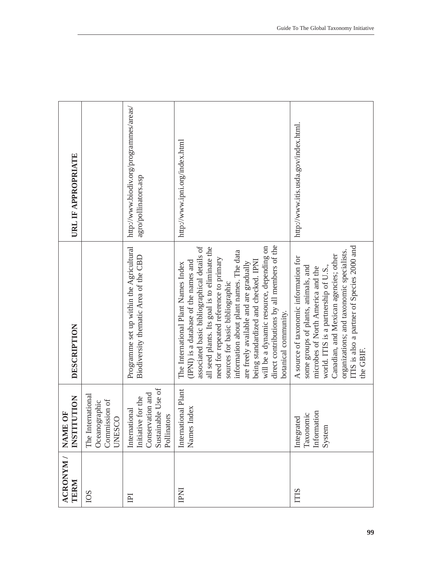| URL IF APPROPRIATE                                 |                                                                   | http://www.biodiv.org/programmes/areas/<br>agro/pollinators.asp                              | http://www.ipni.org/index.html                                                                                                                                                                                                                                                                                                                                                                                                                                                                           | http://www.itis.usda.gov/index.html.                                                                                                                                                                                                                                                                       |
|----------------------------------------------------|-------------------------------------------------------------------|----------------------------------------------------------------------------------------------|----------------------------------------------------------------------------------------------------------------------------------------------------------------------------------------------------------------------------------------------------------------------------------------------------------------------------------------------------------------------------------------------------------------------------------------------------------------------------------------------------------|------------------------------------------------------------------------------------------------------------------------------------------------------------------------------------------------------------------------------------------------------------------------------------------------------------|
| DESCRIPTION                                        |                                                                   | Programme set up within the Agricultural<br>Biodiversity thematic Area of the CBD            | direct contributions by all members of the<br>associated basic bibliographical details of<br>all seed plants. Its goal is to eliminate the<br>will be a dynamic resource, depending on<br>information about plant names. The data<br>need for repeated reference to primary<br>being standardized and checked. IPNI<br>(IPNI) is a database of the names and<br>are freely available and are gradually<br>The International Plant Names Index<br>sources for basic bibliographic<br>botanical community. | ITIS is also a partner of Species 2000 and<br>organizations; and taxonomic specialists.<br>Canadian, and Mexican agencies; other<br>A source of taxonomic information for<br>some groups of plants, animals, and<br>microbes of North America and the<br>world. ITIS is a partnership of U.S.<br>the GBIF. |
| <b>NOLLLO</b><br>Ō<br><b>NAME</b><br><b>INSTIT</b> | The International<br>Commission of<br>Oceanographic<br>Q<br>UNESC | Sustainable Use of<br>Conservation and<br>Initiative for the<br>International<br>Pollinators | International Plant<br>Index<br>Names                                                                                                                                                                                                                                                                                                                                                                                                                                                                    | Information<br>Taxonomic<br>Integrated<br>System                                                                                                                                                                                                                                                           |
| ACRONYM /<br>TERM                                  | IOS                                                               | $\Xi$                                                                                        | <b>INd</b>                                                                                                                                                                                                                                                                                                                                                                                                                                                                                               | <b>ITIS</b>                                                                                                                                                                                                                                                                                                |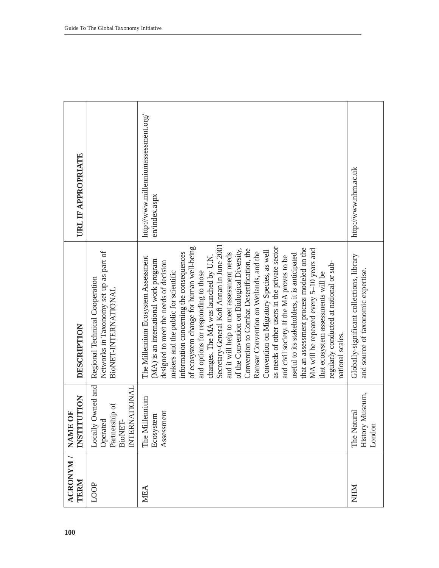| ACRONYM /<br>TERM | <b>UTION</b><br>ð<br><b>INSTIT</b><br>NAME                                                | DESCRIPTION                                                                                                                                                                                                                                                                                                                                                                                                                                                                                                                                                                                                                                                                                                                                                                                                                                                                                                                                                  | URL IF APPROPRIATE                                    |
|-------------------|-------------------------------------------------------------------------------------------|--------------------------------------------------------------------------------------------------------------------------------------------------------------------------------------------------------------------------------------------------------------------------------------------------------------------------------------------------------------------------------------------------------------------------------------------------------------------------------------------------------------------------------------------------------------------------------------------------------------------------------------------------------------------------------------------------------------------------------------------------------------------------------------------------------------------------------------------------------------------------------------------------------------------------------------------------------------|-------------------------------------------------------|
| LOOP              | Owned and<br><b>ATIONAL</b><br>Partnership of<br>Operated<br>BioNET-<br>INTERN<br>Locally | Networks in Taxonomy set up as part of<br>Regional Technical Cooperation<br>BioNET-INTERNATIONAL                                                                                                                                                                                                                                                                                                                                                                                                                                                                                                                                                                                                                                                                                                                                                                                                                                                             |                                                       |
| MEA               | lennium<br>Assessment<br>Ecosystem<br>The Mil                                             | Secretary-General Kofi Annan in June 2001<br>of ecosystem change for human well-being<br>as needs of other users in the private sector<br>that an assessment process modeled on the<br>of the Convention on Biological Diversity,<br>Convention to Combat Desertification, the<br>MA will be repeated every 5-10 years and<br>Convention on Migratory Species, as well<br>Ramsar Convention on Wetlands, and the<br>information concerning the consequences<br>and it will help to meet assessment needs<br>useful to its stakeholders, it is anticipated<br>and civil society. If the MA proves to be<br>The Millennium Ecosystem Assessment<br>changes. The MA was launched by U.N.<br>(MA) is an international work program<br>designed to meet the needs of decision<br>regularly conducted at national or sub-<br>makers and the public for scientific<br>and options for responding to those<br>that ecosystem assessments will be<br>national scales. | http://www.millenniumassessment.org/<br>en/index.aspx |
| <b>NHM</b>        | Museum,<br>The Natural<br>History<br>London                                               | Globally-significant collections, library<br>and source of taxonomic expertise.                                                                                                                                                                                                                                                                                                                                                                                                                                                                                                                                                                                                                                                                                                                                                                                                                                                                              | http://www.nhm.ac.uk                                  |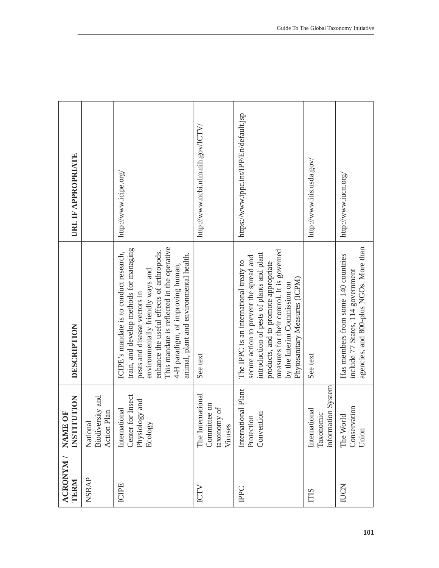| ACRONYM /<br>TERM | NOILLOL<br>Č<br><b>NAME</b><br><b>INSTIT</b>                    | DESCRIPTION                                                                                                                                                                                                                                                                                                                        | URL IF APPROPRIATE                      |
|-------------------|-----------------------------------------------------------------|------------------------------------------------------------------------------------------------------------------------------------------------------------------------------------------------------------------------------------------------------------------------------------------------------------------------------------|-----------------------------------------|
| NSBAP             | Biodiversity and<br>Action Plan<br>Nationa                      |                                                                                                                                                                                                                                                                                                                                    |                                         |
| ICIPE             | Center for Insect<br>Physiology and<br>International<br>Ecology | This mandate is reflected in the operative<br>train, and develop methods for managing<br>enhance the useful effects of arthropods.<br>ICIPE's mandate is to conduct research,<br>animal, plant and environmental health.<br>4-H paradigm, of improving human,<br>environmentally friendly ways and<br>pests and disease vectors in | http://www.icipe.org/                   |
| ICTV              | The International<br>Committee on<br>taxonomy of<br>Viruses     | See text                                                                                                                                                                                                                                                                                                                           | http://www.ncbi.nlm.nih.gov/ICTV,       |
| <b>IPPC</b>       | International Plant<br>Convention<br>Protection                 | measures for their control. It is governed<br>introduction of pests of plants and plant<br>secure action to prevent the spread and<br>The IPPC is an international treaty to<br>products, and to promote appropriate<br>Phytosanitary Measures (ICPM)<br>by the Interim Commission on                                              | https://www.ippc.int/IPP/En/default.jsp |
| <b>ITIS</b>       | information System<br>International<br>Taxonomic                | See text                                                                                                                                                                                                                                                                                                                           | http://www.itis.usda.gov/               |
| IUCN              | Conservation<br>The World<br>Union                              | agencies, and 800-plus NGOs. More than<br>Has members from some 140 countries<br>include 77 States, 114 government                                                                                                                                                                                                                 | http://www.iucn.org/                    |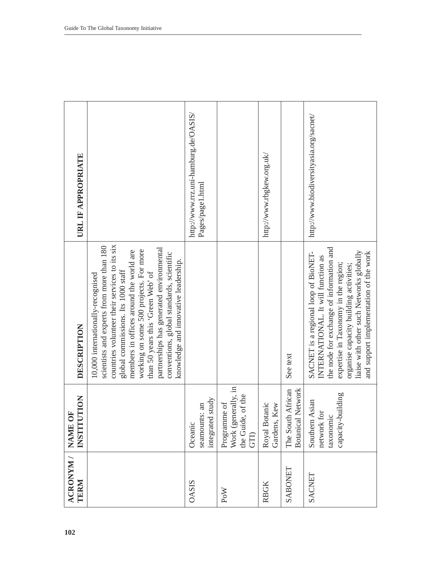| ACRONYM /<br>TERM | <b>UTION</b><br>5<br><b>INSTIT</b><br><b>NAME</b>                | DESCRIPTION                                                                                                                                                                                                                                                                                                                                                                                                                      | URL IF APPROPRIATE                                       |
|-------------------|------------------------------------------------------------------|----------------------------------------------------------------------------------------------------------------------------------------------------------------------------------------------------------------------------------------------------------------------------------------------------------------------------------------------------------------------------------------------------------------------------------|----------------------------------------------------------|
|                   |                                                                  | countries volunteer their services to its six<br>scientists and experts from more than 180<br>partnerships has generated environmental<br>working on some 500 projects. For more<br>members in offices around the world are<br>conventions, global standards, scientific<br>knowledge and innovative leadership.<br>global commissions. Its 1000 staff<br>than 50 years this 'Green Web' of<br>10,000 internationally-recognised |                                                          |
| <b>OASIS</b>      | integrated study<br>seamounts: an<br>Oceanic                     |                                                                                                                                                                                                                                                                                                                                                                                                                                  | http://www.trz.uni-hamburg.de/OASIS/<br>Pages/page1.html |
| PoW               | Work (generally, in<br>the Guide, of the<br>Programme of<br>GTI) |                                                                                                                                                                                                                                                                                                                                                                                                                                  |                                                          |
| <b>RBGK</b>       | otanic<br>Gardens, Kew<br>Royal B                                |                                                                                                                                                                                                                                                                                                                                                                                                                                  | http://www.rbgkew.org.uk/                                |
| SABONET           | The South African<br><b>Botanical Network</b>                    | See text                                                                                                                                                                                                                                                                                                                                                                                                                         |                                                          |
| SACNET            | capacity-building<br>Southern Asian<br>network for<br>taxonomic  | the node for exchange of information and<br>liaise with other such Networks globally<br>and support implementation of the work<br>SACNET is a regional loop of BioNET-<br>INTERNATIONAL. It will function as<br>expertise in Taxonomy in the region;<br>organise capacity building activities;                                                                                                                                   | http://www.biodiversityasia.org/sacnet/                  |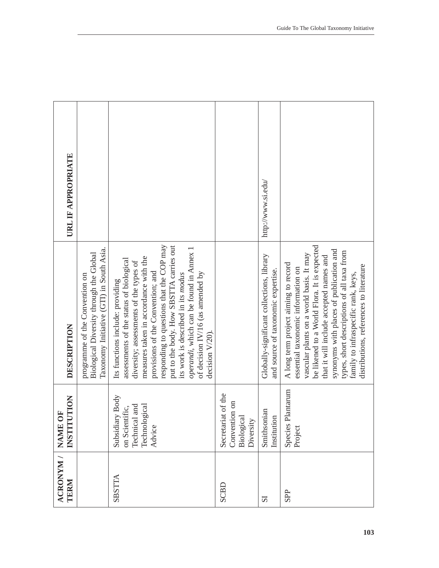| URL IF APPROPRIATE        |                                                                                                                       |                                                                                                                                                                                                                                                                                                                                                                                                                                    |                                                                | http://www.si.edu/                                                              |                                                                                                                                                                                                                                                                                                                                                                                             |
|---------------------------|-----------------------------------------------------------------------------------------------------------------------|------------------------------------------------------------------------------------------------------------------------------------------------------------------------------------------------------------------------------------------------------------------------------------------------------------------------------------------------------------------------------------------------------------------------------------|----------------------------------------------------------------|---------------------------------------------------------------------------------|---------------------------------------------------------------------------------------------------------------------------------------------------------------------------------------------------------------------------------------------------------------------------------------------------------------------------------------------------------------------------------------------|
| DESCRIPTION               | Taxonomy Initiative (GTI) in South Asia.<br>Biological Diversity through the Global<br>programme of the Convention on | responding to questions that the COP may<br>put to the body. How SBSTTA carries out<br>operandi, which can be found in Annex 1<br>measures taken in accordance with the<br>assessments of the status of biological<br>diversity; assessments of the types of<br>provisions of the Convention; and<br>of decision IV/16 (as amended by<br>its work is described in its modus<br>Its functions include: providing<br>decision V/20). |                                                                | Globally-significant collections, library<br>and source of taxonomic expertise. | be likened to a World Flora. It is expected<br>synonyms with places of publication and<br>types, short descriptions of all taxa from<br>vascular plants on a world basis. It may<br>that it will include accepted names and<br>A long term project aiming to record<br>distributions, references to literature<br>essential taxonomic information on<br>family to infraspecific rank, keys, |
| TUTION<br><b>INSTI</b>    |                                                                                                                       | Subsidiary Body<br>Technical and<br>Technological<br>on Scientific,<br>Advice                                                                                                                                                                                                                                                                                                                                                      | Secretariat of the<br>Convention on<br>Biological<br>Diversity | Smithsonian<br>Institution                                                      | Species Plantarum<br>Project                                                                                                                                                                                                                                                                                                                                                                |
| ACRONYM / NAME OF<br>TERM |                                                                                                                       | SBSTTA                                                                                                                                                                                                                                                                                                                                                                                                                             | SCBD                                                           | $\overline{\mathbf{S}}$                                                         | <b>SPP</b>                                                                                                                                                                                                                                                                                                                                                                                  |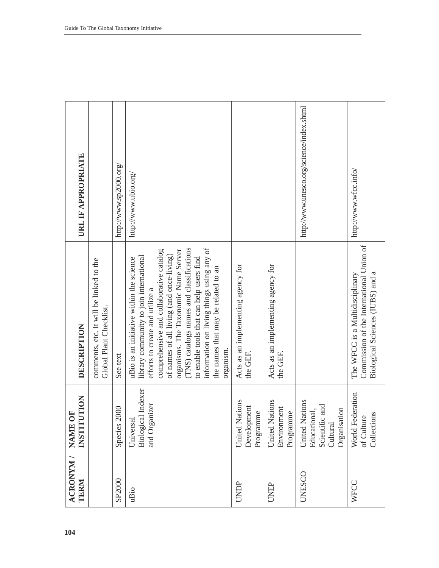| URL IF APPROPRIATE                                |                                                                    | http://www.sp2000.org/ | http://www.ubio.org/                                                                                                                                                                                                                                                                                                                                                                                                                           |                                                |                                                | http://www.unesco.org/science/index.shtml                                    | http://www.wfcc.info/                                                                                           |
|---------------------------------------------------|--------------------------------------------------------------------|------------------------|------------------------------------------------------------------------------------------------------------------------------------------------------------------------------------------------------------------------------------------------------------------------------------------------------------------------------------------------------------------------------------------------------------------------------------------------|------------------------------------------------|------------------------------------------------|------------------------------------------------------------------------------|-----------------------------------------------------------------------------------------------------------------|
| DESCRIPTION                                       | comments, etc. It will be linked to the<br>Global Plant Checklist. | See text               | information on living things using any of<br>(TNS) catalogs names and classifications<br>comprehensive and collaborative catalog<br>organisms. The Taxonomic Name Server<br>of names of all living (and once-living)<br>library community to join international<br>uBio is an initiative within the science<br>to enable tools that can help users find<br>the names that may be related to an<br>efforts to create and utilize a<br>organism. | Acts as an implementing agency for<br>the GEF. | Acts as an implementing agency for<br>the GEF. |                                                                              | Commission of the International Union of<br>Biological Sciences (IUBS) and a<br>The WFCC is a Multidisciplinary |
| <b>NOILD</b><br>Ō<br><b>NAME</b><br><b>INSTIT</b> |                                                                    | 2000<br>Species        | Biological Indexer<br>and Organizer<br>Universal                                                                                                                                                                                                                                                                                                                                                                                               | United Nations<br>Development<br>Programme     | United Nations<br>Environment<br>Programme     | United Nations<br>Scientific and<br>Organisation<br>Educational,<br>Cultural | World Federation<br>Collections<br>of Culture                                                                   |
| ACRONYM /<br>TERM                                 |                                                                    | SP2000                 | uBio                                                                                                                                                                                                                                                                                                                                                                                                                                           | UNDP                                           | <b>UNEP</b>                                    | <b>UNESCO</b>                                                                | WFCC                                                                                                            |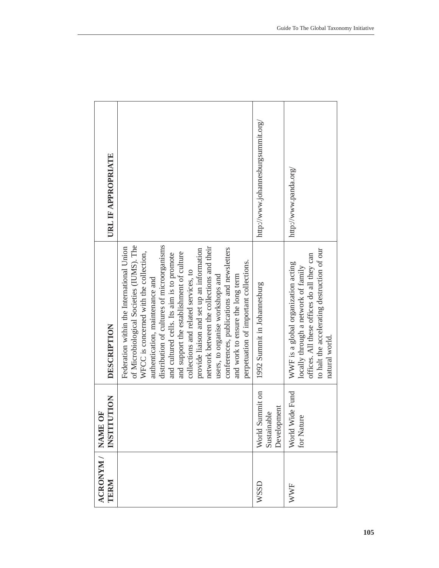| URL IF APPROPRIATE                                                                                    |                                                                                                                                                                                                                                                                                                                                                                                                                                                                                                                                                                                                            | http://www.johannesburgsummit.org/            | http://www.panda.org/                                                                                                                                                                     |
|-------------------------------------------------------------------------------------------------------|------------------------------------------------------------------------------------------------------------------------------------------------------------------------------------------------------------------------------------------------------------------------------------------------------------------------------------------------------------------------------------------------------------------------------------------------------------------------------------------------------------------------------------------------------------------------------------------------------------|-----------------------------------------------|-------------------------------------------------------------------------------------------------------------------------------------------------------------------------------------------|
| DESCRIPTION                                                                                           | of Microbiological Societies (IUMS). The<br>distribution of cultures of microorganisms<br>network between the collections and their<br>Federation within the International Union<br>conferences, publications and newsletters<br>provide liaison and set up an information<br>WFCC is concerned with the collection,<br>and support the establishment of culture<br>and cultured cells. Its aim is to promote<br>perpetuation of important collections.<br>collections and related services, to<br>and work to ensure the long term<br>users, to organise workshops and<br>authentication, maintenance and | 1992 Summit in Johannesburg                   | to halt the accelerating destruction of our<br>offices. All these offices do all they can<br>WWF is a global organization acting<br>locally through a network of family<br>natural world. |
| $\begin{array}{ll} \text{ACRONYM} / & \text{NAME OF} \\ \text{TERM} & \text{INSTITUTION} \end{array}$ |                                                                                                                                                                                                                                                                                                                                                                                                                                                                                                                                                                                                            | World Summit on<br>Development<br>Sustainable | Wide Fund<br>for Nature<br>World V                                                                                                                                                        |
|                                                                                                       |                                                                                                                                                                                                                                                                                                                                                                                                                                                                                                                                                                                                            | <b>WSSD</b>                                   | <b>WWF</b>                                                                                                                                                                                |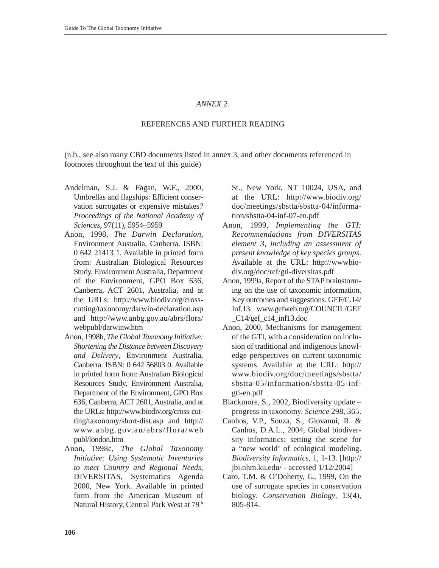# *ANNEX 2.*

# REFERENCES AND FURTHER READING

(n.b., see also many CBD documents listed in annex 3, and other documents referenced in footnotes throughout the text of this guide)

- Andelman, S.J. & Fagan, W.F., 2000, Umbrellas and flagships: Efficient conservation surrogates or expensive mistakes*? Proceedings of the National Academy of Sciences*, 97(11), 5954–5959
- Anon, 1998, *The Darwin Declaration*, Environment Australia, Canberra. ISBN: 0 642 21413 1. Available in printed form from: Australian Biological Resources Study, Environment Australia, Department of the Environment, GPO Box 636, Canberra, ACT 2601, Australia, and at the URLs: http://www.biodiv.org/crosscutting/taxonomy/darwin-declaration.asp and http://www.anbg.gov.au/abrs/flora/ webpubl/darwinw.htm
- Anon, 1998b, *The Global Taxonomy Initiative: Shortening the Distance between Discovery and Delivery*, Environment Australia, Canberra. ISBN: 0 642 56803 0. Available in printed form from: Australian Biological Resources Study, Environment Australia, Department of the Environment, GPO Box 636, Canberra, ACT 2601, Australia, and at the URLs: http://www.biodiv.org/cross-cutting/taxonomy/short-dist.asp and http:// www.anbg.gov.au/abrs/flora/web publ/london.htm
- Anon, 1998c, *The Global Taxonomy Initiative: Using Systematic Inventories to meet Country and Regional Needs*, DIVERSITAS, Systematics Agenda 2000, New York. Available in printed form from the American Museum of Natural History, Central Park West at 79<sup>th</sup>

St., New York, NT 10024, USA, and at the URL: http://www.biodiv.org/ doc/meetings/sbstta/sbstta-04/information/sbstta-04-inf-07-en.pdf

- Anon, 1999, *Implementing the GTI: Recommendations from DIVERSITAS element 3, including an assessment of present knowledge of key species groups*. Available at the URL: http://wwwbiodiv.org/doc/ref/gti-diversitas.pdf
- Anon, 1999a, Report of the STAP brainstorming on the use of taxonomic information. Key outcomes and suggestions. GEF/C.14/ Inf.13. www.gefweb.org/COUNCIL/GEF  $C14/\text{gef}$  c14 inf13.doc
- Anon, 2000, Mechanisms for management of the GTI, with a consideration on inclusion of traditional and indigenous knowledge perspectives on current taxonomic systems. Available at the URL: http:// www.biodiv.org/doc/meetings/sbstta/ sbstta-05/information/sbstta-05-infgti-en.pdf
- Blackmore, S., 2002, Biodiversity update progress in taxonomy. *Science* 298, 365.
- Canhos, V.P., Souza, S., Giovanni, R. & Canhos, D.A.L., 2004, Global biodiversity informatics: setting the scene for a "new world' of ecological modeling. *Biodiversity Informatics*, 1, 1-13. [http:// jbi.nhm.ku.edu/ - accessed 1/12/2004]
- Caro, T.M. & O'Doherty, G., 1999, On the use of surrogate species in conservation biology*. Conservation Biology*, 13(4), 805-814.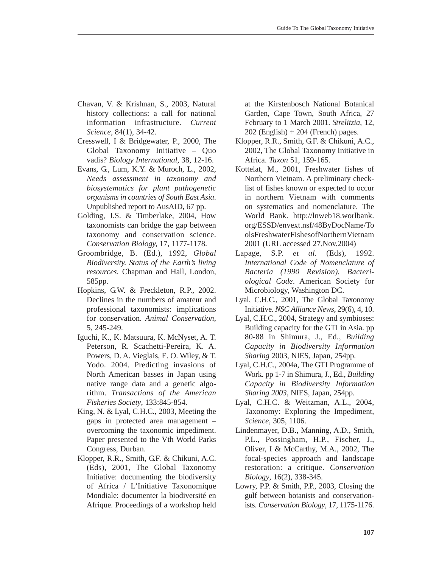- Chavan, V. & Krishnan, S., 2003, Natural history collections: a call for national information infrastructure. *Current Science,* 84(1), 34-42.
- Cresswell, I & Bridgewater, P., 2000, The Global Taxonomy Initiative – Quo vadis? *Biology International*, 38, 12-16.
- Evans, G., Lum, K.Y. & Muroch, L., 2002, *Needs assessment in taxonomy and biosystematics for plant pathogenetic organisms in countries of South East Asia*. Unpublished report to AusAID, 67 pp.
- Golding, J.S. & Timberlake, 2004, How taxonomists can bridge the gap between taxonomy and conservation science. *Conservation Biology,* 17, 1177-1178.
- Groombridge, B. (Ed.), 1992, *Global Biodiversity. Status of the Earth's living resources*. Chapman and Hall, London, 585pp.
- Hopkins, G.W. & Freckleton, R.P., 2002. Declines in the numbers of amateur and professional taxonomists: implications for conservation. *Animal Conservation*, 5, 245-249.
- Iguchi, K., K. Matsuura, K. McNyset, A. T. Peterson, R. Scachetti-Pereira, K. A. Powers, D. A. Vieglais, E. O. Wiley, & T. Yodo. 2004. Predicting invasions of North American basses in Japan using native range data and a genetic algorithm. *Transactions of the American Fisheries Society*, 133:845-854.
- King, N. & Lyal, C.H.C., 2003, Meeting the gaps in protected area management – overcoming the taxonomic impediment. Paper presented to the Vth World Parks Congress, Durban.
- Klopper, R.R., Smith, G.F. & Chikuni, A.C. (Eds), 2001, The Global Taxonomy Initiative: documenting the biodiversity of Africa / L'Initiative Taxonomique Mondiale: documenter la biodiversité en Afrique. Proceedings of a workshop held

at the Kirstenbosch National Botanical Garden, Cape Town, South Africa, 27 February to 1 March 2001. *Strelitzia*, 12,  $202$  (English) + 204 (French) pages.

- Klopper, R.R., Smith, G.F. & Chikuni, A.C., 2002, The Global Taxonomy Initiative in Africa. *Taxon* 51, 159-165.
- Kottelat, M., 2001, Freshwater fishes of Northern Vietnam. A preliminary checklist of fishes known or expected to occur in northern Vietnam with comments on systematics and nomenclature. The World Bank. http://lnweb18.worlbank. org/ESSD/envext.nsf/48ByDocName/To olsFreshwaterFishesofNorthernVietnam 2001 (URL accessed 27.Nov.2004)
- Lapage, S.P. *et al.* (Eds), 1992. *International Code of Nomenclature of Bacteria (1990 Revision). Bacteriological Code*. American Society for Microbiology, Washington DC.
- Lyal, C.H.C., 2001, The Global Taxonomy Initiative. *NSC Alliance News*, 29(6), 4, 10.
- Lyal, C.H.C., 2004, Strategy and symbioses: Building capacity for the GTI in Asia. pp 80-88 in Shimura, J., Ed., *Building Capacity in Biodiversity Information Sharing* 2003, NIES, Japan, 254pp.
- Lyal, C.H.C., 2004a, The GTI Programme of Work. pp 1-7 in Shimura, J., Ed., *Building Capacity in Biodiversity Information Sharing 2003*, NIES, Japan, 254pp.
- Lyal, C.H.C. & Weitzman, A.L., 2004, Taxonomy: Exploring the Impediment, *Science*, 305, 1106.
- Lindenmayer, D.B., Manning, A.D., Smith, P.L., Possingham, H.P., Fischer, J., Oliver, I & McCarthy, M.A., 2002, The focal-species approach and landscape restoration: a critique. *Conservation Biology*, 16(2), 338-345.
- Lowry, P.P. & Smith, P.P., 2003, Closing the gulf between botanists and conservationists. *Conservation Biology*, 17, 1175-1176.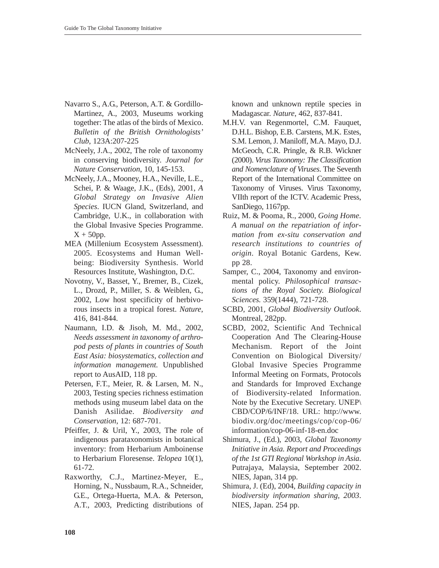- Navarro S., A.G., Peterson, A.T. & Gordillo-Martinez, A., 2003, Museums working together: The atlas of the birds of Mexico. *Bulletin of the British Ornithologists' Club*, 123A:207-225
- McNeely, J.A., 2002, The role of taxonomy in conserving biodiversity. *Journal for Nature Conservation*, 10, 145-153.
- McNeely, J.A., Mooney, H.A., Neville, L.E., Schei, P. & Waage, J.K., (Eds), 2001, *A Global Strategy on Invasive Alien Species*. IUCN Gland, Switzerland, and Cambridge, U.K., in collaboration with the Global Invasive Species Programme.  $X + 50$ pp.
- MEA (Millenium Ecosystem Assessment). 2005. Ecosystems and Human Wellbeing: Biodiversity Synthesis. World Resources Institute, Washington, D.C.
- Novotny, V., Basset, Y., Bremer, B., Cizek, L., Drozd, P., Miller, S. & Weiblen, G., 2002, Low host specificity of herbivorous insects in a tropical forest. *Nature*, 416, 841-844.
- Naumann, I.D. & Jisoh, M. Md., 2002, *Needs assessment in taxonomy of arthropod pests of plants in countries of South East Asia: biosystematics, collection and information management.* Unpublished report to AusAID, 118 pp.
- Petersen, F.T., Meier, R. & Larsen, M. N., 2003, Testing species richness estimation methods using museum label data on the Danish Asilidae. *Biodiversity and Conservation*, 12: 687-701.
- Pfeiffer, J. & Uril, Y., 2003, The role of indigenous parataxonomists in botanical inventory: from Herbarium Amboinense to Herbarium Floresense. *Telopea* 10(1), 61-72.
- Raxworthy, C.J., Martinez-Meyer, E., Horning, N., Nussbaum, R.A., Schneider, G.E., Ortega-Huerta, M.A. & Peterson, A.T., 2003, Predicting distributions of

known and unknown reptile species in Madagascar. *Nature*, 462, 837-841.

- M.H.V. van Regenmortel, C.M. Fauquet, D.H.L. Bishop, E.B. Carstens, M.K. Estes, S.M. Lemon, J. Maniloff, M.A. Mayo, D.J. McGeoch, C.R. Pringle, & R.B. Wickner (2000). *Virus Taxonomy: The Classification and Nomenclature of Viruses*. The Seventh Report of the International Committee on Taxonomy of Viruses. Virus Taxonomy, VIIth report of the ICTV. Academic Press, SanDiego, 1167pp.
- Ruiz, M. & Pooma, R., 2000, *Going Home. A manual on the repatriation of information from ex-situ conservation and research institutions to countries of origin*. Royal Botanic Gardens, Kew. pp 28.
- Samper, C., 2004, Taxonomy and environmental policy. *Philosophical transactions of the Royal Society. Biological Sciences.* 359(1444), 721-728.
- SCBD, 2001, *Global Biodiversity Outlook*. Montreal, 282pp.
- SCBD, 2002, Scientific And Technical Cooperation And The Clearing-House Mechanism. Report of the Joint Convention on Biological Diversity/ Global Invasive Species Programme Informal Meeting on Formats, Protocols and Standards for Improved Exchange of Biodiversity-related Information. Note by the Executive Secretary. UNEP\ CBD/COP/6/INF/18. URL: http://www. biodiv.org/doc/meetings/cop/cop-06/ information/cop-06-inf-18-en.doc
- Shimura, J., (Ed.), 2003, *Global Taxonomy Initiative in Asia. Report and Proceedings of the 1st GTI Regional Workshop in Asia*. Putrajaya, Malaysia, September 2002. NIES, Japan, 314 pp.
- Shimura, J. (Ed), 2004, *Building capacity in biodiversity information sharing, 2003*. NIES, Japan. 254 pp.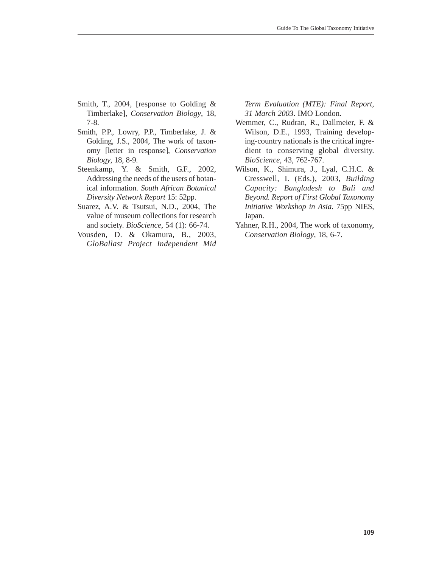- Smith, T., 2004, [response to Golding & Timberlake], *Conservation Biology*, 18, 7-8.
- Smith, P.P., Lowry, P.P., Timberlake, J. & Golding, J.S., 2004, The work of taxonomy [letter in response], *Conservation Biology*, 18, 8-9.
- Steenkamp, Y. & Smith, G.F., 2002, Addressing the needs of the users of botanical information. *South African Botanical Diversity Network Report* 15: 52pp.
- Suarez, A.V. & Tsutsui, N.D., 2004, The value of museum collections for research and society. *BioScience*, 54 (1): 66-74.
- Vousden, D. & Okamura, B., 2003, *GloBallast Project Independent Mid*

*Term Evaluation (MTE): Final Report, 31 March 2003*. IMO London.

- Wemmer, C., Rudran, R., Dallmeier, F. & Wilson, D.E., 1993, Training developing-country nationals is the critical ingredient to conserving global diversity. *BioScience*, 43, 762-767.
- Wilson, K., Shimura, J., Lyal, C.H.C. & Cresswell, I. (Eds.), 2003, *Building Capacity: Bangladesh to Bali and Beyond. Report of First Global Taxonomy Initiative Workshop in Asia*. 75pp NIES, Japan.
- Yahner, R.H., 2004, The work of taxonomy, *Conservation Biology*, 18, 6-7.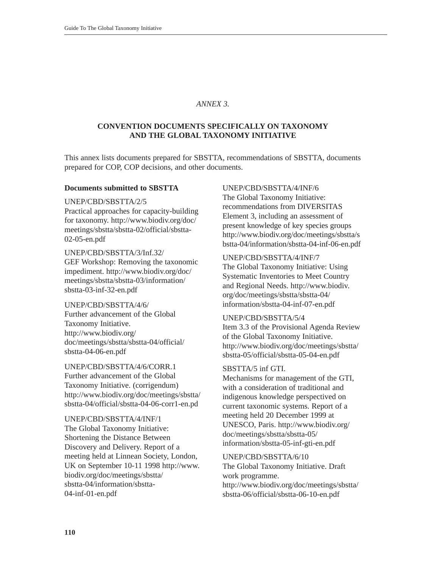# *ANNEX 3.*

# **CONVENTION DOCUMENTS SPECIFICALLY ON TAXONOMY AND THE GLOBAL TAXONOMY INITIATIVE**

This annex lists documents prepared for SBSTTA, recommendations of SBSTTA, documents prepared for COP, COP decisions, and other documents.

### **Documents submitted to SBSTTA**

UNEP/CBD/SBSTTA/2/5

Practical approaches for capacity-building for taxonomy. http://www.biodiv.org/doc/ meetings/sbstta/sbstta-02/official/sbstta-02-05-en.pdf

UNEP/CBD/SBSTTA/3/Inf.32/ GEF Workshop: Removing the taxonomic impediment. http://www.biodiv.org/doc/ meetings/sbstta/sbstta-03/information/ sbstta-03-inf-32-en.pdf

UNEP/CBD/SBSTTA/4/6/ Further advancement of the Global Taxonomy Initiative. http://www.biodiv.org/ doc/meetings/sbstta/sbstta-04/official/ sbstta-04-06-en.pdf

UNEP/CBD/SBSTTA/4/6/CORR.1 Further advancement of the Global Taxonomy Initiative. (corrigendum) http://www.biodiv.org/doc/meetings/sbstta/ sbstta-04/official/sbstta-04-06-corr1-en.pd

UNEP/CBD/SBSTTA/4/INF/1 The Global Taxonomy Initiative: Shortening the Distance Between Discovery and Delivery. Report of a meeting held at Linnean Society, London, UK on September 10-11 1998 http://www. biodiv.org/doc/meetings/sbstta/ sbstta-04/information/sbstta-04-inf-01-en.pdf

### UNEP/CBD/SBSTTA/4/INF/6

The Global Taxonomy Initiative: recommendations from DIVERSITAS Element 3, including an assessment of present knowledge of key species groups http://www.biodiv.org/doc/meetings/sbstta/s bstta-04/information/sbstta-04-inf-06-en.pdf

# UNEP/CBD/SBSTTA/4/INF/7

The Global Taxonomy Initiative: Using Systematic Inventories to Meet Country and Regional Needs. http://www.biodiv. org/doc/meetings/sbstta/sbstta-04/ information/sbstta-04-inf-07-en.pdf

# UNEP/CBD/SBSTTA/5/4

Item 3.3 of the Provisional Agenda Review of the Global Taxonomy Initiative. http://www.biodiv.org/doc/meetings/sbstta/ sbstta-05/official/sbstta-05-04-en.pdf

### SBSTTA/5 inf GTI.

Mechanisms for management of the GTI, with a consideration of traditional and indigenous knowledge perspectived on current taxonomic systems. Report of a meeting held 20 December 1999 at UNESCO, Paris. http://www.biodiv.org/ doc/meetings/sbstta/sbstta-05/ information/sbstta-05-inf-gti-en.pdf

# UNEP/CBD/SBSTTA/6/10

The Global Taxonomy Initiative. Draft work programme. http://www.biodiv.org/doc/meetings/sbstta/ sbstta-06/official/sbstta-06-10-en.pdf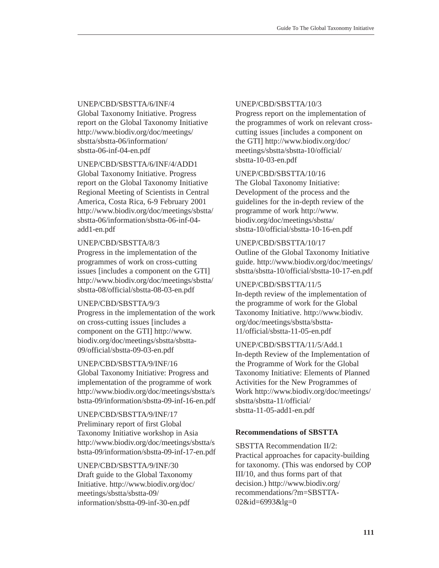# UNEP/CBD/SBSTTA/6/INF/4

Global Taxonomy Initiative. Progress report on the Global Taxonomy Initiative http://www.biodiv.org/doc/meetings/ sbstta/sbstta-06/information/ sbstta-06-inf-04-en.pdf

# UNEP/CBD/SBSTTA/6/INF/4/ADD1

Global Taxonomy Initiative. Progress report on the Global Taxonomy Initiative Regional Meeting of Scientists in Central America, Costa Rica, 6-9 February 2001 http://www.biodiv.org/doc/meetings/sbstta/ sbstta-06/information/sbstta-06-inf-04 add1-en.pdf

### UNEP/CBD/SBSTTA/8/3

Progress in the implementation of the programmes of work on cross-cutting issues [includes a component on the GTI] http://www.biodiv.org/doc/meetings/sbstta/ sbstta-08/official/sbstta-08-03-en.pdf

# UNEP/CBD/SBSTTA/9/3

Progress in the implementation of the work on cross-cutting issues [includes a component on the GTI] http://www. biodiv.org/doc/meetings/sbstta/sbstta-09/official/sbstta-09-03-en.pdf

# UNEP/CBD/SBSTTA/9/INF/16

Global Taxonomy Initiative: Progress and implementation of the programme of work http://www.biodiv.org/doc/meetings/sbstta/s bstta-09/information/sbstta-09-inf-16-en.pdf

UNEP/CBD/SBSTTA/9/INF/17 Preliminary report of first Global Taxonomy Initiative workshop in Asia http://www.biodiv.org/doc/meetings/sbstta/s bstta-09/information/sbstta-09-inf-17-en.pdf

# UNEP/CBD/SBSTTA/9/INF/30 Draft guide to the Global Taxonomy

Initiative. http://www.biodiv.org/doc/ meetings/sbstta/sbstta-09/ information/sbstta-09-inf-30-en.pdf

# UNEP/CBD/SBSTTA/10/3

Progress report on the implementation of the programmes of work on relevant crosscutting issues [includes a component on the GTI] http://www.biodiv.org/doc/ meetings/sbstta/sbstta-10/official/ sbstta-10-03-en.pdf

# UNEP/CBD/SBSTTA/10/16

The Global Taxonomy Initiative: Development of the process and the guidelines for the in-depth review of the programme of work http://www. biodiv.org/doc/meetings/sbstta/ sbstta-10/official/sbstta-10-16-en.pdf

### UNEP/CBD/SBSTTA/10/17

Outline of the Global Taxonomy Initiative guide. http://www.biodiv.org/doc/meetings/ sbstta/sbstta-10/official/sbstta-10-17-en.pdf

# UNEP/CBD/SBSTTA/11/5

In-depth review of the implementation of the programme of work for the Global Taxonomy Initiative. http://www.biodiv. org/doc/meetings/sbstta/sbstta-11/official/sbstta-11-05-en.pdf

### UNEP/CBD/SBSTTA/11/5/Add.1

In-depth Review of the Implementation of the Programme of Work for the Global Taxonomy Initiative: Elements of Planned Activities for the New Programmes of Work http://www.biodiv.org/doc/meetings/ sbstta/sbstta-11/official/ sbstta-11-05-add1-en.pdf

# **Recommendations of SBSTTA**

SBSTTA Recommendation II/2: Practical approaches for capacity-building for taxonomy. (This was endorsed by COP III/10, and thus forms part of that decision.) http://www.biodiv.org/ recommendations/?m=SBSTTA-02&id=6993&lg=0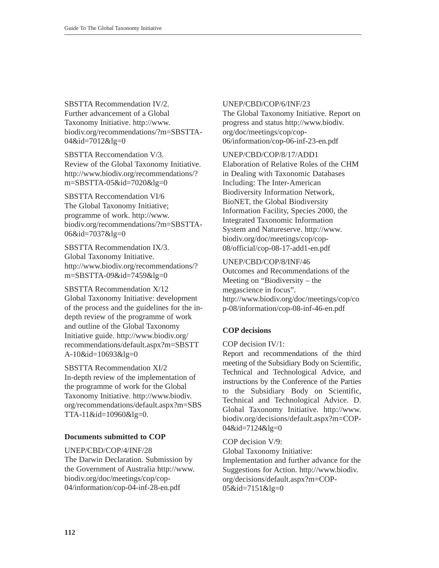SBSTTA Recommendation IV/2. Further advancement of a Global Taxonomy Initiative. http://www. biodiv.org/recommendations/?m=SBSTTA-04&id=7012&lg=0

SBSTTA Reccomendation V/3. Review of the Global Taxonomy Initiative. http://www.biodiv.org/recommendations/? m=SBSTTA-05&id=7020&lg=0

SBSTTA Reccomendation VI/6 The Global Taxonomy Initiative; programme of work. http://www. biodiv.org/recommendations/?m=SBSTTA-06&id=7037&lg=0

SBSTTA Recommendation IX/3. Global Taxonomy Initiative. http://www.biodiv.org/recommendations/? m=SBSTTA-09&id=7459&lg=0

SBSTTA Recommendation X/12 Global Taxonomy Initiative: development of the process and the guidelines for the indepth review of the programme of work and outline of the Global Taxonomy Initiative guide. http://www.biodiv.org/ recommendations/default.aspx?m=SBSTT A-10&id=10693&lg=0

SBSTTA Recommendation XI/2 In-depth review of the implementation of the programme of work for the Global Taxonomy Initiative. http://www.biodiv. org/recommendations/default.aspx?m=SBS TTA-11&id=10960&lg=0.

# **Documents submitted to COP**

UNEP/CBD/COP/4/INF/28

The Darwin Declaration. Submission by the Government of Australia http://www. biodiv.org/doc/meetings/cop/cop-04/information/cop-04-inf-28-en.pdf

# UNEP/CBD/COP/6/INF/23

The Global Taxonomy Initiative. Report on progress and status http://www.biodiv. org/doc/meetings/cop/cop-06/information/cop-06-inf-23-en.pdf

UNEP/CBD/COP/8/17/ADD1

Elaboration of Relative Roles of the CHM in Dealing with Taxonomic Databases Including: The Inter-American Biodiversity Information Network, BioNET, the Global Biodiversity Information Facility, Species 2000, the Integrated Taxonomic Information System and Natureserve. http://www. biodiv.org/doc/meetings/cop/cop-08/official/cop-08-17-add1-en.pdf

# UNEP/CBD/COP/8/INF/46

Outcomes and Recommendations of the Meeting on "Biodiversity – the megascience in focus". http://www.biodiv.org/doc/meetings/cop/co p-08/information/cop-08-inf-46-en.pdf

# **COP decisions**

COP decision IV/1:

Report and recommendations of the third meeting of the Subsidiary Body on Scientific, Technical and Technological Advice, and instructions by the Conference of the Parties to the Subsidiary Body on Scientific, Technical and Technological Advice. D. Global Taxonomy Initiative. http://www. biodiv.org/decisions/default.aspx?m=COP-04&id=7124&lg=0

COP decision V/9: Global Taxonomy Initiative: Implementation and further advance for the Suggestions for Action. http://www.biodiv. org/decisions/default.aspx?m=COP-05&id=7151&lg=0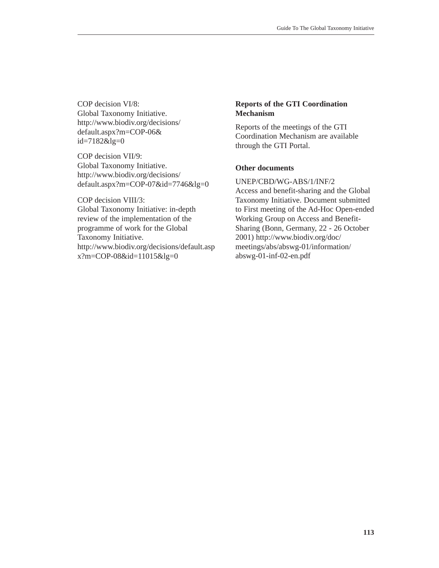COP decision VI/8: Global Taxonomy Initiative. http://www.biodiv.org/decisions/ default.aspx?m=COP-06& id=7182&lg=0

COP decision VII/9: Global Taxonomy Initiative. http://www.biodiv.org/decisions/ default.aspx?m=COP-07&id=7746&lg=0

COP decision VIII/3: Global Taxonomy Initiative: in-depth review of the implementation of the programme of work for the Global Taxonomy Initiative. http://www.biodiv.org/decisions/default.asp x?m=COP-08&id=11015&lg=0

# **Reports of the GTI Coordination Mechanism**

Reports of the meetings of the GTI Coordination Mechanism are available through the GTI Portal.

# **Other documents**

UNEP/CBD/WG-ABS/1/INF/2 Access and benefit-sharing and the Global Taxonomy Initiative. Document submitted to First meeting of the Ad-Hoc Open-ended Working Group on Access and Benefit-Sharing (Bonn, Germany, 22 - 26 October 2001) http://www.biodiv.org/doc/ meetings/abs/abswg-01/information/ abswg-01-inf-02-en.pdf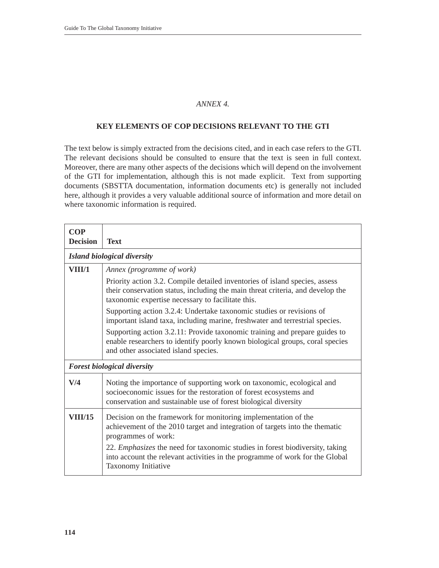# *ANNEX 4.*

# **KEY ELEMENTS OF COP DECISIONS RELEVANT TO THE GTI**

The text below is simply extracted from the decisions cited, and in each case refers to the GTI. The relevant decisions should be consulted to ensure that the text is seen in full context. Moreover, there are many other aspects of the decisions which will depend on the involvement of the GTI for implementation, although this is not made explicit. Text from supporting documents (SBSTTA documentation, information documents etc) is generally not included here, although it provides a very valuable additional source of information and more detail on where taxonomic information is required.

| <b>COP</b><br><b>Decision</b> | <b>Text</b>                                                                                                                                                                                                   |  |  |
|-------------------------------|---------------------------------------------------------------------------------------------------------------------------------------------------------------------------------------------------------------|--|--|
|                               | Island biological diversity                                                                                                                                                                                   |  |  |
| VIII/1                        | Annex (programme of work)<br>Priority action 3.2. Compile detailed inventories of island species, assess<br>their conservation status, including the main threat criteria, and develop the                    |  |  |
|                               | taxonomic expertise necessary to facilitate this.                                                                                                                                                             |  |  |
|                               | Supporting action 3.2.4: Undertake taxonomic studies or revisions of<br>important island taxa, including marine, freshwater and terrestrial species.                                                          |  |  |
|                               | Supporting action 3.2.11: Provide taxonomic training and prepare guides to<br>enable researchers to identify poorly known biological groups, coral species<br>and other associated island species.            |  |  |
|                               | <b>Forest biological diversity</b>                                                                                                                                                                            |  |  |
| V/4                           | Noting the importance of supporting work on taxonomic, ecological and<br>socioeconomic issues for the restoration of forest ecosystems and<br>conservation and sustainable use of forest biological diversity |  |  |
| <b>VIII/15</b>                | Decision on the framework for monitoring implementation of the<br>achievement of the 2010 target and integration of targets into the thematic<br>programmes of work:                                          |  |  |
|                               | 22. <i>Emphasizes</i> the need for taxonomic studies in forest biodiversity, taking<br>into account the relevant activities in the programme of work for the Global<br>Taxonomy Initiative                    |  |  |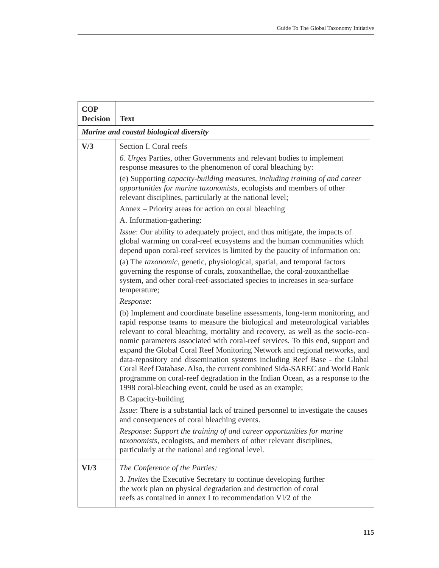| <b>COP</b><br><b>Decision</b> | <b>Text</b>                                                                                                                                                                                                                                                                                                                                                                                                                                                                                                                                                                                                                                                                                                           |
|-------------------------------|-----------------------------------------------------------------------------------------------------------------------------------------------------------------------------------------------------------------------------------------------------------------------------------------------------------------------------------------------------------------------------------------------------------------------------------------------------------------------------------------------------------------------------------------------------------------------------------------------------------------------------------------------------------------------------------------------------------------------|
|                               | Marine and coastal biological diversity                                                                                                                                                                                                                                                                                                                                                                                                                                                                                                                                                                                                                                                                               |
| V/3                           | Section I. Coral reefs                                                                                                                                                                                                                                                                                                                                                                                                                                                                                                                                                                                                                                                                                                |
|                               | 6. Urges Parties, other Governments and relevant bodies to implement<br>response measures to the phenomenon of coral bleaching by:                                                                                                                                                                                                                                                                                                                                                                                                                                                                                                                                                                                    |
|                               | (e) Supporting capacity-building measures, including training of and career<br>opportunities for marine taxonomists, ecologists and members of other<br>relevant disciplines, particularly at the national level;                                                                                                                                                                                                                                                                                                                                                                                                                                                                                                     |
|                               | Annex - Priority areas for action on coral bleaching                                                                                                                                                                                                                                                                                                                                                                                                                                                                                                                                                                                                                                                                  |
|                               | A. Information-gathering:                                                                                                                                                                                                                                                                                                                                                                                                                                                                                                                                                                                                                                                                                             |
|                               | Issue: Our ability to adequately project, and thus mitigate, the impacts of<br>global warming on coral-reef ecosystems and the human communities which<br>depend upon coral-reef services is limited by the paucity of information on:                                                                                                                                                                                                                                                                                                                                                                                                                                                                                |
|                               | (a) The taxonomic, genetic, physiological, spatial, and temporal factors<br>governing the response of corals, zooxanthellae, the coral-zooxanthellae<br>system, and other coral-reef-associated species to increases in sea-surface<br>temperature;                                                                                                                                                                                                                                                                                                                                                                                                                                                                   |
|                               | Response:                                                                                                                                                                                                                                                                                                                                                                                                                                                                                                                                                                                                                                                                                                             |
|                               | (b) Implement and coordinate baseline assessments, long-term monitoring, and<br>rapid response teams to measure the biological and meteorological variables<br>relevant to coral bleaching, mortality and recovery, as well as the socio-eco-<br>nomic parameters associated with coral-reef services. To this end, support and<br>expand the Global Coral Reef Monitoring Network and regional networks, and<br>data-repository and dissemination systems including Reef Base - the Global<br>Coral Reef Database. Also, the current combined Sida-SAREC and World Bank<br>programme on coral-reef degradation in the Indian Ocean, as a response to the<br>1998 coral-bleaching event, could be used as an example; |
|                               | <b>B</b> Capacity-building                                                                                                                                                                                                                                                                                                                                                                                                                                                                                                                                                                                                                                                                                            |
|                               | Issue: There is a substantial lack of trained personnel to investigate the causes<br>and consequences of coral bleaching events.                                                                                                                                                                                                                                                                                                                                                                                                                                                                                                                                                                                      |
|                               | Response: Support the training of and career opportunities for marine<br>taxonomists, ecologists, and members of other relevant disciplines,<br>particularly at the national and regional level.                                                                                                                                                                                                                                                                                                                                                                                                                                                                                                                      |
| VI/3                          | The Conference of the Parties:<br>3. Invites the Executive Secretary to continue developing further<br>the work plan on physical degradation and destruction of coral<br>reefs as contained in annex I to recommendation VI/2 of the                                                                                                                                                                                                                                                                                                                                                                                                                                                                                  |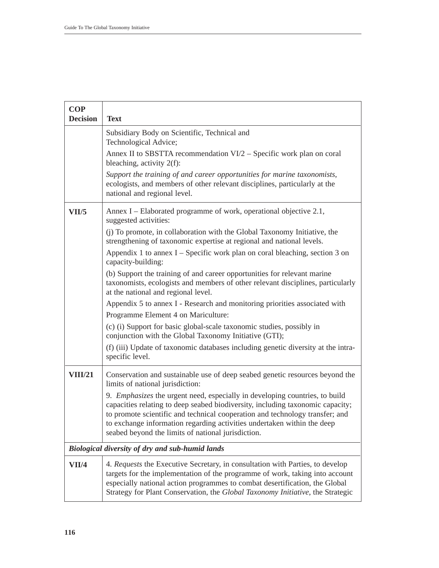| <b>COP</b><br><b>Decision</b> | <b>Text</b>                                                                                                                                                                                                                                                                                                                                                                    |
|-------------------------------|--------------------------------------------------------------------------------------------------------------------------------------------------------------------------------------------------------------------------------------------------------------------------------------------------------------------------------------------------------------------------------|
|                               | Subsidiary Body on Scientific, Technical and                                                                                                                                                                                                                                                                                                                                   |
|                               | Technological Advice;<br>Annex II to SBSTTA recommendation VI/2 - Specific work plan on coral<br>bleaching, activity $2(f)$ :                                                                                                                                                                                                                                                  |
|                               | Support the training of and career opportunities for marine taxonomists,<br>ecologists, and members of other relevant disciplines, particularly at the<br>national and regional level.                                                                                                                                                                                         |
| VII/5                         | Annex I – Elaborated programme of work, operational objective 2.1,<br>suggested activities:                                                                                                                                                                                                                                                                                    |
|                               | (j) To promote, in collaboration with the Global Taxonomy Initiative, the<br>strengthening of taxonomic expertise at regional and national levels.                                                                                                                                                                                                                             |
|                               | Appendix 1 to annex $I$ – Specific work plan on coral bleaching, section 3 on<br>capacity-building:                                                                                                                                                                                                                                                                            |
|                               | (b) Support the training of and career opportunities for relevant marine<br>taxonomists, ecologists and members of other relevant disciplines, particularly<br>at the national and regional level.                                                                                                                                                                             |
|                               | Appendix 5 to annex I - Research and monitoring priorities associated with                                                                                                                                                                                                                                                                                                     |
|                               | Programme Element 4 on Mariculture:<br>(c) (i) Support for basic global-scale taxonomic studies, possibly in                                                                                                                                                                                                                                                                   |
|                               | conjunction with the Global Taxonomy Initiative (GTI);                                                                                                                                                                                                                                                                                                                         |
|                               | (f) (iii) Update of taxonomic databases including genetic diversity at the intra-<br>specific level.                                                                                                                                                                                                                                                                           |
| <b>VIII/21</b>                | Conservation and sustainable use of deep seabed genetic resources beyond the<br>limits of national jurisdiction:                                                                                                                                                                                                                                                               |
|                               | 9. Emphasizes the urgent need, especially in developing countries, to build<br>capacities relating to deep seabed biodiversity, including taxonomic capacity;<br>to promote scientific and technical cooperation and technology transfer; and<br>to exchange information regarding activities undertaken within the deep<br>seabed beyond the limits of national jurisdiction. |
|                               | Biological diversity of dry and sub-humid lands                                                                                                                                                                                                                                                                                                                                |
| VII/4                         | 4. Requests the Executive Secretary, in consultation with Parties, to develop<br>targets for the implementation of the programme of work, taking into account<br>especially national action programmes to combat desertification, the Global<br>Strategy for Plant Conservation, the Global Taxonomy Initiative, the Strategic                                                 |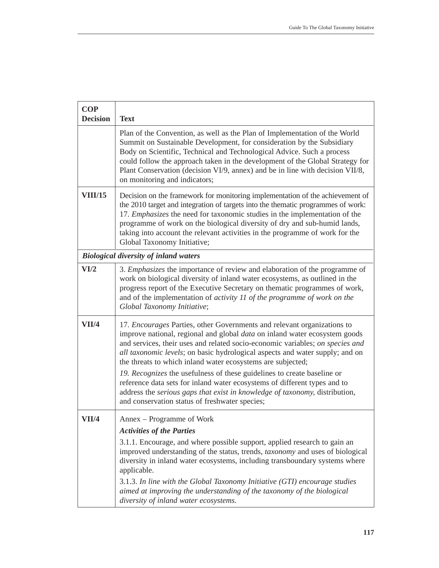| <b>COP</b><br><b>Decision</b> | <b>Text</b>                                                                                                                                                                                                                                                                                                                                                                                                                                                                                                                                                                                                                                                                           |
|-------------------------------|---------------------------------------------------------------------------------------------------------------------------------------------------------------------------------------------------------------------------------------------------------------------------------------------------------------------------------------------------------------------------------------------------------------------------------------------------------------------------------------------------------------------------------------------------------------------------------------------------------------------------------------------------------------------------------------|
|                               | Plan of the Convention, as well as the Plan of Implementation of the World<br>Summit on Sustainable Development, for consideration by the Subsidiary<br>Body on Scientific, Technical and Technological Advice. Such a process<br>could follow the approach taken in the development of the Global Strategy for<br>Plant Conservation (decision VI/9, annex) and be in line with decision VII/8,<br>on monitoring and indicators;                                                                                                                                                                                                                                                     |
| <b>VIII/15</b>                | Decision on the framework for monitoring implementation of the achievement of<br>the 2010 target and integration of targets into the thematic programmes of work:<br>17. Emphasizes the need for taxonomic studies in the implementation of the<br>programme of work on the biological diversity of dry and sub-humid lands,<br>taking into account the relevant activities in the programme of work for the<br>Global Taxonomy Initiative;                                                                                                                                                                                                                                           |
|                               | <b>Biological diversity of inland waters</b>                                                                                                                                                                                                                                                                                                                                                                                                                                                                                                                                                                                                                                          |
| VI/2                          | 3. <i>Emphasizes</i> the importance of review and elaboration of the programme of<br>work on biological diversity of inland water ecosystems, as outlined in the<br>progress report of the Executive Secretary on thematic programmes of work,<br>and of the implementation of activity 11 of the programme of work on the<br>Global Taxonomy Initiative;                                                                                                                                                                                                                                                                                                                             |
| VII/4                         | 17. Encourages Parties, other Governments and relevant organizations to<br>improve national, regional and global <i>data</i> on inland water ecosystem goods<br>and services, their uses and related socio-economic variables; on species and<br>all taxonomic levels; on basic hydrological aspects and water supply; and on<br>the threats to which inland water ecosystems are subjected;<br>19. Recognizes the usefulness of these guidelines to create baseline or<br>reference data sets for inland water ecosystems of different types and to<br>address the serious gaps that exist in knowledge of taxonomy, distribution,<br>and conservation status of freshwater species; |
| VII/4                         | Annex – Programme of Work<br><b>Activities of the Parties</b><br>3.1.1. Encourage, and where possible support, applied research to gain an<br>improved understanding of the status, trends, taxonomy and uses of biological<br>diversity in inland water ecosystems, including transboundary systems where<br>applicable.<br>3.1.3. In line with the Global Taxonomy Initiative (GTI) encourage studies<br>aimed at improving the understanding of the taxonomy of the biological<br>diversity of inland water ecosystems.                                                                                                                                                            |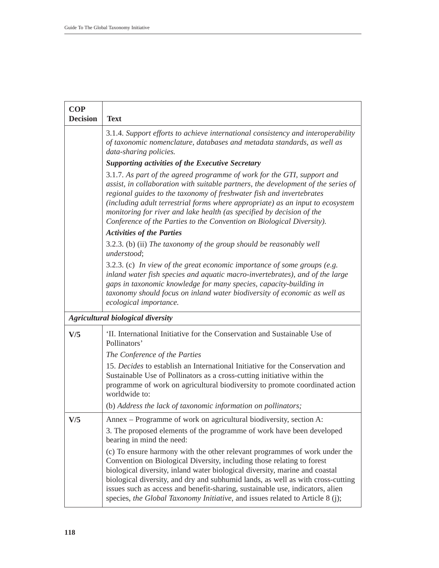| <b>COP</b><br><b>Decision</b> | <b>Text</b>                                                                                                                                                                                                                                                                                                                                                                                                                                                                              |
|-------------------------------|------------------------------------------------------------------------------------------------------------------------------------------------------------------------------------------------------------------------------------------------------------------------------------------------------------------------------------------------------------------------------------------------------------------------------------------------------------------------------------------|
|                               | 3.1.4. Support efforts to achieve international consistency and interoperability<br>of taxonomic nomenclature, databases and metadata standards, as well as<br>data-sharing policies.                                                                                                                                                                                                                                                                                                    |
|                               | <b>Supporting activities of the Executive Secretary</b>                                                                                                                                                                                                                                                                                                                                                                                                                                  |
|                               | 3.1.7. As part of the agreed programme of work for the GTI, support and<br>assist, in collaboration with suitable partners, the development of the series of<br>regional guides to the taxonomy of freshwater fish and invertebrates<br>(including adult terrestrial forms where appropriate) as an input to ecosystem<br>monitoring for river and lake health (as specified by decision of the<br>Conference of the Parties to the Convention on Biological Diversity).                 |
|                               | <b>Activities of the Parties</b>                                                                                                                                                                                                                                                                                                                                                                                                                                                         |
|                               | 3.2.3. (b) (ii) The taxonomy of the group should be reasonably well<br>understood;                                                                                                                                                                                                                                                                                                                                                                                                       |
|                               | $3.2.3.$ (c) In view of the great economic importance of some groups (e.g.<br>inland water fish species and aquatic macro-invertebrates), and of the large<br>gaps in taxonomic knowledge for many species, capacity-building in<br>taxonomy should focus on inland water biodiversity of economic as well as<br>ecological importance.                                                                                                                                                  |
|                               | <b>Agricultural biological diversity</b>                                                                                                                                                                                                                                                                                                                                                                                                                                                 |
| V/5                           | 'II. International Initiative for the Conservation and Sustainable Use of<br>Pollinators'                                                                                                                                                                                                                                                                                                                                                                                                |
|                               | The Conference of the Parties                                                                                                                                                                                                                                                                                                                                                                                                                                                            |
|                               | 15. Decides to establish an International Initiative for the Conservation and<br>Sustainable Use of Pollinators as a cross-cutting initiative within the<br>programme of work on agricultural biodiversity to promote coordinated action<br>worldwide to:                                                                                                                                                                                                                                |
|                               | (b) Address the lack of taxonomic information on pollinators;                                                                                                                                                                                                                                                                                                                                                                                                                            |
| V/5                           | Annex – Programme of work on agricultural biodiversity, section A:                                                                                                                                                                                                                                                                                                                                                                                                                       |
|                               | 3. The proposed elements of the programme of work have been developed<br>bearing in mind the need:                                                                                                                                                                                                                                                                                                                                                                                       |
|                               | (c) To ensure harmony with the other relevant programmes of work under the<br>Convention on Biological Diversity, including those relating to forest<br>biological diversity, inland water biological diversity, marine and coastal<br>biological diversity, and dry and subhumid lands, as well as with cross-cutting<br>issues such as access and benefit-sharing, sustainable use, indicators, alien<br>species, the Global Taxonomy Initiative, and issues related to Article 8 (j); |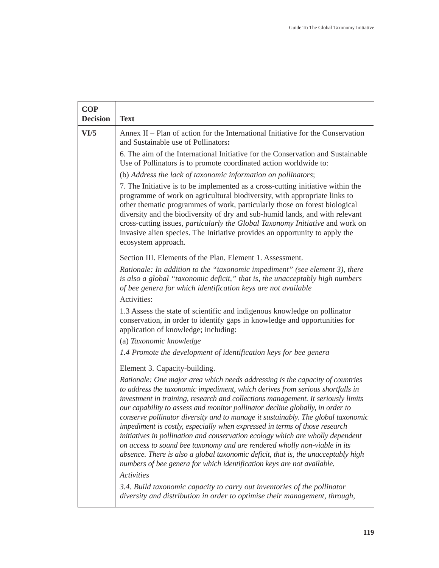| <b>COP</b><br><b>Decision</b> | <b>Text</b>                                                                                                                                                                                                                                                                                                                                                                                                                                                                                                                                                                                                                                                                                                                                                                                                                                              |
|-------------------------------|----------------------------------------------------------------------------------------------------------------------------------------------------------------------------------------------------------------------------------------------------------------------------------------------------------------------------------------------------------------------------------------------------------------------------------------------------------------------------------------------------------------------------------------------------------------------------------------------------------------------------------------------------------------------------------------------------------------------------------------------------------------------------------------------------------------------------------------------------------|
| VI/5                          | Annex II – Plan of action for the International Initiative for the Conservation<br>and Sustainable use of Pollinators:                                                                                                                                                                                                                                                                                                                                                                                                                                                                                                                                                                                                                                                                                                                                   |
|                               | 6. The aim of the International Initiative for the Conservation and Sustainable<br>Use of Pollinators is to promote coordinated action worldwide to:                                                                                                                                                                                                                                                                                                                                                                                                                                                                                                                                                                                                                                                                                                     |
|                               | (b) Address the lack of taxonomic information on pollinators;                                                                                                                                                                                                                                                                                                                                                                                                                                                                                                                                                                                                                                                                                                                                                                                            |
|                               | 7. The Initiative is to be implemented as a cross-cutting initiative within the<br>programme of work on agricultural biodiversity, with appropriate links to<br>other thematic programmes of work, particularly those on forest biological<br>diversity and the biodiversity of dry and sub-humid lands, and with relevant<br>cross-cutting issues, particularly the Global Taxonomy Initiative and work on<br>invasive alien species. The Initiative provides an opportunity to apply the<br>ecosystem approach.                                                                                                                                                                                                                                                                                                                                        |
|                               | Section III. Elements of the Plan. Element 1. Assessment.                                                                                                                                                                                                                                                                                                                                                                                                                                                                                                                                                                                                                                                                                                                                                                                                |
|                               | Rationale: In addition to the "taxonomic impediment" (see element 3), there<br>is also a global "taxonomic deficit," that is, the unacceptably high numbers<br>of bee genera for which identification keys are not available<br>Activities:                                                                                                                                                                                                                                                                                                                                                                                                                                                                                                                                                                                                              |
|                               | 1.3 Assess the state of scientific and indigenous knowledge on pollinator<br>conservation, in order to identify gaps in knowledge and opportunities for<br>application of knowledge; including:                                                                                                                                                                                                                                                                                                                                                                                                                                                                                                                                                                                                                                                          |
|                               | (a) Taxonomic knowledge                                                                                                                                                                                                                                                                                                                                                                                                                                                                                                                                                                                                                                                                                                                                                                                                                                  |
|                               | 1.4 Promote the development of identification keys for bee genera                                                                                                                                                                                                                                                                                                                                                                                                                                                                                                                                                                                                                                                                                                                                                                                        |
|                               | Element 3. Capacity-building.                                                                                                                                                                                                                                                                                                                                                                                                                                                                                                                                                                                                                                                                                                                                                                                                                            |
|                               | Rationale: One major area which needs addressing is the capacity of countries<br>to address the taxonomic impediment, which derives from serious shortfalls in<br>investment in training, research and collections management. It seriously limits<br>our capability to assess and monitor pollinator decline globally, in order to<br>conserve pollinator diversity and to manage it sustainably. The global taxonomic<br>impediment is costly, especially when expressed in terms of those research<br>initiatives in pollination and conservation ecology which are wholly dependent<br>on access to sound bee taxonomy and are rendered wholly non-viable in its<br>absence. There is also a global taxonomic deficit, that is, the unacceptably high<br>numbers of bee genera for which identification keys are not available.<br><b>Activities</b> |
|                               | 3.4. Build taxonomic capacity to carry out inventories of the pollinator<br>diversity and distribution in order to optimise their management, through,                                                                                                                                                                                                                                                                                                                                                                                                                                                                                                                                                                                                                                                                                                   |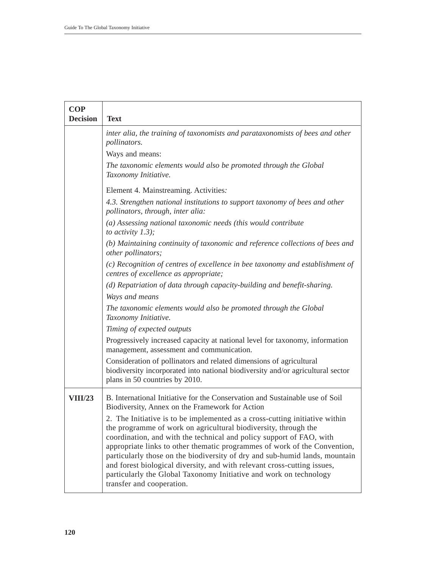| <b>COP</b>      |                                                                                                                                                                                                                                                                                                                                                                                                                                                                                                                                                                   |
|-----------------|-------------------------------------------------------------------------------------------------------------------------------------------------------------------------------------------------------------------------------------------------------------------------------------------------------------------------------------------------------------------------------------------------------------------------------------------------------------------------------------------------------------------------------------------------------------------|
| <b>Decision</b> | <b>Text</b>                                                                                                                                                                                                                                                                                                                                                                                                                                                                                                                                                       |
|                 | inter alia, the training of taxonomists and parataxonomists of bees and other<br>pollinators.                                                                                                                                                                                                                                                                                                                                                                                                                                                                     |
|                 | Ways and means:                                                                                                                                                                                                                                                                                                                                                                                                                                                                                                                                                   |
|                 | The taxonomic elements would also be promoted through the Global<br>Taxonomy Initiative.                                                                                                                                                                                                                                                                                                                                                                                                                                                                          |
|                 | Element 4. Mainstreaming. Activities:                                                                                                                                                                                                                                                                                                                                                                                                                                                                                                                             |
|                 | 4.3. Strengthen national institutions to support taxonomy of bees and other<br>pollinators, through, inter alia:                                                                                                                                                                                                                                                                                                                                                                                                                                                  |
|                 | (a) Assessing national taxonomic needs (this would contribute<br>to activity $1.3$ );                                                                                                                                                                                                                                                                                                                                                                                                                                                                             |
|                 | (b) Maintaining continuity of taxonomic and reference collections of bees and<br>other pollinators;                                                                                                                                                                                                                                                                                                                                                                                                                                                               |
|                 | (c) Recognition of centres of excellence in bee taxonomy and establishment of<br>centres of excellence as appropriate;                                                                                                                                                                                                                                                                                                                                                                                                                                            |
|                 | (d) Repatriation of data through capacity-building and benefit-sharing.                                                                                                                                                                                                                                                                                                                                                                                                                                                                                           |
|                 | Ways and means                                                                                                                                                                                                                                                                                                                                                                                                                                                                                                                                                    |
|                 | The taxonomic elements would also be promoted through the Global<br>Taxonomy Initiative.                                                                                                                                                                                                                                                                                                                                                                                                                                                                          |
|                 | Timing of expected outputs                                                                                                                                                                                                                                                                                                                                                                                                                                                                                                                                        |
|                 | Progressively increased capacity at national level for taxonomy, information<br>management, assessment and communication.                                                                                                                                                                                                                                                                                                                                                                                                                                         |
|                 | Consideration of pollinators and related dimensions of agricultural<br>biodiversity incorporated into national biodiversity and/or agricultural sector<br>plans in 50 countries by 2010.                                                                                                                                                                                                                                                                                                                                                                          |
| <b>VIII/23</b>  | B. International Initiative for the Conservation and Sustainable use of Soil<br>Biodiversity, Annex on the Framework for Action                                                                                                                                                                                                                                                                                                                                                                                                                                   |
|                 | 2. The Initiative is to be implemented as a cross-cutting initiative within<br>the programme of work on agricultural biodiversity, through the<br>coordination, and with the technical and policy support of FAO, with<br>appropriate links to other thematic programmes of work of the Convention,<br>particularly those on the biodiversity of dry and sub-humid lands, mountain<br>and forest biological diversity, and with relevant cross-cutting issues,<br>particularly the Global Taxonomy Initiative and work on technology<br>transfer and cooperation. |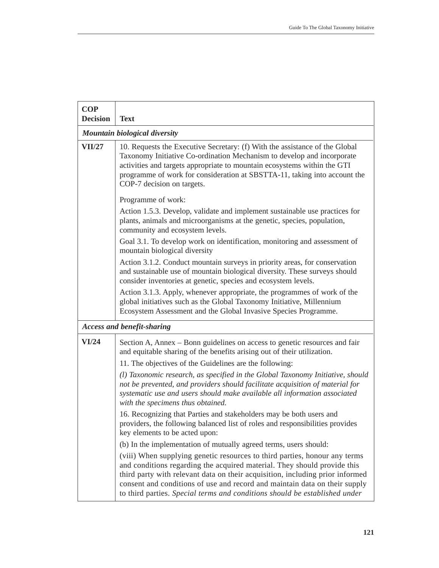| <b>COP</b><br><b>Decision</b> | <b>Text</b>                                                                                                                                                                                                                                                                                                                                                                                         |
|-------------------------------|-----------------------------------------------------------------------------------------------------------------------------------------------------------------------------------------------------------------------------------------------------------------------------------------------------------------------------------------------------------------------------------------------------|
|                               | Mountain biological diversity                                                                                                                                                                                                                                                                                                                                                                       |
| <b>VII/27</b>                 | 10. Requests the Executive Secretary: (f) With the assistance of the Global<br>Taxonomy Initiative Co-ordination Mechanism to develop and incorporate<br>activities and targets appropriate to mountain ecosystems within the GTI<br>programme of work for consideration at SBSTTA-11, taking into account the<br>COP-7 decision on targets.                                                        |
|                               | Programme of work:                                                                                                                                                                                                                                                                                                                                                                                  |
|                               | Action 1.5.3. Develop, validate and implement sustainable use practices for<br>plants, animals and microorganisms at the genetic, species, population,<br>community and ecosystem levels.                                                                                                                                                                                                           |
|                               | Goal 3.1. To develop work on identification, monitoring and assessment of<br>mountain biological diversity                                                                                                                                                                                                                                                                                          |
|                               | Action 3.1.2. Conduct mountain surveys in priority areas, for conservation<br>and sustainable use of mountain biological diversity. These surveys should<br>consider inventories at genetic, species and ecosystem levels.                                                                                                                                                                          |
|                               | Action 3.1.3. Apply, whenever appropriate, the programmes of work of the<br>global initiatives such as the Global Taxonomy Initiative, Millennium<br>Ecosystem Assessment and the Global Invasive Species Programme.                                                                                                                                                                                |
|                               | <b>Access and benefit-sharing</b>                                                                                                                                                                                                                                                                                                                                                                   |
| VI/24                         | Section A, Annex – Bonn guidelines on access to genetic resources and fair<br>and equitable sharing of the benefits arising out of their utilization.<br>11. The objectives of the Guidelines are the following:                                                                                                                                                                                    |
|                               | (l) Taxonomic research, as specified in the Global Taxonomy Initiative, should<br>not be prevented, and providers should facilitate acquisition of material for<br>systematic use and users should make available all information associated<br>with the specimens thus obtained.                                                                                                                   |
|                               | 16. Recognizing that Parties and stakeholders may be both users and<br>providers, the following balanced list of roles and responsibilities provides<br>key elements to be acted upon:                                                                                                                                                                                                              |
|                               | (b) In the implementation of mutually agreed terms, users should:                                                                                                                                                                                                                                                                                                                                   |
|                               | (viii) When supplying genetic resources to third parties, honour any terms<br>and conditions regarding the acquired material. They should provide this<br>third party with relevant data on their acquisition, including prior informed<br>consent and conditions of use and record and maintain data on their supply<br>to third parties. Special terms and conditions should be established under |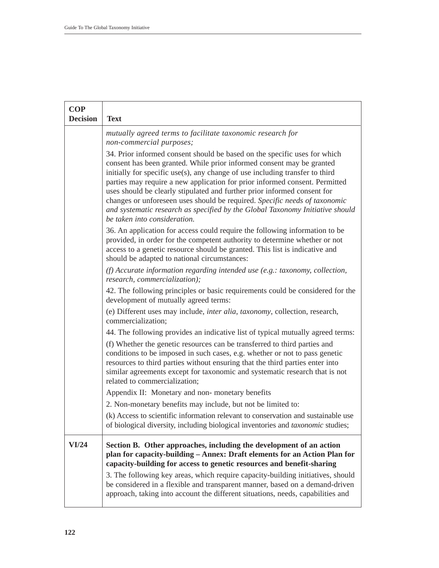| <b>COP</b><br><b>Decision</b> | <b>Text</b>                                                                                                                                                                                                                                                                                                                                                                                                                                                                                                                                                                                  |
|-------------------------------|----------------------------------------------------------------------------------------------------------------------------------------------------------------------------------------------------------------------------------------------------------------------------------------------------------------------------------------------------------------------------------------------------------------------------------------------------------------------------------------------------------------------------------------------------------------------------------------------|
|                               | mutually agreed terms to facilitate taxonomic research for<br>non-commercial purposes;                                                                                                                                                                                                                                                                                                                                                                                                                                                                                                       |
|                               | 34. Prior informed consent should be based on the specific uses for which<br>consent has been granted. While prior informed consent may be granted<br>initially for specific use(s), any change of use including transfer to third<br>parties may require a new application for prior informed consent. Permitted<br>uses should be clearly stipulated and further prior informed consent for<br>changes or unforeseen uses should be required. Specific needs of taxonomic<br>and systematic research as specified by the Global Taxonomy Initiative should<br>be taken into consideration. |
|                               | 36. An application for access could require the following information to be<br>provided, in order for the competent authority to determine whether or not<br>access to a genetic resource should be granted. This list is indicative and<br>should be adapted to national circumstances:                                                                                                                                                                                                                                                                                                     |
|                               | (f) Accurate information regarding intended use (e.g.: taxonomy, collection,<br>research, commercialization);                                                                                                                                                                                                                                                                                                                                                                                                                                                                                |
|                               | 42. The following principles or basic requirements could be considered for the<br>development of mutually agreed terms:                                                                                                                                                                                                                                                                                                                                                                                                                                                                      |
|                               | (e) Different uses may include, <i>inter alia</i> , <i>taxonomy</i> , collection, research,<br>commercialization;                                                                                                                                                                                                                                                                                                                                                                                                                                                                            |
|                               | 44. The following provides an indicative list of typical mutually agreed terms:                                                                                                                                                                                                                                                                                                                                                                                                                                                                                                              |
|                               | (f) Whether the genetic resources can be transferred to third parties and<br>conditions to be imposed in such cases, e.g. whether or not to pass genetic<br>resources to third parties without ensuring that the third parties enter into<br>similar agreements except for taxonomic and systematic research that is not<br>related to commercialization;                                                                                                                                                                                                                                    |
|                               | Appendix II: Monetary and non-monetary benefits                                                                                                                                                                                                                                                                                                                                                                                                                                                                                                                                              |
|                               | 2. Non-monetary benefits may include, but not be limited to:                                                                                                                                                                                                                                                                                                                                                                                                                                                                                                                                 |
|                               | (k) Access to scientific information relevant to conservation and sustainable use<br>of biological diversity, including biological inventories and taxonomic studies;                                                                                                                                                                                                                                                                                                                                                                                                                        |
| VI/24                         | Section B. Other approaches, including the development of an action<br>plan for capacity-building - Annex: Draft elements for an Action Plan for<br>capacity-building for access to genetic resources and benefit-sharing<br>3. The following key areas, which require capacity-building initiatives, should                                                                                                                                                                                                                                                                                 |
|                               | be considered in a flexible and transparent manner, based on a demand-driven<br>approach, taking into account the different situations, needs, capabilities and                                                                                                                                                                                                                                                                                                                                                                                                                              |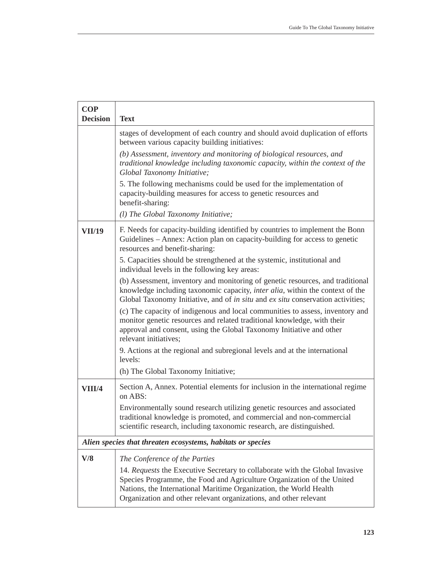| <b>COP</b><br><b>Decision</b> | <b>Text</b>                                                                                                                                                                                                                                                                                       |
|-------------------------------|---------------------------------------------------------------------------------------------------------------------------------------------------------------------------------------------------------------------------------------------------------------------------------------------------|
|                               | stages of development of each country and should avoid duplication of efforts<br>between various capacity building initiatives:                                                                                                                                                                   |
|                               | (b) Assessment, inventory and monitoring of biological resources, and<br>traditional knowledge including taxonomic capacity, within the context of the<br>Global Taxonomy Initiative;                                                                                                             |
|                               | 5. The following mechanisms could be used for the implementation of<br>capacity-building measures for access to genetic resources and<br>benefit-sharing:                                                                                                                                         |
|                               | (1) The Global Taxonomy Initiative;                                                                                                                                                                                                                                                               |
| <b>VII/19</b>                 | F. Needs for capacity-building identified by countries to implement the Bonn<br>Guidelines - Annex: Action plan on capacity-building for access to genetic<br>resources and benefit-sharing:                                                                                                      |
|                               | 5. Capacities should be strengthened at the systemic, institutional and<br>individual levels in the following key areas:                                                                                                                                                                          |
|                               | (b) Assessment, inventory and monitoring of genetic resources, and traditional<br>knowledge including taxonomic capacity, inter alia, within the context of the<br>Global Taxonomy Initiative, and of in situ and ex situ conservation activities;                                                |
|                               | (c) The capacity of indigenous and local communities to assess, inventory and<br>monitor genetic resources and related traditional knowledge, with their<br>approval and consent, using the Global Taxonomy Initiative and other<br>relevant initiatives;                                         |
|                               | 9. Actions at the regional and subregional levels and at the international<br>levels:                                                                                                                                                                                                             |
|                               | (h) The Global Taxonomy Initiative;                                                                                                                                                                                                                                                               |
| <b>VIII/4</b>                 | Section A, Annex. Potential elements for inclusion in the international regime<br>on ABS:                                                                                                                                                                                                         |
|                               | Environmentally sound research utilizing genetic resources and associated<br>traditional knowledge is promoted, and commercial and non-commercial<br>scientific research, including taxonomic research, are distinguished.                                                                        |
|                               | Alien species that threaten ecosystems, habitats or species                                                                                                                                                                                                                                       |
| V/8                           | The Conference of the Parties                                                                                                                                                                                                                                                                     |
|                               | 14. Requests the Executive Secretary to collaborate with the Global Invasive<br>Species Programme, the Food and Agriculture Organization of the United<br>Nations, the International Maritime Organization, the World Health<br>Organization and other relevant organizations, and other relevant |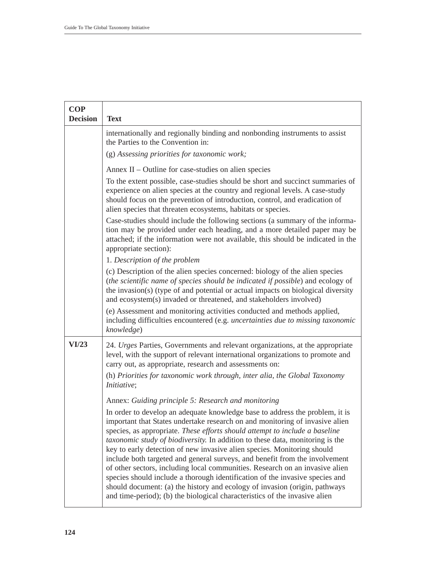| <b>COP</b><br><b>Decision</b> | <b>Text</b>                                                                                                                                                                                                                                                                                                                                                                                                                                                                                                                                                                                                                                                                                                                                                                                                        |
|-------------------------------|--------------------------------------------------------------------------------------------------------------------------------------------------------------------------------------------------------------------------------------------------------------------------------------------------------------------------------------------------------------------------------------------------------------------------------------------------------------------------------------------------------------------------------------------------------------------------------------------------------------------------------------------------------------------------------------------------------------------------------------------------------------------------------------------------------------------|
|                               | internationally and regionally binding and nonbonding instruments to assist<br>the Parties to the Convention in:                                                                                                                                                                                                                                                                                                                                                                                                                                                                                                                                                                                                                                                                                                   |
|                               | (g) Assessing priorities for taxonomic work;                                                                                                                                                                                                                                                                                                                                                                                                                                                                                                                                                                                                                                                                                                                                                                       |
|                               | Annex II – Outline for case-studies on alien species                                                                                                                                                                                                                                                                                                                                                                                                                                                                                                                                                                                                                                                                                                                                                               |
|                               | To the extent possible, case-studies should be short and succinct summaries of<br>experience on alien species at the country and regional levels. A case-study<br>should focus on the prevention of introduction, control, and eradication of<br>alien species that threaten ecosystems, habitats or species.                                                                                                                                                                                                                                                                                                                                                                                                                                                                                                      |
|                               | Case-studies should include the following sections (a summary of the informa-<br>tion may be provided under each heading, and a more detailed paper may be<br>attached; if the information were not available, this should be indicated in the<br>appropriate section):                                                                                                                                                                                                                                                                                                                                                                                                                                                                                                                                            |
|                               | 1. Description of the problem                                                                                                                                                                                                                                                                                                                                                                                                                                                                                                                                                                                                                                                                                                                                                                                      |
|                               | (c) Description of the alien species concerned: biology of the alien species<br>(the scientific name of species should be indicated if possible) and ecology of<br>the invasion(s) (type of and potential or actual impacts on biological diversity<br>and ecosystem(s) invaded or threatened, and stakeholders involved)                                                                                                                                                                                                                                                                                                                                                                                                                                                                                          |
|                               | (e) Assessment and monitoring activities conducted and methods applied,<br>including difficulties encountered (e.g. uncertainties due to missing taxonomic<br>knowledge)                                                                                                                                                                                                                                                                                                                                                                                                                                                                                                                                                                                                                                           |
| VI/23                         | 24. Urges Parties, Governments and relevant organizations, at the appropriate<br>level, with the support of relevant international organizations to promote and<br>carry out, as appropriate, research and assessments on:                                                                                                                                                                                                                                                                                                                                                                                                                                                                                                                                                                                         |
|                               | (h) Priorities for taxonomic work through, inter alia, the Global Taxonomy<br>Initiative;                                                                                                                                                                                                                                                                                                                                                                                                                                                                                                                                                                                                                                                                                                                          |
|                               | Annex: Guiding principle 5: Research and monitoring                                                                                                                                                                                                                                                                                                                                                                                                                                                                                                                                                                                                                                                                                                                                                                |
|                               | In order to develop an adequate knowledge base to address the problem, it is<br>important that States undertake research on and monitoring of invasive alien<br>species, as appropriate. These efforts should attempt to include a baseline<br>taxonomic study of biodiversity. In addition to these data, monitoring is the<br>key to early detection of new invasive alien species. Monitoring should<br>include both targeted and general surveys, and benefit from the involvement<br>of other sectors, including local communities. Research on an invasive alien<br>species should include a thorough identification of the invasive species and<br>should document: (a) the history and ecology of invasion (origin, pathways<br>and time-period); (b) the biological characteristics of the invasive alien |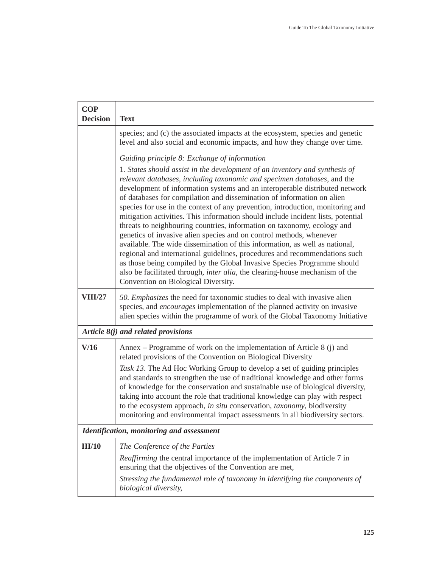| <b>COP</b><br><b>Decision</b> | <b>Text</b>                                                                                                                                                                                                                                                                                                                                                                                                                                                                                                                                                                                                                                                                                                                                                                                                                                                                                                                                                                                            |  |  |
|-------------------------------|--------------------------------------------------------------------------------------------------------------------------------------------------------------------------------------------------------------------------------------------------------------------------------------------------------------------------------------------------------------------------------------------------------------------------------------------------------------------------------------------------------------------------------------------------------------------------------------------------------------------------------------------------------------------------------------------------------------------------------------------------------------------------------------------------------------------------------------------------------------------------------------------------------------------------------------------------------------------------------------------------------|--|--|
|                               | species; and (c) the associated impacts at the ecosystem, species and genetic<br>level and also social and economic impacts, and how they change over time.                                                                                                                                                                                                                                                                                                                                                                                                                                                                                                                                                                                                                                                                                                                                                                                                                                            |  |  |
|                               | Guiding principle 8: Exchange of information                                                                                                                                                                                                                                                                                                                                                                                                                                                                                                                                                                                                                                                                                                                                                                                                                                                                                                                                                           |  |  |
|                               | 1. States should assist in the development of an inventory and synthesis of<br>relevant databases, including taxonomic and specimen databases, and the<br>development of information systems and an interoperable distributed network<br>of databases for compilation and dissemination of information on alien<br>species for use in the context of any prevention, introduction, monitoring and<br>mitigation activities. This information should include incident lists, potential<br>threats to neighbouring countries, information on taxonomy, ecology and<br>genetics of invasive alien species and on control methods, whenever<br>available. The wide dissemination of this information, as well as national,<br>regional and international guidelines, procedures and recommendations such<br>as those being compiled by the Global Invasive Species Programme should<br>also be facilitated through, inter alia, the clearing-house mechanism of the<br>Convention on Biological Diversity. |  |  |
| <b>VIII/27</b>                | 50. Emphasizes the need for taxonomic studies to deal with invasive alien<br>species, and encourages implementation of the planned activity on invasive<br>alien species within the programme of work of the Global Taxonomy Initiative                                                                                                                                                                                                                                                                                                                                                                                                                                                                                                                                                                                                                                                                                                                                                                |  |  |
|                               | Article $8(j)$ and related provisions                                                                                                                                                                                                                                                                                                                                                                                                                                                                                                                                                                                                                                                                                                                                                                                                                                                                                                                                                                  |  |  |
| V/16                          | Annex – Programme of work on the implementation of Article 8 (j) and<br>related provisions of the Convention on Biological Diversity                                                                                                                                                                                                                                                                                                                                                                                                                                                                                                                                                                                                                                                                                                                                                                                                                                                                   |  |  |
|                               | Task 13. The Ad Hoc Working Group to develop a set of guiding principles<br>and standards to strengthen the use of traditional knowledge and other forms<br>of knowledge for the conservation and sustainable use of biological diversity,<br>taking into account the role that traditional knowledge can play with respect<br>to the ecosystem approach, in situ conservation, taxonomy, biodiversity<br>monitoring and environmental impact assessments in all biodiversity sectors.                                                                                                                                                                                                                                                                                                                                                                                                                                                                                                                 |  |  |
|                               | <b>Identification, monitoring and assessment</b>                                                                                                                                                                                                                                                                                                                                                                                                                                                                                                                                                                                                                                                                                                                                                                                                                                                                                                                                                       |  |  |
| III/10                        | The Conference of the Parties                                                                                                                                                                                                                                                                                                                                                                                                                                                                                                                                                                                                                                                                                                                                                                                                                                                                                                                                                                          |  |  |
|                               | Reaffirming the central importance of the implementation of Article 7 in<br>ensuring that the objectives of the Convention are met,                                                                                                                                                                                                                                                                                                                                                                                                                                                                                                                                                                                                                                                                                                                                                                                                                                                                    |  |  |
|                               | Stressing the fundamental role of taxonomy in identifying the components of<br>biological diversity,                                                                                                                                                                                                                                                                                                                                                                                                                                                                                                                                                                                                                                                                                                                                                                                                                                                                                                   |  |  |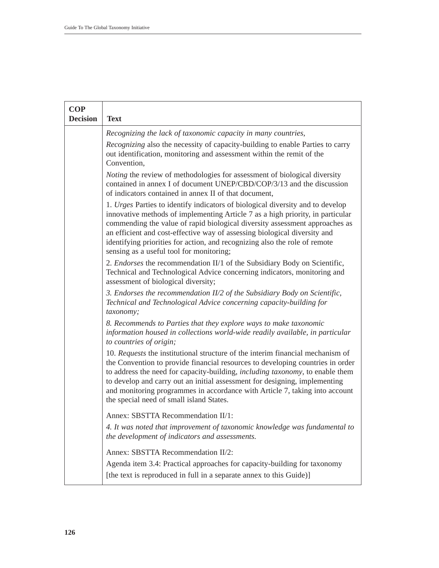| <b>COP</b><br><b>Decision</b> | <b>Text</b>                                                                                                                                                                                                                                                                                                                                                                                                                                                        |
|-------------------------------|--------------------------------------------------------------------------------------------------------------------------------------------------------------------------------------------------------------------------------------------------------------------------------------------------------------------------------------------------------------------------------------------------------------------------------------------------------------------|
|                               | Recognizing the lack of taxonomic capacity in many countries,                                                                                                                                                                                                                                                                                                                                                                                                      |
|                               | Recognizing also the necessity of capacity-building to enable Parties to carry<br>out identification, monitoring and assessment within the remit of the<br>Convention,                                                                                                                                                                                                                                                                                             |
|                               | <i>Noting</i> the review of methodologies for assessment of biological diversity<br>contained in annex I of document UNEP/CBD/COP/3/13 and the discussion<br>of indicators contained in annex II of that document,                                                                                                                                                                                                                                                 |
|                               | 1. Urges Parties to identify indicators of biological diversity and to develop<br>innovative methods of implementing Article 7 as a high priority, in particular<br>commending the value of rapid biological diversity assessment approaches as<br>an efficient and cost-effective way of assessing biological diversity and<br>identifying priorities for action, and recognizing also the role of remote<br>sensing as a useful tool for monitoring;             |
|                               | 2. Endorses the recommendation II/1 of the Subsidiary Body on Scientific,<br>Technical and Technological Advice concerning indicators, monitoring and<br>assessment of biological diversity;                                                                                                                                                                                                                                                                       |
|                               | 3. Endorses the recommendation II/2 of the Subsidiary Body on Scientific,<br>Technical and Technological Advice concerning capacity-building for<br>taxonomy;                                                                                                                                                                                                                                                                                                      |
|                               | 8. Recommends to Parties that they explore ways to make taxonomic<br>information housed in collections world-wide readily available, in particular<br>to countries of origin;                                                                                                                                                                                                                                                                                      |
|                               | 10. Requests the institutional structure of the interim financial mechanism of<br>the Convention to provide financial resources to developing countries in order<br>to address the need for capacity-building, <i>including taxonomy</i> , to enable them<br>to develop and carry out an initial assessment for designing, implementing<br>and monitoring programmes in accordance with Article 7, taking into account<br>the special need of small island States. |
|                               | Annex: SBSTTA Recommendation II/1:<br>4. It was noted that improvement of taxonomic knowledge was fundamental to<br>the development of indicators and assessments.                                                                                                                                                                                                                                                                                                 |
|                               | Annex: SBSTTA Recommendation II/2:<br>Agenda item 3.4: Practical approaches for capacity-building for taxonomy<br>[the text is reproduced in full in a separate annex to this Guide)]                                                                                                                                                                                                                                                                              |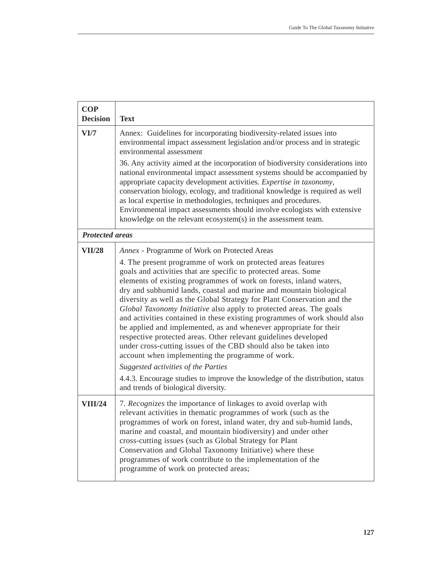| <b>COP</b><br><b>Decision</b> | <b>Text</b>                                                                                                                                                                                                                                                                                                                                                                                                                                                                                                                                                                                                                                                                                                                                                                                                                                                                                                                                                                              |
|-------------------------------|------------------------------------------------------------------------------------------------------------------------------------------------------------------------------------------------------------------------------------------------------------------------------------------------------------------------------------------------------------------------------------------------------------------------------------------------------------------------------------------------------------------------------------------------------------------------------------------------------------------------------------------------------------------------------------------------------------------------------------------------------------------------------------------------------------------------------------------------------------------------------------------------------------------------------------------------------------------------------------------|
| VI/7                          | Annex: Guidelines for incorporating biodiversity-related issues into<br>environmental impact assessment legislation and/or process and in strategic<br>environmental assessment                                                                                                                                                                                                                                                                                                                                                                                                                                                                                                                                                                                                                                                                                                                                                                                                          |
|                               | 36. Any activity aimed at the incorporation of biodiversity considerations into<br>national environmental impact assessment systems should be accompanied by<br>appropriate capacity development activities. Expertise in taxonomy,<br>conservation biology, ecology, and traditional knowledge is required as well<br>as local expertise in methodologies, techniques and procedures.<br>Environmental impact assessments should involve ecologists with extensive<br>knowledge on the relevant ecosystem(s) in the assessment team.                                                                                                                                                                                                                                                                                                                                                                                                                                                    |
| <b>Protected areas</b>        |                                                                                                                                                                                                                                                                                                                                                                                                                                                                                                                                                                                                                                                                                                                                                                                                                                                                                                                                                                                          |
| <b>VII/28</b>                 | Annex - Programme of Work on Protected Areas<br>4. The present programme of work on protected areas features<br>goals and activities that are specific to protected areas. Some<br>elements of existing programmes of work on forests, inland waters,<br>dry and subhumid lands, coastal and marine and mountain biological<br>diversity as well as the Global Strategy for Plant Conservation and the<br>Global Taxonomy Initiative also apply to protected areas. The goals<br>and activities contained in these existing programmes of work should also<br>be applied and implemented, as and whenever appropriate for their<br>respective protected areas. Other relevant guidelines developed<br>under cross-cutting issues of the CBD should also be taken into<br>account when implementing the programme of work.<br>Suggested activities of the Parties<br>4.4.3. Encourage studies to improve the knowledge of the distribution, status<br>and trends of biological diversity. |
| <b>VIII/24</b>                | 7. Recognizes the importance of linkages to avoid overlap with<br>relevant activities in thematic programmes of work (such as the<br>programmes of work on forest, inland water, dry and sub-humid lands,<br>marine and coastal, and mountain biodiversity) and under other<br>cross-cutting issues (such as Global Strategy for Plant<br>Conservation and Global Taxonomy Initiative) where these<br>programmes of work contribute to the implementation of the<br>programme of work on protected areas;                                                                                                                                                                                                                                                                                                                                                                                                                                                                                |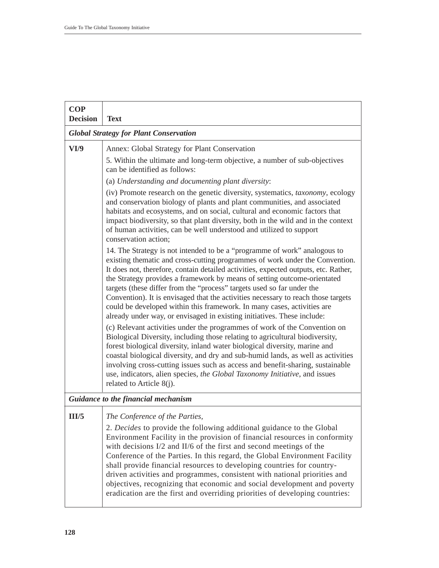| <b>COP</b><br><b>Decision</b> | <b>Text</b>                                                                                                                                                                                                                                                                                                                                                                                                                                                                                                                                                                                                                                       |
|-------------------------------|---------------------------------------------------------------------------------------------------------------------------------------------------------------------------------------------------------------------------------------------------------------------------------------------------------------------------------------------------------------------------------------------------------------------------------------------------------------------------------------------------------------------------------------------------------------------------------------------------------------------------------------------------|
|                               | <b>Global Strategy for Plant Conservation</b>                                                                                                                                                                                                                                                                                                                                                                                                                                                                                                                                                                                                     |
| VI/9                          | Annex: Global Strategy for Plant Conservation                                                                                                                                                                                                                                                                                                                                                                                                                                                                                                                                                                                                     |
|                               | 5. Within the ultimate and long-term objective, a number of sub-objectives<br>can be identified as follows:                                                                                                                                                                                                                                                                                                                                                                                                                                                                                                                                       |
|                               | (a) Understanding and documenting plant diversity:                                                                                                                                                                                                                                                                                                                                                                                                                                                                                                                                                                                                |
|                               | (iv) Promote research on the genetic diversity, systematics, taxonomy, ecology<br>and conservation biology of plants and plant communities, and associated<br>habitats and ecosystems, and on social, cultural and economic factors that<br>impact biodiversity, so that plant diversity, both in the wild and in the context<br>of human activities, can be well understood and utilized to support<br>conservation action;                                                                                                                                                                                                                      |
|                               | 14. The Strategy is not intended to be a "programme of work" analogous to<br>existing thematic and cross-cutting programmes of work under the Convention.<br>It does not, therefore, contain detailed activities, expected outputs, etc. Rather,<br>the Strategy provides a framework by means of setting outcome-orientated<br>targets (these differ from the "process" targets used so far under the<br>Convention). It is envisaged that the activities necessary to reach those targets<br>could be developed within this framework. In many cases, activities are<br>already under way, or envisaged in existing initiatives. These include: |
|                               | (c) Relevant activities under the programmes of work of the Convention on<br>Biological Diversity, including those relating to agricultural biodiversity,<br>forest biological diversity, inland water biological diversity, marine and<br>coastal biological diversity, and dry and sub-humid lands, as well as activities<br>involving cross-cutting issues such as access and benefit-sharing, sustainable<br>use, indicators, alien species, the Global Taxonomy Initiative, and issues<br>related to Article $8(j)$ .                                                                                                                        |
|                               | Guidance to the financial mechanism                                                                                                                                                                                                                                                                                                                                                                                                                                                                                                                                                                                                               |
| III/5                         | The Conference of the Parties,                                                                                                                                                                                                                                                                                                                                                                                                                                                                                                                                                                                                                    |
|                               | 2. Decides to provide the following additional guidance to the Global<br>Environment Facility in the provision of financial resources in conformity<br>with decisions I/2 and II/6 of the first and second meetings of the<br>Conference of the Parties. In this regard, the Global Environment Facility<br>shall provide financial resources to developing countries for country-<br>driven activities and programmes, consistent with national priorities and<br>objectives, recognizing that economic and social development and poverty<br>eradication are the first and overriding priorities of developing countries:                       |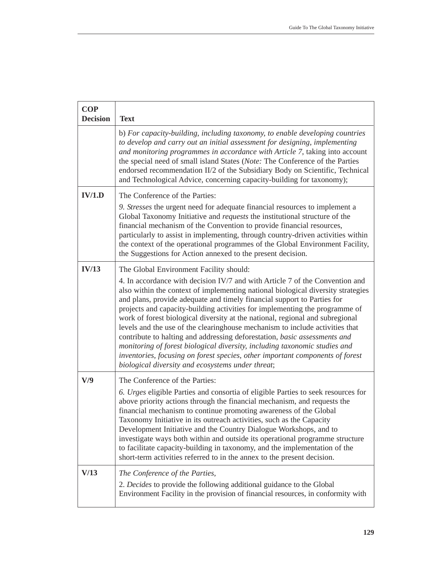| <b>COP</b><br><b>Decision</b> | <b>Text</b>                                                                                                                                                                                                                                                                                                                                                                                                                                                                                                                                                                                                                                                                                                                                                                                                                             |
|-------------------------------|-----------------------------------------------------------------------------------------------------------------------------------------------------------------------------------------------------------------------------------------------------------------------------------------------------------------------------------------------------------------------------------------------------------------------------------------------------------------------------------------------------------------------------------------------------------------------------------------------------------------------------------------------------------------------------------------------------------------------------------------------------------------------------------------------------------------------------------------|
|                               | b) For capacity-building, including taxonomy, to enable developing countries<br>to develop and carry out an initial assessment for designing, implementing<br>and monitoring programmes in accordance with Article 7, taking into account<br>the special need of small island States (Note: The Conference of the Parties<br>endorsed recommendation II/2 of the Subsidiary Body on Scientific, Technical<br>and Technological Advice, concerning capacity-building for taxonomy);                                                                                                                                                                                                                                                                                                                                                      |
| IV/1.D                        | The Conference of the Parties:<br>9. Stresses the urgent need for adequate financial resources to implement a<br>Global Taxonomy Initiative and requests the institutional structure of the<br>financial mechanism of the Convention to provide financial resources,<br>particularly to assist in implementing, through country-driven activities within<br>the context of the operational programmes of the Global Environment Facility,<br>the Suggestions for Action annexed to the present decision.                                                                                                                                                                                                                                                                                                                                |
| IV/13                         | The Global Environment Facility should:<br>4. In accordance with decision IV/7 and with Article 7 of the Convention and<br>also within the context of implementing national biological diversity strategies<br>and plans, provide adequate and timely financial support to Parties for<br>projects and capacity-building activities for implementing the programme of<br>work of forest biological diversity at the national, regional and subregional<br>levels and the use of the clearinghouse mechanism to include activities that<br>contribute to halting and addressing deforestation, basic assessments and<br>monitoring of forest biological diversity, including taxonomic studies and<br>inventories, focusing on forest species, other important components of forest<br>biological diversity and ecosystems under threat; |
| V/9                           | The Conference of the Parties:<br>6. Urges eligible Parties and consortia of eligible Parties to seek resources for<br>above priority actions through the financial mechanism, and requests the<br>financial mechanism to continue promoting awareness of the Global<br>Taxonomy Initiative in its outreach activities, such as the Capacity<br>Development Initiative and the Country Dialogue Workshops, and to<br>investigate ways both within and outside its operational programme structure<br>to facilitate capacity-building in taxonomy, and the implementation of the<br>short-term activities referred to in the annex to the present decision.                                                                                                                                                                              |
| V/13                          | The Conference of the Parties,<br>2. Decides to provide the following additional guidance to the Global<br>Environment Facility in the provision of financial resources, in conformity with                                                                                                                                                                                                                                                                                                                                                                                                                                                                                                                                                                                                                                             |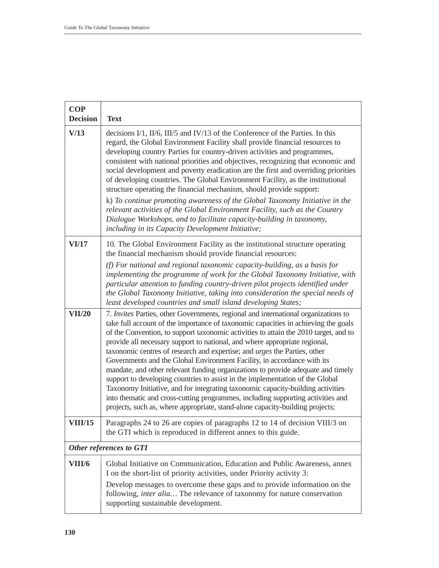| <b>COP</b><br><b>Decision</b> | <b>Text</b>                                                                                                                                                                                                                                                                                                                                                                                                                                                                                                                                                                                                                                                                                                                                                                                                                                                                                                                                                                                         |
|-------------------------------|-----------------------------------------------------------------------------------------------------------------------------------------------------------------------------------------------------------------------------------------------------------------------------------------------------------------------------------------------------------------------------------------------------------------------------------------------------------------------------------------------------------------------------------------------------------------------------------------------------------------------------------------------------------------------------------------------------------------------------------------------------------------------------------------------------------------------------------------------------------------------------------------------------------------------------------------------------------------------------------------------------|
| V/13                          | decisions I/1, II/6, III/5 and IV/13 of the Conference of the Parties. In this<br>regard, the Global Environment Facility shall provide financial resources to<br>developing country Parties for country-driven activities and programmes,<br>consistent with national priorities and objectives, recognizing that economic and<br>social development and poverty eradication are the first and overriding priorities<br>of developing countries. The Global Environment Facility, as the institutional<br>structure operating the financial mechanism, should provide support:<br>k) To continue promoting awareness of the Global Taxonomy Initiative in the<br>relevant activities of the Global Environment Facility, such as the Country<br>Dialogue Workshops, and to facilitate capacity-building in taxonomy,<br>including in its Capacity Development Initiative;                                                                                                                          |
| VI/17                         | 10. The Global Environment Facility as the institutional structure operating<br>the financial mechanism should provide financial resources:<br>(f) For national and regional taxonomic capacity-building, as a basis for<br>implementing the programme of work for the Global Taxonomy Initiative, with<br>particular attention to funding country-driven pilot projects identified under<br>the Global Taxonomy Initiative, taking into consideration the special needs of                                                                                                                                                                                                                                                                                                                                                                                                                                                                                                                         |
| <b>VII/20</b>                 | least developed countries and small island developing States;<br>7. Invites Parties, other Governments, regional and international organizations to<br>take full account of the importance of taxonomic capacities in achieving the goals<br>of the Convention, to support taxonomic activities to attain the 2010 target, and to<br>provide all necessary support to national, and where appropriate regional,<br>taxonomic centres of research and expertise; and urges the Parties, other<br>Governments and the Global Environment Facility, in accordance with its<br>mandate, and other relevant funding organizations to provide adequate and timely<br>support to developing countries to assist in the implementation of the Global<br>Taxonomy Initiative, and for integrating taxonomic capacity-building activities<br>into thematic and cross-cutting programmes, including supporting activities and<br>projects, such as, where appropriate, stand-alone capacity-building projects; |
| <b>VIII/15</b>                | Paragraphs 24 to 26 are copies of paragraphs 12 to 14 of decision VIII/3 on<br>the GTI which is reproduced in different annex to this guide.                                                                                                                                                                                                                                                                                                                                                                                                                                                                                                                                                                                                                                                                                                                                                                                                                                                        |
|                               | <b>Other references to GTI</b>                                                                                                                                                                                                                                                                                                                                                                                                                                                                                                                                                                                                                                                                                                                                                                                                                                                                                                                                                                      |
| VIII/6                        | Global Initiative on Communication, Education and Public Awareness, annex<br>I on the short-list of priority activities, under Priority activity 3:<br>Develop messages to overcome these gaps and to provide information on the<br>following, inter alia The relevance of taxonomy for nature conservation<br>supporting sustainable development.                                                                                                                                                                                                                                                                                                                                                                                                                                                                                                                                                                                                                                                  |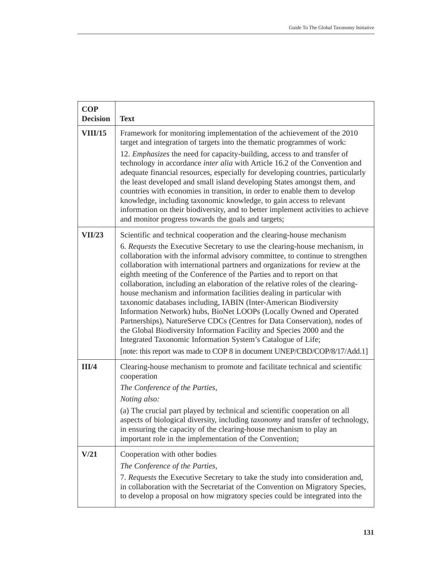| <b>COP</b><br><b>Decision</b> | <b>Text</b>                                                                                                                                                                                                                                                                                                                                                                                                                                                                                                                                                                                                                                                                                                                                                                                                                                                                                                                                                                                               |
|-------------------------------|-----------------------------------------------------------------------------------------------------------------------------------------------------------------------------------------------------------------------------------------------------------------------------------------------------------------------------------------------------------------------------------------------------------------------------------------------------------------------------------------------------------------------------------------------------------------------------------------------------------------------------------------------------------------------------------------------------------------------------------------------------------------------------------------------------------------------------------------------------------------------------------------------------------------------------------------------------------------------------------------------------------|
| <b>VIII/15</b>                | Framework for monitoring implementation of the achievement of the 2010<br>target and integration of targets into the thematic programmes of work:<br>12. <i>Emphasizes</i> the need for capacity-building, access to and transfer of<br>technology in accordance inter alia with Article 16.2 of the Convention and<br>adequate financial resources, especially for developing countries, particularly<br>the least developed and small island developing States amongst them, and<br>countries with economies in transition, in order to enable them to develop<br>knowledge, including taxonomic knowledge, to gain access to relevant<br>information on their biodiversity, and to better implement activities to achieve<br>and monitor progress towards the goals and targets;                                                                                                                                                                                                                       |
| VII/23                        | Scientific and technical cooperation and the clearing-house mechanism<br>6. Requests the Executive Secretary to use the clearing-house mechanism, in<br>collaboration with the informal advisory committee, to continue to strengthen<br>collaboration with international partners and organizations for review at the<br>eighth meeting of the Conference of the Parties and to report on that<br>collaboration, including an elaboration of the relative roles of the clearing-<br>house mechanism and information facilities dealing in particular with<br>taxonomic databases including, IABIN (Inter-American Biodiversity<br>Information Network) hubs, BioNet LOOPs (Locally Owned and Operated<br>Partnerships), NatureServe CDCs (Centres for Data Conservation), nodes of<br>the Global Biodiversity Information Facility and Species 2000 and the<br>Integrated Taxonomic Information System's Catalogue of Life;<br>[note: this report was made to COP 8 in document UNEP/CBD/COP/8/17/Add.1] |
| III/4                         | Clearing-house mechanism to promote and facilitate technical and scientific<br>cooperation<br>The Conference of the Parties,<br>Noting also:<br>(a) The crucial part played by technical and scientific cooperation on all<br>aspects of biological diversity, including taxonomy and transfer of technology,<br>in ensuring the capacity of the clearing-house mechanism to play an<br>important role in the implementation of the Convention;                                                                                                                                                                                                                                                                                                                                                                                                                                                                                                                                                           |
| V/21                          | Cooperation with other bodies<br>The Conference of the Parties,<br>7. Requests the Executive Secretary to take the study into consideration and,<br>in collaboration with the Secretariat of the Convention on Migratory Species,<br>to develop a proposal on how migratory species could be integrated into the                                                                                                                                                                                                                                                                                                                                                                                                                                                                                                                                                                                                                                                                                          |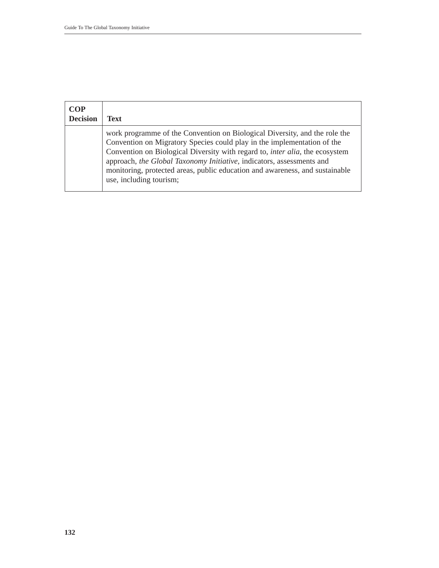| <b>COP</b><br><b>Decision</b> | <b>Text</b>                                                                                                                                                                                                                                                                                                                                                                                                                       |
|-------------------------------|-----------------------------------------------------------------------------------------------------------------------------------------------------------------------------------------------------------------------------------------------------------------------------------------------------------------------------------------------------------------------------------------------------------------------------------|
|                               | work programme of the Convention on Biological Diversity, and the role the<br>Convention on Migratory Species could play in the implementation of the<br>Convention on Biological Diversity with regard to, <i>inter alia</i> , the ecosystem<br>approach, the Global Taxonomy Initiative, indicators, assessments and<br>monitoring, protected areas, public education and awareness, and sustainable<br>use, including tourism; |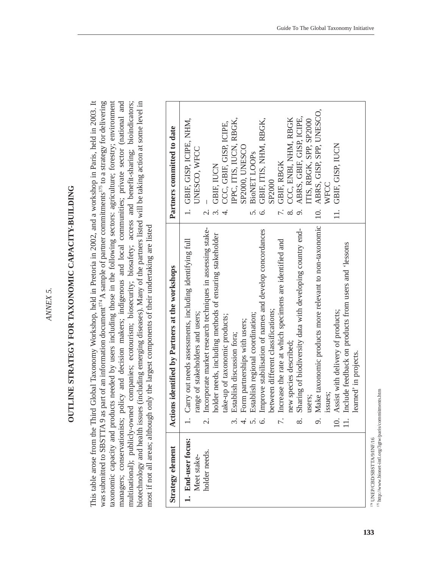ANNEX 5. *ANNEX 5.*

# OUTLINE STRATEGY FOR TAXONOMIC CAPACITY-BUILDING **OUTLINE STRATEGY FOR TAXONOMIC CAPACITY-BUILDING**

This table arose from the Third Global Taxonomy Workshop, held in Pretoria in 2002, and a workshop in Paris, held in 2003. It was submitted to SBSTTA 9 as part of an information document<sup>174</sup> A sample of partner commitments<sup>175</sup> to a strategy for delivering taxonomic capacity and products needed by users including those in the following sectors: agriculture; forestry; environment managers; conservationists; policy and decision makers; indigenous and local communities; private sector (national and biotechnology and health issues (including emerging diseases). Many of the partners listed will be taking action at some level in multinational); publicly-owned companies; ecotourism; biosecurity; biosafety; access and benefit-sharing; bioindicators; This table arose from the Third Global Taxonomy Workshop, held in Pretoria in 2002, and a workshop in Paris, held in 2003. It was submitted to SBSTTA 9 as part of an information document<sup>174</sup> A sample of partner commitments<sup>175</sup> to a strategy for delivering taxonomic capacity and products needed by users including those in the following sectors: agriculture; forestry; environment managers; conservationists; policy and decision makers; indigenous and local communities; private sector (national and multinational); publicly-owned companies; ecotourism; biosecurity; biosafety; access and benefit-sharing; bioindicators; biotechnology and health issues (including emerging diseases). Many of the partners listed will be taking action at some level in most if not all areas; although only the largest components of their undertaking are listed most if not all areas; although only the largest components of their undertaking are listed

| Strategy element                  | Actions identified by Partners at the workshops                                             | Partners committed to date                 |
|-----------------------------------|---------------------------------------------------------------------------------------------|--------------------------------------------|
| 1. End-user focus:<br>Meet stake- | Carry out needs assessments, including identifying full<br>range of stakeholders and users; | 1. GBIF, GISP, ICIPE, NHM,<br>UNESCO, WFCC |
| holder needs.                     | Incorporate market research techniques in assessing stake-<br>$\mathcal{C}$                 |                                            |
|                                   | holder needs, including methods of ensuring stakeholder                                     | GBIF, IUCN                                 |
|                                   | take-up of taxonomic products;                                                              | CCC, GBIF, GISP, ICIPE,                    |
|                                   | Establish discussion fora;<br>3                                                             | IPPC, ITIS, IUCN, RBGK,                    |
|                                   | Form partnerships with users;<br>4                                                          | SP2000, UNESCO                             |
|                                   | Establish regional coordination;<br>5                                                       | <b>BioNET LOOPS</b><br>$\overline{5}$      |
|                                   | Improve stabilisation of names and develop concordances<br>$\circ$                          | GBIF, ITIS, NHM, RBGK,<br>Ġ.               |
|                                   | between different classifications;                                                          | SP2000                                     |
|                                   | Increase the rate at which specimens are identified and<br>$\overline{ }$                   | GBIF, RBGK                                 |
|                                   | new species described;                                                                      | CCC, ENBI, NHM, RBGK                       |
|                                   | Sharing of biodiversity data with developing country end-<br>$\infty$                       | ABRS, GBIF, GISP, ICIPE,                   |
|                                   | users:                                                                                      | ITIS, RBGK, SPP, SP2000                    |
|                                   | Make taxonomic products more relevant to non-taxonomic<br>$\circ$                           | ABRS, GISP, SPP, UNESCO,<br>$\supseteq$    |
|                                   | issues;                                                                                     | WFCC                                       |
|                                   | Assist with delivery of products;<br>$\overline{10}$                                        | GBIF, GISP, IUCN<br>$\exists$              |
|                                   | Include feedback on products from users and 'lessons<br>$\equiv$                            |                                            |
|                                   | learned' in projects.                                                                       |                                            |

 $^{175}$ http://www.bionet-intl.org/3gtw/paris/commitments.htm http://www.bionet-intl.org/3gtw/paris/commitments.htm $^{174}$  UNEP/CBD/SBSTTA/9/INF/16 174 UNEP/CBD/SBSTTA/9/INF/16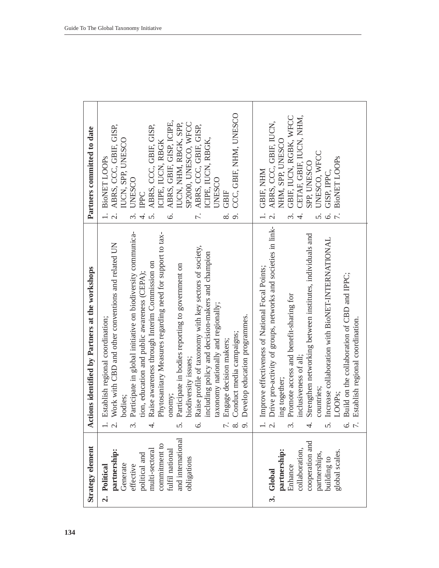| <b>Strategy element</b>                                                                                                                                          | Actions identified by Partners at the workshops                                                                                                                                                                                                                                                                                                                                                                                                                                                                                                                                                                                                                                                                                               | Partners committed to date                                                                                                                                                                                                                                                                                                                                                                                                           |
|------------------------------------------------------------------------------------------------------------------------------------------------------------------|-----------------------------------------------------------------------------------------------------------------------------------------------------------------------------------------------------------------------------------------------------------------------------------------------------------------------------------------------------------------------------------------------------------------------------------------------------------------------------------------------------------------------------------------------------------------------------------------------------------------------------------------------------------------------------------------------------------------------------------------------|--------------------------------------------------------------------------------------------------------------------------------------------------------------------------------------------------------------------------------------------------------------------------------------------------------------------------------------------------------------------------------------------------------------------------------------|
| and international<br>commitment to<br>fulfil national<br>partnership:<br>multi-sectoral<br>political and<br>obligations<br>Generate<br>effective<br>2. Political | Participate in global initiative on biodiversity communica-<br>Phytosanitary Measures regarding need for support to tax-<br>Work with CBD and other conventions and related UN<br>Raise profile of taxonomy with key sectors of society,<br>including policy and decision-makers and champion<br>Raise awareness through Interim Commission on<br>Participate in bodies reporting to government on<br>tion, education and public awareness (CEPA);<br>taxonomy nationally and regionally;<br>Develop education programmes.<br>Establish regional coordination;<br>Conduct media campaigns;<br>Engage decision makers;<br>biodiversity issues;<br>onomy;<br><b>bodies:</b><br>$\dot{\mathcal{C}}$<br>$\infty$<br>$\sigma$<br>5.<br>ن<br>پ<br>3 | CCC, GBIF, NHM, UNESCO<br>ABRS, GBIF, GISP, ICIPE,<br>SP2000, UNESCO, WFCC<br>IUCN, NHM, RBGK, SPP,<br>ABRS, CCC, GBIF, GISP,<br>ABRS, CCC, GBIF, GISP,<br>ABRS, CCC, GBIF, GISP,<br>ICIPE, IUCN, RBGK,<br>IUCN, SPP, UNESCO<br>ICIPE, IUCN, RBGK<br><b>BioNET LOOPS</b><br><b>UNESCO</b><br><b>UNESCO</b><br>GBIF<br>IPPC<br>$\overline{\tau}$ .<br>$\sigma$<br>$\overline{C}$<br>$\infty$<br>ທ່<br>Ġ.<br>$\dot{\mathfrak{c}}$<br>4 |
| cooperation and<br>partnership:<br>collaboration,<br>global scales.<br>partnerships,<br>building to<br>Enhance<br>3. Global                                      | Drive pro-activity of groups, networks and societies in link-<br>Strengthen networking between institutes, individuals and<br>Increase collaboration with BioNET-INTERNATIONAL<br>Improve effectiveness of National Focal Points;<br>Build on the collaboration of CBD and IPPC;<br>Promote access and benefit-sharing for<br>Establish regional coordination.<br>inclusiveness of all<br>ing together;<br>countries;<br>LOOP <sub>S</sub><br>v.<br>V.<br>ທ່                                                                                                                                                                                                                                                                                  | GBIF, IUCN, RGBK, WFCC<br>CETAF, GBIF, IUCN, NHM,<br>ABRS, CCC, GBIF, IUCN,<br>NHM, SPP, UNESCO<br>UNESCO, WFCC<br><b>BioNET LOOPs</b><br>SPP. UNESCO<br>GBIF, NHM<br>GISP. IPPC.<br>$\dot{\mathfrak{c}}$<br>s.<br>$\acute{\circ}$<br>$\overline{\mathcal{C}}$<br>4.                                                                                                                                                                 |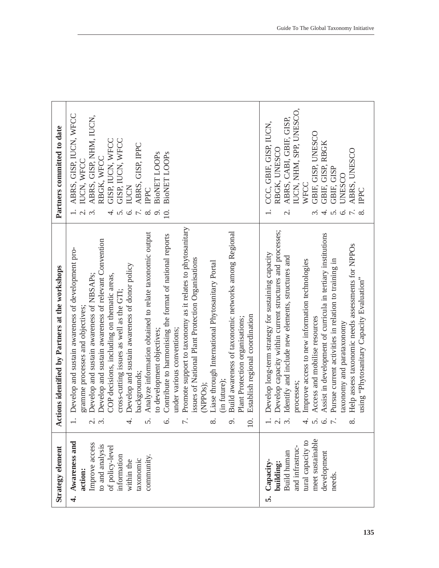| Strategy element                                                                                                                                   | ctions identified by Partners at the workshops<br>₹                                                                                                                                                                                                                                                                                                                                                                                                                                                                                                                                                                                                                                                                                                                                                                                                                                                                                                                                          | Partners committed to date                                                                                                                                                                                                                                                                                                                      |
|----------------------------------------------------------------------------------------------------------------------------------------------------|----------------------------------------------------------------------------------------------------------------------------------------------------------------------------------------------------------------------------------------------------------------------------------------------------------------------------------------------------------------------------------------------------------------------------------------------------------------------------------------------------------------------------------------------------------------------------------------------------------------------------------------------------------------------------------------------------------------------------------------------------------------------------------------------------------------------------------------------------------------------------------------------------------------------------------------------------------------------------------------------|-------------------------------------------------------------------------------------------------------------------------------------------------------------------------------------------------------------------------------------------------------------------------------------------------------------------------------------------------|
| Awareness and<br>Improve access<br>to and analysis<br>of policy-level<br>information<br>community.<br>taxonomic<br>within the<br>action:<br>.<br>न | Promote support to taxonomy as it relates to phytosanitary<br>Build awareness of taxonomic networks among Regional<br>Analyze information obtained to relate taxonomic output<br>Contribute to harmonising the format of national reports<br>Develop and sustain awareness of relevant Convention<br>Develop and sustain awareness of development pro-<br>issues of National Plant Protection Organisations<br>Liase through International Phytosanitary Portal<br>Develop and sustain awareness of donor policy<br>COP decisions, including on thematic areas,<br>Develop and sustain awareness of NBSAPs;<br>cross-cutting issues as well as the GTI;<br>gramme processes and objectives;<br>Establish regional coordination<br>Plant Protection organisations;<br>under various conventions;<br>to development objectives;<br>backgrounds;<br>(in future):<br>(NPPO <sub>s</sub> );<br>$\omega$ $\omega$<br>4<br>5<br>$\circ$<br>$\overline{ }$<br>$\infty$<br>$\circ$<br>$\overline{10}$ | ABRS, GISP, IUCN, WFCC<br>ABRS, GISP, NHM, IUCN,<br>GISP, IUCN, WFCC<br>GISP, IUCN, WFCC<br>ABRS, GISP, IPPC<br><b>BioNET LOOPS</b><br><b>BioNET LOOPs</b><br>RBGK, WFCC<br>IUCN, WFCC<br><b>IUCN</b><br><b>THE</b><br>$\overline{\Omega}$<br>o.<br>10.<br>$\dot{\mathfrak{c}}$<br>$\overline{5}$<br>$\vec{r}$ .<br>$\acute{\circ}$<br>$\infty$ |
| meet sustainable<br>tural capacity to<br>and infrastruc-<br>Build human<br>development<br>Capacity-<br>building:<br>needs.<br>ທ່                   | Develop capacity within current structures and processes;<br>Assist in development of curricula in tertiary institutions<br>Help assess taxonomic needs assessments for NPPOs<br>Develop long-term strategy for sustaining capacity<br>Identify and include new elements, structures and<br>Improve access to new information technologies<br>Pursue current activities in relation to training in<br>using "Phytosanitary Capacity Evaluation"<br>Access and mobilise resources<br>taxonomy and parataxonomy<br>processes;<br>$-1$ $\alpha$ $\alpha$<br>4<br>$\sigma$<br>$\circ$<br>$\overline{ }$<br>$\infty$                                                                                                                                                                                                                                                                                                                                                                              | IUCN, NHM, SPP, UNESCO,<br>ABRS, CABI, GBIF, GISP,<br>CCC, GBIF, GISP, IUCN,<br>GBIF, GISP, UNESCO<br>GBIF, GISP, RBGK<br>RBGK, UNESCO<br>ABRS, UNESCO<br>GBIF, GISP<br><b>UNESCO</b><br>WFCC<br><b>TPPC</b><br>$\overline{4}$<br>$\overline{5}$<br>$\infty$<br>$\overline{\mathcal{N}}$<br>$\dot{\mathfrak{c}}$<br>$\circ$                     |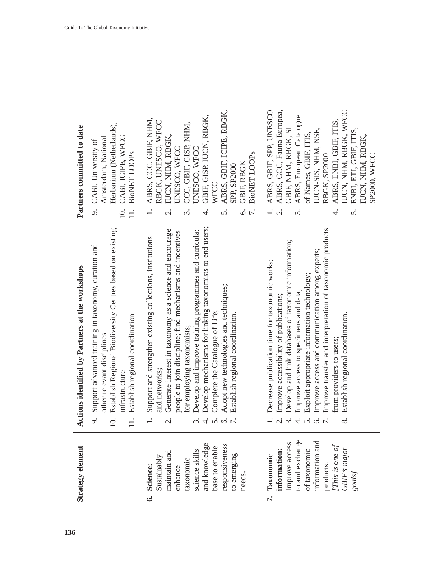| Strategy element                                                                                                                                                    | ctions identified by Partners at the workshops<br>∢                                                                                                                                                                                                                                                                                                                                                                                                                      | Partners committed to date                                                                                                                                                                                                                                                                                                                                       |
|---------------------------------------------------------------------------------------------------------------------------------------------------------------------|--------------------------------------------------------------------------------------------------------------------------------------------------------------------------------------------------------------------------------------------------------------------------------------------------------------------------------------------------------------------------------------------------------------------------------------------------------------------------|------------------------------------------------------------------------------------------------------------------------------------------------------------------------------------------------------------------------------------------------------------------------------------------------------------------------------------------------------------------|
|                                                                                                                                                                     | Establish Regional Biodiversity Centres based on existing<br>Support advanced training in taxonomy, curation and<br>Establish regional coordination<br>other relevant disciplines<br>infrastructure                                                                                                                                                                                                                                                                      | Herbarium (Netherlands),<br>CABI, ICIPE, WFCC<br>Amsterdam, National<br>CABI, University of<br><b>BioNET LOOPS</b><br>o.<br>$\overline{0}$ .<br>$\exists$                                                                                                                                                                                                        |
| and knowledge<br>responsiveness<br>base to enable<br>science skills<br>maintain and<br>to emerging<br>Sustainably<br>taxonomic<br>Science:<br>enhance<br>needs<br>ق | Develop mechanisms for linking taxonomists to end users;<br>Generate interest in taxonomy as a science and encourage<br>Develop and improve training programmes and curricula;<br>people to join discipline; find mechanisms and incentives<br>Support and strengthen existing collections, institutions<br>Adopt new technologies and techniques;<br>Complete the Catalogue of Life;<br>Establish regional coordination.<br>for employing taxonomists;<br>and networks; | ABRS, GBIF, ICIPE, RBGK,<br>GBIF, GISP, IUCN, RBGK,<br>ABRS, CCC, GBIF, NHM,<br>RBGK, UNESCO, WFCC<br>CCC, GBIF, GISP, NHM,<br>IUCN, NHM, RBGK,<br><b>JNESCO, WFCC</b><br>JNESCO, WFCC<br><b>BioNET LOOPS</b><br>GBIF, RBGK<br>SPP, SP2000<br>WFCC<br>$\overline{r}$ .<br>Ġ<br>$\overline{\mathcal{C}}$<br>4                                                     |
| to and exchange<br>information and<br>Improve access<br>[This is one of<br>GBIF's major<br>nformation:<br>of taxonomic<br>Taxonomic<br>products.<br>goals]<br>7.    | Improve transfer and interpretation of taxonomic products<br>Develop and link databases of taxonomic information;<br>Improve access and communication among experts;<br>Decrease publication time for taxonomic works;<br>Exploit appropriate information technology;<br>Improve access to specimens and data;<br>Improve accessibility of publications;<br>Establish regional coordination.<br>from providers to users;                                                 | ABRS, GBIF, SPP, UNESCO<br>ABRS, CCC, Fauna Europea,<br>IUCN, NHM, RBGK, WFCC<br>ABRS, European Catalogue<br>ABRS, ENBI, GBIF, ITIS,<br>ENBI, ETI, GBIF, ITIS,<br>GBIF, NHM, RBGK, SI<br>IUCN-SIS, NHM, NSF,<br>of Names, GBIF, ITIS,<br>IUCN, NHM, RBGK,<br>RBGK, SP2000<br>SP2000, WFCC<br>$\vec{r}$<br>$\overline{\mathcal{N}}$<br>S.<br>$\dot{\mathfrak{c}}$ |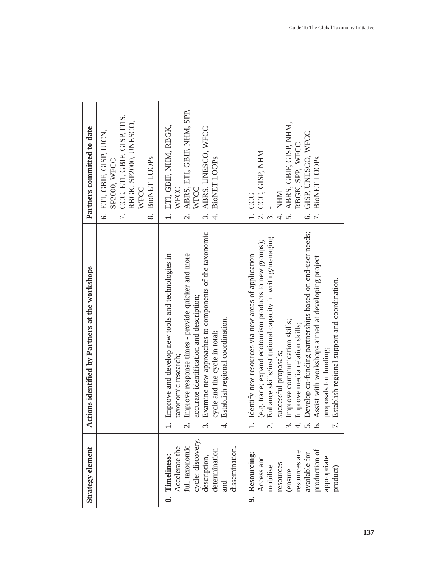| Strategy element                                                                                                                                | Actions identified by Partners at the workshops                                                                                                                                                                                                                                                                                                                                                                                                                                                                                | Partners committed to date                                                                                                                                                         |
|-------------------------------------------------------------------------------------------------------------------------------------------------|--------------------------------------------------------------------------------------------------------------------------------------------------------------------------------------------------------------------------------------------------------------------------------------------------------------------------------------------------------------------------------------------------------------------------------------------------------------------------------------------------------------------------------|------------------------------------------------------------------------------------------------------------------------------------------------------------------------------------|
|                                                                                                                                                 |                                                                                                                                                                                                                                                                                                                                                                                                                                                                                                                                | CCC, ETI, GBIF, GISP, ITIS,<br>RBGK, SP2000, UNESCO,<br>ETI, GBIF, GISP, IUCN,<br><b>BioNET LOOPs</b><br>SP2000, WFCC<br>WFCC<br>$\circ$<br>$\overline{r}$ .<br>$\infty$           |
| Accelerate the<br>full taxonomic<br>cycle: discovery,<br>description,<br>dissemination.<br>determination<br>Timeliness:<br>and<br>ထံ            | Examine new approaches to components of the taxonomic<br>Improve response times - provide quicker and more<br>Improve and develop new tools and technologies in<br>accurate identification and description;<br>Establish regional coordination.<br>cycle and the cycle in total;<br>taxonomic research;<br>$\dot{\circ}$<br>$\dot{\mathfrak{c}}$<br>4.                                                                                                                                                                         | ABRS, ETI, GBIF, NHM, SPP,<br>ETI, GBIF, NHM, RBGK,<br>ABRS, UNESCO, WFCC<br><b>BioNET LOOPS</b><br>WFCC<br>WFCC<br>$\overline{\mathcal{C}}$<br>$\tilde{\mathfrak{c}}$             |
| production of<br>resources are<br>9. Resourcing:<br>available for<br>appropriate<br>Access and<br>resources<br>mobilise<br>product)<br>(ensure) | Develop co-funding partnerships based on end-user needs;<br>Enhance skills/institutional capacity in writing/managing<br>(e.g. trade; expand ecotourism products to new groups);<br>Identify new resources via new areas of application<br>Assist with workshops aimed at developing project<br>Establish regional support and coordination.<br>Improve communication skills;<br>Improve media relation skills;<br>proposals for funding;<br>successful proposals;<br>$\overline{\mathcal{C}}$<br>$\dot{\mathfrak{c}}$<br>4.66 | ABRS, GBIF, GISP, NHM,<br>GISP, UNESCO, WFCC<br>RBGK, SPP, WFCC<br>CCC, GISP, NHM<br><b>BioNET LOOPS</b><br><b>NHM</b><br>CCC<br>$\dot{\circ}$<br>$\overline{a}$<br>$\overline{c}$ |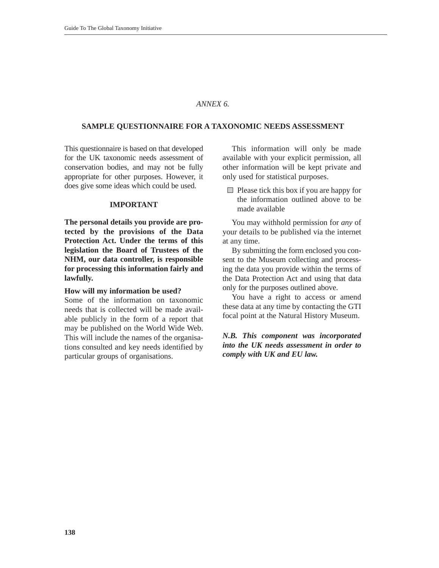#### *ANNEX 6.*

#### **SAMPLE QUESTIONNAIRE FOR A TAXONOMIC NEEDS ASSESSMENT**

This questionnaire is based on that developed for the UK taxonomic needs assessment of conservation bodies, and may not be fully appropriate for other purposes. However, it does give some ideas which could be used.

#### **IMPORTANT**

**The personal details you provide are protected by the provisions of the Data Protection Act. Under the terms of this legislation the Board of Trustees of the NHM, our data controller, is responsible for processing this information fairly and lawfully.**

#### **How will my information be used?**

Some of the information on taxonomic needs that is collected will be made available publicly in the form of a report that may be published on the World Wide Web. This will include the names of the organisations consulted and key needs identified by particular groups of organisations.

This information will only be made available with your explicit permission, all other information will be kept private and only used for statistical purposes.

 $\Box$  Please tick this box if you are happy for the information outlined above to be made available

You may withhold permission for *any* of your details to be published via the internet at any time.

By submitting the form enclosed you consent to the Museum collecting and processing the data you provide within the terms of the Data Protection Act and using that data only for the purposes outlined above.

You have a right to access or amend these data at any time by contacting the GTI focal point at the Natural History Museum.

## *N.B. This component was incorporated into the UK needs assessment in order to comply with UK and EU law.*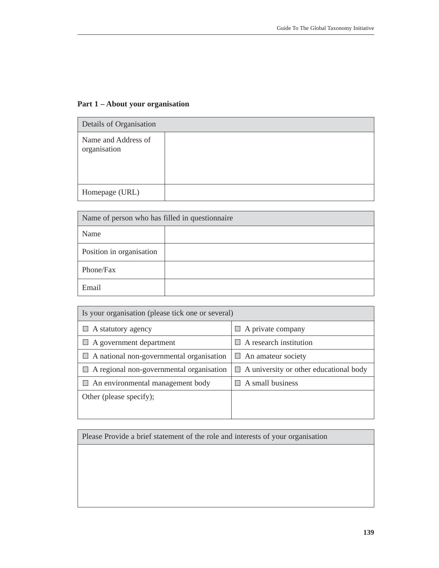# **Part 1 – About your organisation**

| Details of Organisation             |  |
|-------------------------------------|--|
| Name and Address of<br>organisation |  |
| Homepage (URL)                      |  |

| Name of person who has filled in questionnaire |  |  |  |  |  |  |
|------------------------------------------------|--|--|--|--|--|--|
| Name                                           |  |  |  |  |  |  |
| Position in organisation                       |  |  |  |  |  |  |
| Phone/Fax                                      |  |  |  |  |  |  |
| Email                                          |  |  |  |  |  |  |

| Is your organisation (please tick one or several) |                                               |
|---------------------------------------------------|-----------------------------------------------|
| $\Box$ A statutory agency                         | $\Box$ A private company                      |
| $\Box$ A government department                    | $\Box$ A research institution                 |
| $\Box$ A national non-governmental organisation   | $\Box$ An amateur society                     |
| $\Box$ A regional non-governmental organisation   | $\Box$ A university or other educational body |
| $\Box$ An environmental management body           | $\Box$ A small business                       |
| Other (please specify);                           |                                               |
|                                                   |                                               |

Please Provide a brief statement of the role and interests of your organisation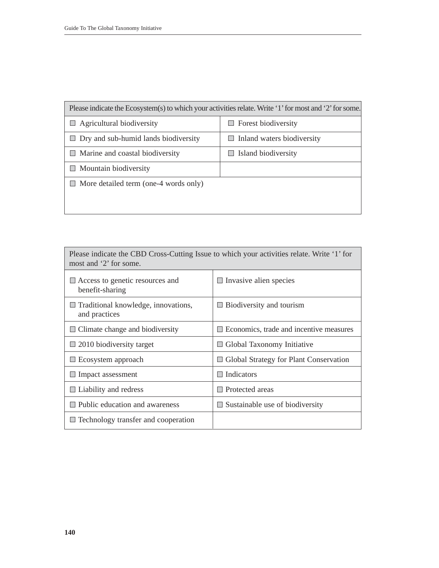| Please indicate the Ecosystem(s) to which your activities relate. Write '1' for most and '2' for some. |                                   |  |  |  |  |  |  |
|--------------------------------------------------------------------------------------------------------|-----------------------------------|--|--|--|--|--|--|
| $\Box$ Agricultural biodiversity                                                                       | $\Box$ Forest biodiversity        |  |  |  |  |  |  |
| $\Box$ Dry and sub-humid lands biodiversity                                                            | $\Box$ Inland waters biodiversity |  |  |  |  |  |  |
| $\Box$ Marine and coastal biodiversity                                                                 | Island biodiversity<br>ш          |  |  |  |  |  |  |
| $\Box$ Mountain biodiversity                                                                           |                                   |  |  |  |  |  |  |
| $\Box$ More detailed term (one-4 words only)                                                           |                                   |  |  |  |  |  |  |
|                                                                                                        |                                   |  |  |  |  |  |  |
|                                                                                                        |                                   |  |  |  |  |  |  |

| Please indicate the CBD Cross-Cutting Issue to which your activities relate. Write '1' for<br>most and '2' for some. |                                                    |  |  |  |  |  |
|----------------------------------------------------------------------------------------------------------------------|----------------------------------------------------|--|--|--|--|--|
| $\Box$ Access to genetic resources and<br>benefit-sharing                                                            | $\Box$ Invasive alien species                      |  |  |  |  |  |
| $\Box$ Traditional knowledge, innovations,<br>and practices                                                          | Biodiversity and tourism                           |  |  |  |  |  |
| $\Box$ Climate change and biodiversity                                                                               | Economics, trade and incentive measures            |  |  |  |  |  |
| $\Box$ 2010 biodiversity target                                                                                      | □ Global Taxonomy Initiative                       |  |  |  |  |  |
| $\Box$ Ecosystem approach                                                                                            | Global Strategy for Plant Conservation<br><b>I</b> |  |  |  |  |  |
| $\Box$ Impact assessment                                                                                             | Indicators                                         |  |  |  |  |  |
| $\Box$ Liability and redress                                                                                         | Protected areas                                    |  |  |  |  |  |
| $\Box$ Public education and awareness                                                                                | Sustainable use of biodiversity                    |  |  |  |  |  |
| $\Box$ Technology transfer and cooperation                                                                           |                                                    |  |  |  |  |  |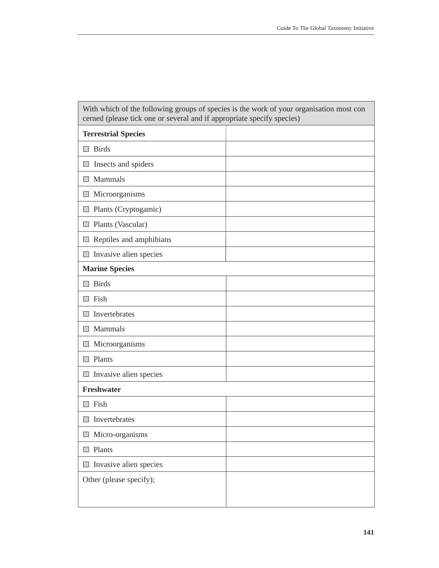| <b>Terrestrial Species</b><br>$\Box$ Birds<br>$\Box$ Insects and spiders<br>$\Box$ Mammals<br>$\Box$ Microorganisms<br>$\Box$ Plants (Cryptogamic)<br>$\Box$ Plants (Vascular)<br>$\Box$ Reptiles and amphibians<br>$\Box$ Invasive alien species<br><b>Marine Species</b><br><b>Birds</b><br><b>College</b><br>$\Box$ Fish<br>Invertebrates<br><b>In the </b><br>Mammals<br>$\Box$<br>Microorganisms<br>$\Box$<br>$\Box$ Plants<br>$\Box$ Invasive alien species<br><b>Freshwater</b><br>Fish<br><b>College</b><br>$\Box$ Invertebrates<br>Micro-organisms<br>$\Box$ Plants<br>$\Box$ Invasive alien species<br>Other (please specify); | With which of the following groups of species is the work of your organisation most con<br>cerned (please tick one or several and if appropriate specify species) |  |
|------------------------------------------------------------------------------------------------------------------------------------------------------------------------------------------------------------------------------------------------------------------------------------------------------------------------------------------------------------------------------------------------------------------------------------------------------------------------------------------------------------------------------------------------------------------------------------------------------------------------------------------|-------------------------------------------------------------------------------------------------------------------------------------------------------------------|--|
|                                                                                                                                                                                                                                                                                                                                                                                                                                                                                                                                                                                                                                          |                                                                                                                                                                   |  |
|                                                                                                                                                                                                                                                                                                                                                                                                                                                                                                                                                                                                                                          |                                                                                                                                                                   |  |
|                                                                                                                                                                                                                                                                                                                                                                                                                                                                                                                                                                                                                                          |                                                                                                                                                                   |  |
|                                                                                                                                                                                                                                                                                                                                                                                                                                                                                                                                                                                                                                          |                                                                                                                                                                   |  |
|                                                                                                                                                                                                                                                                                                                                                                                                                                                                                                                                                                                                                                          |                                                                                                                                                                   |  |
|                                                                                                                                                                                                                                                                                                                                                                                                                                                                                                                                                                                                                                          |                                                                                                                                                                   |  |
|                                                                                                                                                                                                                                                                                                                                                                                                                                                                                                                                                                                                                                          |                                                                                                                                                                   |  |
|                                                                                                                                                                                                                                                                                                                                                                                                                                                                                                                                                                                                                                          |                                                                                                                                                                   |  |
|                                                                                                                                                                                                                                                                                                                                                                                                                                                                                                                                                                                                                                          |                                                                                                                                                                   |  |
|                                                                                                                                                                                                                                                                                                                                                                                                                                                                                                                                                                                                                                          |                                                                                                                                                                   |  |
|                                                                                                                                                                                                                                                                                                                                                                                                                                                                                                                                                                                                                                          |                                                                                                                                                                   |  |
|                                                                                                                                                                                                                                                                                                                                                                                                                                                                                                                                                                                                                                          |                                                                                                                                                                   |  |
|                                                                                                                                                                                                                                                                                                                                                                                                                                                                                                                                                                                                                                          |                                                                                                                                                                   |  |
|                                                                                                                                                                                                                                                                                                                                                                                                                                                                                                                                                                                                                                          |                                                                                                                                                                   |  |
|                                                                                                                                                                                                                                                                                                                                                                                                                                                                                                                                                                                                                                          |                                                                                                                                                                   |  |
|                                                                                                                                                                                                                                                                                                                                                                                                                                                                                                                                                                                                                                          |                                                                                                                                                                   |  |
|                                                                                                                                                                                                                                                                                                                                                                                                                                                                                                                                                                                                                                          |                                                                                                                                                                   |  |
|                                                                                                                                                                                                                                                                                                                                                                                                                                                                                                                                                                                                                                          |                                                                                                                                                                   |  |
|                                                                                                                                                                                                                                                                                                                                                                                                                                                                                                                                                                                                                                          |                                                                                                                                                                   |  |
|                                                                                                                                                                                                                                                                                                                                                                                                                                                                                                                                                                                                                                          |                                                                                                                                                                   |  |
|                                                                                                                                                                                                                                                                                                                                                                                                                                                                                                                                                                                                                                          |                                                                                                                                                                   |  |
|                                                                                                                                                                                                                                                                                                                                                                                                                                                                                                                                                                                                                                          |                                                                                                                                                                   |  |
|                                                                                                                                                                                                                                                                                                                                                                                                                                                                                                                                                                                                                                          |                                                                                                                                                                   |  |
|                                                                                                                                                                                                                                                                                                                                                                                                                                                                                                                                                                                                                                          |                                                                                                                                                                   |  |
|                                                                                                                                                                                                                                                                                                                                                                                                                                                                                                                                                                                                                                          |                                                                                                                                                                   |  |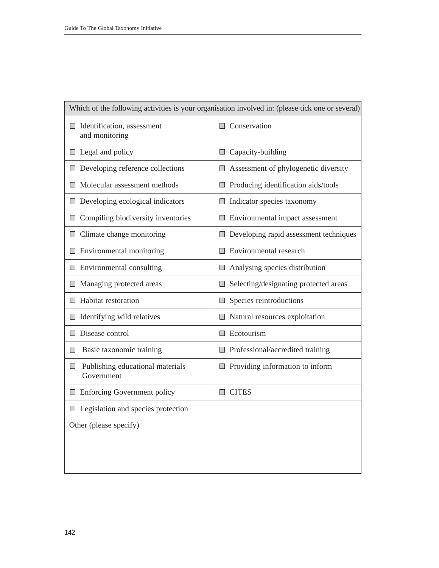| Which of the following activities is your organisation involved in: (please tick one or several) |                                                 |  |  |  |  |  |  |
|--------------------------------------------------------------------------------------------------|-------------------------------------------------|--|--|--|--|--|--|
| Identification, assessment<br>H<br>and monitoring                                                | $\Box$ Conservation                             |  |  |  |  |  |  |
| $\Box$ Legal and policy                                                                          | $\Box$ Capacity-building                        |  |  |  |  |  |  |
| Developing reference collections                                                                 | Assessment of phylogenetic diversity            |  |  |  |  |  |  |
| $\Box$ Molecular assessment methods                                                              | $\Box$ Producing identification aids/tools      |  |  |  |  |  |  |
| $\Box$ Developing ecological indicators                                                          | $\Box$ Indicator species taxonomy               |  |  |  |  |  |  |
| $\Box$ Compiling biodiversity inventories                                                        | Environmental impact assessment                 |  |  |  |  |  |  |
| $\Box$ Climate change monitoring                                                                 | Developing rapid assessment techniques          |  |  |  |  |  |  |
| $\Box$ Environmental monitoring                                                                  | $\Box$ Environmental research                   |  |  |  |  |  |  |
| $\Box$ Environmental consulting                                                                  | $\Box$ Analysing species distribution           |  |  |  |  |  |  |
| Managing protected areas<br>ш                                                                    | Selecting/designating protected areas<br>$\Box$ |  |  |  |  |  |  |
| $\Box$ Habitat restoration                                                                       | $\Box$ Species reintroductions                  |  |  |  |  |  |  |
| Identifying wild relatives<br>$\Box$                                                             | Natural resources exploitation                  |  |  |  |  |  |  |
| Disease control                                                                                  | Ecotourism                                      |  |  |  |  |  |  |
| Basic taxonomic training<br>$\Box$                                                               | $\Box$ Professional/accredited training         |  |  |  |  |  |  |
| Publishing educational materials<br>Ш<br>Government                                              | $\Box$ Providing information to inform          |  |  |  |  |  |  |
| <b>Enforcing Government policy</b>                                                               | $\Box$ CITES                                    |  |  |  |  |  |  |
| $\Box$ Legislation and species protection                                                        |                                                 |  |  |  |  |  |  |
| Other (please specify)                                                                           |                                                 |  |  |  |  |  |  |
|                                                                                                  |                                                 |  |  |  |  |  |  |
|                                                                                                  |                                                 |  |  |  |  |  |  |
|                                                                                                  |                                                 |  |  |  |  |  |  |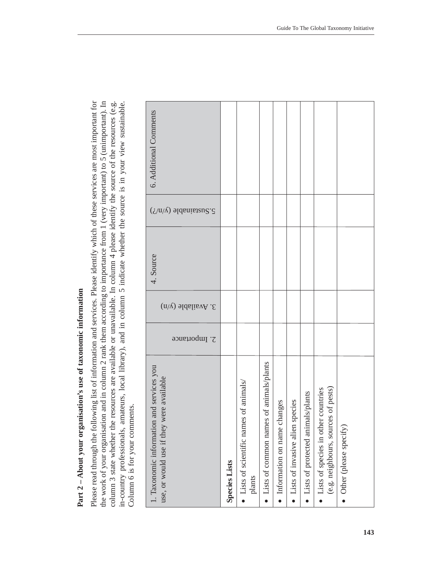Part 2 - About your organisation's use of taxonomic information **Part 2 – About your organisation's use of taxonomic information**

the work of your organisation and in column 2 rank them according to importance from 1 (very important) to 5 (unimportant). In column 3 state whether the resources are available or unavailable. In column 4 please identify the source of the resources (e.g. in-country professionals, amateurs, local library), and in column 5 indicate whether the sour Please read through the following list of information and services. Please identify which of these services are most important for Please read through the following list of information and services. Please identify which of these services are most important for the work of your organisation and in column 2 rank them according to importance from 1 (very important) to 5 (unimportant). In column 3 state whether the resources are available or unavailable. In column 4 please identify the source of the resources (e.g. in-country professionals, amateurs, local library), and in column 5 indicate whether the source is in your view sustainable. Column 6 is for your comments. Column 6 is for your comments.

| 6. Additional Comments                                                                   |                      |                                                     |                                              |                               |                                   |                                     |                                                                                 |                          |
|------------------------------------------------------------------------------------------|----------------------|-----------------------------------------------------|----------------------------------------------|-------------------------------|-----------------------------------|-------------------------------------|---------------------------------------------------------------------------------|--------------------------|
| $5.$ Sustainable (y/n/?)                                                                 |                      |                                                     |                                              |                               |                                   |                                     |                                                                                 |                          |
| 4. Source                                                                                |                      |                                                     |                                              |                               |                                   |                                     |                                                                                 |                          |
| $3.$ Available (y/n)                                                                     |                      |                                                     |                                              |                               |                                   |                                     |                                                                                 |                          |
| 2. Importance                                                                            |                      |                                                     |                                              |                               |                                   |                                     |                                                                                 |                          |
| and services you<br>use, or would use if they were available<br>1. Taxonomic information | <b>Species Lists</b> | of animals<br>• Lists of scientific names<br>plants | of animals/plants<br>• Lists of common names | · Information on name changes | • Lists of invasive alien species | • Lists of protected animals/plants | (e.g. neighbours, sources of pests)<br>countries<br>• Lists of species in other | • Other (please specify) |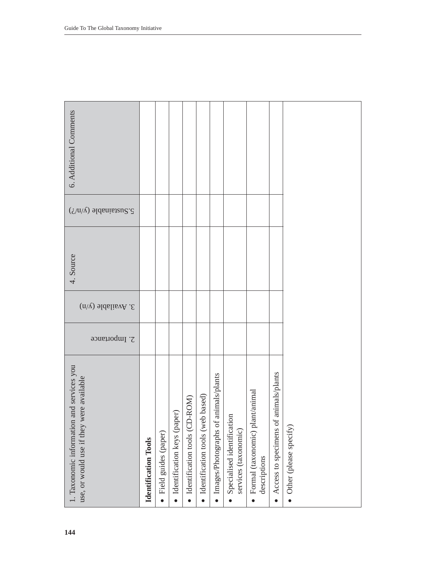| Additional Comments |  |  |  |  |
|---------------------|--|--|--|--|

Guide To The Global Taxonomy Initiative

| 6. Additional Comments                                                                |                             |                     |                                  |                               |                                    |                                      |                                                    |                                                   |                                                    |                        |
|---------------------------------------------------------------------------------------|-----------------------------|---------------------|----------------------------------|-------------------------------|------------------------------------|--------------------------------------|----------------------------------------------------|---------------------------------------------------|----------------------------------------------------|------------------------|
| $\mathcal{S}.\mathsf{S}$ distantable (y/n/?)                                          |                             |                     |                                  |                               |                                    |                                      |                                                    |                                                   |                                                    |                        |
| 4. Source                                                                             |                             |                     |                                  |                               |                                    |                                      |                                                    |                                                   |                                                    |                        |
| 3. Available (y/n)                                                                    |                             |                     |                                  |                               |                                    |                                      |                                                    |                                                   |                                                    |                        |
| 2. Importance                                                                         |                             |                     |                                  |                               |                                    |                                      |                                                    |                                                   |                                                    |                        |
| 1. Taxonomic information and services you<br>use, or would use if they were available | <b>Identification Tools</b> | Field guides (paper | (paper)<br>· Identification keys | Identification tools (CD-ROM) | · Identification tools (web based) | Images/Photographs of animals/plants | Specialised identification<br>services (taxonomic) | · Formal (taxonomic) plant/animal<br>descriptions | Access to specimens of animals/plants<br>$\bullet$ | Other (please specify) |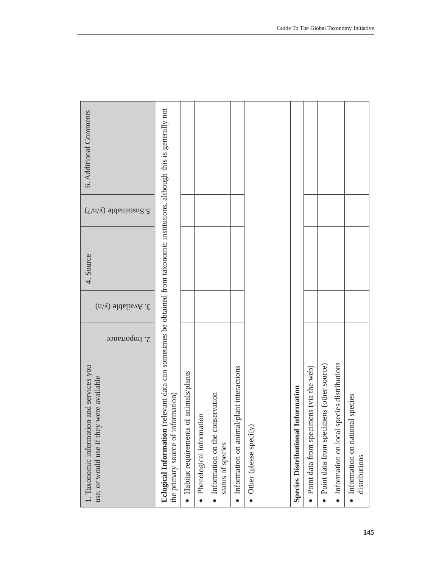| 6. Additional Comments                                                                   |                                                                                                                                                                  |                                        |                          |                                                      |                                              |                          |                                           |                                         |                                          |                                                         |                                                    |
|------------------------------------------------------------------------------------------|------------------------------------------------------------------------------------------------------------------------------------------------------------------|----------------------------------------|--------------------------|------------------------------------------------------|----------------------------------------------|--------------------------|-------------------------------------------|-----------------------------------------|------------------------------------------|---------------------------------------------------------|----------------------------------------------------|
| $\sum_{\lambda}$ ustainable (y/n/?)                                                      |                                                                                                                                                                  |                                        |                          |                                                      |                                              |                          |                                           |                                         |                                          |                                                         |                                                    |
| 4. Source                                                                                |                                                                                                                                                                  |                                        |                          |                                                      |                                              |                          |                                           |                                         |                                          |                                                         |                                                    |
| $3.$ Available (y/n)                                                                     |                                                                                                                                                                  |                                        |                          |                                                      |                                              |                          |                                           |                                         |                                          |                                                         |                                                    |
| 2. Importance                                                                            |                                                                                                                                                                  |                                        |                          |                                                      |                                              |                          |                                           |                                         |                                          |                                                         |                                                    |
| 1. Taxonomic information and services you<br>were available<br>use, or would use if they | Eclogical Information (relevant data can sometimes be obtained from taxonomic institutions, although this is generally not<br>the primary source of information) | Habitat requirements of animals/plants | Phenological information | Information on the conservation<br>status of species | plant interactions<br>Information on animal/ | • Other (please specify) | <b>Species Distributional Information</b> | Point data from specimens (via the web) | Point data from specimens (other source) | Information on local species distributions<br>$\bullet$ | · Information on national species<br>distributions |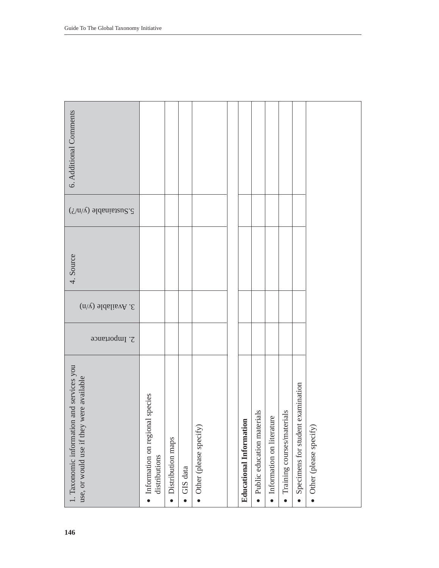| 6. Additional Comments                                                                   |                                                    |                                |                       |                          |                         |                            |                                        |                                              |                                                |                                     |
|------------------------------------------------------------------------------------------|----------------------------------------------------|--------------------------------|-----------------------|--------------------------|-------------------------|----------------------------|----------------------------------------|----------------------------------------------|------------------------------------------------|-------------------------------------|
| $\sum_{i=1}^{\infty}$ sustainable (y/n/?)                                                |                                                    |                                |                       |                          |                         |                            |                                        |                                              |                                                |                                     |
| 4. Source                                                                                |                                                    |                                |                       |                          |                         |                            |                                        |                                              |                                                |                                     |
| 3. Available (y/n)                                                                       |                                                    |                                |                       |                          |                         |                            |                                        |                                              |                                                |                                     |
| 2. Importance                                                                            |                                                    |                                |                       |                          |                         |                            |                                        |                                              |                                                |                                     |
| and services you<br>use, or would use if they were available<br>1. Taxonomic information | · Information on regional species<br>distributions | Distribution maps<br>$\bullet$ | GIS data<br>$\bullet$ | • Other (please specify) | Educational Information | Public education materials | Information on literature<br>$\bullet$ | ials<br>Training courses/materi<br>$\bullet$ | Specimens for student examination<br>$\bullet$ | Other (please specify)<br>$\bullet$ |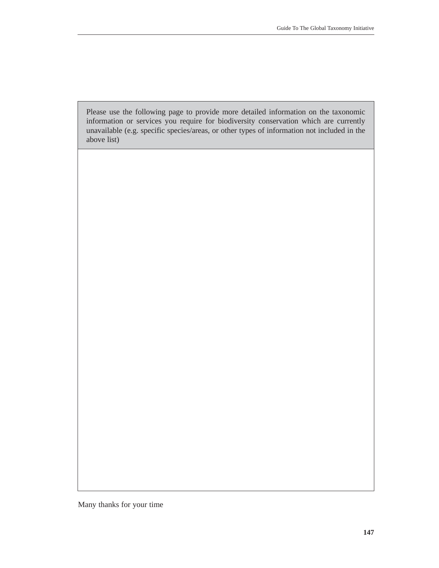Please use the following page to provide more detailed information on the taxonomic information or services you require for biodiversity conservation which are currently unavailable (e.g. specific species/areas, or other types of information not included in the above list)

Many thanks for your time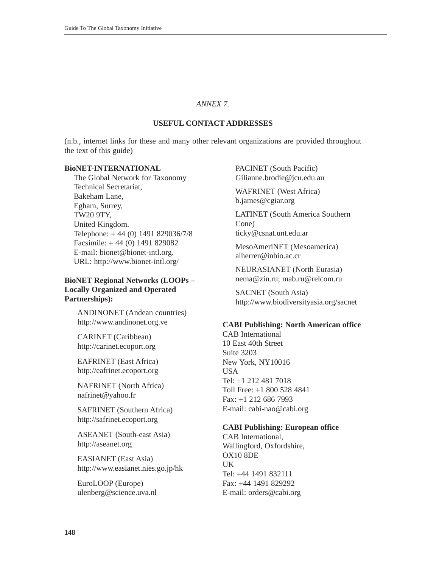#### *ANNEX 7.*

## **USEFUL CONTACT ADDRESSES**

(n.b., internet links for these and many other relevant organizations are provided throughout the text of this guide)

#### **BioNET-INTERNATIONAL**

The Global Network for Taxonomy Technical Secretariat, Bakeham Lane, Egham, Surrey, TW20 9TY, United Kingdom. Telephone: + 44 (0) 1491 829036/7/8 Facsimile: + 44 (0) 1491 829082 E-mail: bionet@bionet-intl.org. URL: http://www.bionet-intl.org/

# **BioNET Regional Networks (LOOPs – Locally Organized and Operated Partnerships):**

ANDINONET (Andean countries) http://www.andinonet.org.ve

CARINET (Caribbean) http://carinet.ecoport.org

EAFRINET (East Africa) http://eafrinet.ecoport.org

NAFRINET (North Africa) nafrinet@yahoo.fr

SAFRINET (Southern Africa) http://safrinet.ecoport.org

ASEANET (South-east Asia) http://aseanet.org

EASIANET (East Asia) http://www.easianet.nies.go.jp/hk

EuroLOOP (Europe) ulenberg@science.uva.nl PACINET (South Pacific) Gilianne.brodie@jcu.edu.au

WAFRINET (West Africa) b.james@cgiar.org

LATINET (South America Southern Cone) ticky@csnat.unt.edu.ar

MesoAmeriNET (Mesoamerica)

alherrer@inbio.ac.cr

NEURASIANET (North Eurasia) nema@zin.ru; mab.ru@relcom.ru

SACNET (South Asia) http://www.biodiversityasia.org/sacnet

#### **CABI Publishing: North American office**

CAB International 10 East 40th Street Suite 3203 New York, NY10016 USA Tel: +1 212 481 7018 Toll Free: +1 800 528 4841 Fax: +1 212 686 7993 E-mail: cabi-nao@cabi.org

## **CABI Publishing: European office**

CAB International, Wallingford, Oxfordshire, OX10 8DE **IK** Tel: +44 1491 832111 Fax: +44 1491 829292 E-mail: orders@cabi.org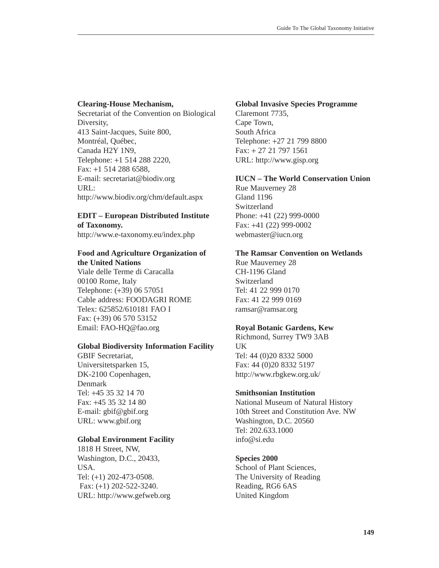#### **Clearing-House Mechanism,**

Secretariat of the Convention on Biological Diversity, 413 Saint-Jacques, Suite 800, Montréal, Québec, Canada H2Y 1N9, Telephone: +1 514 288 2220, Fax: +1 514 288 6588, E-mail: secretariat@biodiv.org URL: http://www.biodiv.org/chm/default.aspx

# **EDIT – European Distributed Institute of Taxonomy.**

http://www.e-taxonomy.eu/index.php

# **Food and Agriculture Organization of the United Nations**

Viale delle Terme di Caracalla 00100 Rome, Italy Telephone: (+39) 06 57051 Cable address: FOODAGRI ROME Telex: 625852/610181 FAO I Fax: (+39) 06 570 53152 Email: FAO-HQ@fao.org

## **Global Biodiversity Information Facility**

GBIF Secretariat, Universitetsparken 15, DK-2100 Copenhagen, Denmark Tel: +45 35 32 14 70 Fax: +45 35 32 14 80 E-mail: gbif@gbif.org URL: www.gbif.org

## **Global Environment Facility**

1818 H Street, NW, Washington, D.C., 20433, USA. Tel: (+1) 202-473-0508. Fax: (+1) 202-522-3240. URL: http://www.gefweb.org

## **Global Invasive Species Programme**

Claremont 7735, Cape Town, South Africa Telephone: +27 21 799 8800 Fax: + 27 21 797 1561 URL: http://www.gisp.org

# **IUCN – The World Conservation Union**

Rue Mauverney 28 Gland 1196 Switzerland Phone: +41 (22) 999-0000 Fax: +41 (22) 999-0002 webmaster@iucn.org

## **The Ramsar Convention on Wetlands**

Rue Mauverney 28 CH-1196 Gland Switzerland Tel: 41 22 999 0170 Fax: 41 22 999 0169 ramsar@ramsar.org

# **Royal Botanic Gardens, Kew**

Richmond, Surrey TW9 3AB UK Tel: 44 (0)20 8332 5000 Fax: 44 (0)20 8332 5197 http://www.rbgkew.org.uk/

# **Smithsonian Institution**

National Museum of Natural History 10th Street and Constitution Ave. NW Washington, D.C. 20560 Tel: 202.633.1000 info@si.edu

# **Species 2000**

School of Plant Sciences, The University of Reading Reading, RG6 6AS United Kingdom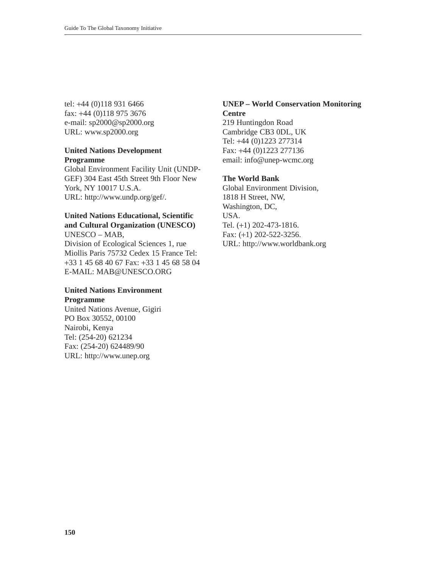tel: +44 (0)118 931 6466 fax: +44 (0)118 975 3676 e-mail: sp2000@sp2000.org URL: www.sp2000.org

## **United Nations Development Programme**

Global Environment Facility Unit (UNDP-GEF) 304 East 45th Street 9th Floor New York, NY 10017 U.S.A. URL: http://www.undp.org/gef/.

## **United Nations Educational, Scientific and Cultural Organization (UNESCO)** UNESCO – MAB,

Division of Ecological Sciences 1, rue Miollis Paris 75732 Cedex 15 France Tel: +33 1 45 68 40 67 Fax: +33 1 45 68 58 04 E-MAIL: MAB@UNESCO.ORG

## **United Nations Environment Programme**

United Nations Avenue, Gigiri PO Box 30552, 00100 Nairobi, Kenya Tel: (254-20) 621234 Fax: (254-20) 624489/90 URL: http://www.unep.org

# **UNEP – World Conservation Monitoring Centre**

219 Huntingdon Road Cambridge CB3 0DL, UK Tel: +44 (0)1223 277314 Fax: +44 (0)1223 277136 email: info@unep-wcmc.org

## **The World Bank**

Global Environment Division, 1818 H Street, NW, Washington, DC, USA. Tel. (+1) 202-473-1816. Fax: (+1) 202-522-3256. URL: http://www.worldbank.org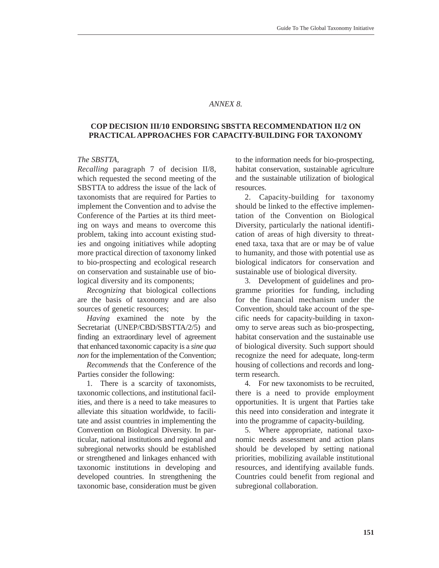#### *ANNEX 8.*

# **COP DECISION III/10 ENDORSING SBSTTA RECOMMENDATION II/2 ON PRACTICAL APPROACHES FOR CAPACITY-BUILDING FOR TAXONOMY**

#### *The SBSTTA,*

*Recalling* paragraph 7 of decision II/8, which requested the second meeting of the SBSTTA to address the issue of the lack of taxonomists that are required for Parties to implement the Convention and to advise the Conference of the Parties at its third meeting on ways and means to overcome this problem, taking into account existing studies and ongoing initiatives while adopting more practical direction of taxonomy linked to bio-prospecting and ecological research on conservation and sustainable use of biological diversity and its components;

*Recognizing* that biological collections are the basis of taxonomy and are also sources of genetic resources;

*Having* examined the note by the Secretariat (UNEP/CBD/SBSTTA/2/5) and finding an extraordinary level of agreement that enhanced taxonomic capacity is a *sine qua non* for the implementation of the Convention;

*Recommends* that the Conference of the Parties consider the following:

1. There is a scarcity of taxonomists, taxonomic collections, and institutional facilities, and there is a need to take measures to alleviate this situation worldwide, to facilitate and assist countries in implementing the Convention on Biological Diversity. In particular, national institutions and regional and subregional networks should be established or strengthened and linkages enhanced with taxonomic institutions in developing and developed countries. In strengthening the taxonomic base, consideration must be given to the information needs for bio-prospecting, habitat conservation, sustainable agriculture and the sustainable utilization of biological resources.

2. Capacity-building for taxonomy should be linked to the effective implementation of the Convention on Biological Diversity, particularly the national identification of areas of high diversity to threatened taxa, taxa that are or may be of value to humanity, and those with potential use as biological indicators for conservation and sustainable use of biological diversity.

3. Development of guidelines and programme priorities for funding, including for the financial mechanism under the Convention, should take account of the specific needs for capacity-building in taxonomy to serve areas such as bio-prospecting, habitat conservation and the sustainable use of biological diversity. Such support should recognize the need for adequate, long-term housing of collections and records and longterm research.

4. For new taxonomists to be recruited, there is a need to provide employment opportunities. It is urgent that Parties take this need into consideration and integrate it into the programme of capacity-building.

5. Where appropriate, national taxonomic needs assessment and action plans should be developed by setting national priorities, mobilizing available institutional resources, and identifying available funds. Countries could benefit from regional and subregional collaboration.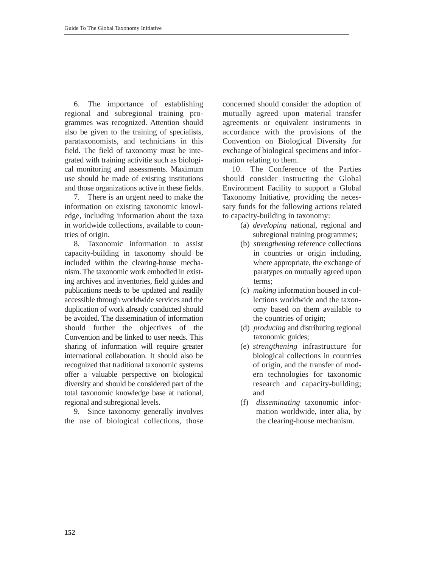6. The importance of establishing regional and subregional training programmes was recognized. Attention should also be given to the training of specialists, parataxonomists, and technicians in this field. The field of taxonomy must be integrated with training activitie such as biological monitoring and assessments. Maximum use should be made of existing institutions and those organizations active in these fields.

7. There is an urgent need to make the information on existing taxonomic knowledge, including information about the taxa in worldwide collections, available to countries of origin.

8. Taxonomic information to assist capacity-building in taxonomy should be included within the clearing-house mechanism. The taxonomic work embodied in existing archives and inventories, field guides and publications needs to be updated and readily accessible through worldwide services and the duplication of work already conducted should be avoided. The dissemination of information should further the objectives of the Convention and be linked to user needs. This sharing of information will require greater international collaboration. It should also be recognized that traditional taxonomic systems offer a valuable perspective on biological diversity and should be considered part of the total taxonomic knowledge base at national, regional and subregional levels.

9. Since taxonomy generally involves the use of biological collections, those concerned should consider the adoption of mutually agreed upon material transfer agreements or equivalent instruments in accordance with the provisions of the Convention on Biological Diversity for exchange of biological specimens and information relating to them.

10. The Conference of the Parties should consider instructing the Global Environment Facility to support a Global Taxonomy Initiative, providing the necessary funds for the following actions related to capacity-building in taxonomy:

- (a) *developing* national, regional and subregional training programmes;
- (b) *strengthening* reference collections in countries or origin including, where appropriate, the exchange of paratypes on mutually agreed upon terms;
- (c) *making* information housed in collections worldwide and the taxonomy based on them available to the countries of origin;
- (d) *producing* and distributing regional taxonomic guides;
- (e) *strengthening* infrastructure for biological collections in countries of origin, and the transfer of modern technologies for taxonomic research and capacity-building; and
- (f) *disseminating* taxonomic information worldwide, inter alia, by the clearing-house mechanism.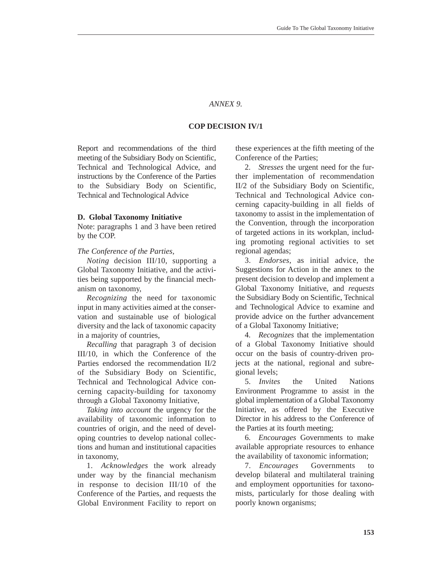#### *ANNEX 9.*

#### **COP DECISION IV/1**

Report and recommendations of the third meeting of the Subsidiary Body on Scientific, Technical and Technological Advice, and instructions by the Conference of the Parties to the Subsidiary Body on Scientific, Technical and Technological Advice

#### **D. Global Taxonomy Initiative**

Note: paragraphs 1 and 3 have been retired by the COP.

#### *The Conference of the Parties,*

*Noting* decision III/10, supporting a Global Taxonomy Initiative, and the activities being supported by the financial mechanism on taxonomy,

*Recognizing* the need for taxonomic input in many activities aimed at the conservation and sustainable use of biological diversity and the lack of taxonomic capacity in a majority of countries,

*Recalling* that paragraph 3 of decision III/10, in which the Conference of the Parties endorsed the recommendation II/2 of the Subsidiary Body on Scientific, Technical and Technological Advice concerning capacity-building for taxonomy through a Global Taxonomy Initiative,

*Taking into account* the urgency for the availability of taxonomic information to countries of origin, and the need of developing countries to develop national collections and human and institutional capacities in taxonomy,

1. *Acknowledges* the work already under way by the financial mechanism in response to decision III/10 of the Conference of the Parties, and requests the Global Environment Facility to report on

these experiences at the fifth meeting of the Conference of the Parties;

2. *Stresses* the urgent need for the further implementation of recommendation II/2 of the Subsidiary Body on Scientific, Technical and Technological Advice concerning capacity-building in all fields of taxonomy to assist in the implementation of the Convention, through the incorporation of targeted actions in its workplan, including promoting regional activities to set regional agendas;

3. *Endorses*, as initial advice, the Suggestions for Action in the annex to the present decision to develop and implement a Global Taxonomy Initiative, and *requests* the Subsidiary Body on Scientific, Technical and Technological Advice to examine and provide advice on the further advancement of a Global Taxonomy Initiative;

4. *Recognizes* that the implementation of a Global Taxonomy Initiative should occur on the basis of country-driven projects at the national, regional and subregional levels;

5. *Invites* the United Nations Environment Programme to assist in the global implementation of a Global Taxonomy Initiative, as offered by the Executive Director in his address to the Conference of the Parties at its fourth meeting;

6. *Encourages* Governments to make available appropriate resources to enhance the availability of taxonomic information;

7. *Encourages* Governments to develop bilateral and multilateral training and employment opportunities for taxonomists, particularly for those dealing with poorly known organisms;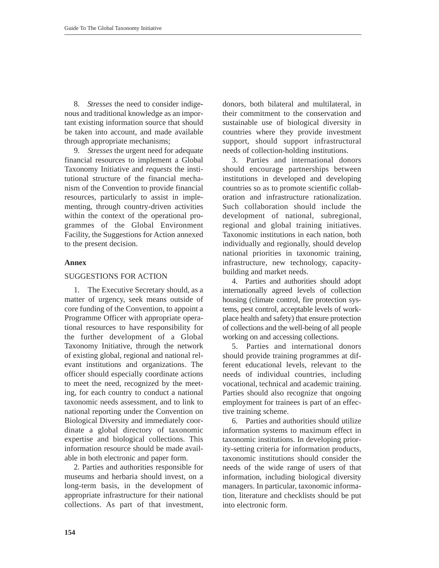8. *Stresses* the need to consider indigenous and traditional knowledge as an important existing information source that should be taken into account, and made available through appropriate mechanisms;

9. *Stresses* the urgent need for adequate financial resources to implement a Global Taxonomy Initiative and *requests* the institutional structure of the financial mechanism of the Convention to provide financial resources, particularly to assist in implementing, through country-driven activities within the context of the operational programmes of the Global Environment Facility, the Suggestions for Action annexed to the present decision.

## **Annex**

## SUGGESTIONS FOR ACTION

1. The Executive Secretary should, as a matter of urgency, seek means outside of core funding of the Convention, to appoint a Programme Officer with appropriate operational resources to have responsibility for the further development of a Global Taxonomy Initiative, through the network of existing global, regional and national relevant institutions and organizations. The officer should especially coordinate actions to meet the need, recognized by the meeting, for each country to conduct a national taxonomic needs assessment, and to link to national reporting under the Convention on Biological Diversity and immediately coordinate a global directory of taxonomic expertise and biological collections. This information resource should be made available in both electronic and paper form.

2. Parties and authorities responsible for museums and herbaria should invest, on a long-term basis, in the development of appropriate infrastructure for their national collections. As part of that investment, donors, both bilateral and multilateral, in their commitment to the conservation and sustainable use of biological diversity in countries where they provide investment support, should support infrastructural needs of collection-holding institutions.

3. Parties and international donors should encourage partnerships between institutions in developed and developing countries so as to promote scientific collaboration and infrastructure rationalization. Such collaboration should include the development of national, subregional, regional and global training initiatives. Taxonomic institutions in each nation, both individually and regionally, should develop national priorities in taxonomic training, infrastructure, new technology, capacitybuilding and market needs.

4. Parties and authorities should adopt internationally agreed levels of collection housing (climate control, fire protection systems, pest control, acceptable levels of workplace health and safety) that ensure protection of collections and the well-being of all people working on and accessing collections.

5. Parties and international donors should provide training programmes at different educational levels, relevant to the needs of individual countries, including vocational, technical and academic training. Parties should also recognize that ongoing employment for trainees is part of an effective training scheme.

6. Parties and authorities should utilize information systems to maximum effect in taxonomic institutions. In developing priority-setting criteria for information products, taxonomic institutions should consider the needs of the wide range of users of that information, including biological diversity managers. In particular, taxonomic information, literature and checklists should be put into electronic form.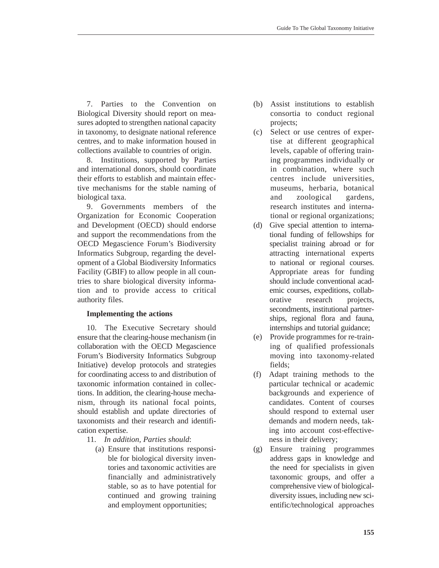7. Parties to the Convention on Biological Diversity should report on measures adopted to strengthen national capacity in taxonomy, to designate national reference centres, and to make information housed in collections available to countries of origin.

8. Institutions, supported by Parties and international donors, should coordinate their efforts to establish and maintain effective mechanisms for the stable naming of biological taxa.

9. Governments members of the Organization for Economic Cooperation and Development (OECD) should endorse and support the recommendations from the OECD Megascience Forum's Biodiversity Informatics Subgroup, regarding the development of a Global Biodiversity Informatics Facility (GBIF) to allow people in all countries to share biological diversity information and to provide access to critical authority files.

# **Implementing the actions**

10. The Executive Secretary should ensure that the clearing-house mechanism (in collaboration with the OECD Megascience Forum's Biodiversity Informatics Subgroup Initiative) develop protocols and strategies for coordinating access to and distribution of taxonomic information contained in collections. In addition, the clearing-house mechanism, through its national focal points, should establish and update directories of taxonomists and their research and identification expertise.

- 11. *In addition, Parties should*:
	- (a) Ensure that institutions responsible for biological diversity inventories and taxonomic activities are financially and administratively stable, so as to have potential for continued and growing training and employment opportunities;
- (b) Assist institutions to establish consortia to conduct regional projects;
- (c) Select or use centres of expertise at different geographical levels, capable of offering training programmes individually or in combination, where such centres include universities, museums, herbaria, botanical and zoological gardens, research institutes and international or regional organizations;
- (d) Give special attention to international funding of fellowships for specialist training abroad or for attracting international experts to national or regional courses. Appropriate areas for funding should include conventional academic courses, expeditions, collaborative research projects, secondments, institutional partnerships, regional flora and fauna, internships and tutorial guidance;
- (e) Provide programmes for re-training of qualified professionals moving into taxonomy-related fields;
- (f) Adapt training methods to the particular technical or academic backgrounds and experience of candidates. Content of courses should respond to external user demands and modern needs, taking into account cost-effectiveness in their delivery;
- (g) Ensure training programmes address gaps in knowledge and the need for specialists in given taxonomic groups, and offer a comprehensive view of biologicaldiversity issues, including new scientific/technological approaches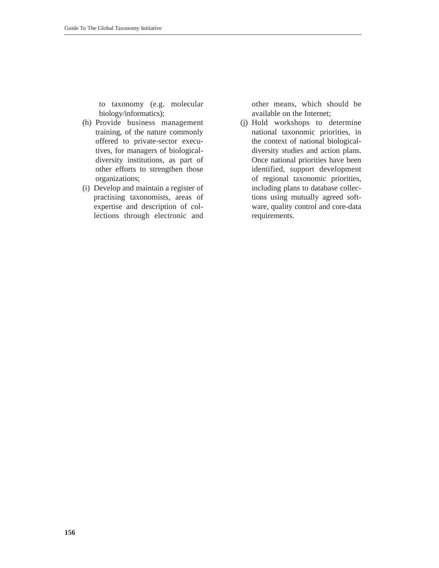to taxonomy (e.g. molecular biology/informatics);

- (h) Provide business management training, of the nature commonly offered to private-sector executives, for managers of biologicaldiversity institutions, as part of other efforts to strengthen those organizations;
- (i) Develop and maintain a register of practising taxonomists, areas of expertise and description of collections through electronic and

other means, which should be available on the Internet;

(j) Hold workshops to determine national taxonomic priorities, in the context of national biologicaldiversity studies and action plans. Once national priorities have been identified, support development of regional taxonomic priorities, including plans to database collections using mutually agreed software, quality control and core-data requirements.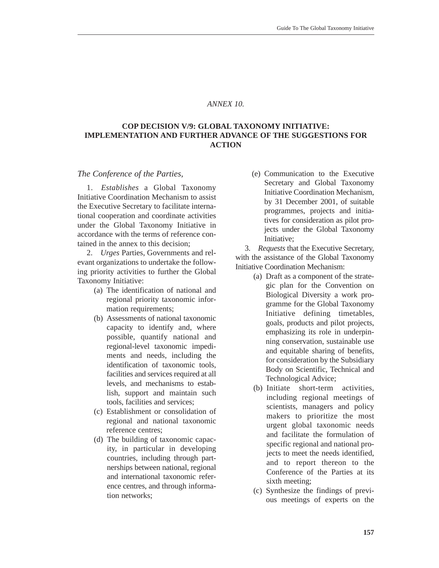#### *ANNEX 10.*

## **COP DECISION V/9: GLOBAL TAXONOMY INITIATIVE: IMPLEMENTATION AND FURTHER ADVANCE OF THE SUGGESTIONS FOR ACTION**

#### *The Conference of the Parties,*

1. *Establishes* a Global Taxonomy Initiative Coordination Mechanism to assist the Executive Secretary to facilitate international cooperation and coordinate activities under the Global Taxonomy Initiative in accordance with the terms of reference contained in the annex to this decision;

2. *Urges* Parties, Governments and relevant organizations to undertake the following priority activities to further the Global Taxonomy Initiative:

- (a) The identification of national and regional priority taxonomic information requirements;
- (b) Assessments of national taxonomic capacity to identify and, where possible, quantify national and regional-level taxonomic impediments and needs, including the identification of taxonomic tools, facilities and services required at all levels, and mechanisms to establish, support and maintain such tools, facilities and services;
- (c) Establishment or consolidation of regional and national taxonomic reference centres;
- (d) The building of taxonomic capacity, in particular in developing countries, including through partnerships between national, regional and international taxonomic reference centres, and through information networks;

(e) Communication to the Executive Secretary and Global Taxonomy Initiative Coordination Mechanism, by 31 December 2001, of suitable programmes, projects and initiatives for consideration as pilot projects under the Global Taxonomy Initiative;

3. *Requests* that the Executive Secretary, with the assistance of the Global Taxonomy Initiative Coordination Mechanism:

- (a) Draft as a component of the strategic plan for the Convention on Biological Diversity a work programme for the Global Taxonomy Initiative defining timetables, goals, products and pilot projects, emphasizing its role in underpinning conservation, sustainable use and equitable sharing of benefits, for consideration by the Subsidiary Body on Scientific, Technical and Technological Advice;
- (b) Initiate short-term activities, including regional meetings of scientists, managers and policy makers to prioritize the most urgent global taxonomic needs and facilitate the formulation of specific regional and national projects to meet the needs identified, and to report thereon to the Conference of the Parties at its sixth meeting;
- (c) Synthesize the findings of previous meetings of experts on the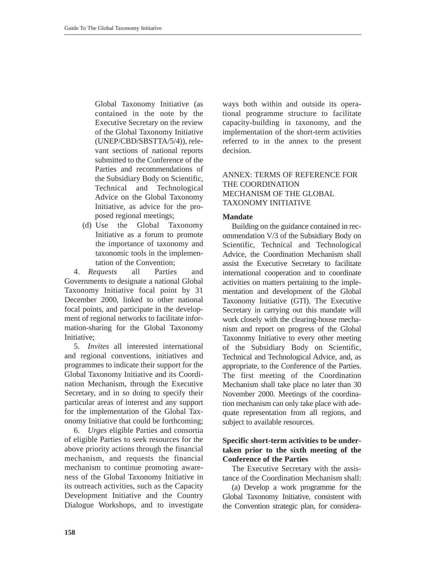Global Taxonomy Initiative (as contained in the note by the Executive Secretary on the review of the Global Taxonomy Initiative (UNEP/CBD/SBSTTA/5/4)), relevant sections of national reports submitted to the Conference of the Parties and recommendations of the Subsidiary Body on Scientific, Technical and Technological Advice on the Global Taxonomy Initiative, as advice for the proposed regional meetings;

(d) Use the Global Taxonomy Initiative as a forum to promote the importance of taxonomy and taxonomic tools in the implementation of the Convention;

4. *Requests* all Parties and Governments to designate a national Global Taxonomy Initiative focal point by 31 December 2000, linked to other national focal points, and participate in the development of regional networks to facilitate information-sharing for the Global Taxonomy Initiative;

5. *Invites* all interested international and regional conventions, initiatives and programmes to indicate their support for the Global Taxonomy Initiative and its Coordination Mechanism, through the Executive Secretary, and in so doing to specify their particular areas of interest and any support for the implementation of the Global Taxonomy Initiative that could be forthcoming;

6. *Urges* eligible Parties and consortia of eligible Parties to seek resources for the above priority actions through the financial mechanism, and requests the financial mechanism to continue promoting awareness of the Global Taxonomy Initiative in its outreach activities, such as the Capacity Development Initiative and the Country Dialogue Workshops, and to investigate

ways both within and outside its operational programme structure to facilitate capacity-building in taxonomy, and the implementation of the short-term activities referred to in the annex to the present decision.

# ANNEX: TERMS OF REFERENCE FOR THE COORDINATION MECHANISM OF THE GLOBAL TAXONOMY INITIATIVE

## **Mandate**

Building on the guidance contained in recommendation V/3 of the Subsidiary Body on Scientific, Technical and Technological Advice, the Coordination Mechanism shall assist the Executive Secretary to facilitate international cooperation and to coordinate activities on matters pertaining to the implementation and development of the Global Taxonomy Initiative (GTI). The Executive Secretary in carrying out this mandate will work closely with the clearing-house mechanism and report on progress of the Global Taxonomy Initiative to every other meeting of the Subsidiary Body on Scientific, Technical and Technological Advice, and, as appropriate, to the Conference of the Parties. The first meeting of the Coordination Mechanism shall take place no later than 30 November 2000. Meetings of the coordination mechanism can only take place with adequate representation from all regions, and subject to available resources.

# **Specific short-term activities to be undertaken prior to the sixth meeting of the Conference of the Parties**

The Executive Secretary with the assistance of the Coordination Mechanism shall:

(a) Develop a work programme for the Global Taxonomy Initiative, consistent with the Convention strategic plan, for considera-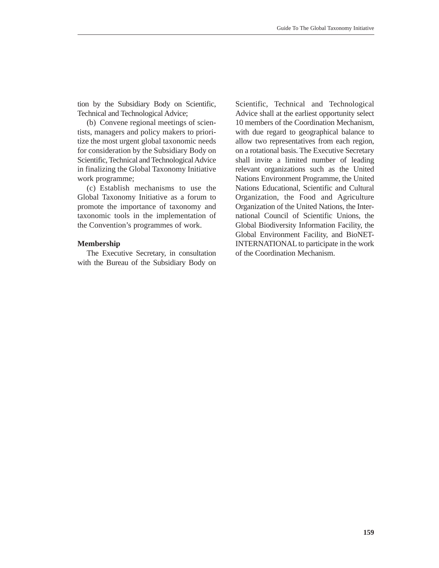tion by the Subsidiary Body on Scientific, Technical and Technological Advice;

(b) Convene regional meetings of scientists, managers and policy makers to prioritize the most urgent global taxonomic needs for consideration by the Subsidiary Body on Scientific, Technical and Technological Advice in finalizing the Global Taxonomy Initiative work programme;

(c) Establish mechanisms to use the Global Taxonomy Initiative as a forum to promote the importance of taxonomy and taxonomic tools in the implementation of the Convention's programmes of work.

#### **Membership**

The Executive Secretary, in consultation with the Bureau of the Subsidiary Body on Scientific, Technical and Technological Advice shall at the earliest opportunity select 10 members of the Coordination Mechanism, with due regard to geographical balance to allow two representatives from each region, on a rotational basis. The Executive Secretary shall invite a limited number of leading relevant organizations such as the United Nations Environment Programme, the United Nations Educational, Scientific and Cultural Organization, the Food and Agriculture Organization of the United Nations, the International Council of Scientific Unions, the Global Biodiversity Information Facility, the Global Environment Facility, and BioNET-INTERNATIONAL to participate in the work of the Coordination Mechanism.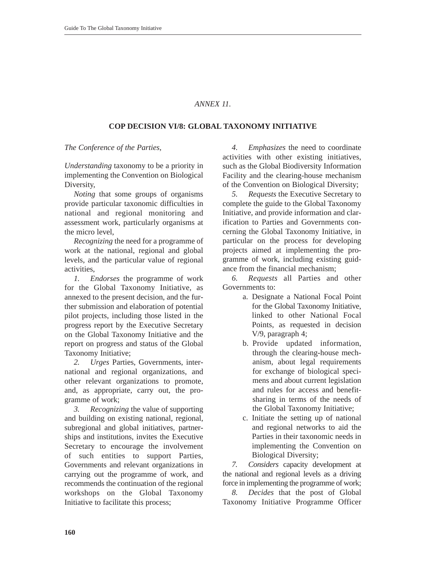# *ANNEX 11.*

## **COP DECISION VI/8: GLOBAL TAXONOMY INITIATIVE**

*The Conference of the Parties,* 

*Understanding* taxonomy to be a priority in implementing the Convention on Biological Diversity,

*Noting* that some groups of organisms provide particular taxonomic difficulties in national and regional monitoring and assessment work, particularly organisms at the micro level,

*Recognizing* the need for a programme of work at the national, regional and global levels, and the particular value of regional activities,

*1. Endorses* the programme of work for the Global Taxonomy Initiative, as annexed to the present decision, and the further submission and elaboration of potential pilot projects, including those listed in the progress report by the Executive Secretary on the Global Taxonomy Initiative and the report on progress and status of the Global Taxonomy Initiative;

*2. Urges* Parties, Governments, international and regional organizations, and other relevant organizations to promote, and, as appropriate, carry out, the programme of work;

*3. Recognizing* the value of supporting and building on existing national, regional, subregional and global initiatives, partnerships and institutions, invites the Executive Secretary to encourage the involvement of such entities to support Parties, Governments and relevant organizations in carrying out the programme of work, and recommends the continuation of the regional workshops on the Global Taxonomy Initiative to facilitate this process;

*4. Emphasizes* the need to coordinate activities with other existing initiatives, such as the Global Biodiversity Information Facility and the clearing-house mechanism of the Convention on Biological Diversity;

*5. Requests* the Executive Secretary to complete the guide to the Global Taxonomy Initiative, and provide information and clarification to Parties and Governments concerning the Global Taxonomy Initiative, in particular on the process for developing projects aimed at implementing the programme of work, including existing guidance from the financial mechanism;

*6. Requests* all Parties and other Governments to:

- a. Designate a National Focal Point for the Global Taxonomy Initiative, linked to other National Focal Points, as requested in decision V/9, paragraph 4;
- b. Provide updated information, through the clearing-house mechanism, about legal requirements for exchange of biological specimens and about current legislation and rules for access and benefitsharing in terms of the needs of the Global Taxonomy Initiative;
- c. Initiate the setting up of national and regional networks to aid the Parties in their taxonomic needs in implementing the Convention on Biological Diversity;

*7. Considers* capacity development at the national and regional levels as a driving force in implementing the programme of work;

*8. Decides* that the post of Global Taxonomy Initiative Programme Officer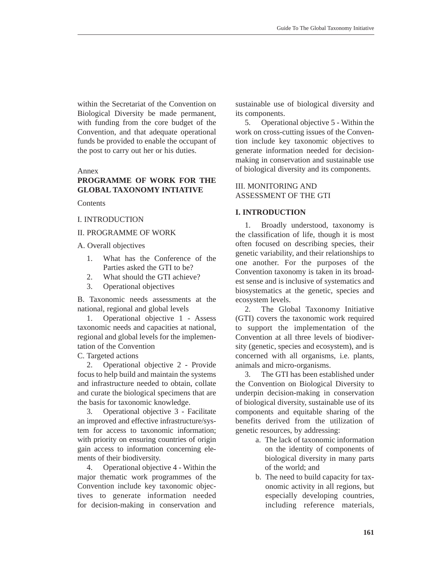within the Secretariat of the Convention on Biological Diversity be made permanent, with funding from the core budget of the Convention, and that adequate operational funds be provided to enable the occupant of the post to carry out her or his duties.

#### Annex

# **PROGRAMME OF WORK FOR THE GLOBAL TAXONOMY INTIATIVE**

**Contents** 

#### I. INTRODUCTION

#### II. PROGRAMME OF WORK

A. Overall objectives

- 1. What has the Conference of the Parties asked the GTI to be?
- 2. What should the GTI achieve?
- 3. Operational objectives

B. Taxonomic needs assessments at the national, regional and global levels

1. Operational objective 1 - Assess taxonomic needs and capacities at national, regional and global levels for the implementation of the Convention

C. Targeted actions

2. Operational objective 2 - Provide focus to help build and maintain the systems and infrastructure needed to obtain, collate and curate the biological specimens that are the basis for taxonomic knowledge.

3. Operational objective 3 - Facilitate an improved and effective infrastructure/system for access to taxonomic information; with priority on ensuring countries of origin gain access to information concerning elements of their biodiversity.

4. Operational objective 4 - Within the major thematic work programmes of the Convention include key taxonomic objectives to generate information needed for decision-making in conservation and sustainable use of biological diversity and its components.

5. Operational objective 5 - Within the work on cross-cutting issues of the Convention include key taxonomic objectives to generate information needed for decisionmaking in conservation and sustainable use of biological diversity and its components.

## III. MONITORING AND ASSESSMENT OF THE GTI

#### **I. INTRODUCTION**

1. Broadly understood, taxonomy is the classification of life, though it is most often focused on describing species, their genetic variability, and their relationships to one another. For the purposes of the Convention taxonomy is taken in its broadest sense and is inclusive of systematics and biosystematics at the genetic, species and ecosystem levels.

2. The Global Taxonomy Initiative (GTI) covers the taxonomic work required to support the implementation of the Convention at all three levels of biodiversity (genetic, species and ecosystem), and is concerned with all organisms, i.e. plants, animals and micro-organisms.

3. The GTI has been established under the Convention on Biological Diversity to underpin decision-making in conservation of biological diversity, sustainable use of its components and equitable sharing of the benefits derived from the utilization of genetic resources, by addressing:

- a. The lack of taxonomic information on the identity of components of biological diversity in many parts of the world; and
- b. The need to build capacity for taxonomic activity in all regions, but especially developing countries, including reference materials,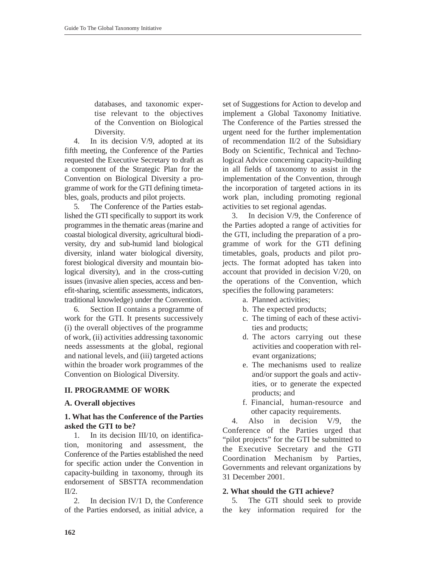databases, and taxonomic expertise relevant to the objectives of the Convention on Biological Diversity.

4. In its decision V/9, adopted at its fifth meeting, the Conference of the Parties requested the Executive Secretary to draft as a component of the Strategic Plan for the Convention on Biological Diversity a programme of work for the GTI defining timetables, goals, products and pilot projects.

5. The Conference of the Parties established the GTI specifically to support its work programmes in the thematic areas (marine and coastal biological diversity, agricultural biodiversity, dry and sub-humid land biological diversity, inland water biological diversity, forest biological diversity and mountain biological diversity), and in the cross-cutting issues (invasive alien species, access and benefit-sharing, scientific assessments, indicators, traditional knowledge) under the Convention.

6. Section II contains a programme of work for the GTI. It presents successively (i) the overall objectives of the programme of work, (ii) activities addressing taxonomic needs assessments at the global, regional and national levels, and (iii) targeted actions within the broader work programmes of the Convention on Biological Diversity.

# **II. PROGRAMME OF WORK**

## **A. Overall objectives**

## **1. What has the Conference of the Parties asked the GTI to be?**

1. In its decision III/10, on identification, monitoring and assessment, the Conference of the Parties established the need for specific action under the Convention in capacity-building in taxonomy, through its endorsement of SBSTTA recommendation  $II/2$ .

2. In decision IV/1 D, the Conference of the Parties endorsed, as initial advice, a set of Suggestions for Action to develop and implement a Global Taxonomy Initiative. The Conference of the Parties stressed the urgent need for the further implementation of recommendation II/2 of the Subsidiary Body on Scientific, Technical and Technological Advice concerning capacity-building in all fields of taxonomy to assist in the implementation of the Convention, through the incorporation of targeted actions in its work plan, including promoting regional activities to set regional agendas.

3. In decision V/9, the Conference of the Parties adopted a range of activities for the GTI, including the preparation of a programme of work for the GTI defining timetables, goals, products and pilot projects. The format adopted has taken into account that provided in decision V/20, on the operations of the Convention, which specifies the following parameters:

- a. Planned activities;
- b. The expected products;
- c. The timing of each of these activities and products;
- d. The actors carrying out these activities and cooperation with relevant organizations;
- e. The mechanisms used to realize and/or support the goals and activities, or to generate the expected products; and
- f. Financial, human-resource and other capacity requirements.

4. Also in decision V/9, the Conference of the Parties urged that "pilot projects" for the GTI be submitted to the Executive Secretary and the GTI Coordination Mechanism by Parties, Governments and relevant organizations by 31 December 2001.

## **2. What should the GTI achieve?**

5. The GTI should seek to provide the key information required for the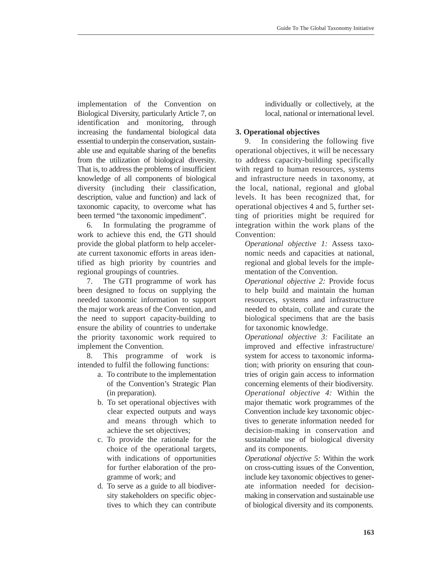implementation of the Convention on Biological Diversity, particularly Article 7, on identification and monitoring, through increasing the fundamental biological data essential to underpin the conservation, sustainable use and equitable sharing of the benefits from the utilization of biological diversity. That is, to address the problems of insufficient knowledge of all components of biological diversity (including their classification, description, value and function) and lack of taxonomic capacity, to overcome what has been termed "the taxonomic impediment".

6. In formulating the programme of work to achieve this end, the GTI should provide the global platform to help accelerate current taxonomic efforts in areas identified as high priority by countries and regional groupings of countries.

7. The GTI programme of work has been designed to focus on supplying the needed taxonomic information to support the major work areas of the Convention, and the need to support capacity-building to ensure the ability of countries to undertake the priority taxonomic work required to implement the Convention.

8. This programme of work is intended to fulfil the following functions:

- a. To contribute to the implementation of the Convention's Strategic Plan (in preparation).
- b. To set operational objectives with clear expected outputs and ways and means through which to achieve the set objectives;
- c. To provide the rationale for the choice of the operational targets, with indications of opportunities for further elaboration of the programme of work; and
- d. To serve as a guide to all biodiversity stakeholders on specific objectives to which they can contribute

individually or collectively, at the local, national or international level.

# **3. Operational objectives**

9. In considering the following five operational objectives, it will be necessary to address capacity-building specifically with regard to human resources, systems and infrastructure needs in taxonomy, at the local, national, regional and global levels. It has been recognized that, for operational objectives 4 and 5, further setting of priorities might be required for integration within the work plans of the Convention:

*Operational objective 1:* Assess taxonomic needs and capacities at national, regional and global levels for the implementation of the Convention.

*Operational objective 2:* Provide focus to help build and maintain the human resources, systems and infrastructure needed to obtain, collate and curate the biological specimens that are the basis for taxonomic knowledge.

*Operational objective 3:* Facilitate an improved and effective infrastructure/ system for access to taxonomic information; with priority on ensuring that countries of origin gain access to information concerning elements of their biodiversity. *Operational objective 4:* Within the major thematic work programmes of the Convention include key taxonomic objectives to generate information needed for decision-making in conservation and sustainable use of biological diversity and its components.

*Operational objective 5:* Within the work on cross-cutting issues of the Convention, include key taxonomic objectives to generate information needed for decisionmaking in conservation and sustainable use of biological diversity and its components.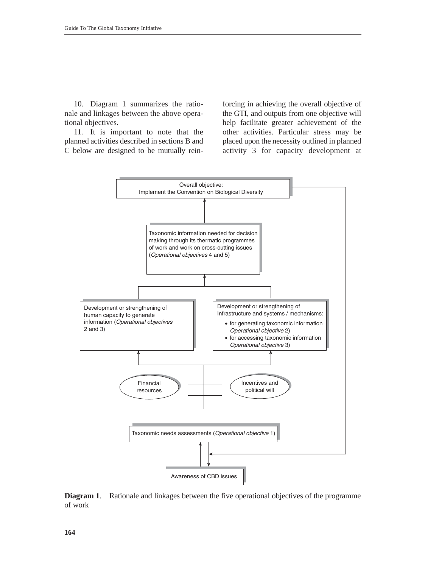10. Diagram 1 summarizes the rationale and linkages between the above operational objectives.

11. It is important to note that the planned activities described in sections B and C below are designed to be mutually rein-

forcing in achieving the overall objective of the GTI, and outputs from one objective will help facilitate greater achievement of the other activities. Particular stress may be placed upon the necessity outlined in planned activity 3 for capacity development at



**Diagram 1**. Rationale and linkages between the five operational objectives of the programme of work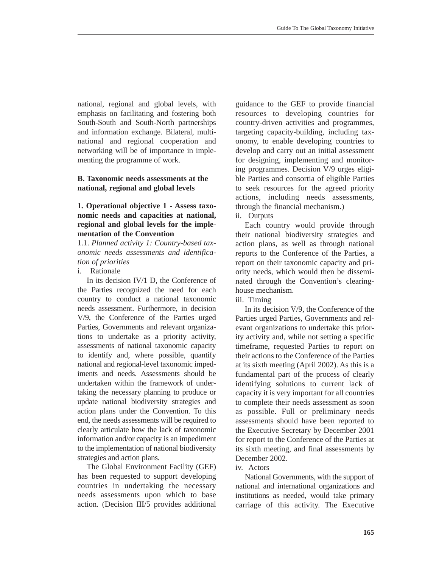national, regional and global levels, with emphasis on facilitating and fostering both South-South and South-North partnerships and information exchange. Bilateral, multinational and regional cooperation and networking will be of importance in implementing the programme of work.

## **B. Taxonomic needs assessments at the national, regional and global levels**

## **1. Operational objective 1 - Assess taxonomic needs and capacities at national, regional and global levels for the implementation of the Convention**

1.1. *Planned activity 1: Country-based taxonomic needs assessments and identification of priorities*

i. Rationale

In its decision IV/1 D, the Conference of the Parties recognized the need for each country to conduct a national taxonomic needs assessment. Furthermore, in decision V/9, the Conference of the Parties urged Parties, Governments and relevant organizations to undertake as a priority activity, assessments of national taxonomic capacity to identify and, where possible, quantify national and regional-level taxonomic impediments and needs. Assessments should be undertaken within the framework of undertaking the necessary planning to produce or update national biodiversity strategies and action plans under the Convention. To this end, the needs assessments will be required to clearly articulate how the lack of taxonomic information and/or capacity is an impediment to the implementation of national biodiversity strategies and action plans.

The Global Environment Facility (GEF) has been requested to support developing countries in undertaking the necessary needs assessments upon which to base action. (Decision III/5 provides additional guidance to the GEF to provide financial resources to developing countries for country-driven activities and programmes, targeting capacity-building, including taxonomy, to enable developing countries to develop and carry out an initial assessment for designing, implementing and monitoring programmes. Decision V/9 urges eligible Parties and consortia of eligible Parties to seek resources for the agreed priority actions, including needs assessments, through the financial mechanism.)

ii. Outputs

Each country would provide through their national biodiversity strategies and action plans, as well as through national reports to the Conference of the Parties, a report on their taxonomic capacity and priority needs, which would then be disseminated through the Convention's clearinghouse mechanism.

iii. Timing

In its decision V/9, the Conference of the Parties urged Parties, Governments and relevant organizations to undertake this priority activity and, while not setting a specific timeframe, requested Parties to report on their actions to the Conference of the Parties at its sixth meeting (April 2002). As this is a fundamental part of the process of clearly identifying solutions to current lack of capacity it is very important for all countries to complete their needs assessment as soon as possible. Full or preliminary needs assessments should have been reported to the Executive Secretary by December 2001 for report to the Conference of the Parties at its sixth meeting, and final assessments by December 2002.

iv. Actors

National Governments, with the support of national and international organizations and institutions as needed, would take primary carriage of this activity. The Executive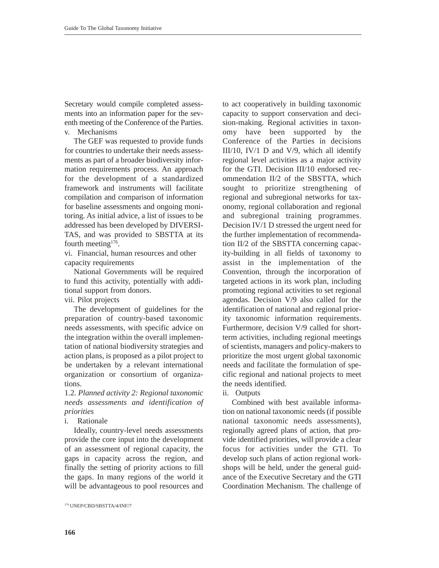Secretary would compile completed assessments into an information paper for the seventh meeting of the Conference of the Parties. v. Mechanisms

The GEF was requested to provide funds for countries to undertake their needs assessments as part of a broader biodiversity information requirements process. An approach for the development of a standardized framework and instruments will facilitate compilation and comparison of information for baseline assessments and ongoing monitoring. As initial advice, a list of issues to be addressed has been developed by DIVERSI-TAS, and was provided to SBSTTA at its fourth meeting $176$ .

vi. Financial, human resources and other capacity requirements

National Governments will be required to fund this activity, potentially with additional support from donors.

vii. Pilot projects

The development of guidelines for the preparation of country-based taxonomic needs assessments, with specific advice on the integration within the overall implementation of national biodiversity strategies and action plans, is proposed as a pilot project to be undertaken by a relevant international organization or consortium of organizations.

1.2. *Planned activity 2: Regional taxonomic needs assessments and identification of priorities* 

i. Rationale

Ideally, country-level needs assessments provide the core input into the development of an assessment of regional capacity, the gaps in capacity across the region, and finally the setting of priority actions to fill the gaps. In many regions of the world it will be advantageous to pool resources and

to act cooperatively in building taxonomic capacity to support conservation and decision-making. Regional activities in taxonomy have been supported by the Conference of the Parties in decisions III/10, IV/1 D and V/9, which all identify regional level activities as a major activity for the GTI. Decision III/10 endorsed recommendation II/2 of the SBSTTA, which sought to prioritize strengthening of regional and subregional networks for taxonomy, regional collaboration and regional and subregional training programmes. Decision IV/1 D stressed the urgent need for the further implementation of recommendation II/2 of the SBSTTA concerning capacity-building in all fields of taxonomy to assist in the implementation of the Convention, through the incorporation of targeted actions in its work plan, including promoting regional activities to set regional agendas. Decision V/9 also called for the identification of national and regional priority taxonomic information requirements. Furthermore, decision V/9 called for shortterm activities, including regional meetings of scientists, managers and policy-makers to prioritize the most urgent global taxonomic needs and facilitate the formulation of specific regional and national projects to meet the needs identified.

ii. Outputs

Combined with best available information on national taxonomic needs (if possible national taxonomic needs assessments), regionally agreed plans of action, that provide identified priorities, will provide a clear focus for activities under the GTI. To develop such plans of action regional workshops will be held, under the general guidance of the Executive Secretary and the GTI Coordination Mechanism. The challenge of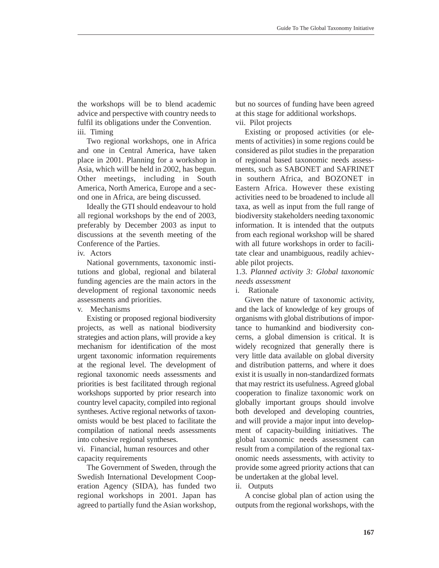the workshops will be to blend academic advice and perspective with country needs to fulfil its obligations under the Convention. iii. Timing

Two regional workshops, one in Africa and one in Central America, have taken place in 2001. Planning for a workshop in Asia, which will be held in 2002, has begun. Other meetings, including in South America, North America, Europe and a second one in Africa, are being discussed.

Ideally the GTI should endeavour to hold all regional workshops by the end of 2003, preferably by December 2003 as input to discussions at the seventh meeting of the Conference of the Parties.

iv. Actors

National governments, taxonomic institutions and global, regional and bilateral funding agencies are the main actors in the development of regional taxonomic needs assessments and priorities.

v. Mechanisms

Existing or proposed regional biodiversity projects, as well as national biodiversity strategies and action plans, will provide a key mechanism for identification of the most urgent taxonomic information requirements at the regional level. The development of regional taxonomic needs assessments and priorities is best facilitated through regional workshops supported by prior research into country level capacity, compiled into regional syntheses. Active regional networks of taxonomists would be best placed to facilitate the compilation of national needs assessments into cohesive regional syntheses.

vi. Financial, human resources and other capacity requirements

The Government of Sweden, through the Swedish International Development Cooperation Agency (SIDA), has funded two regional workshops in 2001. Japan has agreed to partially fund the Asian workshop, but no sources of funding have been agreed at this stage for additional workshops. vii. Pilot projects

Existing or proposed activities (or elements of activities) in some regions could be considered as pilot studies in the preparation of regional based taxonomic needs assessments, such as SABONET and SAFRINET in southern Africa, and BOZONET in Eastern Africa. However these existing activities need to be broadened to include all taxa, as well as input from the full range of biodiversity stakeholders needing taxonomic information. It is intended that the outputs from each regional workshop will be shared with all future workshops in order to facilitate clear and unambiguous, readily achievable pilot projects.

1.3. *Planned activity 3: Global taxonomic needs assessment*

i. Rationale

Given the nature of taxonomic activity, and the lack of knowledge of key groups of organisms with global distributions of importance to humankind and biodiversity concerns, a global dimension is critical. It is widely recognized that generally there is very little data available on global diversity and distribution patterns, and where it does exist it is usually in non-standardized formats that may restrict its usefulness. Agreed global cooperation to finalize taxonomic work on globally important groups should involve both developed and developing countries, and will provide a major input into development of capacity-building initiatives. The global taxonomic needs assessment can result from a compilation of the regional taxonomic needs assessments, with activity to provide some agreed priority actions that can be undertaken at the global level.

ii. Outputs

A concise global plan of action using the outputs from the regional workshops, with the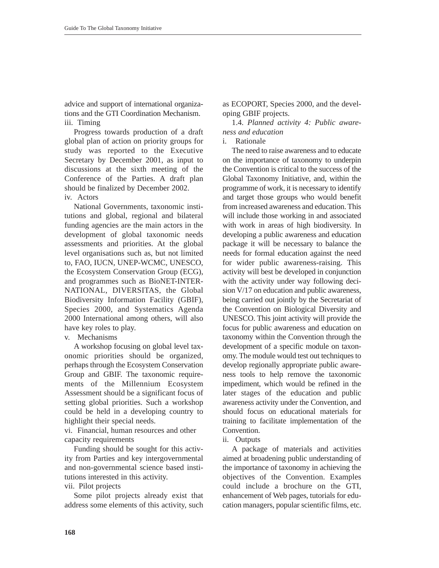advice and support of international organizations and the GTI Coordination Mechanism. iii. Timing

Progress towards production of a draft global plan of action on priority groups for study was reported to the Executive Secretary by December 2001, as input to discussions at the sixth meeting of the Conference of the Parties. A draft plan should be finalized by December 2002.

iv. Actors

National Governments, taxonomic institutions and global, regional and bilateral funding agencies are the main actors in the development of global taxonomic needs assessments and priorities. At the global level organisations such as, but not limited to, FAO, IUCN, UNEP-WCMC, UNESCO, the Ecosystem Conservation Group (ECG), and programmes such as BioNET-INTER-NATIONAL, DIVERSITAS, the Global Biodiversity Information Facility (GBIF), Species 2000, and Systematics Agenda 2000 International among others, will also have key roles to play.

v. Mechanisms

A workshop focusing on global level taxonomic priorities should be organized, perhaps through the Ecosystem Conservation Group and GBIF. The taxonomic requirements of the Millennium Ecosystem Assessment should be a significant focus of setting global priorities. Such a workshop could be held in a developing country to highlight their special needs.

vi. Financial, human resources and other capacity requirements

Funding should be sought for this activity from Parties and key intergovernmental and non-governmental science based institutions interested in this activity.

vii. Pilot projects

Some pilot projects already exist that address some elements of this activity, such as ECOPORT, Species 2000, and the developing GBIF projects.

1.4. *Planned activity 4: Public awareness and education*

i. Rationale

The need to raise awareness and to educate on the importance of taxonomy to underpin the Convention is critical to the success of the Global Taxonomy Initiative, and, within the programme of work, it is necessary to identify and target those groups who would benefit from increased awareness and education. This will include those working in and associated with work in areas of high biodiversity. In developing a public awareness and education package it will be necessary to balance the needs for formal education against the need for wider public awareness-raising. This activity will best be developed in conjunction with the activity under way following decision V/17 on education and public awareness, being carried out jointly by the Secretariat of the Convention on Biological Diversity and UNESCO. This joint activity will provide the focus for public awareness and education on taxonomy within the Convention through the development of a specific module on taxonomy. The module would test out techniques to develop regionally appropriate public awareness tools to help remove the taxonomic impediment, which would be refined in the later stages of the education and public awareness activity under the Convention, and should focus on educational materials for training to facilitate implementation of the Convention.

ii. Outputs

A package of materials and activities aimed at broadening public understanding of the importance of taxonomy in achieving the objectives of the Convention. Examples could include a brochure on the GTI, enhancement of Web pages, tutorials for education managers, popular scientific films, etc.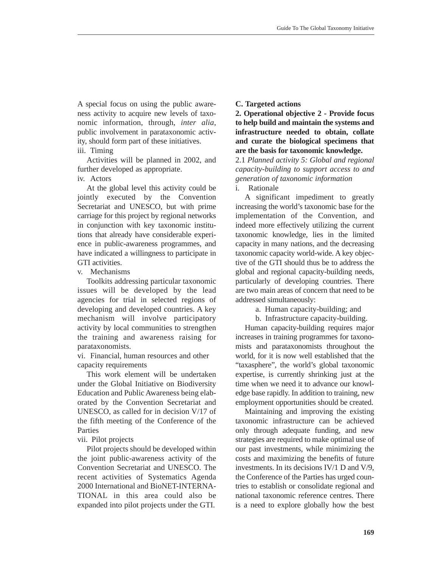A special focus on using the public awareness activity to acquire new levels of taxonomic information, through, *inter alia*, public involvement in parataxonomic activity, should form part of these initiatives.

#### iii. Timing

Activities will be planned in 2002, and further developed as appropriate.

iv. Actors

At the global level this activity could be jointly executed by the Convention Secretariat and UNESCO, but with prime carriage for this project by regional networks in conjunction with key taxonomic institutions that already have considerable experience in public-awareness programmes, and have indicated a willingness to participate in GTI activities.

v. Mechanisms

Toolkits addressing particular taxonomic issues will be developed by the lead agencies for trial in selected regions of developing and developed countries. A key mechanism will involve participatory activity by local communities to strengthen the training and awareness raising for parataxonomists.

vi. Financial, human resources and other capacity requirements

This work element will be undertaken under the Global Initiative on Biodiversity Education and Public Awareness being elaborated by the Convention Secretariat and UNESCO, as called for in decision V/17 of the fifth meeting of the Conference of the Parties

vii. Pilot projects

Pilot projects should be developed within the joint public-awareness activity of the Convention Secretariat and UNESCO. The recent activities of Systematics Agenda 2000 International and BioNET-INTERNA-TIONAL in this area could also be expanded into pilot projects under the GTI.

## **C. Targeted actions**

**2. Operational objective 2 - Provide focus to help build and maintain the systems and infrastructure needed to obtain, collate and curate the biological specimens that are the basis for taxonomic knowledge.** 

2.1 *Planned activity 5: Global and regional capacity-building to support access to and generation of taxonomic information*

i. Rationale

A significant impediment to greatly increasing the world's taxonomic base for the implementation of the Convention, and indeed more effectively utilizing the current taxonomic knowledge, lies in the limited capacity in many nations, and the decreasing taxonomic capacity world-wide. A key objective of the GTI should thus be to address the global and regional capacity-building needs, particularly of developing countries. There are two main areas of concern that need to be addressed simultaneously:

a. Human capacity-building; and

b. Infrastructure capacity-building.

Human capacity-building requires major increases in training programmes for taxonomists and parataxonomists throughout the world, for it is now well established that the "taxasphere", the world's global taxonomic expertise, is currently shrinking just at the time when we need it to advance our knowledge base rapidly. In addition to training, new employment opportunities should be created.

Maintaining and improving the existing taxonomic infrastructure can be achieved only through adequate funding, and new strategies are required to make optimal use of our past investments, while minimizing the costs and maximizing the benefits of future investments. In its decisions IV/1 D and V/9, the Conference of the Parties has urged countries to establish or consolidate regional and national taxonomic reference centres. There is a need to explore globally how the best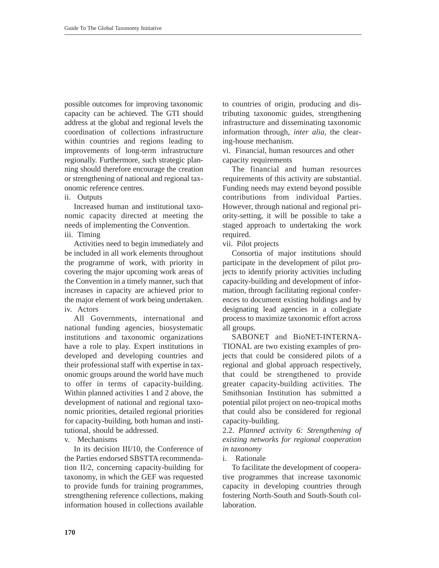possible outcomes for improving taxonomic capacity can be achieved. The GTI should address at the global and regional levels the coordination of collections infrastructure within countries and regions leading to improvements of long-term infrastructure regionally. Furthermore, such strategic planning should therefore encourage the creation or strengthening of national and regional taxonomic reference centres.

ii. Outputs

Increased human and institutional taxonomic capacity directed at meeting the needs of implementing the Convention. iii. Timing

Activities need to begin immediately and be included in all work elements throughout the programme of work, with priority in covering the major upcoming work areas of the Convention in a timely manner, such that increases in capacity are achieved prior to the major element of work being undertaken. iv. Actors

All Governments, international and national funding agencies, biosystematic institutions and taxonomic organizations have a role to play. Expert institutions in developed and developing countries and their professional staff with expertise in taxonomic groups around the world have much to offer in terms of capacity-building. Within planned activities 1 and 2 above, the development of national and regional taxonomic priorities, detailed regional priorities for capacity-building, both human and institutional, should be addressed.

v. Mechanisms

In its decision III/10, the Conference of the Parties endorsed SBSTTA recommendation II/2, concerning capacity-building for taxonomy, in which the GEF was requested to provide funds for training programmes, strengthening reference collections, making information housed in collections available to countries of origin, producing and distributing taxonomic guides, strengthening infrastructure and disseminating taxonomic information through, *inter alia*, the clearing-house mechanism.

vi. Financial, human resources and other capacity requirements

The financial and human resources requirements of this activity are substantial. Funding needs may extend beyond possible contributions from individual Parties. However, through national and regional priority-setting, it will be possible to take a staged approach to undertaking the work required.

vii. Pilot projects

Consortia of major institutions should participate in the development of pilot projects to identify priority activities including capacity-building and development of information, through facilitating regional conferences to document existing holdings and by designating lead agencies in a collegiate process to maximize taxonomic effort across all groups.

SABONET and BioNET-INTERNA-TIONAL are two existing examples of projects that could be considered pilots of a regional and global approach respectively, that could be strengthened to provide greater capacity-building activities. The Smithsonian Institution has submitted a potential pilot project on neo-tropical moths that could also be considered for regional capacity-building.

2.2. *Planned activity 6: Strengthening of existing networks for regional cooperation in taxonomy*

i. Rationale

To facilitate the development of cooperative programmes that increase taxonomic capacity in developing countries through fostering North-South and South-South collaboration.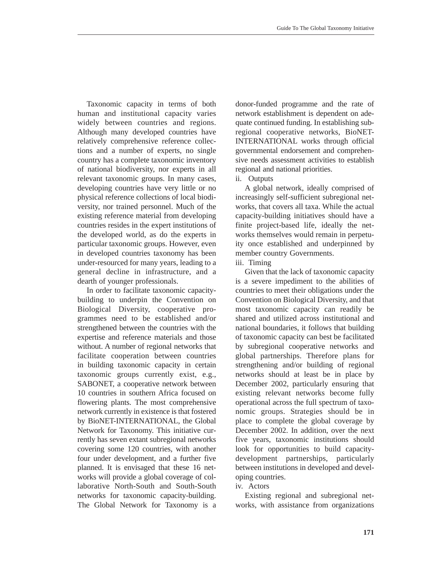Taxonomic capacity in terms of both human and institutional capacity varies widely between countries and regions. Although many developed countries have relatively comprehensive reference collections and a number of experts, no single country has a complete taxonomic inventory of national biodiversity, nor experts in all relevant taxonomic groups. In many cases, developing countries have very little or no physical reference collections of local biodiversity, nor trained personnel. Much of the existing reference material from developing countries resides in the expert institutions of the developed world, as do the experts in particular taxonomic groups. However, even in developed countries taxonomy has been under-resourced for many years, leading to a general decline in infrastructure, and a dearth of younger professionals.

In order to facilitate taxonomic capacitybuilding to underpin the Convention on Biological Diversity, cooperative programmes need to be established and/or strengthened between the countries with the expertise and reference materials and those without. A number of regional networks that facilitate cooperation between countries in building taxonomic capacity in certain taxonomic groups currently exist, e.g., SABONET, a cooperative network between 10 countries in southern Africa focused on flowering plants. The most comprehensive network currently in existence is that fostered by BioNET-INTERNATIONAL, the Global Network for Taxonomy. This initiative currently has seven extant subregional networks covering some 120 countries, with another four under development, and a further five planned. It is envisaged that these 16 networks will provide a global coverage of collaborative North-South and South-South networks for taxonomic capacity-building. The Global Network for Taxonomy is a donor-funded programme and the rate of network establishment is dependent on adequate continued funding. In establishing subregional cooperative networks, BioNET-INTERNATIONAL works through official governmental endorsement and comprehensive needs assessment activities to establish regional and national priorities.

ii. Outputs

A global network, ideally comprised of increasingly self-sufficient subregional networks, that covers all taxa. While the actual capacity-building initiatives should have a finite project-based life, ideally the networks themselves would remain in perpetuity once established and underpinned by member country Governments.

#### iii. Timing

Given that the lack of taxonomic capacity is a severe impediment to the abilities of countries to meet their obligations under the Convention on Biological Diversity, and that most taxonomic capacity can readily be shared and utilized across institutional and national boundaries, it follows that building of taxonomic capacity can best be facilitated by subregional cooperative networks and global partnerships. Therefore plans for strengthening and/or building of regional networks should at least be in place by December 2002, particularly ensuring that existing relevant networks become fully operational across the full spectrum of taxonomic groups. Strategies should be in place to complete the global coverage by December 2002. In addition, over the next five years, taxonomic institutions should look for opportunities to build capacitydevelopment partnerships, particularly between institutions in developed and developing countries.

## iv. Actors

Existing regional and subregional networks, with assistance from organizations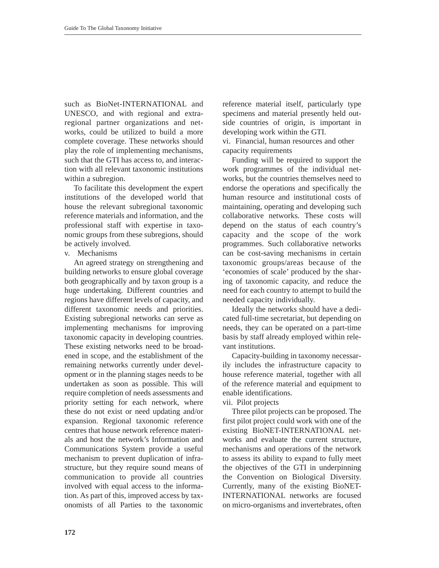such as BioNet-INTERNATIONAL and UNESCO, and with regional and extraregional partner organizations and networks, could be utilized to build a more complete coverage. These networks should play the role of implementing mechanisms, such that the GTI has access to, and interaction with all relevant taxonomic institutions within a subregion.

To facilitate this development the expert institutions of the developed world that house the relevant subregional taxonomic reference materials and information, and the professional staff with expertise in taxonomic groups from these subregions, should be actively involved.

### v. Mechanisms

An agreed strategy on strengthening and building networks to ensure global coverage both geographically and by taxon group is a huge undertaking. Different countries and regions have different levels of capacity, and different taxonomic needs and priorities. Existing subregional networks can serve as implementing mechanisms for improving taxonomic capacity in developing countries. These existing networks need to be broadened in scope, and the establishment of the remaining networks currently under development or in the planning stages needs to be undertaken as soon as possible. This will require completion of needs assessments and priority setting for each network, where these do not exist or need updating and/or expansion. Regional taxonomic reference centres that house network reference materials and host the network's Information and Communications System provide a useful mechanism to prevent duplication of infrastructure, but they require sound means of communication to provide all countries involved with equal access to the information. As part of this, improved access by taxonomists of all Parties to the taxonomic

reference material itself, particularly type specimens and material presently held outside countries of origin, is important in developing work within the GTI.

vi. Financial, human resources and other capacity requirements

Funding will be required to support the work programmes of the individual networks, but the countries themselves need to endorse the operations and specifically the human resource and institutional costs of maintaining, operating and developing such collaborative networks. These costs will depend on the status of each country's capacity and the scope of the work programmes. Such collaborative networks can be cost-saving mechanisms in certain taxonomic groups/areas because of the 'economies of scale' produced by the sharing of taxonomic capacity, and reduce the need for each country to attempt to build the needed capacity individually.

Ideally the networks should have a dedicated full-time secretariat, but depending on needs, they can be operated on a part-time basis by staff already employed within relevant institutions.

Capacity-building in taxonomy necessarily includes the infrastructure capacity to house reference material, together with all of the reference material and equipment to enable identifications.

vii. Pilot projects

Three pilot projects can be proposed. The first pilot project could work with one of the existing BioNET-INTERNATIONAL networks and evaluate the current structure, mechanisms and operations of the network to assess its ability to expand to fully meet the objectives of the GTI in underpinning the Convention on Biological Diversity. Currently, many of the existing BioNET-INTERNATIONAL networks are focused on micro-organisms and invertebrates, often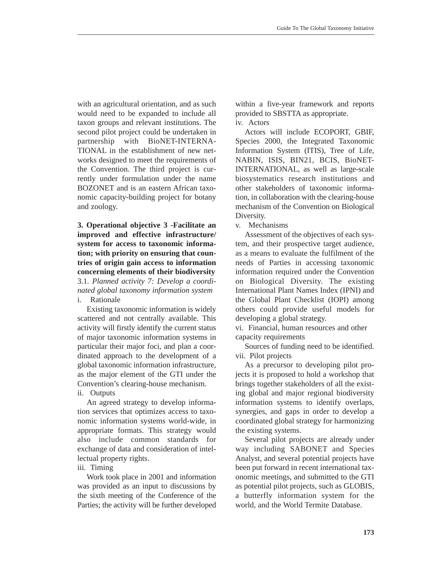with an agricultural orientation, and as such would need to be expanded to include all taxon groups and relevant institutions. The second pilot project could be undertaken in partnership with BioNET-INTERNA-TIONAL in the establishment of new networks designed to meet the requirements of the Convention. The third project is currently under formulation under the name BOZONET and is an eastern African taxonomic capacity-building project for botany and zoology.

**3. Operational objective 3 -Facilitate an improved and effective infrastructure/ system for access to taxonomic information; with priority on ensuring that countries of origin gain access to information concerning elements of their biodiversity**  3.1*. Planned activity 7: Develop a coordinated global taxonomy information system* i. Rationale

Existing taxonomic information is widely scattered and not centrally available. This activity will firstly identify the current status of major taxonomic information systems in particular their major foci, and plan a coordinated approach to the development of a global taxonomic information infrastructure, as the major element of the GTI under the Convention's clearing-house mechanism.

ii. Outputs

An agreed strategy to develop information services that optimizes access to taxonomic information systems world-wide, in appropriate formats. This strategy would also include common standards for exchange of data and consideration of intellectual property rights.

### iii. Timing

Work took place in 2001 and information was provided as an input to discussions by the sixth meeting of the Conference of the Parties; the activity will be further developed

within a five-year framework and reports provided to SBSTTA as appropriate. iv. Actors

Actors will include ECOPORT, GBIF, Species 2000, the Integrated Taxonomic Information System (ITIS), Tree of Life, NABIN, ISIS, BIN21, BCIS, BioNET-INTERNATIONAL, as well as large-scale biosystematics research institutions and other stakeholders of taxonomic information, in collaboration with the clearing-house mechanism of the Convention on Biological Diversity.

v. Mechanisms

Assessment of the objectives of each system, and their prospective target audience, as a means to evaluate the fulfilment of the needs of Parties in accessing taxonomic information required under the Convention on Biological Diversity. The existing International Plant Names Index (IPNI) and the Global Plant Checklist (IOPI) among others could provide useful models for developing a global strategy.

vi. Financial, human resources and other capacity requirements

Sources of funding need to be identified. vii. Pilot projects

As a precursor to developing pilot projects it is proposed to hold a workshop that brings together stakeholders of all the existing global and major regional biodiversity information systems to identify overlaps, synergies, and gaps in order to develop a coordinated global strategy for harmonizing the existing systems.

Several pilot projects are already under way including SABONET and Species Analyst, and several potential projects have been put forward in recent international taxonomic meetings, and submitted to the GTI as potential pilot projects, such as GLOBIS, a butterfly information system for the world, and the World Termite Database.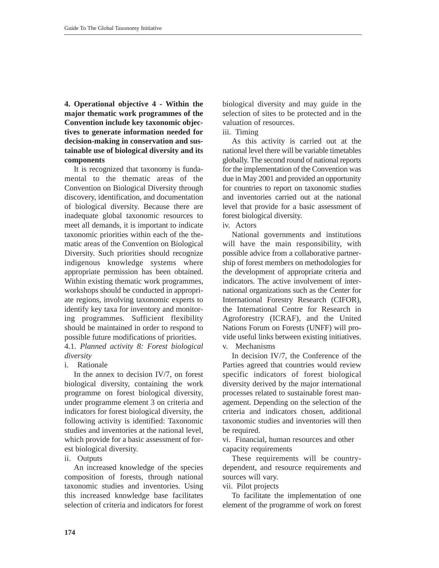**4. Operational objective 4 - Within the major thematic work programmes of the Convention include key taxonomic objectives to generate information needed for decision-making in conservation and sustainable use of biological diversity and its components** 

It is recognized that taxonomy is fundamental to the thematic areas of the Convention on Biological Diversity through discovery, identification, and documentation of biological diversity. Because there are inadequate global taxonomic resources to meet all demands, it is important to indicate taxonomic priorities within each of the thematic areas of the Convention on Biological Diversity. Such priorities should recognize indigenous knowledge systems where appropriate permission has been obtained. Within existing thematic work programmes, workshops should be conducted in appropriate regions, involving taxonomic experts to identify key taxa for inventory and monitoring programmes. Sufficient flexibility should be maintained in order to respond to possible future modifications of priorities.

4.1. *Planned activity 8: Forest biological diversity*

i. Rationale

In the annex to decision IV/7, on forest biological diversity, containing the work programme on forest biological diversity, under programme element 3 on criteria and indicators for forest biological diversity, the following activity is identified: Taxonomic studies and inventories at the national level, which provide for a basic assessment of forest biological diversity.

## ii. Outputs

An increased knowledge of the species composition of forests, through national taxonomic studies and inventories. Using this increased knowledge base facilitates selection of criteria and indicators for forest

biological diversity and may guide in the selection of sites to be protected and in the valuation of resources.

iii. Timing

As this activity is carried out at the national level there will be variable timetables globally. The second round of national reports for the implementation of the Convention was due in May 2001 and provided an opportunity for countries to report on taxonomic studies and inventories carried out at the national level that provide for a basic assessment of forest biological diversity.

## iv. Actors

National governments and institutions will have the main responsibility, with possible advice from a collaborative partnership of forest members on methodologies for the development of appropriate criteria and indicators. The active involvement of international organizations such as the Center for International Forestry Research (CIFOR), the International Centre for Research in Agroforestry (ICRAF), and the United Nations Forum on Forests (UNFF) will provide useful links between existing initiatives.

v. Mechanisms

In decision IV/7, the Conference of the Parties agreed that countries would review specific indicators of forest biological diversity derived by the major international processes related to sustainable forest management. Depending on the selection of the criteria and indicators chosen, additional taxonomic studies and inventories will then be required.

vi. Financial, human resources and other capacity requirements

These requirements will be countrydependent, and resource requirements and sources will vary.

vii. Pilot projects

To facilitate the implementation of one element of the programme of work on forest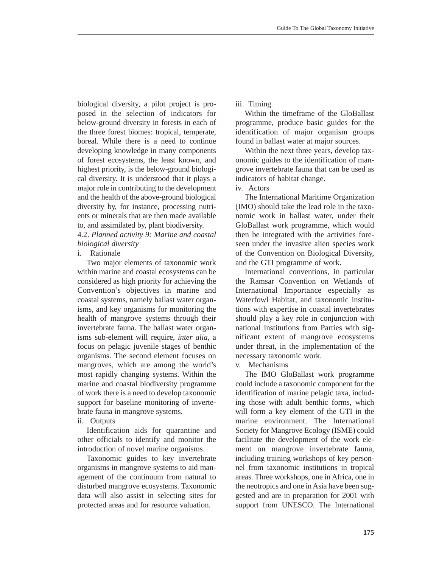biological diversity, a pilot project is proposed in the selection of indicators for below-ground diversity in forests in each of the three forest biomes: tropical, temperate, boreal. While there is a need to continue developing knowledge in many components of forest ecosystems, the least known, and highest priority, is the below-ground biological diversity. It is understood that it plays a major role in contributing to the development and the health of the above-ground biological diversity by, for instance, processing nutrients or minerals that are then made available to, and assimilated by, plant biodiversity.

4.2. *Planned activity 9: Marine and coastal biological diversity*

i. Rationale

Two major elements of taxonomic work within marine and coastal ecosystems can be considered as high priority for achieving the Convention's objectives in marine and coastal systems, namely ballast water organisms, and key organisms for monitoring the health of mangrove systems through their invertebrate fauna. The ballast water organisms sub-element will require, *inter alia*, a focus on pelagic juvenile stages of benthic organisms. The second element focuses on mangroves, which are among the world's most rapidly changing systems. Within the marine and coastal biodiversity programme of work there is a need to develop taxonomic support for baseline monitoring of invertebrate fauna in mangrove systems.

ii. Outputs

Identification aids for quarantine and other officials to identify and monitor the introduction of novel marine organisms.

Taxonomic guides to key invertebrate organisms in mangrove systems to aid management of the continuum from natural to disturbed mangrove ecosystems. Taxonomic data will also assist in selecting sites for protected areas and for resource valuation.

iii. Timing

Within the timeframe of the GloBallast programme, produce basic guides for the identification of major organism groups found in ballast water at major sources.

Within the next three years, develop taxonomic guides to the identification of mangrove invertebrate fauna that can be used as indicators of habitat change.

iv. Actors

The International Maritime Organization (IMO) should take the lead role in the taxonomic work in ballast water, under their GloBallast work programme, which would then be integrated with the activities foreseen under the invasive alien species work of the Convention on Biological Diversity, and the GTI programme of work.

International conventions, in particular the Ramsar Convention on Wetlands of International Importance especially as Waterfowl Habitat, and taxonomic institutions with expertise in coastal invertebrates should play a key role in conjunction with national institutions from Parties with significant extent of mangrove ecosystems under threat, in the implementation of the necessary taxonomic work.

v. Mechanisms

The IMO GloBallast work programme could include a taxonomic component for the identification of marine pelagic taxa, including those with adult benthic forms, which will form a key element of the GTI in the marine environment. The International Society for Mangrove Ecology (ISME) could facilitate the development of the work element on mangrove invertebrate fauna, including training workshops of key personnel from taxonomic institutions in tropical areas. Three workshops, one in Africa, one in the neotropics and one in Asia have been suggested and are in preparation for 2001 with support from UNESCO. The International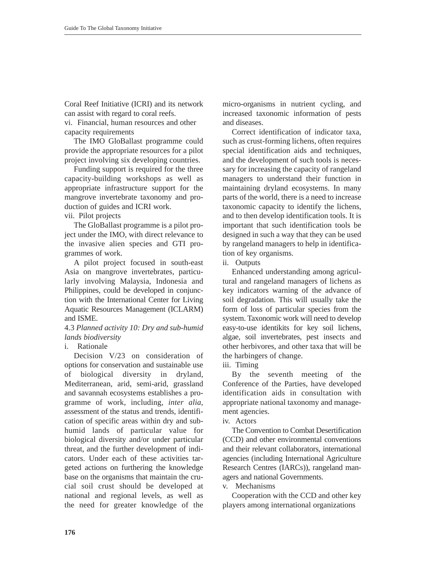Coral Reef Initiative (ICRI) and its network can assist with regard to coral reefs.

vi. Financial, human resources and other capacity requirements

The IMO GloBallast programme could provide the appropriate resources for a pilot project involving six developing countries.

Funding support is required for the three capacity-building workshops as well as appropriate infrastructure support for the mangrove invertebrate taxonomy and production of guides and ICRI work.

vii. Pilot projects

The GloBallast programme is a pilot project under the IMO, with direct relevance to the invasive alien species and GTI programmes of work.

A pilot project focused in south-east Asia on mangrove invertebrates, particularly involving Malaysia, Indonesia and Philippines, could be developed in conjunction with the International Center for Living Aquatic Resources Management (ICLARM) and ISME.

### 4.3 *Planned activity 10: Dry and sub-humid lands biodiversity*

Decision V/23 on consideration of options for conservation and sustainable use of biological diversity in dryland, Mediterranean, arid, semi-arid, grassland and savannah ecosystems establishes a programme of work, including, *inter alia*, assessment of the status and trends, identification of specific areas within dry and subhumid lands of particular value for biological diversity and/or under particular threat, and the further development of indicators. Under each of these activities targeted actions on furthering the knowledge base on the organisms that maintain the crucial soil crust should be developed at national and regional levels, as well as the need for greater knowledge of the micro-organisms in nutrient cycling, and increased taxonomic information of pests and diseases.

Correct identification of indicator taxa, such as crust-forming lichens, often requires special identification aids and techniques, and the development of such tools is necessary for increasing the capacity of rangeland managers to understand their function in maintaining dryland ecosystems. In many parts of the world, there is a need to increase taxonomic capacity to identify the lichens, and to then develop identification tools. It is important that such identification tools be designed in such a way that they can be used by rangeland managers to help in identification of key organisms.

ii. Outputs

Enhanced understanding among agricultural and rangeland managers of lichens as key indicators warning of the advance of soil degradation. This will usually take the form of loss of particular species from the system. Taxonomic work will need to develop easy-to-use identikits for key soil lichens, algae, soil invertebrates, pest insects and other herbivores, and other taxa that will be the harbingers of change.

iii. Timing

By the seventh meeting of the Conference of the Parties, have developed identification aids in consultation with appropriate national taxonomy and management agencies.

iv. Actors

The Convention to Combat Desertification (CCD) and other environmental conventions and their relevant collaborators, international agencies (including International Agriculture Research Centres (IARCs)), rangeland managers and national Governments.

v. Mechanisms

Cooperation with the CCD and other key players among international organizations

i. Rationale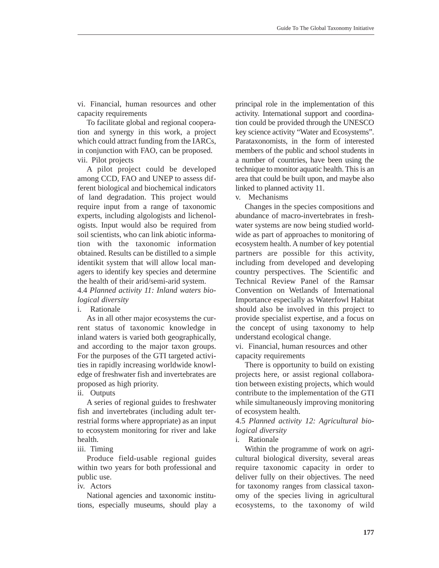vi. Financial, human resources and other capacity requirements

To facilitate global and regional cooperation and synergy in this work, a project which could attract funding from the IARCs, in conjunction with FAO, can be proposed. vii. Pilot projects

A pilot project could be developed among CCD, FAO and UNEP to assess different biological and biochemical indicators of land degradation. This project would require input from a range of taxonomic experts, including algologists and lichenologists. Input would also be required from soil scientists, who can link abiotic information with the taxonomic information obtained. Results can be distilled to a simple identikit system that will allow local managers to identify key species and determine the health of their arid/semi-arid system.

4.4 *Planned activity 11: Inland waters biological diversity*

i. Rationale

As in all other major ecosystems the current status of taxonomic knowledge in inland waters is varied both geographically, and according to the major taxon groups. For the purposes of the GTI targeted activities in rapidly increasing worldwide knowledge of freshwater fish and invertebrates are proposed as high priority.

ii. Outputs

A series of regional guides to freshwater fish and invertebrates (including adult terrestrial forms where appropriate) as an input to ecosystem monitoring for river and lake health.

iii. Timing

Produce field-usable regional guides within two years for both professional and public use.

iv. Actors

National agencies and taxonomic institutions, especially museums, should play a principal role in the implementation of this activity. International support and coordination could be provided through the UNESCO key science activity "Water and Ecosystems". Parataxonomists, in the form of interested members of the public and school students in a number of countries, have been using the technique to monitor aquatic health. This is an area that could be built upon, and maybe also linked to planned activity 11.

v. Mechanisms

Changes in the species compositions and abundance of macro-invertebrates in freshwater systems are now being studied worldwide as part of approaches to monitoring of ecosystem health. A number of key potential partners are possible for this activity, including from developed and developing country perspectives. The Scientific and Technical Review Panel of the Ramsar Convention on Wetlands of International Importance especially as Waterfowl Habitat should also be involved in this project to provide specialist expertise, and a focus on the concept of using taxonomy to help understand ecological change.

vi. Financial, human resources and other capacity requirements

There is opportunity to build on existing projects here, or assist regional collaboration between existing projects, which would contribute to the implementation of the GTI while simultaneously improving monitoring of ecosystem health.

4.5 *Planned activity 12: Agricultural biological diversity*

## i. Rationale

Within the programme of work on agricultural biological diversity, several areas require taxonomic capacity in order to deliver fully on their objectives. The need for taxonomy ranges from classical taxonomy of the species living in agricultural ecosystems, to the taxonomy of wild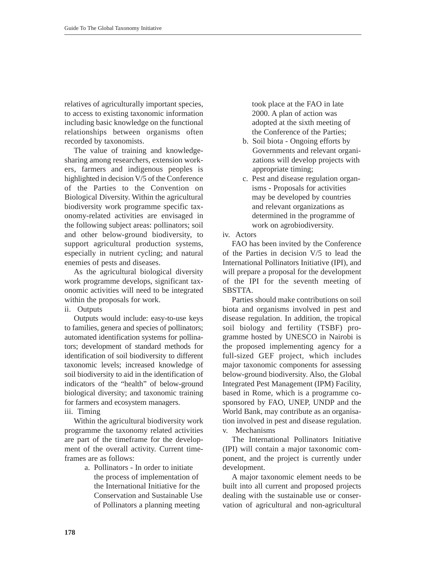relatives of agriculturally important species, to access to existing taxonomic information including basic knowledge on the functional relationships between organisms often recorded by taxonomists.

The value of training and knowledgesharing among researchers, extension workers, farmers and indigenous peoples is highlighted in decision V/5 of the Conference of the Parties to the Convention on Biological Diversity. Within the agricultural biodiversity work programme specific taxonomy-related activities are envisaged in the following subject areas: pollinators; soil and other below-ground biodiversity, to support agricultural production systems, especially in nutrient cycling; and natural enemies of pests and diseases.

As the agricultural biological diversity work programme develops, significant taxonomic activities will need to be integrated within the proposals for work.

ii. Outputs

Outputs would include: easy-to-use keys to families, genera and species of pollinators; automated identification systems for pollinators; development of standard methods for identification of soil biodiversity to different taxonomic levels; increased knowledge of soil biodiversity to aid in the identification of indicators of the "health" of below-ground biological diversity; and taxonomic training for farmers and ecosystem managers.

iii. Timing

Within the agricultural biodiversity work programme the taxonomy related activities are part of the timeframe for the development of the overall activity. Current timeframes are as follows:

> a. Pollinators - In order to initiate the process of implementation of the International Initiative for the Conservation and Sustainable Use of Pollinators a planning meeting

took place at the FAO in late 2000. A plan of action was adopted at the sixth meeting of the Conference of the Parties;

- b. Soil biota Ongoing efforts by Governments and relevant organizations will develop projects with appropriate timing;
- c. Pest and disease regulation organisms - Proposals for activities may be developed by countries and relevant organizations as determined in the programme of work on agrobiodiversity.
- iv. Actors

FAO has been invited by the Conference of the Parties in decision V/5 to lead the International Pollinators Initiative (IPI), and will prepare a proposal for the development of the IPI for the seventh meeting of SBSTTA.

Parties should make contributions on soil biota and organisms involved in pest and disease regulation. In addition, the tropical soil biology and fertility (TSBF) programme hosted by UNESCO in Nairobi is the proposed implementing agency for a full-sized GEF project, which includes major taxonomic components for assessing below-ground biodiversity. Also, the Global Integrated Pest Management (IPM) Facility, based in Rome, which is a programme cosponsored by FAO, UNEP, UNDP and the World Bank, may contribute as an organisation involved in pest and disease regulation. v. Mechanisms

The International Pollinators Initiative (IPI) will contain a major taxonomic component, and the project is currently under development.

A major taxonomic element needs to be built into all current and proposed projects dealing with the sustainable use or conservation of agricultural and non-agricultural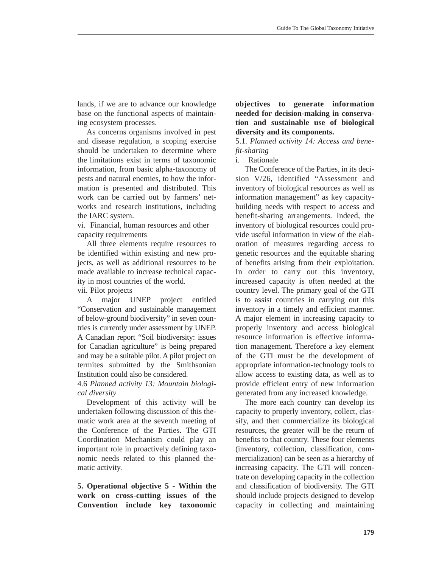lands, if we are to advance our knowledge base on the functional aspects of maintaining ecosystem processes.

As concerns organisms involved in pest and disease regulation, a scoping exercise should be undertaken to determine where the limitations exist in terms of taxonomic information, from basic alpha-taxonomy of pests and natural enemies, to how the information is presented and distributed. This work can be carried out by farmers' networks and research institutions, including the IARC system.

vi. Financial, human resources and other capacity requirements

All three elements require resources to be identified within existing and new projects, as well as additional resources to be made available to increase technical capacity in most countries of the world.

vii. Pilot projects

A major UNEP project entitled "Conservation and sustainable management of below-ground biodiversity" in seven countries is currently under assessment by UNEP. A Canadian report "Soil biodiversity: issues for Canadian agriculture" is being prepared and may be a suitable pilot. A pilot project on termites submitted by the Smithsonian Institution could also be considered.

4.6 *Planned activity 13: Mountain biological diversity* 

Development of this activity will be undertaken following discussion of this thematic work area at the seventh meeting of the Conference of the Parties. The GTI Coordination Mechanism could play an important role in proactively defining taxonomic needs related to this planned thematic activity.

**5. Operational objective 5 - Within the work on cross-cutting issues of the Convention include key taxonomic**

**objectives to generate information needed for decision-making in conservation and sustainable use of biological diversity and its components.** 

5.1. *Planned activity 14: Access and benefit-sharing*

### i. Rationale

The Conference of the Parties, in its decision V/26, identified "Assessment and inventory of biological resources as well as information management" as key capacitybuilding needs with respect to access and benefit-sharing arrangements. Indeed, the inventory of biological resources could provide useful information in view of the elaboration of measures regarding access to genetic resources and the equitable sharing of benefits arising from their exploitation. In order to carry out this inventory, increased capacity is often needed at the country level. The primary goal of the GTI is to assist countries in carrying out this inventory in a timely and efficient manner. A major element in increasing capacity to properly inventory and access biological resource information is effective information management. Therefore a key element of the GTI must be the development of appropriate information-technology tools to allow access to existing data, as well as to provide efficient entry of new information generated from any increased knowledge.

The more each country can develop its capacity to properly inventory, collect, classify, and then commercialize its biological resources, the greater will be the return of benefits to that country. These four elements (inventory, collection, classification, commercialization) can be seen as a hierarchy of increasing capacity. The GTI will concentrate on developing capacity in the collection and classification of biodiversity. The GTI should include projects designed to develop capacity in collecting and maintaining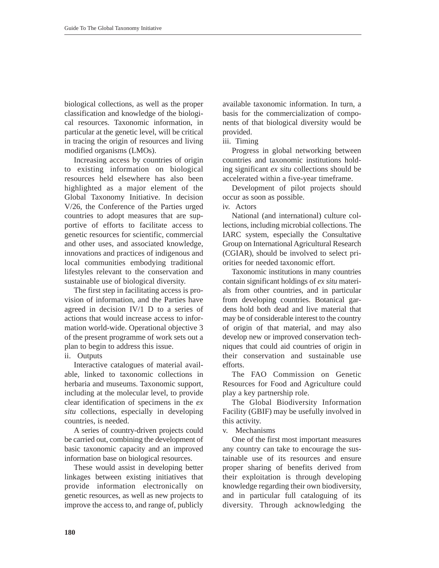biological collections, as well as the proper classification and knowledge of the biological resources. Taxonomic information, in particular at the genetic level, will be critical in tracing the origin of resources and living modified organisms (LMOs).

Increasing access by countries of origin to existing information on biological resources held elsewhere has also been highlighted as a major element of the Global Taxonomy Initiative. In decision V/26, the Conference of the Parties urged countries to adopt measures that are supportive of efforts to facilitate access to genetic resources for scientific, commercial and other uses, and associated knowledge, innovations and practices of indigenous and local communities embodying traditional lifestyles relevant to the conservation and sustainable use of biological diversity.

The first step in facilitating access is provision of information, and the Parties have agreed in decision IV/1 D to a series of actions that would increase access to information world-wide. Operational objective 3 of the present programme of work sets out a plan to begin to address this issue.

ii. Outputs

Interactive catalogues of material available, linked to taxonomic collections in herbaria and museums. Taxonomic support, including at the molecular level, to provide clear identification of specimens in the *ex situ* collections, especially in developing countries, is needed.

A series of country-driven projects could be carried out, combining the development of basic taxonomic capacity and an improved information base on biological resources.

These would assist in developing better linkages between existing initiatives that provide information electronically on genetic resources, as well as new projects to improve the access to, and range of, publicly available taxonomic information. In turn, a basis for the commercialization of components of that biological diversity would be provided.

iii. Timing

Progress in global networking between countries and taxonomic institutions holding significant *ex situ* collections should be accelerated within a five-year timeframe.

Development of pilot projects should occur as soon as possible.

iv. Actors

National (and international) culture collections, including microbial collections. The IARC system, especially the Consultative Group on International Agricultural Research (CGIAR), should be involved to select priorities for needed taxonomic effort.

Taxonomic institutions in many countries contain significant holdings of *ex situ* materials from other countries, and in particular from developing countries. Botanical gardens hold both dead and live material that may be of considerable interest to the country of origin of that material, and may also develop new or improved conservation techniques that could aid countries of origin in their conservation and sustainable use efforts.

The FAO Commission on Genetic Resources for Food and Agriculture could play a key partnership role.

The Global Biodiversity Information Facility (GBIF) may be usefully involved in this activity.

v. Mechanisms

One of the first most important measures any country can take to encourage the sustainable use of its resources and ensure proper sharing of benefits derived from their exploitation is through developing knowledge regarding their own biodiversity, and in particular full cataloguing of its diversity. Through acknowledging the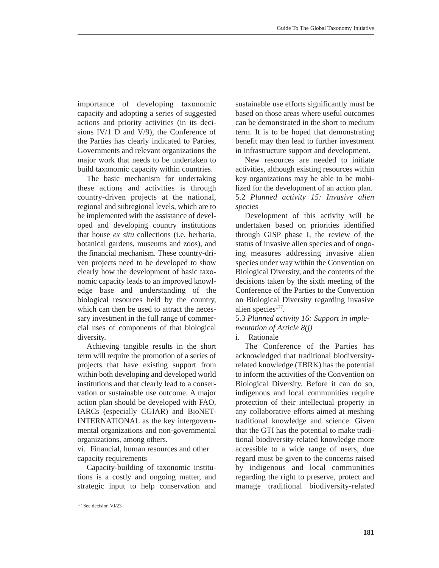importance of developing taxonomic capacity and adopting a series of suggested actions and priority activities (in its decisions IV/1 D and V/9), the Conference of the Parties has clearly indicated to Parties, Governments and relevant organizations the major work that needs to be undertaken to build taxonomic capacity within countries.

The basic mechanism for undertaking these actions and activities is through country-driven projects at the national, regional and subregional levels, which are to be implemented with the assistance of developed and developing country institutions that house *ex situ* collections (i.e. herbaria, botanical gardens, museums and zoos), and the financial mechanism. These country-driven projects need to be developed to show clearly how the development of basic taxonomic capacity leads to an improved knowledge base and understanding of the biological resources held by the country, which can then be used to attract the necessary investment in the full range of commercial uses of components of that biological diversity.

Achieving tangible results in the short term will require the promotion of a series of projects that have existing support from within both developing and developed world institutions and that clearly lead to a conservation or sustainable use outcome. A major action plan should be developed with FAO, IARCs (especially CGIAR) and BioNET-INTERNATIONAL as the key intergovernmental organizations and non-governmental organizations, among others.

vi. Financial, human resources and other capacity requirements

Capacity-building of taxonomic institutions is a costly and ongoing matter, and strategic input to help conservation and sustainable use efforts significantly must be based on those areas where useful outcomes can be demonstrated in the short to medium term. It is to be hoped that demonstrating benefit may then lead to further investment in infrastructure support and development.

New resources are needed to initiate activities, although existing resources within key organizations may be able to be mobilized for the development of an action plan. 5.2 *Planned activity 15: Invasive alien species* 

Development of this activity will be undertaken based on priorities identified through GISP phase I, the review of the status of invasive alien species and of ongoing measures addressing invasive alien species under way within the Convention on Biological Diversity, and the contents of the decisions taken by the sixth meeting of the Conference of the Parties to the Convention on Biological Diversity regarding invasive alien species $177$ .

## 5.3 *Planned activity 16: Support in implementation of Article 8(j)*

### i. Rationale

The Conference of the Parties has acknowledged that traditional biodiversityrelated knowledge (TBRK) has the potential to inform the activities of the Convention on Biological Diversity. Before it can do so, indigenous and local communities require protection of their intellectual property in any collaborative efforts aimed at meshing traditional knowledge and science. Given that the GTI has the potential to make traditional biodiversity-related knowledge more accessible to a wide range of users, due regard must be given to the concerns raised by indigenous and local communities regarding the right to preserve, protect and manage traditional biodiversity-related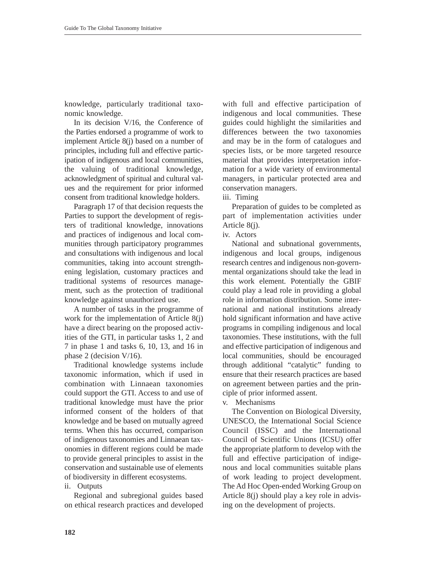knowledge, particularly traditional taxonomic knowledge.

In its decision V/16, the Conference of the Parties endorsed a programme of work to implement Article 8(j) based on a number of principles, including full and effective participation of indigenous and local communities, the valuing of traditional knowledge, acknowledgment of spiritual and cultural values and the requirement for prior informed consent from traditional knowledge holders.

Paragraph 17 of that decision requests the Parties to support the development of registers of traditional knowledge, innovations and practices of indigenous and local communities through participatory programmes and consultations with indigenous and local communities, taking into account strengthening legislation, customary practices and traditional systems of resources management, such as the protection of traditional knowledge against unauthorized use.

A number of tasks in the programme of work for the implementation of Article 8(j) have a direct bearing on the proposed activities of the GTI, in particular tasks 1, 2 and 7 in phase 1 and tasks 6, 10, 13, and 16 in phase 2 (decision V/16).

Traditional knowledge systems include taxonomic information, which if used in combination with Linnaean taxonomies could support the GTI. Access to and use of traditional knowledge must have the prior informed consent of the holders of that knowledge and be based on mutually agreed terms. When this has occurred, comparison of indigenous taxonomies and Linnaean taxonomies in different regions could be made to provide general principles to assist in the conservation and sustainable use of elements of biodiversity in different ecosystems.

ii. Outputs

Regional and subregional guides based on ethical research practices and developed

with full and effective participation of indigenous and local communities. These guides could highlight the similarities and differences between the two taxonomies and may be in the form of catalogues and species lists, or be more targeted resource material that provides interpretation information for a wide variety of environmental managers, in particular protected area and conservation managers.

iii. Timing

Preparation of guides to be completed as part of implementation activities under Article 8(j).

iv. Actors

National and subnational governments, indigenous and local groups, indigenous research centres and indigenous non-governmental organizations should take the lead in this work element. Potentially the GBIF could play a lead role in providing a global role in information distribution. Some international and national institutions already hold significant information and have active programs in compiling indigenous and local taxonomies. These institutions, with the full and effective participation of indigenous and local communities, should be encouraged through additional "catalytic" funding to ensure that their research practices are based on agreement between parties and the principle of prior informed assent.

v. Mechanisms

The Convention on Biological Diversity, UNESCO, the International Social Science Council (ISSC) and the International Council of Scientific Unions (ICSU) offer the appropriate platform to develop with the full and effective participation of indigenous and local communities suitable plans of work leading to project development. The Ad Hoc Open-ended Working Group on Article 8(j) should play a key role in advising on the development of projects.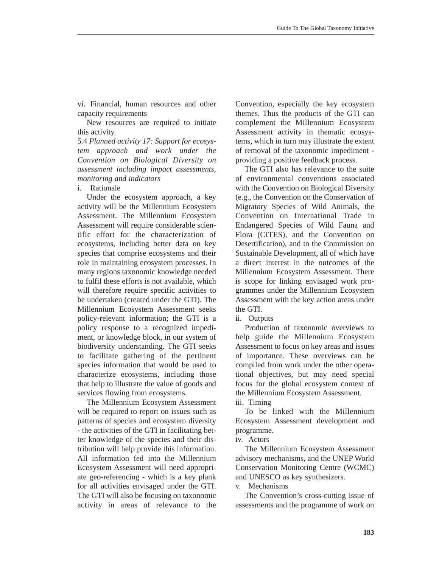vi. Financial, human resources and other capacity requirements

New resources are required to initiate this activity.

5.4 *Planned activity 17: Support for ecosystem approach and work under the Convention on Biological Diversity on assessment including impact assessments, monitoring and indicators*

i. Rationale

Under the ecosystem approach, a key activity will be the Millennium Ecosystem Assessment. The Millennium Ecosystem Assessment will require considerable scientific effort for the characterization of ecosystems, including better data on key species that comprise ecosystems and their role in maintaining ecosystem processes. In many regions taxonomic knowledge needed to fulfil these efforts is not available, which will therefore require specific activities to be undertaken (created under the GTI). The Millennium Ecosystem Assessment seeks policy-relevant information; the GTI is a policy response to a recognized impediment, or knowledge block, in our system of biodiversity understanding. The GTI seeks to facilitate gathering of the pertinent species information that would be used to characterize ecosystems, including those that help to illustrate the value of goods and services flowing from ecosystems.

The Millennium Ecosystem Assessment will be required to report on issues such as patterns of species and ecosystem diversity - the activities of the GTI in facilitating better knowledge of the species and their distribution will help provide this information. All information fed into the Millennium Ecosystem Assessment will need appropriate geo-referencing - which is a key plank for all activities envisaged under the GTI. The GTI will also be focusing on taxonomic activity in areas of relevance to the Convention, especially the key ecosystem themes. Thus the products of the GTI can complement the Millennium Ecosystem Assessment activity in thematic ecosystems, which in turn may illustrate the extent of removal of the taxonomic impediment providing a positive feedback process.

The GTI also has relevance to the suite of environmental conventions associated with the Convention on Biological Diversity (e.g., the Convention on the Conservation of Migratory Species of Wild Animals, the Convention on International Trade in Endangered Species of Wild Fauna and Flora (CITES), and the Convention on Desertification), and to the Commission on Sustainable Development, all of which have a direct interest in the outcomes of the Millennium Ecosystem Assessment. There is scope for linking envisaged work programmes under the Millennium Ecosystem Assessment with the key action areas under the GTI.

ii. Outputs

Production of taxonomic overviews to help guide the Millennium Ecosystem Assessment to focus on key areas and issues of importance. These overviews can be compiled from work under the other operational objectives, but may need special focus for the global ecosystem context of the Millennium Ecosystem Assessment.

iii. Timing

To be linked with the Millennium Ecosystem Assessment development and programme.

iv. Actors

The Millennium Ecosystem Assessment advisory mechanisms, and the UNEP World Conservation Monitoring Centre (WCMC) and UNESCO as key synthesizers.

v. Mechanisms

The Convention's cross-cutting issue of assessments and the programme of work on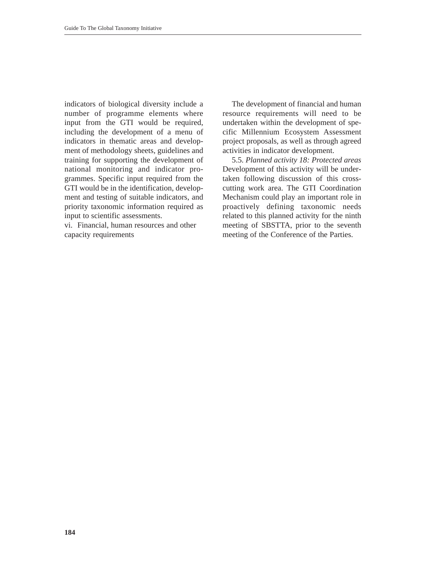indicators of biological diversity include a number of programme elements where input from the GTI would be required, including the development of a menu of indicators in thematic areas and development of methodology sheets, guidelines and training for supporting the development of national monitoring and indicator programmes. Specific input required from the GTI would be in the identification, development and testing of suitable indicators, and priority taxonomic information required as input to scientific assessments.

vi. Financial, human resources and other capacity requirements

The development of financial and human resource requirements will need to be undertaken within the development of specific Millennium Ecosystem Assessment project proposals, as well as through agreed activities in indicator development.

5.5. *Planned activity 18: Protected areas*  Development of this activity will be undertaken following discussion of this crosscutting work area. The GTI Coordination Mechanism could play an important role in proactively defining taxonomic needs related to this planned activity for the ninth meeting of SBSTTA, prior to the seventh meeting of the Conference of the Parties.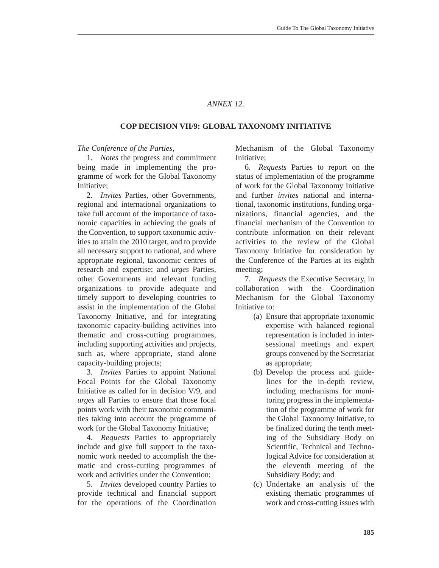### *ANNEX 12.*

### **COP DECISION VII/9: GLOBAL TAXONOMY INITIATIVE**

### *The Conference of the Parties,*

1. *Notes* the progress and commitment being made in implementing the programme of work for the Global Taxonomy Initiative;

2. *Invites* Parties, other Governments, regional and international organizations to take full account of the importance of taxonomic capacities in achieving the goals of the Convention, to support taxonomic activities to attain the 2010 target, and to provide all necessary support to national, and where appropriate regional, taxonomic centres of research and expertise; and *urges* Parties, other Governments and relevant funding organizations to provide adequate and timely support to developing countries to assist in the implementation of the Global Taxonomy Initiative, and for integrating taxonomic capacity-building activities into thematic and cross-cutting programmes, including supporting activities and projects, such as, where appropriate, stand alone capacity-building projects;

3. *Invites* Parties to appoint National Focal Points for the Global Taxonomy Initiative as called for in decision V/9, and *urges* all Parties to ensure that those focal points work with their taxonomic communities taking into account the programme of work for the Global Taxonomy Initiative;

4. *Requests* Parties to appropriately include and give full support to the taxonomic work needed to accomplish the thematic and cross-cutting programmes of work and activities under the Convention;

5. *Invites* developed country Parties to provide technical and financial support for the operations of the Coordination Mechanism of the Global Taxonomy Initiative;

6. *Requests* Parties to report on the status of implementation of the programme of work for the Global Taxonomy Initiative and further *invites* national and international, taxonomic institutions, funding organizations, financial agencies, and the financial mechanism of the Convention to contribute information on their relevant activities to the review of the Global Taxonomy Initiative for consideration by the Conference of the Parties at its eighth meeting;

7. *Requests* the Executive Secretary, in collaboration with the Coordination Mechanism for the Global Taxonomy Initiative to:

- (a) Ensure that appropriate taxonomic expertise with balanced regional representation is included in intersessional meetings and expert groups convened by the Secretariat as appropriate;
- (b) Develop the process and guidelines for the in-depth review, including mechanisms for monitoring progress in the implementation of the programme of work for the Global Taxonomy Initiative, to be finalized during the tenth meeting of the Subsidiary Body on Scientific, Technical and Technological Advice for consideration at the eleventh meeting of the Subsidiary Body; and
- (c) Undertake an analysis of the existing thematic programmes of work and cross-cutting issues with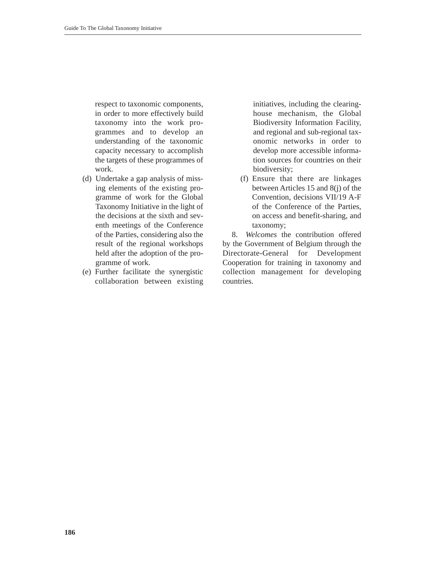respect to taxonomic components, in order to more effectively build taxonomy into the work programmes and to develop an understanding of the taxonomic capacity necessary to accomplish the targets of these programmes of work.

- (d) Undertake a gap analysis of missing elements of the existing programme of work for the Global Taxonomy Initiative in the light of the decisions at the sixth and seventh meetings of the Conference of the Parties, considering also the result of the regional workshops held after the adoption of the programme of work.
- (e) Further facilitate the synergistic collaboration between existing

initiatives, including the clearinghouse mechanism, the Global Biodiversity Information Facility, and regional and sub-regional taxonomic networks in order to develop more accessible information sources for countries on their biodiversity;

(f) Ensure that there are linkages between Articles 15 and 8(j) of the Convention, decisions VII/19 A-F of the Conference of the Parties, on access and benefit-sharing, and taxonomy;

8. *Welcomes* the contribution offered by the Government of Belgium through the Directorate-General for Development Cooperation for training in taxonomy and collection management for developing countries.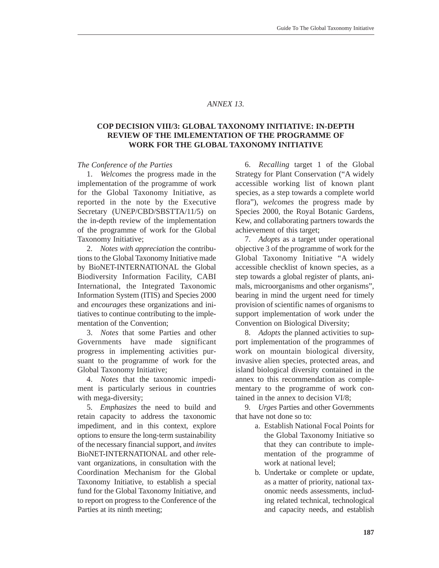### *ANNEX 13.*

## **COP DECISION VIII/3: GLOBAL TAXONOMY INITIATIVE: IN-DEPTH REVIEW OF THE IMLEMENTATION OF THE PROGRAMME OF WORK FOR THE GLOBAL TAXONOMY INITIATIVE**

#### *The Conference of the Parties*

1. *Welcomes* the progress made in the implementation of the programme of work for the Global Taxonomy Initiative, as reported in the note by the Executive Secretary (UNEP/CBD/SBSTTA/11/5) on the in-depth review of the implementation of the programme of work for the Global Taxonomy Initiative;

2. *Notes with appreciation* the contributions to the Global Taxonomy Initiative made by BioNET-INTERNATIONAL the Global Biodiversity Information Facility, CABI International, the Integrated Taxonomic Information System (ITIS) and Species 2000 and *encourages* these organizations and initiatives to continue contributing to the implementation of the Convention;

3. *Notes* that some Parties and other Governments have made significant progress in implementing activities pursuant to the programme of work for the Global Taxonomy Initiative;

4. *Notes* that the taxonomic impediment is particularly serious in countries with mega-diversity;

5. *Emphasizes* the need to build and retain capacity to address the taxonomic impediment, and in this context, explore options to ensure the long-term sustainability of the necessary financial support, and *invites* BioNET-INTERNATIONAL and other relevant organizations, in consultation with the Coordination Mechanism for the Global Taxonomy Initiative, to establish a special fund for the Global Taxonomy Initiative, and to report on progress to the Conference of the Parties at its ninth meeting;

6. *Recalling* target 1 of the Global Strategy for Plant Conservation ("A widely accessible working list of known plant species, as a step towards a complete world flora"), *welcomes* the progress made by Species 2000, the Royal Botanic Gardens, Kew, and collaborating partners towards the achievement of this target;

7. *Adopts* as a target under operational objective 3 of the programme of work for the Global Taxonomy Initiative "A widely accessible checklist of known species, as a step towards a global register of plants, animals, microorganisms and other organisms", bearing in mind the urgent need for timely provision of scientific names of organisms to support implementation of work under the Convention on Biological Diversity;

8. *Adopts* the planned activities to support implementation of the programmes of work on mountain biological diversity, invasive alien species, protected areas, and island biological diversity contained in the annex to this recommendation as complementary to the programme of work contained in the annex to decision VI/8;

9. *Urges* Parties and other Governments that have not done so to:

- a. Establish National Focal Points for the Global Taxonomy Initiative so that they can contribute to implementation of the programme of work at national level;
- b. Undertake or complete or update, as a matter of priority, national taxonomic needs assessments, including related technical, technological and capacity needs, and establish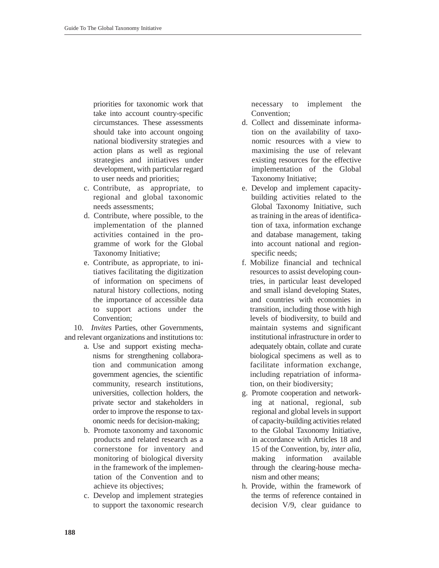priorities for taxonomic work that take into account country-specific circumstances. These assessments should take into account ongoing national biodiversity strategies and action plans as well as regional strategies and initiatives under development, with particular regard to user needs and priorities;

- c. Contribute, as appropriate, to regional and global taxonomic needs assessments;
- d. Contribute, where possible, to the implementation of the planned activities contained in the programme of work for the Global Taxonomy Initiative;
- e. Contribute, as appropriate, to initiatives facilitating the digitization of information on specimens of natural history collections, noting the importance of accessible data to support actions under the Convention;

10. *Invites* Parties, other Governments, and relevant organizations and institutions to:

- a. Use and support existing mechanisms for strengthening collaboration and communication among government agencies, the scientific community, research institutions, universities, collection holders, the private sector and stakeholders in order to improve the response to taxonomic needs for decision-making;
- b. Promote taxonomy and taxonomic products and related research as a cornerstone for inventory and monitoring of biological diversity in the framework of the implementation of the Convention and to achieve its objectives;
- c. Develop and implement strategies to support the taxonomic research

necessary to implement the Convention<sup>.</sup>

- d. Collect and disseminate information on the availability of taxonomic resources with a view to maximising the use of relevant existing resources for the effective implementation of the Global Taxonomy Initiative;
- e. Develop and implement capacitybuilding activities related to the Global Taxonomy Initiative, such as training in the areas of identification of taxa, information exchange and database management, taking into account national and regionspecific needs:
- f. Mobilize financial and technical resources to assist developing countries, in particular least developed and small island developing States, and countries with economies in transition, including those with high levels of biodiversity, to build and maintain systems and significant institutional infrastructure in order to adequately obtain, collate and curate biological specimens as well as to facilitate information exchange, including repatriation of information, on their biodiversity;
- g. Promote cooperation and networking at national, regional, sub regional and global levels in support of capacity-building activities related to the Global Taxonomy Initiative, in accordance with Articles 18 and 15 of the Convention, by, *inter alia*, making information available through the clearing-house mechanism and other means;
- h. Provide, within the framework of the terms of reference contained in decision V/9, clear guidance to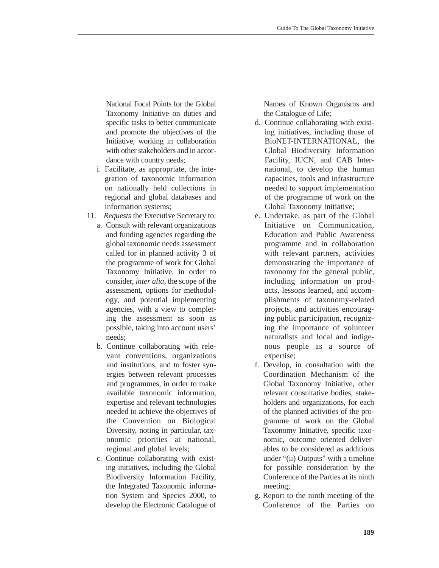National Focal Points for the Global Taxonomy Initiative on duties and specific tasks to better communicate and promote the objectives of the Initiative, working in collaboration with other stakeholders and in accordance with country needs;

- i. Facilitate, as appropriate, the integration of taxonomic information on nationally held collections in regional and global databases and information systems;
- 11. *Requests* the Executive Secretary to:
	- a. Consult with relevant organizations and funding agencies regarding the global taxonomic needs assessment called for in planned activity 3 of the programme of work for Global Taxonomy Initiative, in order to consider, *inter alia*, the scope of the assessment, options for methodology, and potential implementing agencies, with a view to completing the assessment as soon as possible, taking into account users' needs;
	- b. Continue collaborating with relevant conventions, organizations and institutions, and to foster synergies between relevant processes and programmes, in order to make available taxonomic information, expertise and relevant technologies needed to achieve the objectives of the Convention on Biological Diversity, noting in particular, taxonomic priorities at national, regional and global levels;
	- c. Continue collaborating with existing initiatives, including the Global Biodiversity Information Facility, the Integrated Taxonomic information System and Species 2000, to develop the Electronic Catalogue of

Names of Known Organisms and the Catalogue of Life;

- d. Continue collaborating with existing initiatives, including those of BioNET-INTERNATIONAL, the Global Biodiversity Information Facility, IUCN, and CAB International, to develop the human capacities, tools and infrastructure needed to support implementation of the programme of work on the Global Taxonomy Initiative;
- e. Undertake, as part of the Global Initiative on Communication, Education and Public Awareness programme and in collaboration with relevant partners, activities demonstrating the importance of taxonomy for the general public, including information on products, lessons learned, and accomplishments of taxonomy-related projects, and activities encouraging public participation, recognizing the importance of volunteer naturalists and local and indigenous people as a source of expertise;
- f. Develop, in consultation with the Coordination Mechanism of the Global Taxonomy Initiative, other relevant consultative bodies, stakeholders and organizations, for each of the planned activities of the programme of work on the Global Taxonomy Initiative, specific taxonomic, outcome oriented deliverables to be considered as additions under "(ii) Outputs" with a timeline for possible consideration by the Conference of the Parties at its ninth meeting;
- g. Report to the ninth meeting of the Conference of the Parties on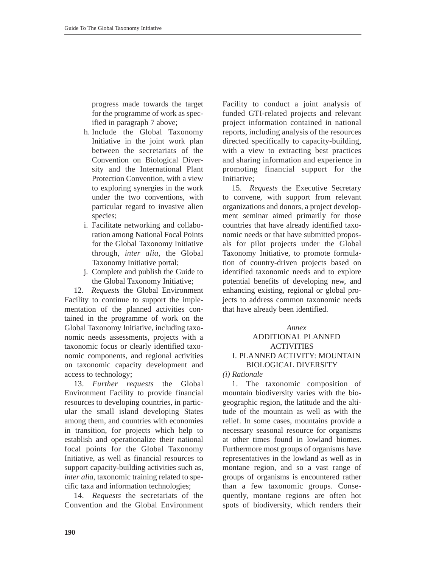progress made towards the target for the programme of work as specified in paragraph 7 above;

- h. Include the Global Taxonomy Initiative in the joint work plan between the secretariats of the Convention on Biological Diversity and the International Plant Protection Convention, with a view to exploring synergies in the work under the two conventions, with particular regard to invasive alien species;
- i. Facilitate networking and collaboration among National Focal Points for the Global Taxonomy Initiative through, *inter alia*, the Global Taxonomy Initiative portal;
- j. Complete and publish the Guide to the Global Taxonomy Initiative;

12. *Requests* the Global Environment Facility to continue to support the implementation of the planned activities contained in the programme of work on the Global Taxonomy Initiative, including taxonomic needs assessments, projects with a taxonomic focus or clearly identified taxonomic components, and regional activities on taxonomic capacity development and access to technology;

13. *Further requests* the Global Environment Facility to provide financial resources to developing countries, in particular the small island developing States among them, and countries with economies in transition, for projects which help to establish and operationalize their national focal points for the Global Taxonomy Initiative, as well as financial resources to support capacity-building activities such as, *inter alia,* taxonomic training related to specific taxa and information technologies;

14. *Requests* the secretariats of the Convention and the Global Environment Facility to conduct a joint analysis of funded GTI-related projects and relevant project information contained in national reports, including analysis of the resources directed specifically to capacity-building, with a view to extracting best practices and sharing information and experience in promoting financial support for the Initiative;

15. *Requests* the Executive Secretary to convene, with support from relevant organizations and donors, a project development seminar aimed primarily for those countries that have already identified taxonomic needs or that have submitted proposals for pilot projects under the Global Taxonomy Initiative, to promote formulation of country-driven projects based on identified taxonomic needs and to explore potential benefits of developing new, and enhancing existing, regional or global projects to address common taxonomic needs that have already been identified.

### *Annex* ADDITIONAL PLANNED ACTIVITIES

# I. PLANNED ACTIVITY: MOUNTAIN BIOLOGICAL DIVERSITY

### *(i) Rationale*

1. The taxonomic composition of mountain biodiversity varies with the biogeographic region, the latitude and the altitude of the mountain as well as with the relief. In some cases, mountains provide a necessary seasonal resource for organisms at other times found in lowland biomes. Furthermore most groups of organisms have representatives in the lowland as well as in montane region, and so a vast range of groups of organisms is encountered rather than a few taxonomic groups. Consequently, montane regions are often hot spots of biodiversity, which renders their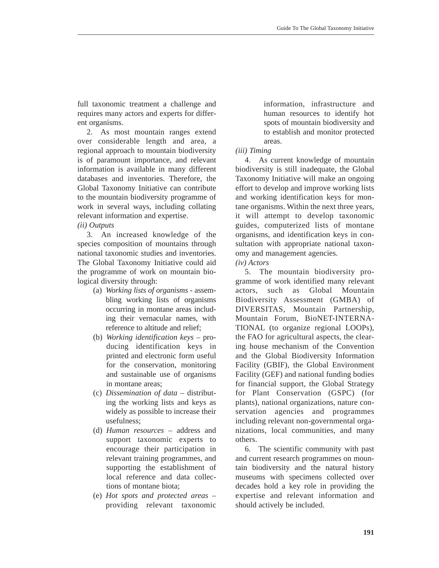full taxonomic treatment a challenge and requires many actors and experts for different organisms.

2. As most mountain ranges extend over considerable length and area, a regional approach to mountain biodiversity is of paramount importance, and relevant information is available in many different databases and inventories. Therefore, the Global Taxonomy Initiative can contribute to the mountain biodiversity programme of work in several ways, including collating relevant information and expertise. *(ii) Outputs* 

3. An increased knowledge of the species composition of mountains through national taxonomic studies and inventories. The Global Taxonomy Initiative could aid the programme of work on mountain biological diversity through:

- (a) *Working lists of organisms* assembling working lists of organisms occurring in montane areas including their vernacular names, with reference to altitude and relief;
- (b) *Working identification keys* producing identification keys in printed and electronic form useful for the conservation, monitoring and sustainable use of organisms in montane areas;
- (c) *Dissemination of data* distributing the working lists and keys as widely as possible to increase their usefulness;
- (d) *Human resources* address and support taxonomic experts to encourage their participation in relevant training programmes, and supporting the establishment of local reference and data collections of montane biota;
- (e) *Hot spots and protected areas*  providing relevant taxonomic

information, infrastructure and human resources to identify hot spots of mountain biodiversity and to establish and monitor protected areas.

# *(iii) Timing*

4. As current knowledge of mountain biodiversity is still inadequate, the Global Taxonomy Initiative will make an ongoing effort to develop and improve working lists and working identification keys for montane organisms. Within the next three years, it will attempt to develop taxonomic guides, computerized lists of montane organisms, and identification keys in consultation with appropriate national taxonomy and management agencies.

## *(iv) Actors*

5. The mountain biodiversity programme of work identified many relevant actors, such as Global Mountain Biodiversity Assessment (GMBA) of DIVERSITAS, Mountain Partnership, Mountain Forum, BioNET-INTERNA-TIONAL (to organize regional LOOPs), the FAO for agricultural aspects, the clearing house mechanism of the Convention and the Global Biodiversity Information Facility (GBIF), the Global Environment Facility (GEF) and national funding bodies for financial support, the Global Strategy for Plant Conservation (GSPC) (for plants), national organizations, nature conservation agencies and programmes including relevant non-governmental organizations, local communities, and many others.

6. The scientific community with past and current research programmes on mountain biodiversity and the natural history museums with specimens collected over decades hold a key role in providing the expertise and relevant information and should actively be included.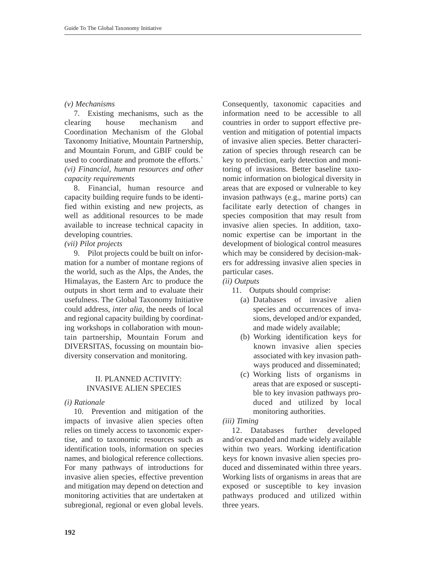### *(v) Mechanisms*

7. Existing mechanisms, such as the clearing house mechanism and Coordination Mechanism of the Global Taxonomy Initiative, Mountain Partnership, and Mountain Forum, and GBIF could be used to coordinate and promote the efforts.` *(vi) Financial, human resources and other capacity requirements* 

8. Financial, human resource and capacity building require funds to be identified within existing and new projects, as well as additional resources to be made available to increase technical capacity in developing countries.

## *(vii) Pilot projects*

9. Pilot projects could be built on information for a number of montane regions of the world, such as the Alps, the Andes, the Himalayas, the Eastern Arc to produce the outputs in short term and to evaluate their usefulness. The Global Taxonomy Initiative could address, *inter alia*, the needs of local and regional capacity building by coordinating workshops in collaboration with mountain partnership, Mountain Forum and DIVERSITAS, focussing on mountain biodiversity conservation and monitoring.

## II. PLANNED ACTIVITY: INVASIVE ALIEN SPECIES

### *(i) Rationale*

10. Prevention and mitigation of the impacts of invasive alien species often relies on timely access to taxonomic expertise, and to taxonomic resources such as identification tools, information on species names, and biological reference collections. For many pathways of introductions for invasive alien species, effective prevention and mitigation may depend on detection and monitoring activities that are undertaken at subregional, regional or even global levels. Consequently, taxonomic capacities and information need to be accessible to all countries in order to support effective prevention and mitigation of potential impacts of invasive alien species. Better characterization of species through research can be key to prediction, early detection and monitoring of invasions. Better baseline taxonomic information on biological diversity in areas that are exposed or vulnerable to key invasion pathways (e.g., marine ports) can facilitate early detection of changes in species composition that may result from invasive alien species. In addition, taxonomic expertise can be important in the development of biological control measures which may be considered by decision-makers for addressing invasive alien species in particular cases.

### *(ii) Outputs*

- 11. Outputs should comprise:
	- (a) Databases of invasive alien species and occurrences of invasions, developed and/or expanded, and made widely available;
	- (b) Working identification keys for known invasive alien species associated with key invasion pathways produced and disseminated;
	- (c) Working lists of organisms in areas that are exposed or susceptible to key invasion pathways produced and utilized by local monitoring authorities.
- *(iii) Timing*

12. Databases further developed and/or expanded and made widely available within two years. Working identification keys for known invasive alien species produced and disseminated within three years. Working lists of organisms in areas that are exposed or susceptible to key invasion pathways produced and utilized within three years.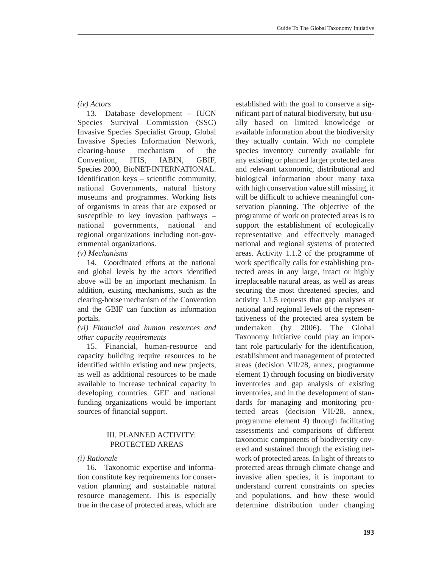### *(iv) Actors*

13. Database development – IUCN Species Survival Commission (SSC) Invasive Species Specialist Group, Global Invasive Species Information Network, clearing-house mechanism of the Convention, ITIS, IABIN, GBIF, Species 2000, BioNET-INTERNATIONAL. Identification keys – scientific community, national Governments, natural history museums and programmes. Working lists of organisms in areas that are exposed or susceptible to key invasion pathways – national governments, national and regional organizations including non-governmental organizations.

*(v) Mechanisms*

14. Coordinated efforts at the national and global levels by the actors identified above will be an important mechanism. In addition, existing mechanisms, such as the clearing-house mechanism of the Convention and the GBIF can function as information portals.

### *(vi) Financial and human resources and other capacity requirements*

15. Financial, human-resource and capacity building require resources to be identified within existing and new projects, as well as additional resources to be made available to increase technical capacity in developing countries. GEF and national funding organizations would be important sources of financial support.

## III. PLANNED ACTIVITY: PROTECTED AREAS

### *(i) Rationale*

16. Taxonomic expertise and information constitute key requirements for conservation planning and sustainable natural resource management. This is especially true in the case of protected areas, which are established with the goal to conserve a significant part of natural biodiversity, but usually based on limited knowledge or available information about the biodiversity they actually contain. With no complete species inventory currently available for any existing or planned larger protected area and relevant taxonomic, distributional and biological information about many taxa with high conservation value still missing, it will be difficult to achieve meaningful conservation planning. The objective of the programme of work on protected areas is to support the establishment of ecologically representative and effectively managed national and regional systems of protected areas. Activity 1.1.2 of the programme of work specifically calls for establishing protected areas in any large, intact or highly irreplaceable natural areas, as well as areas securing the most threatened species, and activity 1.1.5 requests that gap analyses at national and regional levels of the representativeness of the protected area system be undertaken (by 2006). The Global Taxonomy Initiative could play an important role particularly for the identification, establishment and management of protected areas (decision VII/28, annex, programme element 1) through focusing on biodiversity inventories and gap analysis of existing inventories, and in the development of standards for managing and monitoring protected areas (decision VII/28, annex, programme element 4) through facilitating assessments and comparisons of different taxonomic components of biodiversity covered and sustained through the existing network of protected areas. In light of threats to protected areas through climate change and invasive alien species, it is important to understand current constraints on species and populations, and how these would determine distribution under changing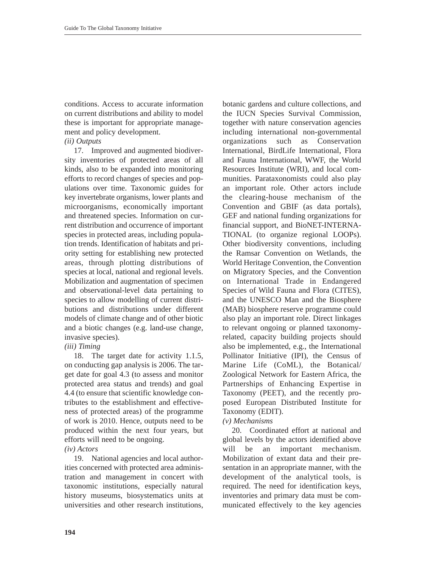conditions. Access to accurate information on current distributions and ability to model these is important for appropriate management and policy development.

# *(ii) Outputs*

17. Improved and augmented biodiversity inventories of protected areas of all kinds, also to be expanded into monitoring efforts to record changes of species and populations over time. Taxonomic guides for key invertebrate organisms, lower plants and microorganisms, economically important and threatened species. Information on current distribution and occurrence of important species in protected areas, including population trends. Identification of habitats and priority setting for establishing new protected areas, through plotting distributions of species at local, national and regional levels. Mobilization and augmentation of specimen and observational-level data pertaining to species to allow modelling of current distributions and distributions under different models of climate change and of other biotic and a biotic changes (e.g. land-use change, invasive species).

## *(iii) Timing*

18. The target date for activity 1.1.5, on conducting gap analysis is 2006. The target date for goal 4.3 (to assess and monitor protected area status and trends) and goal 4.4 (to ensure that scientific knowledge contributes to the establishment and effectiveness of protected areas) of the programme of work is 2010. Hence, outputs need to be produced within the next four years, but efforts will need to be ongoing.

### *(iv) Actors*

19. National agencies and local authorities concerned with protected area administration and management in concert with taxonomic institutions, especially natural history museums, biosystematics units at universities and other research institutions,

botanic gardens and culture collections, and the IUCN Species Survival Commission, together with nature conservation agencies including international non-governmental organizations such as Conservation International, BirdLife International, Flora and Fauna International, WWF, the World Resources Institute (WRI), and local communities. Parataxonomists could also play an important role. Other actors include the clearing-house mechanism of the Convention and GBIF (as data portals), GEF and national funding organizations for financial support, and BioNET-INTERNA-TIONAL (to organize regional LOOPs). Other biodiversity conventions, including the Ramsar Convention on Wetlands, the World Heritage Convention, the Convention on Migratory Species, and the Convention on International Trade in Endangered Species of Wild Fauna and Flora (CITES), and the UNESCO Man and the Biosphere (MAB) biosphere reserve programme could also play an important role. Direct linkages to relevant ongoing or planned taxonomyrelated, capacity building projects should also be implemented, e.g., the International Pollinator Initiative (IPI), the Census of Marine Life (CoML), the Botanical/ Zoological Network for Eastern Africa, the Partnerships of Enhancing Expertise in Taxonomy (PEET), and the recently proposed European Distributed Institute for Taxonomy (EDIT).

## *(v) Mechanisms*

20. Coordinated effort at national and global levels by the actors identified above will be an important mechanism. Mobilization of extant data and their presentation in an appropriate manner, with the development of the analytical tools, is required. The need for identification keys, inventories and primary data must be communicated effectively to the key agencies